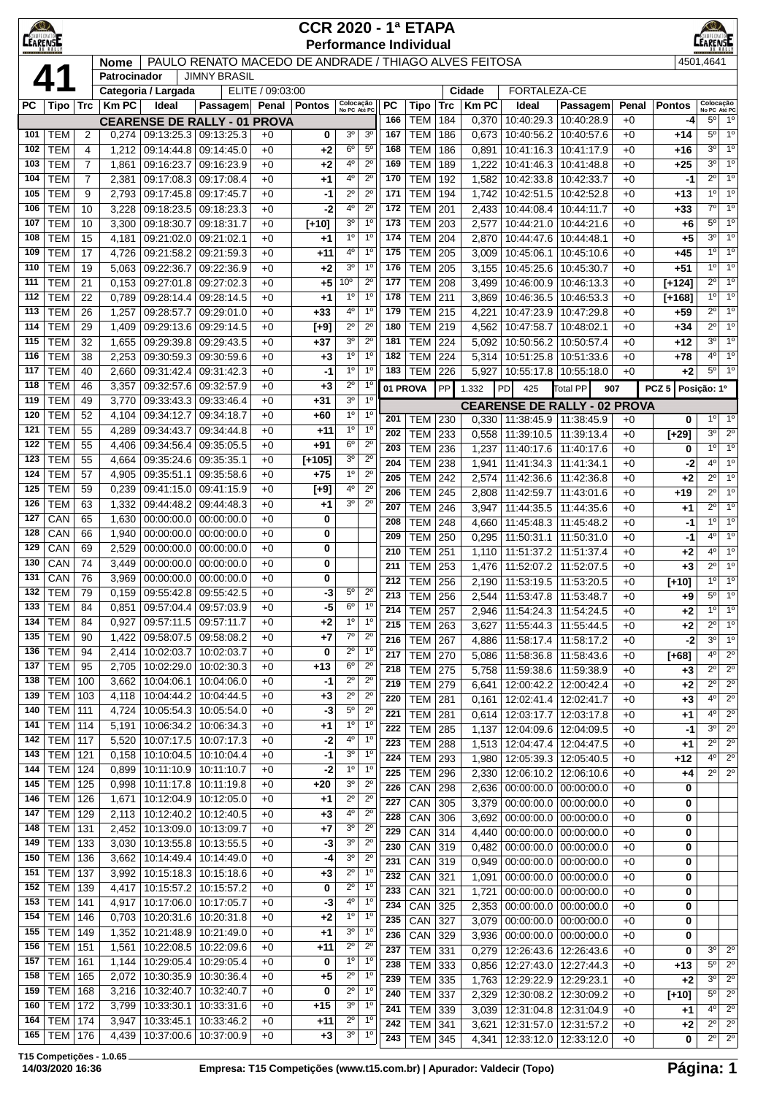| $\bigcirc$      |                                                                                                                                                                                                                                                                                                                                                                                                                                                                                                                                                          |                |                    |                          |                                                       |                  | <b>CCR 2020 - 1ª ETAPA</b>    |                               |                                  |            |                          |            |                |                                                        |                          |              |                 | $\circledcirc$                   |                                  |
|-----------------|----------------------------------------------------------------------------------------------------------------------------------------------------------------------------------------------------------------------------------------------------------------------------------------------------------------------------------------------------------------------------------------------------------------------------------------------------------------------------------------------------------------------------------------------------------|----------------|--------------------|--------------------------|-------------------------------------------------------|------------------|-------------------------------|-------------------------------|----------------------------------|------------|--------------------------|------------|----------------|--------------------------------------------------------|--------------------------|--------------|-----------------|----------------------------------|----------------------------------|
| <b>CEARENSE</b> |                                                                                                                                                                                                                                                                                                                                                                                                                                                                                                                                                          |                |                    |                          |                                                       |                  | <b>Performance Individual</b> |                               |                                  |            |                          |            |                |                                                        |                          |              |                 | ARENSE                           |                                  |
|                 |                                                                                                                                                                                                                                                                                                                                                                                                                                                                                                                                                          |                | <b>Nome</b>        |                          | PAULO RENATO MACEDO DE ANDRADE / THIAGO ALVES FEITOSA |                  |                               |                               |                                  |            |                          |            |                |                                                        |                          |              |                 | 4501,4641                        |                                  |
|                 |                                                                                                                                                                                                                                                                                                                                                                                                                                                                                                                                                          |                | Patrocinador       |                          | <b>JIMNY BRASIL</b>                                   |                  |                               |                               |                                  |            |                          |            |                |                                                        |                          |              |                 |                                  |                                  |
|                 |                                                                                                                                                                                                                                                                                                                                                                                                                                                                                                                                                          |                |                    | Categoria / Largada      |                                                       | ELITE / 09:03:00 |                               |                               |                                  |            |                          |            | Cidade         | FORTALEZA-CE                                           |                          |              |                 |                                  |                                  |
| <b>PC</b>       | Tipo ∣                                                                                                                                                                                                                                                                                                                                                                                                                                                                                                                                                   | <b>Trc</b>     | <b>Km PC</b>       | Ideal                    | Passagem                                              |                  | Penal   Pontos                | Colocação<br>No PC Até PC     |                                  | <b>PC</b>  | Tipo                     | <b>Trc</b> | <b>Km PC</b>   | Ideal                                                  | Passagem                 | Penal        | <b>Pontos</b>   | Colocação<br>No PC Até PC        |                                  |
| 101             | <b>TEM</b>                                                                                                                                                                                                                                                                                                                                                                                                                                                                                                                                               | $\overline{2}$ | 0,274              | 09:13:25.3               | <b>CEARENSE DE RALLY - 01 PROVA</b><br>09:13:25.3     | $+0$             | 0                             | 3 <sup>o</sup>                | 3 <sup>0</sup>                   | 166<br>167 | <b>TEM</b><br><b>TEM</b> | 184<br>186 | 0,370<br>0,673 | 10:40:29.3<br>10:40:56.2                               | 10:40:28.9<br>10:40:57.6 | $+0$<br>$+0$ | -4<br>$+14$     | $5^\circ$<br>$5^{\circ}$         | $1^{\circ}$<br>1 <sup>0</sup>    |
| 102             | <b>TEM</b>                                                                                                                                                                                                                                                                                                                                                                                                                                                                                                                                               | 4              | 1,212              | 09:14:44.8               | 09:14:45.0                                            | $+0$             | +2                            | $6^{\circ}$                   | $5^{\circ}$                      | 168        | <b>TEM</b>               | 186        | 0,891          | 10:41:16.3                                             | 10:41:17.9               | $+0$         | +16             | 3 <sup>0</sup>                   | 1 <sup>0</sup>                   |
| 103             | <b>TEM</b>                                                                                                                                                                                                                                                                                                                                                                                                                                                                                                                                               | $\overline{7}$ | 1,861              | 09:16:23.7               | 09:16:23.9                                            | $+0$             | +2                            | 4°                            | $2^{\circ}$                      | 169        | <b>TEM</b>               | 189        | 1,222          | 10:41:46.3                                             | 10:41:48.8               | $+0$         | $+25$           | 3 <sup>0</sup>                   | 1 <sup>0</sup>                   |
| 104             | <b>TEM</b>                                                                                                                                                                                                                                                                                                                                                                                                                                                                                                                                               | $\overline{7}$ | 2,381              | 09:17:08.3               | 09:17:08.4                                            | $+0$             | +1                            | 4°                            | $2^{\circ}$                      | 170        | <b>TEM</b>               | 192        | 1,582          | 10:42:33.8                                             | 10:42:33.7               | $+0$         | $-1$            | $2^{\circ}$                      | 1 <sup>0</sup>                   |
| 105             | <b>TEM</b>                                                                                                                                                                                                                                                                                                                                                                                                                                                                                                                                               | 9              | 2,793              | 09:17:45.8               | 09:17:45.7                                            | $+0$             | -1                            | $2^{\circ}$                   | $2^{\circ}$                      | 171        | <b>TEM</b>               | 194        | 1,742          | 10:42:51.5                                             | 10:42:52.8               | $+0$         | $+13$           | 1 <sup>0</sup>                   | 1 <sup>0</sup>                   |
| 106             | <b>TEM</b>                                                                                                                                                                                                                                                                                                                                                                                                                                                                                                                                               | 10             | 3,228              | 09:18:23.5               | 09:18:23.3                                            | $+0$             | $-2$                          | $4^{\rm o}$                   | $2^{\circ}$                      | 172        | <b>TEM</b>               | 201        | 2,433          | 10:44:08.4                                             | 10:44:11.7               | $+0$         | $+33$           | $7^\circ$                        | 1 <sup>0</sup>                   |
| 107             | <b>TEM</b>                                                                                                                                                                                                                                                                                                                                                                                                                                                                                                                                               | 10             | 3,300              | 09:18:30.7               | 09:18:31.7                                            | $+0$             | $[+10]$                       | 3 <sup>o</sup>                | $1^{\circ}$                      | 173        | <b>TEM</b>               | 203        | 2,577          | 10:44:21.0                                             | 10:44:21.6               | $+0$         | $+6$            | $5^{\circ}$                      | 1 <sup>0</sup>                   |
| 108             | <b>TEM</b>                                                                                                                                                                                                                                                                                                                                                                                                                                                                                                                                               | 15             | 4,181              | 09:21:02.0               | 09:21:02.1                                            | $+0$             | +1                            | $1^{\circ}$                   | 1 <sup>0</sup><br>1 <sup>0</sup> | 174<br>175 | <b>TEM</b>               | 204        | 2,870          | 10:44:47.6                                             | 10:44:48.1               | $+0$         | $+5$            | 3 <sup>0</sup><br>1 <sup>0</sup> | 1 <sup>0</sup><br>1 <sup>0</sup> |
| 109<br>110      | <b>TEM</b><br><b>TEM</b>                                                                                                                                                                                                                                                                                                                                                                                                                                                                                                                                 | 17<br>19       | 4,726<br>5,063     | 09:21:58.2<br>09:22:36.7 | 09:21:59.3<br>09:22:36.9                              | $+0$<br>$+0$     | $+11$<br>+2                   | $4^{\circ}$<br>3 <sup>o</sup> | 1 <sup>0</sup>                   | 176        | <b>TEM</b><br><b>TEM</b> | 205<br>205 | 3,009<br>3,155 | 10:45:06.1<br>10:45:25.6                               | 10:45:10.6<br>10:45:30.7 | $+0$<br>$+0$ | $+45$<br>$+51$  | $1^{\circ}$                      | 1 <sup>0</sup>                   |
| 111             | <b>TEM</b>                                                                                                                                                                                                                                                                                                                                                                                                                                                                                                                                               | 21             | 0,153              | 09:27:01.8               | 09:27:02.3                                            | $+0$             | $+5$                          | 10 <sup>o</sup>               | $2^{\circ}$                      | 177        | <b>TEM</b>               | 208        | 3,499          | 10:46:00.9                                             | 10:46:13.3               | $+0$         | $[+124]$        | $2^{\circ}$                      | 1 <sup>0</sup>                   |
| 112             | <b>TEM</b>                                                                                                                                                                                                                                                                                                                                                                                                                                                                                                                                               | 22             | 0,789              | 09:28:14.4               | 09:28:14.5                                            | $+0$             | +1                            | $1^{\circ}$                   | 1 <sup>0</sup>                   | 178        | <b>TEM</b>               | 211        | 3,869          | 10:46:36.5                                             | 10:46:53.3               | $+0$         | $[+168]$        | $1^{\circ}$                      | 1 <sup>0</sup>                   |
| 113             | <b>TEM</b>                                                                                                                                                                                                                                                                                                                                                                                                                                                                                                                                               | 26             | 1,257              | 09:28:57.7               | 09:29:01.0                                            | $+0$             | $+33$                         | 4°                            | 1 <sup>0</sup>                   | 179        | <b>TEM</b>               | 215        | 4,221          | 10:47:23.9                                             | 10:47:29.8               | $+0$         | $+59$           | $2^{\circ}$                      | 1 <sup>0</sup>                   |
| 114             | <b>TEM</b><br>$2^{\circ}$<br>$2^{\circ}$<br>09:29:13.6<br>09:29:14.5<br>$[+9]$<br>180<br><b>TEM</b><br>219<br>10:47:58.7<br>29<br>1,409<br>4,562<br>10:48:02.1<br>$+0$<br>$+0$<br>3 <sup>o</sup><br><b>TEM</b><br>$2^{\circ}$<br>181<br><b>TEM</b><br>10:50:57.4<br>32<br>1,655<br>09:29:39.8<br>09:29:43.5<br>$+37$<br>224<br>5,092<br>10:50:56.2<br>$+0$<br>$+0$<br>1 <sup>o</sup><br><b>TEM</b><br>1 <sup>0</sup><br>182<br><b>TEM</b><br>224<br>10:51:25.8<br>10:51:33.6<br>38<br>2,253<br>09:30:59.3<br>09:30:59.6<br>5,314<br>$+0$<br>$+0$<br>$+3$ |                |                    |                          |                                                       |                  |                               |                               |                                  |            |                          |            |                |                                                        |                          | $+34$        | $2^{\circ}$     | 1 <sup>0</sup>                   |                                  |
| 115             | <b>TEM</b><br>$1^{\circ}$<br>$1^{\circ}$<br><b>TEM</b><br>40<br>2,660<br>09:31:42.4<br>09:31:42.3<br>183<br>226<br>5,927<br>10:55:17.8<br>10:55:18.0<br>$+0$<br>$+0$<br>-1                                                                                                                                                                                                                                                                                                                                                                               |                |                    |                          |                                                       |                  |                               |                               |                                  |            |                          |            |                |                                                        |                          | $+12$        | 3 <sup>0</sup>  | 1 <sup>0</sup>                   |                                  |
| 116             | <b>TEM</b><br>$2^{\circ}$<br>$1^{\circ}$<br>118<br>09:32:57.6<br>09:32:57.9<br>46<br>3,357<br>$+0$<br>$+3$<br>01 PROVA<br>PP<br>PCZ <sub>5</sub><br>1.332<br>PD<br>425<br><b>Total PP</b><br>907                                                                                                                                                                                                                                                                                                                                                         |                |                    |                          |                                                       |                  |                               |                               |                                  |            |                          |            |                |                                                        |                          | $+78$        | 40              | 1 <sup>0</sup>                   |                                  |
| 117             | <b>TEM</b><br>3 <sup>0</sup><br>1 <sup>0</sup><br>09:33:43.3<br>09:33:46.4<br>49<br>3,770<br>$+0$<br>+31<br><b>CEARENSE DE RALLY - 02 PROVA</b>                                                                                                                                                                                                                                                                                                                                                                                                          |                |                    |                          |                                                       |                  |                               |                               |                                  |            |                          |            |                |                                                        |                          | $+2$         | 5 <sup>o</sup>  | 1 <sup>0</sup>                   |                                  |
| 119             |                                                                                                                                                                                                                                                                                                                                                                                                                                                                                                                                                          |                |                    |                          |                                                       |                  |                               |                               |                                  |            |                          |            |                |                                                        |                          |              |                 | Posição: 1º                      |                                  |
| 120             | <b>TEM</b>                                                                                                                                                                                                                                                                                                                                                                                                                                                                                                                                               | 52             | 4,104              | 09:34:12.7               | 09:34:18.7                                            | $+0$             | +60                           | 1 <sup>0</sup>                | 1 <sup>o</sup>                   | 201        |                          |            |                |                                                        |                          |              |                 | $1^{\circ}$                      | $\overline{1^{\circ}}$           |
| 121             | <b>TEM</b>                                                                                                                                                                                                                                                                                                                                                                                                                                                                                                                                               | 55             | 4,289              | 09:34:43.7               | 09:34:44.8                                            | $+0$             | $+11$                         | $1^{\circ}$                   | $1^{\circ}$                      | 202        | <b>TEM</b><br><b>TEM</b> | 230<br>233 | 0,330<br>0,558 | 11:38:45.9 11:38:45.9<br>11:39:10.5                    | 11:39:13.4               | $+0$<br>$+0$ | 0<br>$[+29]$    | 3 <sup>0</sup>                   | $2^{\circ}$                      |
| 122             | <b>TEM</b>                                                                                                                                                                                                                                                                                                                                                                                                                                                                                                                                               | 55             | 4,406              | 09:34:56.4               | 09:35:05.5                                            | $+0$             | +91                           | $6^{\circ}$                   | $2^{\circ}$                      | 203        | <b>TEM</b>               | 236        | 1,237          | 11:40:17.6                                             | 11:40:17.6               | $+0$         | 0               | $1^{\circ}$                      | 1 <sup>0</sup>                   |
| 123             | <b>TEM</b>                                                                                                                                                                                                                                                                                                                                                                                                                                                                                                                                               | 55             | 4,664              | 09:35:24.6               | 09:35:35.1                                            | $+0$             | $[+105]$                      | 3 <sup>o</sup>                | $2^{\circ}$                      | 204        | <b>TEM</b>               | 238        | 1,941          | 11:41:34.3                                             | 11:41:34.1               | $+0$         | -2              | $4^{\circ}$                      | 1 <sup>0</sup>                   |
| 124             | <b>TEM</b>                                                                                                                                                                                                                                                                                                                                                                                                                                                                                                                                               | 57             | 4,905              | 09:35:51.1               | 09:35:58.6                                            | $+0$             | $+75$                         | 1 <sup>0</sup>                | $2^{\circ}$                      | 205        | <b>TEM</b>               | 242        | 2,574          | 11:42:36.6                                             | 11:42:36.8               | $+0$         | $+2$            | $2^{\circ}$                      | $\overline{1^{\circ}}$           |
| 125             | <b>TEM</b>                                                                                                                                                                                                                                                                                                                                                                                                                                                                                                                                               | 59             | 0,239              | 09:41:15.0               | 09:41:15.9                                            | $+0$             | $[+9]$                        | $4^{\circ}$                   | $2^{\circ}$                      | 206        | <b>TEM</b>               | 245        | 2,808          | 11:42:59.7                                             | 11:43:01.6               | $+0$         | $+19$           | $2^{\circ}$                      | 1 <sup>0</sup>                   |
| 126             | <b>TEM</b>                                                                                                                                                                                                                                                                                                                                                                                                                                                                                                                                               | 63             | 1,332              | 09:44:48.2               | 09:44:48.3                                            | $+0$             | +1                            | 30                            | $2^{\circ}$                      | 207        | <b>TEM</b>               | 246        | 3,947          | 11:44:35.5                                             | 11:44:35.6               | $+0$         | $+1$            | $2^{\circ}$                      | 1 <sup>0</sup>                   |
| 127<br>128      | CAN<br>CAN                                                                                                                                                                                                                                                                                                                                                                                                                                                                                                                                               | 65             | 1,630              | 00:00:00.0<br>00:00:00.0 | 00:00:00.0<br>00:00:00.0                              | $+0$             | 0                             |                               |                                  | 208        | <b>TEM</b>               | 248        | 4,660          | 11:45:48.3                                             | 11:45:48.2               | $+0$         | -1              | $1^{\circ}$                      | 1 <sup>0</sup>                   |
| 129             | CAN                                                                                                                                                                                                                                                                                                                                                                                                                                                                                                                                                      | 66<br>69       | 1,940<br>2,529     | 00:00:00.0               | 00:00:00.0                                            | $+0$<br>$+0$     | 0<br>0                        |                               |                                  | 209        | <b>TEM</b>               | 250        | 0,295          | 11:50:31.1                                             | 11:50:31.0               | $+0$         | $-1$            | $4^{\circ}$                      | $\overline{1^0}$                 |
| 130             | CAN                                                                                                                                                                                                                                                                                                                                                                                                                                                                                                                                                      | 74             | 3,449              | 00:00:00.0               | 00:00:00.0                                            | $+0$             | 0                             |                               |                                  | 210<br>211 | <b>TEM</b><br><b>TEM</b> | 251        | 1,110          | 11:51:37.2                                             | 11:51:37.4               | $+0$         | $+2$            | $4^{\circ}$<br>$2^{\circ}$       | 1 <sup>0</sup><br>1 <sup>0</sup> |
| 131             | CAN                                                                                                                                                                                                                                                                                                                                                                                                                                                                                                                                                      | 76             | 3,969              | 00:00:00.0               | 00:00:00.0                                            | $+0$             | 0                             |                               |                                  | 212        | <b>TEM</b>               | 253<br>256 | 1,476<br>2,190 | 11:52:07.2<br>11:53:19.5                               | 11:52:07.5<br>11:53:20.5 | $+0$<br>$+0$ | $+3$<br>$[+10]$ | 1 <sup>0</sup>                   | 1 <sup>0</sup>                   |
| 132             | <b>TEM</b>                                                                                                                                                                                                                                                                                                                                                                                                                                                                                                                                               | 79             | 0,159              | 09:55:42.8               | 09:55:42.5                                            | $+0$             | -3                            | $5^{\circ}$                   | $2^{\circ}$                      | 213        | <b>TEM</b>               | 256        |                | 2,544 11:53:47.8 11:53:48.7                            |                          | $+0$         | $+9$            | $5^{\circ}$                      | $1^{\circ}$                      |
| 133             | TEM                                                                                                                                                                                                                                                                                                                                                                                                                                                                                                                                                      | 84             | 0,851              | 09:57:04.4               | 09:57:03.9                                            | $+0$             | -5                            | 6 <sup>o</sup>                | $1^{\circ}$                      | 214        | <b>TEM 257</b>           |            | 2,946          | 11:54:24.3 11:54:24.5                                  |                          | +0           | $+2$            | $1^{\circ}$                      | 1 <sup>0</sup>                   |
| 134             | TEM                                                                                                                                                                                                                                                                                                                                                                                                                                                                                                                                                      | 84             | 0,927              | 09:57:11.5               | 09:57:11.7                                            | $+0$             | +2                            | $1^{\circ}$                   | 1 <sup>0</sup>                   | 215        | <b>TEM 263</b>           |            | 3,627          | 11:55:44.3   11:55:44.5                                |                          | $+0$         | $+2$            | $2^{\circ}$                      | 1 <sup>0</sup>                   |
| 135             | <b>TEM</b>                                                                                                                                                                                                                                                                                                                                                                                                                                                                                                                                               | 90             | 1,422              | 09:58:07.5               | 09:58:08.2                                            | $+0$             | $+7$                          | $7^{\circ}$                   | $2^{\circ}$                      | 216        | <b>TEM</b>               | 267        | 4,886          | 11:58:17.4   11:58:17.2                                |                          | $+0$         | $-2$            | $3^{\circ}$                      | 1 <sup>0</sup>                   |
| 136             | <b>TEM</b>                                                                                                                                                                                                                                                                                                                                                                                                                                                                                                                                               | 94             | 2,414              | 10:02:03.7               | 10:02:03.7                                            | $+0$             | 0                             | $2^{\circ}$<br>6 <sup>o</sup> | $1^{\circ}$                      | 217        | <b>TEM</b>               | 270        | 5,086          | 11:58:36.8   11:58:43.6                                |                          | $+0$         | $[+68]$         | $4^{\circ}$                      | $2^{\circ}$                      |
| 137<br>138      | <b>TEM</b><br><b>TEM</b>                                                                                                                                                                                                                                                                                                                                                                                                                                                                                                                                 | 95<br>100      | 2,705<br>3,662     | 10:02:29.0<br>10:04:06.1 | 10:02:30.3<br>10:04:06.0                              | $+0$<br>$+0$     | $+13$<br>-1                   | $2^{\circ}$                   | $2^{\circ}$<br>$2^{\circ}$       | 218        | <b>TEM</b>               | 275        | 5,758          | 11:59:38.6                                             | 11:59:38.9               | $+0$         | $+3$            | $2^{\circ}$                      | $2^{\circ}$                      |
| 139             | <b>TEM</b>                                                                                                                                                                                                                                                                                                                                                                                                                                                                                                                                               | 103            | 4,118              | 10:04:44.2               | 10:04:44.5                                            | $+0$             | $+3$                          | $2^{\circ}$                   | $2^{\circ}$                      | 219<br>220 | <b>TEM</b>               | 279        | 6,641          | 12:00:42.2 12:00:42.4                                  |                          | $+0$         | $+2$            | $2^{\circ}$<br>$4^{\circ}$       | $\overline{2^0}$<br>$2^{\circ}$  |
| 140             | <b>TEM 111</b>                                                                                                                                                                                                                                                                                                                                                                                                                                                                                                                                           |                | 4,724              | 10:05:54.3               | 10:05:54.0                                            | $+0$             | -3                            | $5^{\circ}$                   | $2^{\circ}$                      | 221        | <b>TEM</b><br><b>TEM</b> | 281<br>281 | 0,161<br>0,614 | 12:02:41.4   12:02:41.7<br>12:03:17.7                  | 12:03:17.8               | $+0$<br>$+0$ | $+3$<br>$+1$    | $4^{\circ}$                      | $2^{\circ}$                      |
| 141             | <b>TEM 114</b>                                                                                                                                                                                                                                                                                                                                                                                                                                                                                                                                           |                | 5,191              | 10:06:34.2               | 10:06:34.3                                            | $+0$             | $+1$                          | $1^{\circ}$                   | $1^{\circ}$                      | 222        | <b>TEM</b>               | 285        | 1,137          | 12:04:09.6   12:04:09.5                                |                          | $+0$         | -1              | 3 <sup>0</sup>                   | $2^{\circ}$                      |
| 142             | <b>TEM 117</b>                                                                                                                                                                                                                                                                                                                                                                                                                                                                                                                                           |                | 5,520              | 10:07:17.5               | 10:07:17.3                                            | $+0$             | $-2$                          | $4^{\circ}$                   | 1 <sup>0</sup>                   | 223        | <b>TEM</b>               | 288        | 1,513          | 12:04:47.4   12:04:47.5                                |                          | $+0$         | $+1$            | $2^{\circ}$                      | $2^{\circ}$                      |
| 143             | TEM                                                                                                                                                                                                                                                                                                                                                                                                                                                                                                                                                      | 121            | 0,158              | 10:10:04.5               | 10:10:04.4                                            | $+0$             | -1                            | 3 <sup>o</sup>                | 1 <sup>o</sup>                   | 224        | <b>TEM</b>               | 293        | 1,980          | 12:05:39.3 12:05:40.5                                  |                          | $+0$         | $+12$           | $4^{\circ}$                      | $2^{\circ}$                      |
| 144             | TEM                                                                                                                                                                                                                                                                                                                                                                                                                                                                                                                                                      | 124            | 0,899              | 10:11:10.9               | 10:11:10.7                                            | $+0$             | $-2$                          | $1^{\circ}$                   | $1^{\circ}$                      | 225        | <b>TEM</b>               | 296        | 2,330          | 12:06:10.2   12:06:10.6                                |                          | $+0$         | $+4$            | $2^{\circ}$                      | $2^{\circ}$                      |
| 145<br>146      | TEM<br><b>TEM</b>                                                                                                                                                                                                                                                                                                                                                                                                                                                                                                                                        | 125<br>126     | 0,998<br>1,671     | 10:11:17.8<br>10:12:04.9 | 10:11:19.8<br>10:12:05.0                              | $+0$<br>$+0$     | +20                           | $3^{\rm o}$<br>$2^{\circ}$    | $2^{\circ}$<br>$2^{\circ}$       | 226        | CAN                      | 298        | 2,636          | $00:00:00.0$ 00:00:00.0                                |                          | $+0$         | 0               |                                  |                                  |
| 147             | TEM                                                                                                                                                                                                                                                                                                                                                                                                                                                                                                                                                      | 129            | 2,113              | 10:12:40.2               | 10:12:40.5                                            | $+0$             | $+1$<br>+3                    | 4 <sup>0</sup>                | $2^{\circ}$                      | 227        | CAN                      | 305        | 3,379          | $00:00:00.0$ 00:00:00.0                                |                          | $+0$         | 0               |                                  |                                  |
| 148             | TEM                                                                                                                                                                                                                                                                                                                                                                                                                                                                                                                                                      | 131            | 2,452              | 10:13:09.0               | 10:13:09.7                                            | $+0$             | $+7$                          | $3^{\rm o}$                   | $2^{\circ}$                      | 228<br>229 | CAN<br>CAN               | 306<br>314 | 3,692          | $00:00:00.0$ 00:00:00.0<br>$00:00:00.0$   $00:00:00.0$ |                          | $+0$<br>$+0$ | 0<br>0          |                                  |                                  |
| 149             | <b>TEM</b> 133                                                                                                                                                                                                                                                                                                                                                                                                                                                                                                                                           |                | 3,030              | 10:13:55.8               | 10:13:55.5                                            | $+0$             | -3                            | 3 <sup>o</sup>                | $2^{\circ}$                      | 230        | CAN                      | 319        | 4,440<br>0,482 | $00:00:00.0$   $00:00:00.0$                            |                          | $+0$         | 0               |                                  |                                  |
| 150             | TEM                                                                                                                                                                                                                                                                                                                                                                                                                                                                                                                                                      | 136            | 3,662              | 10:14:49.4               | 10:14:49.0                                            | $+0$             | -4                            | 3 <sup>o</sup>                | $2^{\circ}$                      | 231        | CAN                      | 319        | 0,949          | $00:00:00.0$   $00:00:00.0$                            |                          | $+0$         | 0               |                                  |                                  |
| 151             | <b>TEM</b>                                                                                                                                                                                                                                                                                                                                                                                                                                                                                                                                               | 137            | 3,992              | 10:15:18.3               | 10:15:18.6                                            | $+0$             | $+3$                          | $2^{\circ}$                   | $1^{\circ}$                      | 232        | CAN                      | 321        | 1,091          | $00:00:00.0$ 00:00:00.0                                |                          | $+0$         | 0               |                                  |                                  |
| 152             | <b>TEM</b>                                                                                                                                                                                                                                                                                                                                                                                                                                                                                                                                               | 139            | 4,417              | 10:15:57.2               | 10:15:57.2                                            | $+0$             | 0                             | $2^{\circ}$                   | $1^{\circ}$                      | 233        | CAN                      | 321        | 1,721          | $00:00:00.0$ 00:00:00.0                                |                          | $+0$         | 0               |                                  |                                  |
| 153             | <b>TEM</b>                                                                                                                                                                                                                                                                                                                                                                                                                                                                                                                                               | 141            | 4,917              | 10:17:06.0               | 10:17:05.7                                            | $+0$             | -3                            | 4°                            | $1^{\circ}$                      | 234        | CAN                      | 325        | 2,353          | $00:00:00.0$   00:00:00.0                              |                          | $+0$         | 0               |                                  |                                  |
| 154             | <b>TEM</b>                                                                                                                                                                                                                                                                                                                                                                                                                                                                                                                                               | 146            | 0,703              | 10:20:31.6               | 10:20:31.8                                            | $+0$             | +2                            | $1^{\circ}$                   | $1^{\circ}$                      | 235        | CAN                      | 327        | 3,079          | $00:00:00.0$ 00:00:00.0                                |                          | $+0$         | 0               |                                  |                                  |
| 155<br>156      | <b>TEM</b><br>TEM                                                                                                                                                                                                                                                                                                                                                                                                                                                                                                                                        | 149<br>151     | 1,352<br>1,561     | 10:21:48.9<br>10:22:08.5 | 10:21:49.0<br>10:22:09.6                              | $+0$<br>$+0$     | +1<br>+11                     | 3 <sup>o</sup><br>$2^{\circ}$ | $1^{\circ}$<br>$2^{\circ}$       | 236        | CAN                      | 329        | 3,936          | $00:00:00.0$ 00:00:00.0                                |                          | $+0$         | 0               |                                  |                                  |
| 157             | <b>TEM</b>                                                                                                                                                                                                                                                                                                                                                                                                                                                                                                                                               | 161            | $\overline{1,144}$ | 10:29:05.4               | 10:29:05.4                                            | $+0$             | 0                             | 1 <sup>0</sup>                | 1 <sup>0</sup>                   | 237        | <b>TEM</b>               | 331        | 0,279          | 12:26:43.6   12:26:43.6                                |                          | $+0$         | 0               | $3^{\circ}$<br>$5^{\circ}$       | $\overline{2^0}$<br>$2^{\circ}$  |
| 158             | <b>TEM 165</b>                                                                                                                                                                                                                                                                                                                                                                                                                                                                                                                                           |                | 2,072              | 10:30:35.9               | 10:30:36.4                                            | $+0$             | +5                            | $2^{\circ}$                   | $1^{\circ}$                      | 238<br>239 | <b>TEM</b><br><b>TEM</b> | 333<br>335 | 0,856<br>1,763 | 12:27:43.0<br>12:29:22.9 12:29:23.1                    | 12:27:44.3               | $+0$<br>$+0$ | $+13$<br>$+2$   | $3^{\circ}$                      | $2^{\circ}$                      |
| 159             | TEM                                                                                                                                                                                                                                                                                                                                                                                                                                                                                                                                                      | 168            | 3,216              | 10:32:40.7               | 10:32:40.7                                            | $+0$             | 0                             | $2^{\circ}$                   | $1^{\circ}$                      | 240        | <b>TEM</b>               | 337        | 2,329          | 12:30:08.2                                             | 12:30:09.2               | $+0$         | $[+10]$         | $5^{\circ}$                      | $2^{\circ}$                      |
| 160             | <b>TEM 172</b>                                                                                                                                                                                                                                                                                                                                                                                                                                                                                                                                           |                | 3,799              | 10:33:30.1               | 10:33:31.6                                            | $+0$             | $+15$                         | $3^{\rm o}$                   | $1^{\circ}$                      | 241        | <b>TEM</b>               | 339        | 3,039          | 12:31:04.8   12:31:04.9                                |                          | $+0$         | $+1$            | $4^{\circ}$                      | $2^{\circ}$                      |
| 164             | <b>TEM 174</b>                                                                                                                                                                                                                                                                                                                                                                                                                                                                                                                                           |                | 3,947              | 10:33:45.1               | 10:33:46.2                                            | $+0$             | $+11$                         | $2^{\circ}$                   | $1^{\circ}$                      | 242        | <b>TEM 341</b>           |            | 3,621          | 12:31:57.0   12:31:57.2                                |                          | $+0$         | $+2$            | $2^{\circ}$                      | $2^{\circ}$                      |
| 165             | TEM                                                                                                                                                                                                                                                                                                                                                                                                                                                                                                                                                      | 176            | 4,439              | 10:37:00.6               | 10:37:00.9                                            | $+0$             | $+3$                          | 3 <sup>o</sup>                | $1^{\circ}$                      | 243        | <b>TEM 345</b>           |            | 4,341          | 12:33:12.0 12:33:12.0                                  |                          | $+0$         | 0               | $2^{\circ}$                      | $2^{\circ}$                      |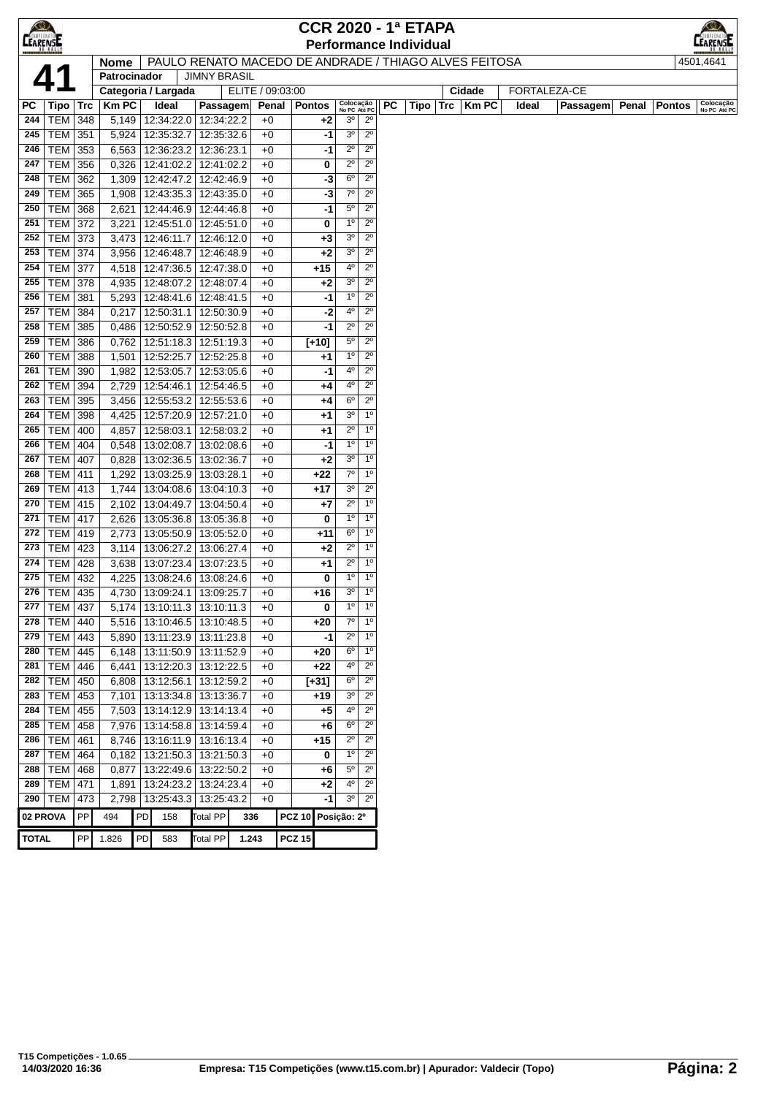| $\bigcirc$<br><b>CEARENSE</b> |                                  |             |                     |            |                                                    |                  |                                                       |              |                            |                            |     | <b>CCR 2020 - 1ª ETAPA</b><br><b>Performance Individual</b> |          |              |       |              |                 |       |               | $_\odot$<br>LEARENSE      |
|-------------------------------|----------------------------------|-------------|---------------------|------------|----------------------------------------------------|------------------|-------------------------------------------------------|--------------|----------------------------|----------------------------|-----|-------------------------------------------------------------|----------|--------------|-------|--------------|-----------------|-------|---------------|---------------------------|
|                               |                                  |             | <b>Nome</b>         |            |                                                    |                  | PAULO RENATO MACEDO DE ANDRADE / THIAGO ALVES FEITOSA |              |                            |                            |     |                                                             |          |              |       |              |                 |       |               | 4501.4641                 |
|                               | 41                               |             | Patrocinador        |            | <b>JIMNY BRASIL</b>                                |                  |                                                       |              |                            |                            |     |                                                             |          |              |       |              |                 |       |               |                           |
|                               |                                  |             | Categoria / Largada |            |                                                    | ELITE / 09:03:00 |                                                       |              |                            |                            |     |                                                             |          | Cidade       |       | FORTALEZA-CE |                 |       |               |                           |
| РC                            | Tipo                             | $\vert$ Trc | <b>KmPC</b>         | Ideal      | Passagem                                           | Penal            | <b>Pontos</b>                                         |              | Colocação<br>No PC Até PC  |                            | PC. |                                                             | Tipo Trc | <b>Km PC</b> | Ideal |              | <b>Passagem</b> | Penal | <b>Pontos</b> | Colocação<br>No PC Até PC |
| 244                           | <b>TEM 348</b>                   |             | 5,149               |            | 12:34:22.0   12:34:22.2                            | $+0$             |                                                       | $+2$         | 3 <sup>o</sup>             | $2^{\circ}$                |     |                                                             |          |              |       |              |                 |       |               |                           |
| 245                           | <b>TEM 351</b>                   |             | 5,924               | 12:35:32.7 | 12:35:32.6                                         | $+0$             |                                                       | -1           | 3 <sup>o</sup>             | $2^{\circ}$                |     |                                                             |          |              |       |              |                 |       |               |                           |
| 246                           | TEM 353<br><b>TEM 356</b>        |             | 6,563               |            | 12:36:23.2 12:36:23.1                              | $+0$             |                                                       | -1           | $2^{\circ}$                | $2^{\circ}$<br>$2^{\circ}$ |     |                                                             |          |              |       |              |                 |       |               |                           |
| 247<br>248                    |                                  |             | 0,326               |            | 12:41:02.2 12:41:02.2                              | $+0$             |                                                       | 0            | $2^{\circ}$<br>$6^{\circ}$ | $2^{\circ}$                |     |                                                             |          |              |       |              |                 |       |               |                           |
|                               | <b>TEM</b><br><b>TEM 365</b>     | 362         | 1,309               |            | 12:42:47.2 12:42:46.9                              | $+0$             |                                                       | -3           | $7^\circ$                  | $2^{\circ}$                |     |                                                             |          |              |       |              |                 |       |               |                           |
| 249                           |                                  |             | 1,908               |            | 12:43:35.3 12:43:35.0                              | $+0$             |                                                       | -3           | $5^{\circ}$                | $2^{\circ}$                |     |                                                             |          |              |       |              |                 |       |               |                           |
| 250                           | <b>TEM 368</b>                   |             | 2,621               |            | 12:44:46.9 12:44:46.8                              | $+0$<br>$+0$     |                                                       | -1           | 1 <sup>0</sup>             | $2^{\circ}$                |     |                                                             |          |              |       |              |                 |       |               |                           |
| 251                           | <b>TEM 372</b>                   |             | 3,221               |            | 12:45:51.0   12:45:51.0                            |                  |                                                       | 0            | 3 <sup>o</sup>             | $2^{\circ}$                |     |                                                             |          |              |       |              |                 |       |               |                           |
| 252<br>253                    | TEM 373<br><b>TEM 374</b>        |             | 3,473<br>3,956      |            | 12:46:11.7   12:46:12.0<br>12:46:48.7   12:46:48.9 | $+0$<br>$+0$     |                                                       | $+3$<br>$+2$ | 3 <sup>o</sup>             | $2^{\circ}$                |     |                                                             |          |              |       |              |                 |       |               |                           |
|                               |                                  |             |                     |            |                                                    |                  |                                                       |              | 4°                         | $2^{\circ}$                |     |                                                             |          |              |       |              |                 |       |               |                           |
| 254<br>255                    | <b>TEM 377</b><br><b>TEM 378</b> |             | 4,518               |            | 12:47:36.5   12:47:38.0<br>12:48:07.2 12:48:07.4   | $+0$<br>$+0$     | $+15$                                                 |              | 3 <sup>o</sup>             | $2^{\circ}$                |     |                                                             |          |              |       |              |                 |       |               |                           |
| 256                           | <b>TEM</b>                       | 381         | 4,935<br>5,293      |            | 12:48:41.6   12:48:41.5                            | $+0$             |                                                       | $+2$<br>-1   | $1^{\circ}$                | $2^{\circ}$                |     |                                                             |          |              |       |              |                 |       |               |                           |
| 257                           | <b>TEM</b>                       |             |                     |            |                                                    | $+0$             |                                                       |              | 4º                         | $2^{\circ}$                |     |                                                             |          |              |       |              |                 |       |               |                           |
| 258                           | <b>TEM 385</b>                   | 384         | 0,217<br>0,486      |            | 12:50:31.1   12:50:30.9<br>12:50:52.9 12:50:52.8   | $+0$             |                                                       | -2<br>-1     | $2^{\circ}$                | $2^{\circ}$                |     |                                                             |          |              |       |              |                 |       |               |                           |
| 259                           | <b>TEM 386</b>                   |             | 0,762               |            | 12:51:18.3 12:51:19.3                              | $+0$             | $[+10]$                                               |              | $5^{\circ}$                | $2^{\circ}$                |     |                                                             |          |              |       |              |                 |       |               |                           |
| 260                           | <b>TEM 388</b>                   |             | 1,501               |            | 12:52:25.7   12:52:25.8                            | $+0$             |                                                       | $+1$         | 1 <sup>0</sup>             | $2^{\circ}$                |     |                                                             |          |              |       |              |                 |       |               |                           |
| 261                           | TEM 390                          |             | 1,982               |            | 12:53:05.7   12:53:05.6                            | $+0$             |                                                       | -1           | 4º                         | $2^{\circ}$                |     |                                                             |          |              |       |              |                 |       |               |                           |
| 262                           | <b>TEM 394</b>                   |             | 2,729               |            | 12:54:46.1   12:54:46.5                            | $+0$             |                                                       | $+4$         | 4º                         | $2^{\circ}$                |     |                                                             |          |              |       |              |                 |       |               |                           |
| 263                           | TEM 395                          |             | 3,456               |            | 12:55:53.2   12:55:53.6                            | $+0$             |                                                       | +4           | $6^{\circ}$                | $2^{\circ}$                |     |                                                             |          |              |       |              |                 |       |               |                           |
| 264                           | TEM   398                        |             | 4,425               |            | 12:57:20.9   12:57:21.0                            | $+0$             |                                                       | +1           | 3 <sup>o</sup>             | $1^{\circ}$                |     |                                                             |          |              |       |              |                 |       |               |                           |
| 265                           | <b>TEM</b>                       | 400         | 4,857               | 12:58:03.1 | 12:58:03.2                                         | $+0$             |                                                       | +1           | $2^{\circ}$                | 1 <sup>0</sup>             |     |                                                             |          |              |       |              |                 |       |               |                           |
| 266                           | <b>TEM</b>                       | 404         | 0,548               |            | 13:02:08.7   13:02:08.6                            | $+0$             |                                                       | -1           | 1 <sup>0</sup>             | 1 <sup>0</sup>             |     |                                                             |          |              |       |              |                 |       |               |                           |
| 267                           | <b>TEM 407</b>                   |             | 0,828               |            | 13:02:36.5   13:02:36.7                            | $+0$             |                                                       | $+2$         | 3 <sup>o</sup>             | 1 <sup>0</sup>             |     |                                                             |          |              |       |              |                 |       |               |                           |
| 268                           | <b>TEM 411</b>                   |             | 1,292               |            | 13:03:25.9   13:03:28.1                            | $+0$             | +22                                                   |              | $7^\circ$                  | 1 <sup>0</sup>             |     |                                                             |          |              |       |              |                 |       |               |                           |
| 269                           | <b>TEM 413</b>                   |             | 1,744               |            | 13:04:08.6   13:04:10.3                            | $+0$             | $+17$                                                 |              | $3^{\circ}$                | $2^{\circ}$                |     |                                                             |          |              |       |              |                 |       |               |                           |
| 270                           | <b>TEM 415</b>                   |             | 2,102               |            | 13:04:49.7   13:04:50.4                            | $+0$             |                                                       | +7           | $2^{\circ}$                | 1 <sup>0</sup>             |     |                                                             |          |              |       |              |                 |       |               |                           |
| 271                           | <b>TEM 417</b>                   |             | 2,626               |            | 13:05:36.8   13:05:36.8                            | $+0$             |                                                       | 0            | 1 <sup>0</sup>             | 1 <sup>0</sup>             |     |                                                             |          |              |       |              |                 |       |               |                           |
| 272                           | <b>TEM 419</b>                   |             | 2,773               |            | 13:05:50.9   13:05:52.0                            | $+0$             |                                                       | $+11$        | $6^{\circ}$                | $1^{\circ}$                |     |                                                             |          |              |       |              |                 |       |               |                           |
| 273                           | TEM   423                        |             | 3,114               |            | 13:06:27.2 13:06:27.4                              | $+0$             |                                                       | $+2$         | $2^{\circ}$                | 1 <sup>0</sup>             |     |                                                             |          |              |       |              |                 |       |               |                           |
| 274                           | <b>TEM 428</b>                   |             | 3,638               |            | 13:07:23.4   13:07:23.5                            | $+0$             |                                                       | +1           | $2^{\circ}$                | $1^{\circ}$                |     |                                                             |          |              |       |              |                 |       |               |                           |
| 275                           | <b>TEM 432</b>                   |             | 4,225               |            | 13:08:24.6   13:08:24.6                            | $+0$             |                                                       | 0            | $1^{\circ}$                | 1 <sup>0</sup>             |     |                                                             |          |              |       |              |                 |       |               |                           |
|                               | 276   TEM   435                  |             |                     |            | 4,730   13:09:24.1   13:09:25.7                    | $+0$             | +16                                                   |              | $3^{\circ}$                | 1 <sup>0</sup>             |     |                                                             |          |              |       |              |                 |       |               |                           |
| 277                           | <b>TEM 437</b>                   |             |                     |            | $5,174$   13:10:11.3   13:10:11.3                  | $+0$             |                                                       | 0            | 1 <sup>0</sup>             | 1 <sup>0</sup>             |     |                                                             |          |              |       |              |                 |       |               |                           |
|                               | 278   TEM   440                  |             |                     |            | 5,516   13:10:46.5   13:10:48.5                    | $+0$             | $+20$                                                 |              | $7^{\circ}$                | 1 <sup>0</sup>             |     |                                                             |          |              |       |              |                 |       |               |                           |
|                               | 279   TEM   443                  |             | 5,890               |            | 13:11:23.9 13:11:23.8                              | $+0$             |                                                       | -1           | $2^{\circ}$                | $1^{\circ}$                |     |                                                             |          |              |       |              |                 |       |               |                           |
|                               | 280   TEM   445                  |             | 6,148               |            | 13:11:50.9   13:11:52.9                            | $+0$             | $+20$                                                 |              | $6^{\circ}$                | $1^{\circ}$                |     |                                                             |          |              |       |              |                 |       |               |                           |
| 281                           | TEM 446                          |             | 6,441               |            | 13:12:20.3 13:12:22.5                              | $+0$             | $+22$                                                 |              | 4°                         | $2^{\circ}$                |     |                                                             |          |              |       |              |                 |       |               |                           |
| 282                           | TEM 450                          |             | 6,808               |            | 13:12:56.1   13:12:59.2                            | $+0$             | [+31]                                                 |              | 6 <sup>o</sup>             | $2^{\circ}$                |     |                                                             |          |              |       |              |                 |       |               |                           |
| 283                           | TEM   453                        |             |                     |            | 7,101   13:13:34.8   13:13:36.7                    | $+0$             | +19                                                   |              | 3 <sup>o</sup>             | $2^{\circ}$                |     |                                                             |          |              |       |              |                 |       |               |                           |
| 284                           | TEM 455                          |             |                     |            | 7,503   13:14:12.9   13:14:13.4                    | $+0$             |                                                       | +5           | 4°                         | $2^{\circ}$                |     |                                                             |          |              |       |              |                 |       |               |                           |
| 285                           | <b>TEM 458</b>                   |             | 7,976               |            | 13:14:58.8   13:14:59.4                            | $+0$             |                                                       | +6           | $6^{\circ}$                | $2^{\circ}$                |     |                                                             |          |              |       |              |                 |       |               |                           |
| 286                           | TEM   461                        |             | 8,746               |            | 13:16:11.9 13:16:13.4                              | $+0$             | +15                                                   |              | $2^{\circ}$                | $2^{\circ}$                |     |                                                             |          |              |       |              |                 |       |               |                           |
| 287                           | TEM 464                          |             | 0,182               |            | 13:21:50.3   13:21:50.3                            | $+0$             |                                                       | 0            | $\overline{6}$             | $2^{\circ}$                |     |                                                             |          |              |       |              |                 |       |               |                           |
|                               | 288   TEM   468                  |             | 0,877               |            | 13:22:49.6 13:22:50.2                              | $+0$             |                                                       | +6           | $5^{\circ}$                | $2^{\circ}$                |     |                                                             |          |              |       |              |                 |       |               |                           |
|                               | 289   TEM   471                  |             | 1,891               |            | 13:24:23.2 13:24:23.4                              | $+0$             |                                                       | $+2$         | $4^{\circ}$                | $2^{\circ}$                |     |                                                             |          |              |       |              |                 |       |               |                           |
|                               | 290   TEM   473                  |             | 2,798               |            | 13:25:43.3 13:25:43.2                              | $+0$             |                                                       | -1           | 3 <sup>0</sup>             | $2^{\circ}$                |     |                                                             |          |              |       |              |                 |       |               |                           |
|                               | 02 PROVA                         | PP          | 494                 | PD<br>158  | <b>Total PP</b>                                    | 336              | <b>PCZ 10</b>                                         |              | Posição: 2º                |                            |     |                                                             |          |              |       |              |                 |       |               |                           |
| <b>TOTAL</b>                  |                                  | PP          | 1.826               | PD<br>583  | <b>Total PP</b>                                    | 1.243            | <b>PCZ 15</b>                                         |              |                            |                            |     |                                                             |          |              |       |              |                 |       |               |                           |
|                               |                                  |             |                     |            |                                                    |                  |                                                       |              |                            |                            |     |                                                             |          |              |       |              |                 |       |               |                           |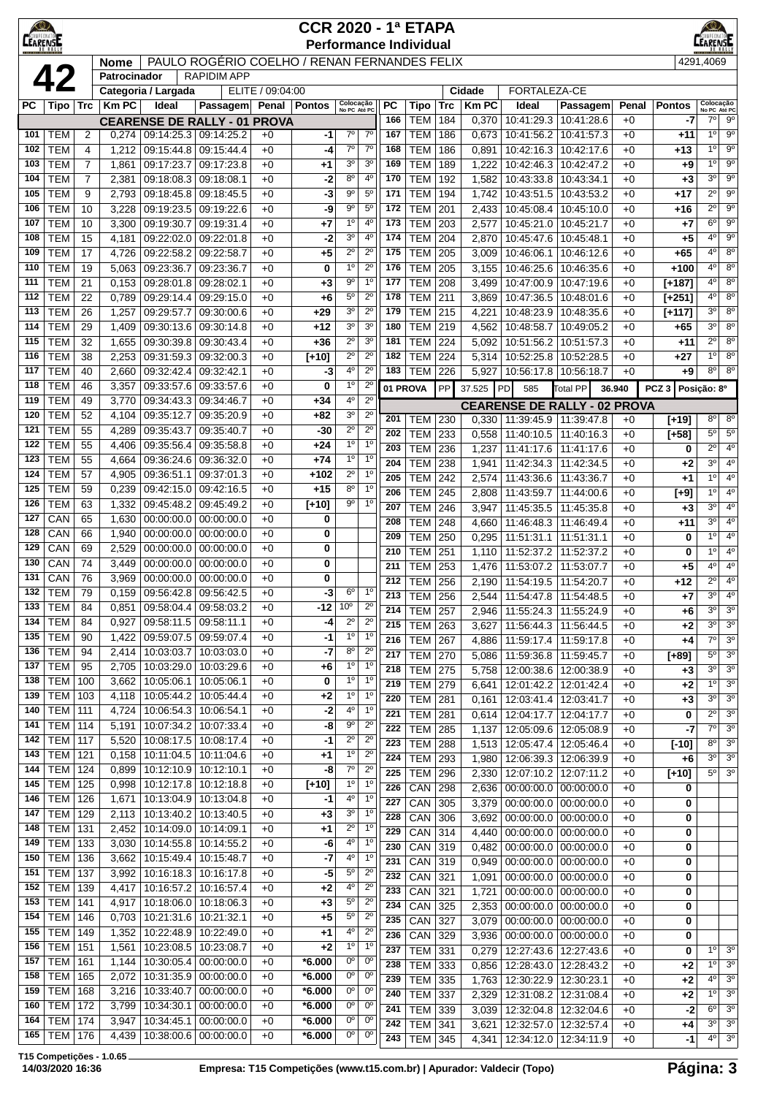| $\langle 0 \rangle$<br><b>LEARENSE</b> |                          |                     |                |                                                  |                                                  |                  | <b>CCR 2020 - 1ª ETAPA</b><br><b>Performance Individual</b> |                               |                                  |                  |                          |            |                |                                                        |                          |              |                   | ≪©∠<br><b>EARENATO</b>           |                                  |
|----------------------------------------|--------------------------|---------------------|----------------|--------------------------------------------------|--------------------------------------------------|------------------|-------------------------------------------------------------|-------------------------------|----------------------------------|------------------|--------------------------|------------|----------------|--------------------------------------------------------|--------------------------|--------------|-------------------|----------------------------------|----------------------------------|
|                                        |                          |                     | Nome           |                                                  | PAULO ROGÉRIO COELHO / RENAN FERNANDES FELIX     |                  |                                                             |                               |                                  |                  |                          |            |                |                                                        |                          |              |                   | 4291,4069                        |                                  |
|                                        | 42                       |                     | Patrocinador   | Categoria / Largada                              | <b>RAPIDIMAPP</b>                                | ELITE / 09:04:00 |                                                             |                               |                                  |                  |                          |            | Cidade         | FORTALEZA-CE                                           |                          |              |                   |                                  |                                  |
| PC                                     | Tipo   Trc               |                     | <b>KmPC</b>    | Ideal                                            | Passagem Penal Pontos                            |                  |                                                             | Colocação<br>No PC Até PC     |                                  | РC               | Tipo                     | Trc        | <b>Km PC</b>   | Ideal                                                  | Passagem                 | Penal        | <b>Pontos</b>     | Colocação<br>No PC Até PC        |                                  |
|                                        |                          |                     |                |                                                  | <b>CEARENSE DE RALLY - 01 PROVA</b>              |                  |                                                             |                               |                                  | 166              | <b>TEM</b>               | 184        | 0,370          | 10:41:29.3                                             | 10:41:28.6               | $+0$         | -7                | $7^\circ$                        | $9^{\circ}$                      |
| 101                                    | <b>TEM</b>               | $\overline{2}$      | 0,274          | 09:14:25.3 09:14:25.2                            |                                                  | $+0$             | -1                                                          | $\overline{6}$                | $\overline{7^{\circ}}$           | 167              | <b>TEM</b>               | 186        | 0,673          | 10:41:56.2                                             | 10:41:57.3               | $+0$         | +11               | 1 <sup>0</sup>                   | $9^{\circ}$                      |
| 102                                    | <b>TEM</b>               | 4                   | 1,212          | 09:15:44.8                                       | 09:15:44.4                                       | $+0$             | -4                                                          | $7^\circ$                     | $7^\circ$                        | 168              | <b>TEM</b>               | 186        | 0,891          | 10:42:16.3                                             | 10:42:17.6               | $+0$         | +13               | $1^{\circ}$                      | 9 <sup>o</sup>                   |
| 103<br>104                             | <b>TEM</b><br><b>TEM</b> | 7<br>$\overline{7}$ | 1,861          | 09:17:23.7                                       | 09:17:23.8                                       | $+0$             | +1                                                          | 3 <sup>o</sup><br>$8^{\circ}$ | 3 <sup>o</sup><br>4 <sup>0</sup> | 169<br>170       | <b>TEM</b><br><b>TEM</b> | 189        | 1,222          | 10:42:46.3                                             | 10:42:47.2               | $+0$         | $+9$              | 1 <sup>0</sup><br>3 <sup>0</sup> | $9^{\circ}$<br>$9^{\circ}$       |
| 105                                    | <b>TEM</b>               | 9                   | 2,381<br>2,793 | 09:18:08.3<br>09:18:45.8                         | 09:18:08.1<br>09:18:45.5                         | $+0$<br>$+0$     | $-2$<br>-3                                                  | $9^{\circ}$                   | 5 <sup>0</sup>                   | 171              | <b>TEM</b>               | 192<br>194 | 1,582<br>1,742 | 10:43:33.8<br>10:43:51.5                               | 10:43:34.1<br>10:43:53.2 | +0<br>$+0$   | $+3$<br>$+17$     | $2^{\circ}$                      | $9^{\circ}$                      |
| 106                                    | <b>TEM</b>               | 10                  | 3,228          | 09:19:23.5                                       | 09:19:22.6                                       | $+0$             | -9                                                          | $9^{\circ}$                   | $5^{\circ}$                      | 172              | <b>TEM</b>               | 201        | 2,433          | 10:45:08.4   10:45:10.0                                |                          | $+0$         | $+16$             | $\overline{2^{\circ}}$           | $9^{\circ}$                      |
| 107                                    | <b>TEM</b>               | 10                  | 3,300          | 09:19:30.7                                       | 09:19:31.4                                       | $+0$             | $+7$                                                        | 1 <sup>0</sup>                | 4 <sup>0</sup>                   | 173              | <b>TEM</b>               | 203        | 2,577          | 10:45:21.0 10:45:21.7                                  |                          | $+0$         | $+7$              | $6^{\circ}$                      | $9^{\circ}$                      |
| 108                                    | <b>TEM</b>               | 15                  | 4,181          | 09:22:02.0                                       | 09:22:01.8                                       | $+0$             | -2                                                          | 3 <sup>o</sup>                | $4^{\circ}$                      | 174              | <b>TEM</b>               | 204        | 2,870          | 10:45:47.6                                             | 10:45:48.1               | $+0$         | $+5$              | $4^{\circ}$                      | $9^{\circ}$                      |
| 109                                    | <b>TEM</b>               | 17                  | 4,726          | 09:22:58.2                                       | 09:22:58.7                                       | $+0$             | +5                                                          | $2^{\circ}$                   | $2^{\circ}$                      | 175              | <b>TEM</b>               | 205        | 3,009          | 10:46:06.1                                             | 10:46:12.6               | +0           | $+65$             | 4 <sup>o</sup>                   | 8 <sup>o</sup>                   |
| 110                                    | <b>TEM</b>               | 19                  | 5,063          | 09:23:36.7                                       | 09:23:36.7                                       | $+0$             | 0                                                           | 1 <sup>0</sup>                | $2^{\circ}$                      | 176              | <b>TEM</b>               | 205        | 3,155          | 10:46:25.6                                             | 10:46:35.6               | $+0$         | $+100$            | $4^{\circ}$                      | $8^{\circ}$                      |
| 111                                    | <b>TEM</b>               | 21                  | 0,153          | 09:28:01.8                                       | 09:28:02.1                                       | $+0$             | $+3$                                                        | $9^{\circ}$                   | $1^{\circ}$                      | 177              | <b>TEM</b>               | 208        | 3,499          | 10:47:00.9                                             | 10:47:19.6               | $+0$         | $[+187]$          | $4^{\circ}$                      | 8 <sup>0</sup>                   |
| 112                                    | <b>TEM</b>               | 22                  | 0,789          | 09:29:14.4                                       | 09:29:15.0                                       | $+0$             | +6                                                          | $5^{\circ}$<br>3 <sup>o</sup> | $2^{\circ}$<br>$2^{\circ}$       | 178<br>179       | <b>TEM</b>               | 211        | 3,869          | 10:47:36.5                                             | 10:48:01.6               | $+0$         | $[+251]$          | $4^{\circ}$<br>$3^{\circ}$       | $8^{\circ}$<br>8 <sup>o</sup>    |
| 113<br>114                             | <b>TEM</b><br><b>TEM</b> | 26<br>29            | 1,257<br>1,409 | 09:29:57.7<br>09:30:13.6                         | 09:30:00.6<br>09:30:14.8                         | $+0$<br>$+0$     | $+29$<br>+12                                                | 3 <sup>o</sup>                | 3 <sup>o</sup>                   | 180              | <b>TEM</b><br><b>TEM</b> | 215<br>219 | 4,221<br>4,562 | 10:48:23.9<br>10:48:58.7                               | 10:48:35.6<br>10:49:05.2 | +0<br>$+0$   | $[+117]$<br>$+65$ | 3 <sup>0</sup>                   | $8^{\circ}$                      |
| 115                                    | <b>TEM</b>               | 32                  | 1,655          | 09:30:39.8                                       | 09:30:43.4                                       | $+0$             | +36                                                         | $2^{\circ}$                   | 3 <sup>0</sup>                   | 181              | <b>TEM</b>               | 224        | 5,092          | 10:51:56.2                                             | 10:51:57.3               | $+0$         | $+11$             | $2^{\circ}$                      | $8^{\circ}$                      |
| 116                                    | <b>TEM</b>               | 38                  | 2,253          | 09:31:59.3                                       | 09:32:00.3                                       | $+0$             | $[+10]$                                                     | $2^{\circ}$                   | $2^{\circ}$                      | 182              | <b>TEM</b>               | 224        | 5,314          | 10:52:25.8                                             | 10:52:28.5               | $+0$         | $+27$             | $1^{\circ}$                      | $8^{\circ}$                      |
| 117                                    | <b>TEM</b>               | 40                  | 2,660          | 09:32:42.4                                       | 09:32:42.1                                       | $+0$             | -3                                                          | 4 <sup>0</sup>                | $2^{\circ}$                      | 183              | <b>TEM</b>               | 226        | 5,927          | 10:56:17.8                                             | 10:56:18.7               | $+0$         | $+9$              | $8^{\circ}$                      | 8 <sup>o</sup>                   |
| 118                                    | <b>TEM</b>               | 46                  | 3,357          | 09:33:57.6                                       | 09:33:57.6                                       | $+0$             | 0                                                           | 1 <sup>0</sup>                | $2^{\circ}$                      |                  | 01 PROVA                 | PP         | 37.525         | PD<br>585                                              | Total PP                 | 36.940       | $PCZ$ 3           | Posição: 8º                      |                                  |
| 119                                    | <b>TEM</b>               | 49                  | 3,770          | 09:34:43.3                                       | 09:34:46.7                                       | $+0$             | $+34$                                                       | 4 <sup>0</sup>                | $2^{\circ}$                      |                  |                          |            |                | <b>CEARENSE DE RALLY - 02 PROVA</b>                    |                          |              |                   |                                  |                                  |
| 120                                    | <b>TEM</b>               | 52                  | 4,104          | 09:35:12.7                                       | 09:35:20.9                                       | $+0$             | +82                                                         | 3 <sup>o</sup>                | $2^{\circ}$                      | 201              | <b>TEM</b>               | 230        | 0,330          | 11:39:45.9 11:39:47.8                                  |                          | $+0$         | [+19]             | $8^{\circ}$                      | $8^{\circ}$                      |
| 121                                    | <b>TEM</b>               | 55                  | 4,289          | 09:35:43.7                                       | 09:35:40.7                                       | $+0$             | -30                                                         | $2^{\circ}$                   | $2^{\circ}$                      | 202              | <b>TEM</b>               | 233        | 0,558          | 11:40:10.5                                             | 11:40:16.3               | $+0$         | [+58]             | $5^{\circ}$                      | $5^{\circ}$                      |
| 122                                    | <b>TEM</b>               | 55                  | 4,406          | 09:35:56.4                                       | 09:35:58.8                                       | $+0$             | +24                                                         | 1 <sup>0</sup>                | $1^{\circ}$                      | 203              | <b>TEM</b>               | 236        | 1,237          | 11:41:17.6                                             | 11:41:17.6               | $+0$         | 0                 | $2^{\circ}$                      | 4 <sup>0</sup>                   |
| 123<br>124                             | <b>TEM</b><br><b>TEM</b> | 55<br>57            | 4,664<br>4,905 | 09:36:24.6<br>09:36:51.1                         | 09:36:32.0<br>09:37:01.3                         | $+0$<br>$+0$     | $+74$<br>$+102$                                             | 1 <sup>0</sup><br>$2^{\circ}$ | 1 <sup>0</sup><br>1 <sup>0</sup> | 204              | <b>TEM</b>               | 238        | 1,941          | 11:42:34.3                                             | 11:42:34.5               | +0           | $+2$              | $3^{\circ}$                      | 4 <sup>0</sup>                   |
| 125                                    | <b>TEM</b>               | 59                  | 0,239          |                                                  | 09:42:15.0 09:42:16.5                            | $+0$             | $+15$                                                       | $8^{\circ}$                   | $1^{\circ}$                      | 205              | <b>TEM</b>               | 242        | 2,574          | 11:43:36.6                                             | 11:43:36.7               | $+0$         | $+1$              | $1^{\circ}$                      | 4 <sup>0</sup>                   |
| 126                                    | <b>TEM</b>               | 63                  | 1,332          | 09:45:48.2                                       | 09:45:49.2                                       | $+0$             | $[+10]$                                                     | 90                            | 1 <sup>0</sup>                   | 206<br>207       | <b>TEM</b><br><b>TEM</b> | 245<br>246 | 2,808<br>3,947 | 11:43:59.7<br>11:45:35.5                               | 11:44:00.6<br>11:45:35.8 | $+0$<br>+0   | $[+9]$<br>$+3$    | $1^{\circ}$<br>3 <sup>0</sup>    | $4^{\circ}$<br>4 <sup>0</sup>    |
| 127                                    | CAN                      | 65                  | 1,630          |                                                  | $00:00:00.0$   $00:00:00.0$                      | $+0$             | 0                                                           |                               |                                  | 208              | <b>TEM</b>               | 248        | 4,660          | 11:46:48.3                                             | 11:46:49.4               | +0           | $+11$             | 3 <sup>0</sup>                   | $4^{\circ}$                      |
| 128                                    | CAN                      | 66                  | 1,940          | 00:00:00.0                                       | 00:00:00.0                                       | $+0$             | 0                                                           |                               |                                  | 209              | <b>TEM</b>               | 250        | 0,295          | 11:51:31.1   11:51:31.1                                |                          | $+0$         | 0                 | $1^{\circ}$                      | 4 <sup>0</sup>                   |
| 129                                    | CAN                      | 69                  | 2,529          | 00:00:00.0                                       | 00:00:00.0                                       | $+0$             | 0                                                           |                               |                                  | 210              | <b>TEM</b>               | 251        | 1,110          | 11:52:37.2                                             | 11:52:37.2               | $+0$         | 0                 | 1 <sup>0</sup>                   | 4 <sup>0</sup>                   |
| 130                                    | CAN                      | 74                  | 3,449          | 00:00:00.0                                       | 00:00:00.0                                       | $+0$             | 0                                                           |                               |                                  | 211              | <b>TEM</b>               | 253        | 1,476          | 11:53:07.2                                             | 11:53:07.7               | $+0$         | $+5$              | $4^{\circ}$                      | 4 <sup>0</sup>                   |
| 131                                    | CAN                      | 76                  | 3,969          | 00:00:00.0                                       | 00:00:00.0                                       | $+0$             | 0                                                           |                               |                                  | 212              | <b>TEM</b>               | 256        | 2,190          | 11:54:19.5                                             | 11:54:20.7               | +0           | $+12$             | $2^{\circ}$                      | 4 <sup>0</sup>                   |
| 132<br>133                             | <b>TEM</b><br>$ $ TEM    | 79<br>84            | 0,159          | 09:56:42.8 09:56:42.5                            | 0,851 09:58:04.4 09:58:03.2                      | $+0$             | $-3$<br>$-12$ 10 <sup>°</sup>                               | $6^{\circ}$                   | $1^{\circ}$<br>$2^{\circ}$       | $\overline{213}$ | <b>TEM</b>               | 256        | 2,544          | 11:54:47.8 11:54:48.5                                  |                          | +0           | $+7$              | $3^{\circ}$                      | 4 <sup>0</sup>                   |
| 134                                    | TEM                      | 84                  | 0,927          | 09:58:11.5                                       | 09:58:11.1                                       | $+0$<br>$+0$     | -4                                                          | $2^{\circ}$                   | $2^{\circ}$                      | 214              | TEM   257                |            |                | 2,946   11:55:24.3   11:55:24.9                        |                          | +0           | +6                | 3 <sup>o</sup>                   | 3 <sup>0</sup>                   |
| 135                                    | <b>TEM</b>               | 90                  | 1,422          | 09:59:07.5 09:59:07.4                            |                                                  | $+0$             | $-1$                                                        | $1^{\circ}$                   | $1^{\circ}$                      | 215<br>216       | <b>TEM</b>               | 263        | 3,627          | 11:56:44.3                                             | 11:56:44.5               | $+0$         | $+2$              | 3 <sup>0</sup><br>$7^\circ$      | 3 <sup>o</sup><br>3 <sup>o</sup> |
| 136                                    | <b>TEM</b>               | 94                  | 2,414          | 10:03:03.7   10:03:03.0                          |                                                  | $+0$             | -7                                                          | $8^{\circ}$                   | $2^{\circ}$                      | 217              | <b>TEM</b><br><b>TEM</b> | 267<br>270 | 4,886<br>5,086 | 11:59:17.4<br>11:59:36.8                               | 11:59:17.8<br>11:59:45.7 | $+0$<br>$+0$ | $+4$<br>$[+89]$   | $5^{\circ}$                      | 3 <sup>o</sup>                   |
| 137                                    | <b>TEM</b>               | 95                  | 2,705          | 10:03:29.0   10:03:29.6                          |                                                  | $+0$             | +6                                                          | $1^{\circ}$                   | $1^{\circ}$                      | 218              | <b>TEM</b>               | 275        | 5,758          | 12:00:38.6   12:00:38.9                                |                          | $+0$         | $+3$              | $3^{\circ}$                      | 3 <sup>o</sup>                   |
| 138                                    | <b>TEM</b>               | 100                 | 3,662          | 10:05:06.1                                       | 10:05:06.1                                       | $+0$             | 0                                                           | $1^{\circ}$                   | $1^{\circ}$                      | 219              | <b>TEM</b>               | 279        | 6,641          | 12:01:42.2   12:01:42.4                                |                          | $+0$         | $+2$              | $1^{\circ}$                      | 3 <sup>0</sup>                   |
| 139                                    | <b>TEM</b>               | 103                 | 4,118          | 10:05:44.2 10:05:44.4                            |                                                  | $+0$             | $+2$                                                        | $1^{\circ}$                   | 1 <sup>0</sup>                   | 220              | <b>TEM</b>               | 281        | 0,161          | 12:03:41.4   12:03:41.7                                |                          | $+0$         | $+3$              | 3 <sup>o</sup>                   | 3 <sup>o</sup>                   |
| 140                                    | <b>TEM</b>               | 111                 | 4,724          |                                                  | 10:06:54.3 10:06:54.1                            | $+0$             | -2                                                          | $4^{\rm o}$                   | $1^{\circ}$                      | 221              | <b>TEM</b>               | 281        | 0,614          | 12:04:17.7   12:04:17.7                                |                          | $+0$         | 0                 | $2^{\circ}$                      | 3 <sup>o</sup>                   |
| 141                                    | <b>TEM 114</b>           |                     | 5,191          |                                                  | 10:07:34.2 10:07:33.4                            | $+0$             | -8                                                          | $9^{\circ}$<br>$2^{\circ}$    | $2^{\circ}$<br>$2^{\circ}$       | 222              | <b>TEM</b>               | 285        | 1,137          | 12:05:09.6                                             | 12:05:08.9               | $+0$         | $-7$              | $7^\circ$                        | 3 <sup>o</sup>                   |
| 142<br>143                             | TEM<br>TEM               | 117<br>121          | 5,520<br>0,158 | 10:08:17.5 10:08:17.4<br>10:11:04.5   10:11:04.6 |                                                  | $+0$<br>$+0$     | $-1$<br>$+1$                                                | $1^{\circ}$                   | $2^{\circ}$                      | 223              | <b>TEM</b>               | 288        | 1,513          | 12:05:47.4   12:05:46.4                                |                          | $+0$         | $[-10]$           | $8^{\circ}$                      | 3 <sup>o</sup>                   |
| 144                                    | <b>TEM 124</b>           |                     | 0,899          | 10:12:10.9 10:12:10.1                            |                                                  | $+0$             | -8                                                          | $7^\circ$                     | $2^{\circ}$                      | 224              | <b>TEM</b>               | 293        | 1,980          | 12:06:39.3   12:06:39.9                                |                          | $+0$         | $+6$              | 3 <sup>o</sup><br>$5^{\circ}$    | 3 <sup>0</sup>                   |
| 145                                    | <b>TEM</b>               | 125                 | 0,998          | 10:12:17.8 10:12:18.8                            |                                                  | $+0$             | $\boxed{+10}$                                               | 1 <sup>0</sup>                | $1^{\circ}$                      | 225<br>226       | <b>TEM</b><br>CAN        | 296<br>298 | 2,330<br>2,636 | 12:07:10.2   12:07:11.2<br>$00:00:00.0$   $00:00:00.0$ |                          | $+0$<br>$+0$ | $[+10]$<br>0      |                                  | 3 <sup>o</sup>                   |
| 146                                    | TEM                      | 126                 | 1,671          | 10:13:04.9                                       | 10:13:04.8                                       | $+0$             | -1                                                          | 4 <sup>0</sup>                | 1 <sup>0</sup>                   | 227              | CAN                      | 305        | 3,379          | $00:00:00.0$ 00:00:00.0                                |                          | $+0$         | 0                 |                                  |                                  |
| 147                                    | <b>TEM</b>               | 129                 | 2,113          |                                                  | 10:13:40.2 10:13:40.5                            | $+0$             | $+3$                                                        | 3 <sup>o</sup>                | 1 <sup>0</sup>                   | 228              | CAN                      | 306        | 3,692          | $00:00:00.0$   00:00:00.0                              |                          | $+0$         | 0                 |                                  |                                  |
| 148                                    | TEM                      | 131                 | 2,452          | 10:14:09.0 10:14:09.1                            |                                                  | $+0$             | +1                                                          | $2^{\circ}$                   | $1^{\circ}$                      | 229              | CAN                      | 314        | 4,440          | $00:00:00.0$   00:00:00.0                              |                          | $+0$         | 0                 |                                  |                                  |
| 149                                    | <b>TEM</b>               | 133                 | 3,030          | 10:14:55.8                                       | 10:14:55.2                                       | $+0$             | -6                                                          | 4°                            | $1^{\circ}$                      | 230              | CAN                      | 319        | 0,482          | $00:00:00.0$ 00:00:00.0                                |                          | $+0$         | 0                 |                                  |                                  |
| 150                                    | <b>TEM</b>               | 136                 | 3,662          | 10:15:49.4                                       | 10:15:48.7                                       | $+0$             | $-7$                                                        | $4^{\circ}$                   | $1^{\circ}$                      | 231              | CAN                      | 319        | 0,949          | $00:00:00.0$ 00:00:00.0                                |                          | $+0$         | 0                 |                                  |                                  |
| 151                                    | <b>TEM</b>               | 137                 | 3,992          |                                                  | 10:16:18.3 10:16:17.8                            | $+0$             | -5                                                          | $5^{\circ}$                   | $2^{\circ}$                      | 232              | CAN                      | 321        | 1,091          | $00:00:00.0$   00:00:00.0                              |                          | $+0$         | 0                 |                                  |                                  |
| 152<br>153                             | <b>TEM</b><br>TEM        | 139<br>141          | 4,417          |                                                  | 10:16:57.2 10:16:57.4<br>10:18:06.0   10:18:06.3 | $+0$<br>$+0$     | $+2$<br>$+3$                                                | $4^{\circ}$<br>$5^{\circ}$    | $2^{\circ}$<br>$2^{\circ}$       | 233              | CAN                      | 321        | 1,721          | $00:00:00.0$   $00:00:00.0$                            |                          | $+0$         | 0                 |                                  |                                  |
| 154                                    | TEM                      | 146                 | 4,917<br>0,703 | 10:21:31.6 10:21:32.1                            |                                                  | $+0$             | +5                                                          | $5^{\circ}$                   | $2^{\circ}$                      | 234              | CAN                      | 325        | 2,353          | $00:00:00.0$   $00:00:00.0$                            |                          | $+0$         | 0                 |                                  |                                  |
| 155                                    | <b>TEM</b>               | 149                 | 1,352          | 10:22:48.9                                       | 10:22:49.0                                       | $+0$             | +1                                                          | $4^{\circ}$                   | $2^{\circ}$                      | 235<br>236       | CAN<br>CAN               | 327<br>329 | 3,079          | $00:00:00.0$   $00:00:00.0$                            |                          | $+0$         | 0                 |                                  |                                  |
| 156                                    | TEM                      | 151                 | 1,561          | 10:23:08.5                                       | 10:23:08.7                                       | $+0$             | $+2$                                                        | $1^{\circ}$                   | $1^{\circ}$                      | 237              | <b>TEM</b>               | 331        | 3,936<br>0,279 | $00:00:00.0$ 00:00:00.0<br>12:27:43.6   12:27:43.6     |                          | $+0$<br>$+0$ | 0<br>0            | $1^{\circ}$                      | 3 <sup>o</sup>                   |
| 157                                    | <b>TEM</b>               | 161                 | 1,144          | 10:30:05.4                                       | 00:00:00.0                                       | $+0$             | $*6.000$                                                    | $0^{\circ}$                   | $0^{\circ}$                      | 238              | <b>TEM</b>               | 333        | 0,856          | 12:28:43.0   12:28:43.2                                |                          | $+0$         | $+2$              | $1^{\circ}$                      | 3 <sup>o</sup>                   |
| 158                                    | <b>TEM</b>               | 165                 | 2,072          | 10:31:35.9                                       | 00:00:00.0                                       | $+0$             | $*6.000$                                                    | $0^{\circ}$                   | $0^{\circ}$                      | 239              | <b>TEM</b>               | 335        | 1,763          | 12:30:22.9   12:30:23.1                                |                          | $+0$         | $+2$              | $4^{\circ}$                      | 3 <sup>0</sup>                   |
| 159                                    | <b>TEM</b>               | 168                 | 3,216          | 10:33:40.7                                       | 00:00:00.0                                       | $+0$             | $*6.000$                                                    | $0^{\circ}$                   | $0^{\circ}$                      | 240              | <b>TEM</b>               | 337        | 2,329          | 12:31:08.2                                             | 12:31:08.4               | $+0$         | $+2$              | $1^{\circ}$                      | 3 <sup>o</sup>                   |
| 160                                    | TEM                      | 172                 | 3,799          | 10:34:30.1                                       | 00:00:00.0                                       | $+0$             | $*6.000$                                                    | $0^{\circ}$                   | $0^{\circ}$                      | 241              | <b>TEM</b>               | 339        | 3,039          | 12:32:04.8                                             | 12:32:04.6               | $+0$         | -2                | $6^{\circ}$                      | 3 <sup>o</sup>                   |
| 164                                    | <b>TEM</b>               | 174                 | 3,947          | 10:34:45.1                                       | 00:00:00.0                                       | $+0$             | $*6.000$                                                    | 0°                            | $0^{\rm o}$                      | 242              | TEM                      | 341        | 3,621          | 12:32:57.0   12:32:57.4                                |                          | $+0$         | +4                | 3 <sup>0</sup>                   | 3 <sup>o</sup>                   |
| 165                                    | <b>TEM 176</b>           |                     | 4,439          | 10:38:00.6                                       | 00:00:00.0                                       | $+0$             | $*6.000$                                                    | 0°                            | $0^{\circ}$                      | 243              | <b>TEM</b>               | 345        | 4,341          | 12:34:12.0                                             | 12:34:11.9               | $+0$         | $-1$              | $4^{\circ}$                      | 3 <sup>o</sup>                   |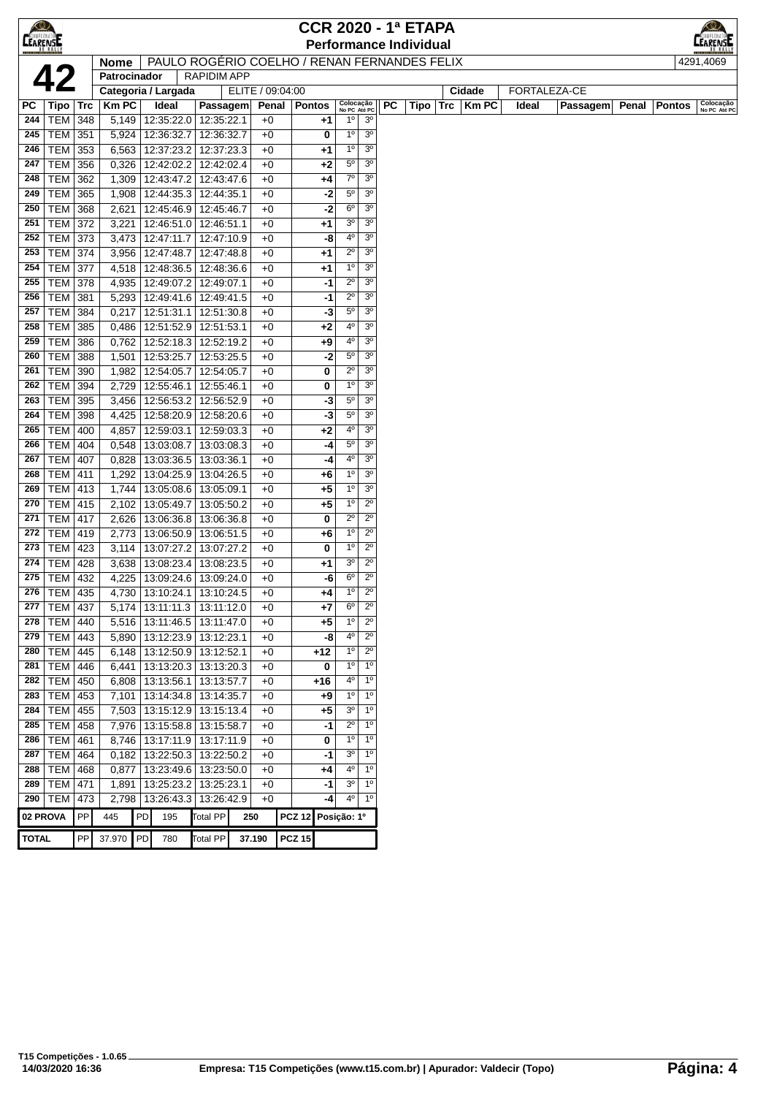| $\bigcirc$<br><b>CEARENSE</b> |                 |            |              |    |                                              |                   |                  |               | <b>CCR 2020 - 1ª ETAPA</b> |                          |                                  |    |                               |     |              |       |              |       |               | EARENSE                   |
|-------------------------------|-----------------|------------|--------------|----|----------------------------------------------|-------------------|------------------|---------------|----------------------------|--------------------------|----------------------------------|----|-------------------------------|-----|--------------|-------|--------------|-------|---------------|---------------------------|
|                               |                 |            |              |    |                                              |                   |                  |               |                            |                          |                                  |    | <b>Performance Individual</b> |     |              |       |              |       |               |                           |
|                               |                 |            | <b>Nome</b>  |    | PAULO ROGÉRIO COELHO / RENAN FERNANDES FELIX | <b>RAPIDIMAPP</b> |                  |               |                            |                          |                                  |    |                               |     |              |       |              |       |               | 4291,4069                 |
|                               | 4               |            | Patrocinador |    |                                              |                   |                  |               |                            |                          |                                  |    |                               |     |              |       |              |       |               |                           |
|                               |                 |            |              |    | Categoria / Largada                          |                   | ELITE / 09:04:00 |               |                            |                          |                                  |    |                               |     | Cidade       |       | FORTALEZA-CE |       |               |                           |
| РC                            | Tipo   Trc      |            | <b>KmPC</b>  |    | Ideal                                        | Passagem          |                  | Penal         | <b>Pontos</b>              |                          | Colocação<br>No PC Até PC        | PC | Tipo                          | Trc | <b>Km PC</b> | Ideal | Passagem     | Penal | <b>Pontos</b> | Colocação<br>No PC Até PC |
| 244                           | TEM             | 348        | 5,149        |    | 12:35:22.0 12:35:22.1                        |                   | $+0$             |               | +1                         | $1^{\circ}$              | 3 <sup>0</sup>                   |    |                               |     |              |       |              |       |               |                           |
| 245                           | <b>TEM</b>      | 351        | 5,924        |    | 12:36:32.7                                   | 12:36:32.7        | $+0$             |               | 0                          | $1^{\circ}$              | 3 <sup>o</sup>                   |    |                               |     |              |       |              |       |               |                           |
| 246                           | TEM             | 353        | 6,563        |    | 12:37:23.2                                   | 12:37:23.3        | $+0$             |               | +1                         | $1^{\rm o}$              | 3 <sup>o</sup><br>3 <sup>o</sup> |    |                               |     |              |       |              |       |               |                           |
| 247                           | TEM             | 356        | 0,326        |    | 12:42:02.2                                   | 12:42:02.4        | $+0$             |               | $+2$                       | $5^{\circ}$<br>$7^\circ$ | 3 <sup>o</sup>                   |    |                               |     |              |       |              |       |               |                           |
| 248                           | TEM             | 362        | 1,309        |    | 12:43:47.2                                   | 12:43:47.6        | $+0$             |               | +4                         |                          | 3 <sup>o</sup>                   |    |                               |     |              |       |              |       |               |                           |
| 249                           | <b>TEM</b>      | 365        | 1,908        |    | 12:44:35.3 12:44:35.1                        |                   | $+0$             |               | $-2$                       | $5^{\circ}$              |                                  |    |                               |     |              |       |              |       |               |                           |
| 250                           | <b>TEM</b>      | 368        | 2,621        |    | 12:45:46.9                                   | 12:45:46.7        | $+0$             |               | -2                         | $6^{\circ}$              | 3 <sup>o</sup>                   |    |                               |     |              |       |              |       |               |                           |
| 251                           | TEM             | 372        | 3,221        |    | 12:46:51.0                                   | 12:46:51.1        | $+0$             |               | $+1$                       | 3 <sup>o</sup>           | 3 <sup>o</sup>                   |    |                               |     |              |       |              |       |               |                           |
| 252                           | TEM             | 373        | 3,473        |    | 12:47:11.7                                   | 12:47:10.9        | $+0$             |               | -8                         | $4^{\circ}$              | 3 <sup>o</sup>                   |    |                               |     |              |       |              |       |               |                           |
| 253                           | TEM             | 374        | 3,956        |    | 12:47:48.7                                   | 12:47:48.8        | $+0$             |               | $+1$                       | $2^{\circ}$              | 3 <sup>o</sup>                   |    |                               |     |              |       |              |       |               |                           |
| 254                           | TEM             | 377        | 4,518        |    | 12:48:36.5                                   | 12:48:36.6        | $+0$             |               | $+1$                       | $1^{\circ}$              | 3 <sup>o</sup>                   |    |                               |     |              |       |              |       |               |                           |
| 255                           | <b>TEM</b>      | 378        | 4,935        |    | 12:49:07.2                                   | 12:49:07.1        | $+0$             |               | -1                         | $2^{\circ}$              | 3 <sup>o</sup>                   |    |                               |     |              |       |              |       |               |                           |
| 256                           | <b>TEM</b>      | 381        | 5,293        |    | 12:49:41.6                                   | 12:49:41.5        | $+0$             |               | -1                         | $2^{\circ}$              | 3 <sup>o</sup>                   |    |                               |     |              |       |              |       |               |                           |
| 257                           | TEM             | 384        | 0,217        |    | 12:51:31.1                                   | 12:51:30.8        | $+0$             |               | -3                         | $5^{\circ}$              | 3 <sup>o</sup>                   |    |                               |     |              |       |              |       |               |                           |
| 258                           | TEM             | 385        | 0,486        |    | 12:51:52.9                                   | 12:51:53.1        | $+0$             |               | $+2$                       | 4º                       | 3 <sup>o</sup>                   |    |                               |     |              |       |              |       |               |                           |
| 259                           | <b>TEM</b>      | 386        | 0,762        |    | 12:52:18.3                                   | 12:52:19.2        | $+0$             |               | +9                         | $4^{\circ}$              | 3 <sup>o</sup>                   |    |                               |     |              |       |              |       |               |                           |
| 260                           | <b>TEM</b>      | 388        | 1,501        |    | 12:53:25.7                                   | 12:53:25.5        | $+0$             |               | $-2$                       | $5^{\circ}$              | 3 <sup>o</sup>                   |    |                               |     |              |       |              |       |               |                           |
| 261                           | TEM             | 390        | 1,982        |    | 12:54:05.7                                   | 12:54:05.7        | $+0$             |               | 0                          | $2^{\circ}$              | 3 <sup>o</sup>                   |    |                               |     |              |       |              |       |               |                           |
| 262                           | TEM             | 394        | 2,729        |    | 12:55:46.1                                   | 12:55:46.1        | $+0$             |               | 0                          | 1 <sup>0</sup>           | 3 <sup>o</sup>                   |    |                               |     |              |       |              |       |               |                           |
| 263                           | <b>TEM</b>      | 395        | 3,456        |    | 12:56:53.2                                   | 12:56:52.9        | $+0$             |               | -3                         | $5^{\circ}$              | 3 <sup>o</sup>                   |    |                               |     |              |       |              |       |               |                           |
| 264                           | <b>TEM</b>      | 398        | 4,425        |    | 12:58:20.9                                   | 12:58:20.6        | +0               |               | -3                         | $5^{\circ}$              | 3 <sup>o</sup>                   |    |                               |     |              |       |              |       |               |                           |
| 265                           | TEM             | 400        | 4,857        |    | 12:59:03.1                                   | 12:59:03.3        | $+0$             |               | $+2$                       | $4^{\circ}$              | 3 <sup>o</sup>                   |    |                               |     |              |       |              |       |               |                           |
| 266                           | TEM             | 404        | 0,548        |    | 13:03:08.7                                   | 13:03:08.3        | $+0$             |               | -4                         | $5^{\circ}$              | 3 <sup>o</sup>                   |    |                               |     |              |       |              |       |               |                           |
| 267                           | TEM             | 407        | 0,828        |    | 13:03:36.5                                   | 13:03:36.1        | $+0$             |               | -4                         | 4°                       | 3 <sup>o</sup>                   |    |                               |     |              |       |              |       |               |                           |
| 268                           | TEM             | 411        | 1,292        |    | 13:04:25.9                                   | 13:04:26.5        | $+0$             |               | $+6$                       | $1^{\circ}$              | 3 <sup>o</sup>                   |    |                               |     |              |       |              |       |               |                           |
| 269                           | TEM             | 413        | 1,744        |    | 13:05:08.6                                   | 13:05:09.1        | $+0$             |               | $+5$                       | $1^{\circ}$              | 3 <sup>o</sup>                   |    |                               |     |              |       |              |       |               |                           |
| 270                           | TEM             | 415        | 2,102        |    | 13:05:49.7                                   | 13:05:50.2        | $+0$             |               | $+5$                       | $1^{\circ}$              | $2^{\circ}$                      |    |                               |     |              |       |              |       |               |                           |
| 271                           | TEM             | 417        | 2,626        |    | 13:06:36.8                                   | 13:06:36.8        | $+0$             |               | 0                          | $2^{\circ}$              | $2^{\circ}$                      |    |                               |     |              |       |              |       |               |                           |
| 272                           | <b>TEM</b>      | 419        | 2,773        |    | 13:06:50.9                                   | 13:06:51.5        | $+0$             |               | $+6$                       | $1^{\circ}$              | $2^{\circ}$                      |    |                               |     |              |       |              |       |               |                           |
| 273                           | <b>TEM</b>      | 423        | 3,114        |    | 13:07:27.2                                   | 13:07:27.2        | $+0$             |               | 0                          | 1 <sup>0</sup>           | $2^{\circ}$                      |    |                               |     |              |       |              |       |               |                           |
| 274                           | <b>TEM</b>      | 428        | 3,638        |    | 13:08:23.4                                   | 13:08:23.5        | +0               |               | +1                         | 3 <sup>o</sup>           | $2^{\circ}$                      |    |                               |     |              |       |              |       |               |                           |
| 275                           | TEM             | 432        | 4,225        |    | 13:09:24.6   13:09:24.0                      |                   | $+0$             |               | -6                         | $6^{\circ}$              | $2^{\circ}$                      |    |                               |     |              |       |              |       |               |                           |
| 276                           | TEM   435       |            | 4,730        |    | 13:10:24.1                                   | 13:10:24.5        | $+0$             |               | +4                         | $1^{\circ}$              | $2^{\circ}$                      |    |                               |     |              |       |              |       |               |                           |
|                               | 277   TEM   437 |            |              |    | 5,174   13:11:11.3   13:11:12.0              |                   | $+0$             |               | +7                         | 6 <sup>o</sup>           | $2^{\circ}$                      |    |                               |     |              |       |              |       |               |                           |
| 278                           | TEM             | 440        | 5,516        |    | 13:11:46.5                                   | 13:11:47.0        | $+0$             |               | +5                         | $1^{\circ}$              | $2^{\circ}$                      |    |                               |     |              |       |              |       |               |                           |
|                               | 279   TEM   443 |            |              |    | 5,890   13:12:23.9   13:12:23.1              |                   | $+0$             |               | -8                         | 4°                       | $2^{\circ}$                      |    |                               |     |              |       |              |       |               |                           |
|                               | 280   TEM       | 445        |              |    | 6,148   13:12:50.9   13:12:52.1              |                   | $+0$             |               | +12                        | $1^{\circ}$              | $2^{\circ}$                      |    |                               |     |              |       |              |       |               |                           |
| 281                           | <b>TEM</b>      | 446        | 6,441        |    | 13:13:20.3   13:13:20.3                      |                   | $+0$             |               | 0                          | $1^{\circ}$              | 1 <sup>0</sup>                   |    |                               |     |              |       |              |       |               |                           |
| 282                           | <b>TEM</b>      | 450        | 6,808        |    | 13:13:56.1                                   | 13:13:57.7        | $+0$             |               | +16                        | 4º                       | 1 <sup>0</sup>                   |    |                               |     |              |       |              |       |               |                           |
| 283                           | TEM             | 453        |              |    |                                              |                   | $+0$             |               |                            | $1^{\circ}$              | 1 <sup>0</sup>                   |    |                               |     |              |       |              |       |               |                           |
|                               |                 |            |              |    | 7,101   13:14:34.8   13:14:35.7              |                   |                  |               | +9                         | 3 <sup>o</sup>           | 1 <sup>0</sup>                   |    |                               |     |              |       |              |       |               |                           |
|                               | 284   TEM $ $   | 455        |              |    | 7,503   13:15:12.9   13:15:13.4              |                   | $+0$             |               | +5                         |                          |                                  |    |                               |     |              |       |              |       |               |                           |
|                               | 285   TEM   458 |            |              |    | 7,976   13:15:58.8   13:15:58.7              |                   | $+0$             |               | -1                         | $2^{\circ}$              | $1^{\circ}$                      |    |                               |     |              |       |              |       |               |                           |
|                               | 286   TEM $ $   | 461        |              |    | 8,746   13:17:11.9   13:17:11.9              |                   | $+0$             |               | 0                          | $1^{\circ}$              | $1^{\circ}$                      |    |                               |     |              |       |              |       |               |                           |
| 287                           | TEM             | 464        | 0,182        |    | 13:22:50.3 13:22:50.2                        |                   | $+0$             |               | -1                         | 3 <sup>o</sup>           | $1^{\circ}$                      |    |                               |     |              |       |              |       |               |                           |
| 288                           | <b>TEM 468</b>  |            | 0,877        |    | 13:23:49.6   13:23:50.0                      |                   | $+0$             |               | $+4$                       | 4°                       | $1^{\circ}$                      |    |                               |     |              |       |              |       |               |                           |
| 289                           | <b>TEM</b>      | 471        | 1,891        |    | 13:25:23.2                                   | 13:25:23.1        | $+0$             |               | -1                         | 3 <sup>o</sup>           | $1^{\circ}$                      |    |                               |     |              |       |              |       |               |                           |
|                               | 290   TEM $ $   | 473        | 2,798        |    | 13:26:43.3   13:26:42.9                      |                   | $+0$             |               | -4                         | $4^{\circ}$              | $1^{\circ}$                      |    |                               |     |              |       |              |       |               |                           |
| 02 PROVA                      |                 | ${\sf PP}$ | 445          | PD | 195                                          | <b>Total PP</b>   | 250              | <b>PCZ 12</b> |                            | Posição: 1º              |                                  |    |                               |     |              |       |              |       |               |                           |
| <b>TOTAL</b>                  |                 | ${\sf PP}$ | 37.970       | PD | 780                                          | <b>Total PP</b>   | 37.190           | <b>PCZ 15</b> |                            |                          |                                  |    |                               |     |              |       |              |       |               |                           |
|                               |                 |            |              |    |                                              |                   |                  |               |                            |                          |                                  |    |                               |     |              |       |              |       |               |                           |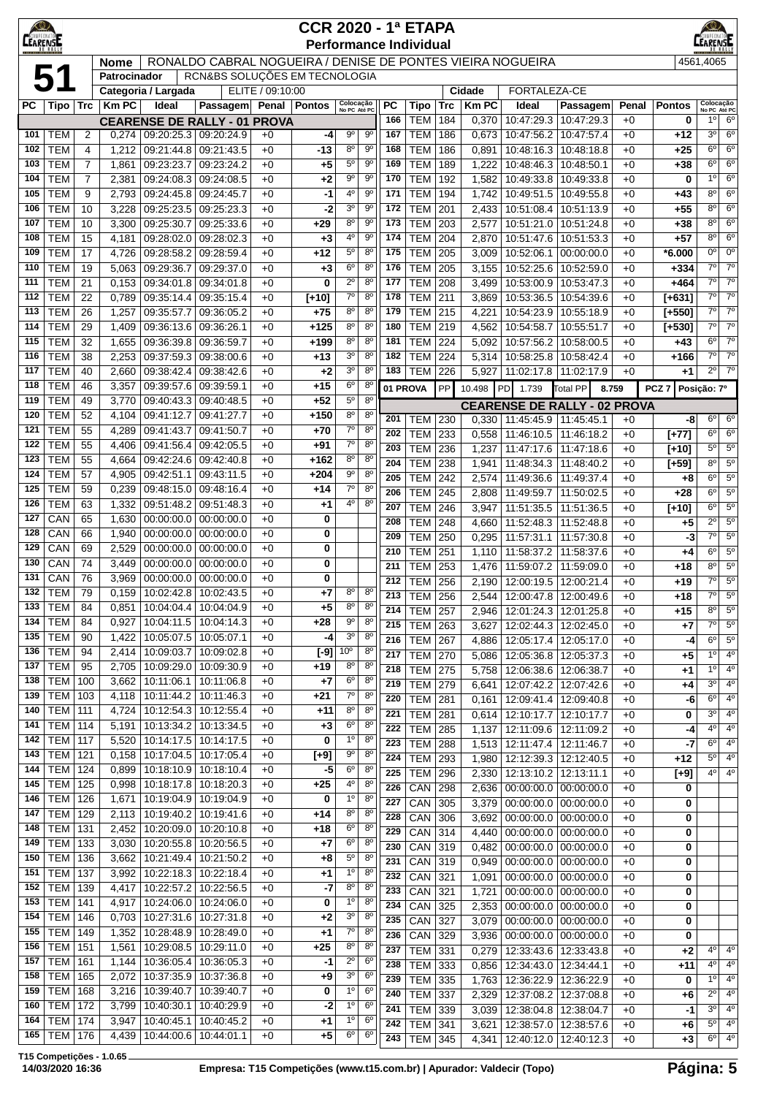| LEARENTE   |                          |                     |                |                          |                                                            |                  | <b>CCR 2020 - 1ª ETAPA</b><br><b>Performance Individual</b> |                                  |                                  |            |                          |            |                |                                                              |                          |              |                      | EARENSE                       |                               |
|------------|--------------------------|---------------------|----------------|--------------------------|------------------------------------------------------------|------------------|-------------------------------------------------------------|----------------------------------|----------------------------------|------------|--------------------------|------------|----------------|--------------------------------------------------------------|--------------------------|--------------|----------------------|-------------------------------|-------------------------------|
|            |                          |                     | <b>Nome</b>    |                          | RONALDO CABRAL NOGUEIRA / DENISE DE PONTES VIEIRA NOGUEIRA |                  |                                                             |                                  |                                  |            |                          |            |                |                                                              |                          |              |                      | 4561,4065                     |                               |
|            | 51                       |                     | Patrocinador   | Categoria / Largada      | RCN&BS SOLUÇÕES EM TECNOLOGIA                              | ELITE / 09:10:00 |                                                             |                                  |                                  |            |                          |            | Cidade         | FORTALEZA-CE                                                 |                          |              |                      |                               |                               |
| <b>PC</b>  | $Tipo$ $Trc$             |                     | <b>Km PC</b>   | Ideal                    | Passagem                                                   |                  | Penal   Pontos                                              | Colocação<br>No PC Até PC        |                                  | <b>PC</b>  | Tipo                     | <b>Trc</b> | <b>KmPC</b>    | Ideal                                                        | Passagem                 | Penal        | <b>Pontos</b>        | Colocação<br>No PC Até PC     |                               |
|            |                          |                     |                |                          | <b>CEARENSE DE RALLY - 01 PROVA</b>                        |                  |                                                             |                                  |                                  | 166        | <b>TEM</b>               | 184        | 0,370          | 10:47:29.3                                                   | 10:47:29.3               | $+0$         | 0                    | 10 <sup>1</sup>               | 6 <sup>o</sup>                |
| 101        | <b>TEM</b>               | 2                   | 0,274          |                          | 09:20:25.3 09:20:24.9                                      | $+0$             | -4                                                          | $9^{\circ}$                      | 90                               | 167        | <b>TEM</b>               | 186        | 0,673          | 10:47:56.2                                                   | 10:47:57.4               | $+0$         | +12                  | 3 <sup>0</sup>                | 6 <sup>o</sup>                |
| 102        | <b>TEM</b>               | 4                   | 1,212          | 09:21:44.8               | 09:21:43.5                                                 | $+0$             | -13                                                         | $8^{\circ}$                      | 90                               | 168        | <b>TEM</b>               | 186        | 0,891          | 10:48:16.3                                                   | 10:48:18.8               | $+0$         | $+25$                | $6^{\circ}$                   | 6 <sup>o</sup>                |
| 103        | <b>TEM</b>               | $\overline{7}$      | 1,861          | 09:23:23.7               | 09:23:24.2                                                 | $+0$             | +5                                                          | $5^{\circ}$<br>$9^{\circ}$       | 90<br>$9^{\circ}$                | 169        | <b>TEM</b>               | 189        | 1,222          | 10:48:46.3                                                   | 10:48:50.1               | $+0$         | $+38$                | $6^{\circ}$<br>$1^{\circ}$    | $6^{\circ}$<br>6 <sup>o</sup> |
| 104<br>105 | <b>TEM</b><br><b>TEM</b> | $\overline{7}$<br>9 | 2,381<br>2,793 | 09:24:08.3<br>09:24:45.8 | 09:24:08.5<br>09:24:45.7                                   | $+0$<br>$+0$     | $+2$<br>-1                                                  | $4^{\circ}$                      | 90                               | 170<br>171 | <b>TEM</b><br><b>TEM</b> | 192<br>194 | 1,582<br>1,742 | 10:49:33.8<br>10:49:51.5 10:49:55.8                          | 10:49:33.8               | $+0$<br>$+0$ | $\mathbf 0$<br>$+43$ | $8^{\circ}$                   | 6 <sup>o</sup>                |
| 106        | <b>TEM</b>               | 10                  | 3,228          | 09:25:23.5               | 09:25:23.3                                                 | $+0$             | -2                                                          | 3 <sup>o</sup>                   | 90                               | 172        | <b>TEM</b>               | 201        | 2,433          | 10:51:08.4   10:51:13.9                                      |                          | $+0$         | $+55$                | 80                            | $6^{\circ}$                   |
| 107        | <b>TEM</b>               | 10                  | 3,300          | 09:25:30.7               | 09:25:33.6                                                 | $+0$             | $+29$                                                       | $8^{\circ}$                      | $9^{\circ}$                      | 173        | <b>TEM</b>               | 203        | 2,577          | 10:51:21.0                                                   | 10:51:24.8               | $+0$         | $+38$                | 80                            | $6^{\circ}$                   |
| 108        | <b>TEM</b>               | 15                  | 4,181          | 09:28:02.0               | 09:28:02.3                                                 | $+0$             | +3                                                          | $4^{\rm o}$                      | 90                               | 174        | <b>TEM</b>               | 204        | 2,870          | 10:51:47.6                                                   | 10:51:53.3               | $+0$         | $+57$                | $8^{\circ}$                   | $6^{\circ}$                   |
| 109        | <b>TEM</b>               | 17                  | 4,726          | 09:28:58.2               | 09:28:59.4                                                 | $+0$             | $+12$                                                       | 5 <sup>0</sup>                   | $8^{\circ}$                      | 175        | <b>TEM</b>               | 205        | 3,009          | 10:52:06.1                                                   | 00:00:00.0               | $+0$         | *6.000               | $0^{\circ}$                   | $0^{\circ}$                   |
| 110        | <b>TEM</b>               | 19                  | 5,063          | 09:29:36.7               | 09:29:37.0                                                 | $+0$             | +3                                                          | 6 <sup>o</sup>                   | $8^{\circ}$                      | 176        | <b>TEM</b>               | 205        | 3,155          | 10:52:25.6                                                   | 10:52:59.0               | $+0$         | $+334$               | $7^{\circ}$<br>$7^{\circ}$    | $7^\circ$<br>$7^\circ$        |
| 111<br>112 | <b>TEM</b><br><b>TEM</b> | 21<br>22            | 0,153<br>0,789 | 09:34:01.8<br>09:35:14.4 | 09:34:01.8<br>09:35:15.4                                   | $+0$<br>$+0$     | 0<br>$[+10]$                                                | $2^{\circ}$<br>7 <sup>o</sup>    | $8^{\circ}$<br>$8^{\circ}$       | 177<br>178 | <b>TEM</b><br><b>TEM</b> | 208<br>211 | 3,499<br>3,869 | 10:53:00.9<br>10:53:36.5                                     | 10:53:47.3<br>10:54:39.6 | $+0$<br>$+0$ | +464<br>$[+631]$     | $7^{\circ}$                   | $7^\circ$                     |
| 113        | <b>TEM</b>               | 26                  | 1,257          | 09:35:57.7               | 09:36:05.2                                                 | $+0$             | $+75$                                                       | 8 <sup>o</sup>                   | 8 <sup>o</sup>                   | 179        | <b>TEM</b>               | 215        | 4,221          | 10:54:23.9                                                   | 10:55:18.9               | $+0$         | $[+550]$             | $7^{\circ}$                   | 7 <sup>o</sup>                |
| 114        | <b>TEM</b>               | 29                  | 1,409          | 09:36:13.6               | 09:36:26.1                                                 | $+0$             | $+125$                                                      | $8^{\circ}$                      | $8^{\circ}$                      | 180        | <b>TEM</b>               | 219        | 4,562          | 10:54:58.7                                                   | 10:55:51.7               | $+0$         | $[+530]$             | $7^{\circ}$                   | $7^{\circ}$                   |
| 115        | <b>TEM</b>               | 32                  | 1,655          | 09:36:39.8               | 09:36:59.7                                                 | $+0$             | $+199$                                                      | $8^{\circ}$                      | 8 <sup>0</sup>                   | 181        | <b>TEM</b>               | 224        | 5,092          | 10:57:56.2                                                   | 10:58:00.5               | $+0$         | $+43$                | 6 <sup>0</sup>                | $7^\circ$                     |
| 116        | <b>TEM</b>               | 38                  | 2,253          | 09:37:59.3               | 09:38:00.6                                                 | $+0$             | $+13$                                                       | 3 <sup>o</sup>                   | 8 <sup>0</sup>                   | 182        | <b>TEM</b>               | 224        | 5,314          | 10:58:25.8                                                   | 10:58:42.4               | $+0$         | +166                 | $7^\circ$                     | $7^\circ$                     |
| 117<br>118 | <b>TEM</b><br><b>TEM</b> | 40                  | 2,660          | 09:38:42.4               | 09:38:42.6                                                 | $+0$             | +2<br>$+15$                                                 | 3 <sup>o</sup><br>6 <sup>o</sup> | 8 <sup>o</sup><br>8 <sup>o</sup> | 183        | <b>TEM</b>               | 226        | 5,927          | 11:02:17.8                                                   | 11:02:17.9               | $+0$         | $+1$                 | $2^{\circ}$                   | 7 <sup>o</sup>                |
| 119        | <b>TEM</b>               | 46<br>49            | 3,357<br>3,770 | 09:39:57.6<br>09:40:43.3 | 09:39:59.1<br>09:40:48.5                                   | $+0$<br>$+0$     | $+52$                                                       | $5^{\circ}$                      | $8^{\circ}$                      |            | 01 PROVA                 | PP         | 10.498         | PD 1.739                                                     | <b>Total PP</b>          | 8.759        | PCZ <sub>7</sub>     | Posição: 7º                   |                               |
| 120        | <b>TEM</b>               | 52                  | 4,104          | 09:41:12.7               | 09:41:27.7                                                 | $+0$             | $+150$                                                      | $8^{\circ}$                      | $8^{\circ}$                      | 201        | <b>TEM</b>               | 230        | 0,330          | <b>CEARENSE DE RALLY - 02 PROVA</b><br>11:45:45.9 11:45:45.1 |                          | $+0$         | -8                   | $6^{\circ}$                   | 6 <sup>o</sup>                |
| 121        | <b>TEM</b>               | 55                  | 4,289          | 09:41:43.7               | 09:41:50.7                                                 | $+0$             | $+70$                                                       | $7^\circ$                        | $8^{\circ}$                      | 202        | <b>TEM</b>               | 233        | 0,558          | 11:46:10.5                                                   | 11:46:18.2               | $+0$         | $[+77]$              | $6^{\circ}$                   | $6^{\circ}$                   |
| 122        | <b>TEM</b>               | 55                  | 4,406          | 09:41:56.4               | 09:42:05.5                                                 | $+0$             | $+91$                                                       | $7^\circ$                        | 8 <sup>o</sup>                   | 203        | <b>TEM</b>               | 236        | 1,237          | 11:47:17.6                                                   | 11:47:18.6               | $+0$         | $[+10]$              | $5^{\circ}$                   | $5^{\circ}$                   |
| 123        | <b>TEM</b>               | 55                  | 4,664          | 09:42:24.6               | 09:42:40.8                                                 | $+0$             | $+162$                                                      | $8^{\circ}$                      | $8^{\circ}$                      | 204        | <b>TEM</b>               | 238        | 1,941          | 11:48:34.3                                                   | 11:48:40.2               | $+0$         | $[+59]$              | $8^{\circ}$                   | 5 <sup>o</sup>                |
| 124<br>125 | <b>TEM</b><br><b>TEM</b> | 57<br>59            | 4,905          | 09:42:51.1<br>09:48:15.0 | 09:43:11.5<br>09:48:16.4                                   | $+0$             | $+204$                                                      | $9^{\circ}$<br>$7^\circ$         | 8 <sup>0</sup><br>$8^{\circ}$    | 205        | <b>TEM</b>               | 242        | 2,574          | 11:49:36.6                                                   | 11:49:37.4               | $+0$         | $+8$                 | $6^{\circ}$                   | $5^{\circ}$                   |
| 126        | <b>TEM</b>               | 63                  | 0,239<br>1,332 | 09:51:48.2               | 09:51:48.3                                                 | $+0$<br>$+0$     | $+14$<br>+1                                                 | $4^{\circ}$                      | $8^{\circ}$                      | 206        | <b>TEM</b>               | 245        | 2,808          | 11:49:59.7                                                   | 11:50:02.5               | $+0$         | $+28$                | 6 <sup>o</sup><br>$6^{\circ}$ | $5^{\circ}$<br>$5^{\circ}$    |
| 127        | CAN                      | 65                  | 1,630          | 00:00:00.0               | 00:00:00.0                                                 | $+0$             | 0                                                           |                                  |                                  | 207<br>208 | <b>TEM</b><br><b>TEM</b> | 246<br>248 | 3,947<br>4,660 | 11:51:35.5<br>11:52:48.3                                     | 11:51:36.5<br>11:52:48.8 | $+0$<br>$+0$ | $[+10]$<br>$+5$      | $2^{\circ}$                   | 5 <sup>0</sup>                |
| 128        | CAN                      | 66                  | 1,940          | 00:00:00.0               | 00:00:00.0                                                 | $+0$             | 0                                                           |                                  |                                  | 209        | <b>TEM</b>               | 250        | 0,295          | 11:57:31.1   11:57:30.8                                      |                          | $+0$         | -3                   | $7^\circ$                     | $5^{\circ}$                   |
| 129        | CAN                      | 69                  | 2,529          | 00:00:00.0               | 00:00:00.0                                                 | $+0$             | 0                                                           |                                  |                                  | 210        | <b>TEM</b>               | 251        | 1,110          | 11:58:37.2                                                   | 11:58:37.6               | $+0$         | $+4$                 | $6^{\circ}$                   | $5^{\rm o}$                   |
| 130        | CAN                      | 74                  | 3,449          | 00:00:00.0               | 00:00:00.0                                                 | $+0$             | 0                                                           |                                  |                                  | 211        | <b>TEM</b>               | 253        | 1,476          | 11:59:07.2                                                   | 11:59:09.0               | $+0$         | $+18$                | $8^{\circ}$                   | $5^{\circ}$                   |
| 131        | CAN                      | 76                  | 3,969          | 00:00:00.0               | 00:00:00.0                                                 | $+0$             | 0                                                           | $8^{\circ}$                      | $8^{\circ}$                      | 212        | <b>TEM</b>               | 256        | 2,190          | 12:00:19.5   12:00:21.4                                      |                          | $+0$         | $+19$                | $\overline{7^{\circ}}$        | $5^{\circ}$                   |
| 132<br>133 | TEM<br>TEM               | 79<br>84            | 0,159<br>0,851 | 10:02:42.8<br>10:04:04.4 | 10:02:43.5<br>10:04:04.9                                   | $+0$<br>+0       | $+7$<br>+5                                                  | $8^{\circ}$                      | $8^{\circ}$                      | 213        | <b>TEM</b>               | 256        | 2,544          | 12:00:47.8 12:00:49.6                                        |                          | $+0$         | $+18$                | 7°                            | $\overline{5^0}$              |
| 134        | TEM                      | 84                  | 0,927          | 10:04:11.5               | 10:04:14.3                                                 | $+0$             | +28                                                         | $9^{\rm o}$                      | $8^{\circ}$                      | 214<br>215 | <b>TEM</b><br><b>TEM</b> | 257<br>263 | 2,946<br>3,627 | 12:01:24.3   12:01:25.8<br>12:02:44.3                        | 12:02:45.0               | +0<br>+0     | $+15$                | 80<br>$7^\circ$               | $5^{\circ}$<br>$5^{\circ}$    |
| 135        | <b>TEM</b>               | 90                  | 1,422          | 10:05:07.5               | 10:05:07.1                                                 | $+0$             | -4                                                          | 3 <sup>o</sup>                   | $8^{\circ}$                      | 216        | <b>TEM 267</b>           |            | 4,886          | 12:05:17.4 12:05:17.0                                        |                          | $+0$         | +7<br>-4             | $6^{\circ}$                   | 5 <sup>0</sup>                |
| 136        | TEM                      | 94                  | 2,414          | 10:09:03.7               | 10:09:02.8                                                 | $+0$             | $[-9]$                                                      | 10 <sup>o</sup>                  | $8^{\circ}$                      | 217        | <b>TEM 270</b>           |            | 5,086          | 12:05:36.8   12:05:37.3                                      |                          | $+0$         | $+5$                 | 1 <sup>0</sup>                | 4 <sup>0</sup>                |
| 137        | <b>TEM</b>               | 95                  | 2,705          | 10:09:29.0               | 10:09:30.9                                                 | $+0$             | +19                                                         | $8^{\circ}$                      | $8^{\circ}$                      | 218        | <b>TEM</b>               | 275        | 5,758          | 12:06:38.6 12:06:38.7                                        |                          | $+0$         | $+1$                 | $1^{\circ}$                   | $4^{\circ}$                   |
| 138        | <b>TEM</b>               | 100                 | 3,662          | 10:11:06.1               | 10:11:06.8                                                 | $+0$             | $+7$                                                        | $6^{\circ}$                      | $8^{\circ}$                      | 219        | <b>TEM</b>               | 279        | 6,641          | 12:07:42.2 12:07:42.6                                        |                          | $+0$         | +4                   | 3 <sup>0</sup>                | $4^{\circ}$                   |
| 139<br>140 | <b>TEM</b><br><b>TEM</b> | 103<br>111          | 4,118<br>4,724 | 10:11:44.2<br>10:12:54.3 | 10:11:46.3<br>10:12:55.4                                   | $+0$<br>$+0$     | +21<br>$+11$                                                | $7^{\circ}$<br>8 <sup>o</sup>    | $8^{\circ}$<br>$8^{\circ}$       | 220        | <b>TEM</b>               | 281        | 0,161          | 12:09:41.4 12:09:40.8                                        |                          | $+0$         | -6                   | $6^{\circ}$                   | $4^{\circ}$                   |
| 141        | TEM                      | 114                 | 5,191          | 10:13:34.2               | 10:13:34.5                                                 | $+0$             | $+3$                                                        | 6 <sup>o</sup>                   | 8 <sup>o</sup>                   | 221<br>222 | <b>TEM</b><br><b>TEM</b> | 281        | 0,614          | 12:10:17.7   12:10:17.7                                      |                          | $+0$         | 0                    | 3 <sup>0</sup><br>$4^{\circ}$ | 4 <sup>0</sup><br>$4^{\circ}$ |
| 142        | <b>TEM 117</b>           |                     | 5,520          | 10:14:17.5               | 10:14:17.5                                                 | $+0$             | 0                                                           | $1^{\circ}$                      | $8^{\circ}$                      | 223        | <b>TEM</b>               | 285<br>288 | 1,137<br>1,513 | 12:11:09.6<br>12:11:47.4                                     | 12:11:09.2<br>12:11:46.7 | $+0$<br>$+0$ | -4<br>-7             | 6 <sup>o</sup>                | 4 <sup>0</sup>                |
| 143        | TEM                      | 121                 | 0,158          | 10:17:04.5               | 10:17:05.4                                                 | $+0$             | $[+9]$                                                      | $9^{\circ}$                      | $8^{\circ}$                      | 224        | <b>TEM</b>               | 293        | 1,980          | 12:12:39.3   12:12:40.5                                      |                          | $+0$         | $+12$                | $5^{\circ}$                   | $4^{\circ}$                   |
| 144        | TEM                      | 124                 | 0,899          | 10:18:10.9               | 10:18:10.4                                                 | $+0$             | -5                                                          | $6^{\rm o}$                      | $8^{\circ}$                      | 225        | <b>TEM</b>               | 296        | 2,330          | 12:13:10.2 12:13:11.1                                        |                          | $+0$         | $[+9]$               | $4^{\circ}$                   | 4 <sup>0</sup>                |
| 145        | TEM                      | 125                 | 0,998          | 10:18:17.8               | 10:18:20.3                                                 | $+0$             | $+25$                                                       | $4^{\circ}$                      | $8^{\circ}$                      | 226        | CAN                      | 298        | 2,636          | $00:00:00.0$ 00:00:00.0                                      |                          | $+0$         | 0                    |                               |                               |
| 146<br>147 | TEM<br>TEM               | 126<br>129          | 1,671<br>2,113 | 10:19:04.9<br>10:19:40.2 | 10:19:04.9<br>10:19:41.6                                   | $+0$             | 0<br>$+14$                                                  | $1^{\circ}$<br>$8^{\circ}$       | 8 <sup>o</sup><br>$8^{\circ}$    | 227        | CAN                      | 305        | 3,379          | $00:00:00.0$   00:00:00.0                                    |                          | $+0$         | 0                    |                               |                               |
| 148        | <b>TEM</b>               | 131                 | 2,452          | 10:20:09.0               | 10:20:10.8                                                 | $+0$<br>$+0$     | $+18$                                                       | $6^{\rm o}$                      | $8^{\circ}$                      | 228        | CAN                      | 306        | 3,692          | $00:00:00.0$ 00:00:00.0                                      |                          | $+0$         | 0                    |                               |                               |
| 149        | TEM                      | 133                 | 3,030          | 10:20:55.8               | 10:20:56.5                                                 | +0               | $+7$                                                        | 6 <sup>o</sup>                   | $8^{\circ}$                      | 229<br>230 | CAN                      | 314        | 4,440          | $00:00:00.0$ 00:00:00.0                                      |                          | $+0$         | 0                    |                               |                               |
| 150        | TEM                      | 136                 | 3,662          | 10:21:49.4               | 10:21:50.2                                                 | $+0$             | +8                                                          | $5^{\circ}$                      | 8 <sup>o</sup>                   | 231        | CAN<br>CAN               | 319<br>319 | 0,482<br>0,949 | 00:00:00.0 00:00:00.0<br>$00:00:00.0$   $00:00:00.0$         |                          | $+0$<br>$+0$ | 0<br>0               |                               |                               |
| 151        | TEM                      | 137                 | 3,992          | 10:22:18.3 10:22:18.4    |                                                            | $+0$             | +1                                                          | $1^{\rm o}$                      | $8^{\circ}$                      | 232        | CAN                      | 321        | 1,091          | $00:00:00.0$ 00:00:00.0                                      |                          | $+0$         | 0                    |                               |                               |
| 152        | <b>TEM</b>               | 139                 | 4,417          | 10:22:57.2               | 10:22:56.5                                                 | $+0$             | $-7$                                                        | $8^{\circ}$                      | $8^{\circ}$                      | 233        | CAN                      | 321        | 1,721          | $00:00:00.0$ 00:00:00.0                                      |                          | $+0$         | 0                    |                               |                               |
| 153        | <b>TEM</b>               | 141                 | 4,917          | 10:24:06.0               | 10:24:06.0                                                 | $+0$             | 0                                                           | $1^{\circ}$                      | $8^{\circ}$                      | 234        | CAN                      | 325        | 2,353          | $00:00:00.0$ 00:00:00.0                                      |                          | $+0$         | 0                    |                               |                               |
| 154        | <b>TEM</b>               | 146                 | 0,703          | 10:27:31.6               | 10:27:31.8                                                 | $+0$             | +2                                                          | 3 <sup>o</sup>                   | $8^{\circ}$                      | 235        | CAN                      | 327        | 3,079          | $00:00:00.0$ 00:00:00.0                                      |                          | $+0$         | 0                    |                               |                               |
| 155<br>156 | <b>TEM</b><br>TEM        | 149<br>151          | 1,352          | 10:28:48.9<br>10:29:08.5 | 10:28:49.0<br>10:29:11.0                                   | $+0$<br>$+0$     | $+1$<br>$+25$                                               | $7^\circ$<br>$8^{\circ}$         | $8^{\circ}$<br>$8^{\circ}$       | 236        | CAN                      | 329        | 3,936          | $00:00:00.0$   $00:00:00.0$                                  |                          | $+0$         | 0                    |                               |                               |
| 157        | <b>TEM</b>               | 161                 | 1,561<br>1,144 | 10:36:05.4               | 10:36:05.3                                                 | $+0$             | -1                                                          | $2^{\circ}$                      | 6 <sup>o</sup>                   | 237        | <b>TEM</b>               | 331        | 0,279          | 12:33:43.6   12:33:43.8                                      |                          | $+0$         | $+2$                 | $4^{\circ}$                   | $4^{\circ}$                   |
| 158        | TEM                      | 165                 | 2,072          | 10:37:35.9               | 10:37:36.8                                                 | +0               | +9                                                          | 3 <sup>o</sup>                   | $6^{\circ}$                      | 238<br>239 | <b>TEM</b><br><b>TEM</b> | 333<br>335 | 0,856          | 12:34:43.0<br>12:36:22.9 12:36:22.9                          | 12:34:44.1               | $+0$<br>$+0$ | $+11$<br>0           | $4^{\circ}$<br>$1^{\circ}$    | $4^{\circ}$<br>$4^{\circ}$    |
| 159        | TEM                      | 168                 | 3,216          | 10:39:40.7               | 10:39:40.7                                                 | $+0$             | 0                                                           | 1 <sup>0</sup>                   | 6 <sup>o</sup>                   | 240        | <b>TEM</b>               | 337        | 1,763<br>2,329 | 12:37:08.2   12:37:08.8                                      |                          | $+0$         | +6                   | $2^{\circ}$                   | 4 <sup>0</sup>                |
| 160        | TEM                      | 172                 | 3,799          | 10:40:30.1               | 10:40:29.9                                                 | $+0$             | $-2$                                                        | $1^{\circ}$                      | $6^{\circ}$                      | 241        | <b>TEM</b>               | 339        | 3,039          | 12:38:04.8   12:38:04.7                                      |                          | $+0$         | $-1$                 | $3^{\circ}$                   | 4 <sup>0</sup>                |
| 164        | <b>TEM 174</b>           |                     | 3,947          | 10:40:45.1               | 10:40:45.2                                                 | $+0$             | +1                                                          | $1^{\circ}$                      | $6^{\circ}$                      | 242        | <b>TEM</b>               | 341        | 3,621          | 12:38:57.0                                                   | 12:38:57.6               | $+0$         | +6                   | $5^{\circ}$                   | $4^{\circ}$                   |
| 165        | TEM                      | 176                 | 4,439          | 10:44:00.6               | 10:44:01.1                                                 | $+0$             | $+5$                                                        | $6^{\circ}$                      | 6 <sup>o</sup>                   | 243        | <b>TEM 345</b>           |            | 4,341          | 12:40:12.0 12:40:12.3                                        |                          | $+0$         | $+3$                 | $6^{\circ}$                   | 4 <sup>0</sup>                |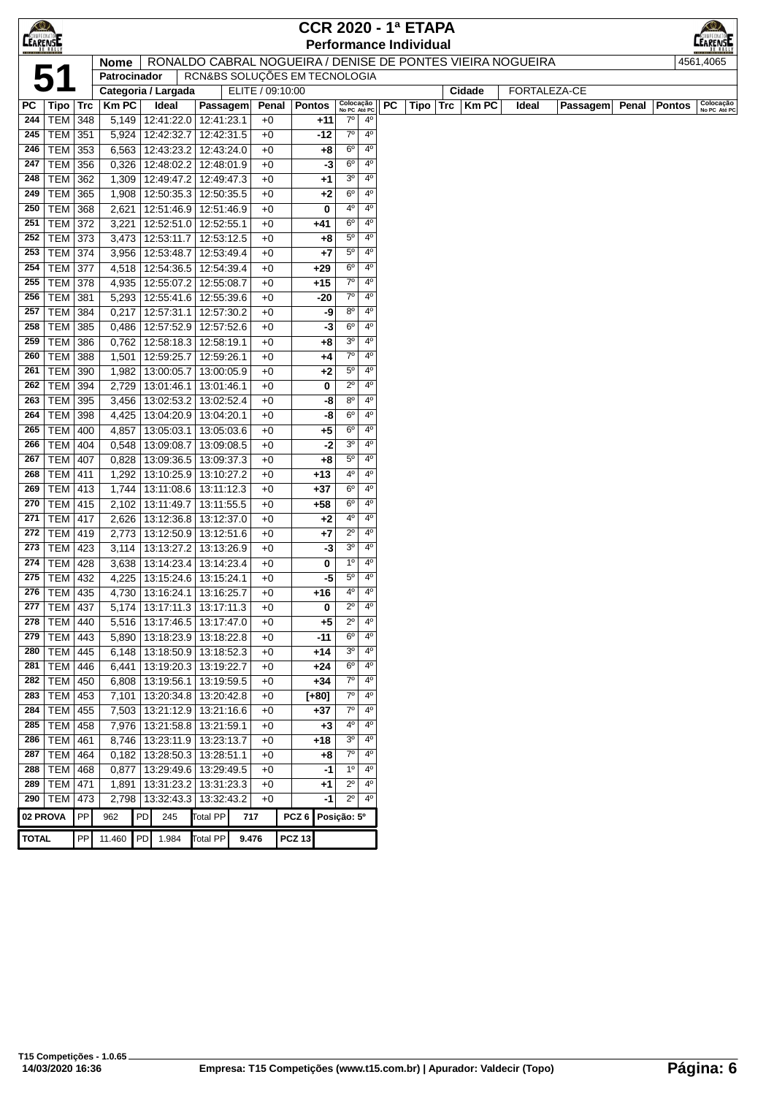| $\bigotimes$    |                           |     |              |    |                                                         |                               |                  |              |                  |             |                            |                               |    | <b>CCR 2020 - 1ª ETAPA</b>    |     |        |                                                            |                 |       |               |                           |
|-----------------|---------------------------|-----|--------------|----|---------------------------------------------------------|-------------------------------|------------------|--------------|------------------|-------------|----------------------------|-------------------------------|----|-------------------------------|-----|--------|------------------------------------------------------------|-----------------|-------|---------------|---------------------------|
| <b>CEARENSE</b> |                           |     |              |    |                                                         |                               |                  |              |                  |             |                            |                               |    | <b>Performance Individual</b> |     |        |                                                            |                 |       |               | ARENSI                    |
|                 |                           |     | <b>Nome</b>  |    |                                                         |                               |                  |              |                  |             |                            |                               |    |                               |     |        | RONALDO CABRAL NOGUEIRA / DENISE DE PONTES VIEIRA NOGUEIRA |                 |       |               | 4561,4065                 |
|                 | 5 <sup>′</sup>            |     | Patrocinador |    |                                                         | RCN&BS SOLUÇÕES EM TECNOLOGIA |                  |              |                  |             |                            |                               |    |                               |     |        |                                                            |                 |       |               |                           |
|                 |                           |     |              |    | Categoria / Largada                                     |                               | ELITE / 09:10:00 |              |                  |             |                            |                               |    |                               |     | Cidade | FORTALEZA-CE                                               |                 |       |               |                           |
| PC              | <b>Tipo</b>               | Trc | <b>Km PC</b> |    | Ideal                                                   | Passagem                      |                  | Penal        | Pontos           |             | Colocação<br>No PC Até PC  |                               | PC | Tipo                          | Trc | Km PC  | Ideal                                                      | <b>Passagem</b> | Penal | <b>Pontos</b> | Colocação<br>No PC Até PC |
| 244             | TEM                       | 348 | 5,149        |    | 12:41:22.0 12:41:23.1                                   |                               |                  | $+0$         |                  | +11         | $7^\circ$                  | $4^{\circ}$                   |    |                               |     |        |                                                            |                 |       |               |                           |
| 245             | TEM                       | 351 | 5,924        |    | 12:42:32.7                                              | 12:42:31.5                    |                  | $+0$         |                  | $-12$       | $7^\circ$                  | 4 <sup>0</sup>                |    |                               |     |        |                                                            |                 |       |               |                           |
| 246             | TEM                       | 353 | 6,563        |    | 12:43:23.2 12:43:24.0                                   |                               |                  | $+0$         |                  | +8          | $6^{\circ}$                | $4^{\circ}$                   |    |                               |     |        |                                                            |                 |       |               |                           |
| 247             | <b>TEM</b>                | 356 | 0,326        |    | 12:48:02.2                                              | 12:48:01.9                    |                  | $+0$         |                  | -3          | $6^{\circ}$                | $4^{\circ}$                   |    |                               |     |        |                                                            |                 |       |               |                           |
| 248             | TEM                       | 362 | 1,309        |    | 12:49:47.2                                              | 12:49:47.3                    |                  | $+0$         |                  | $+1$        | 3 <sup>o</sup>             | $4^{\circ}$                   |    |                               |     |        |                                                            |                 |       |               |                           |
| 249             | <b>TEM</b>                | 365 | 1,908        |    | 12:50:35.3                                              | 12:50:35.5                    |                  | $+0$         |                  | $+2$        | $6^{\circ}$                | 4 <sup>0</sup>                |    |                               |     |        |                                                            |                 |       |               |                           |
| 250             | <b>TEM</b>                | 368 | 2,621        |    | 12:51:46.9                                              | 12:51:46.9                    |                  | $+0$         |                  | 0           | 4°                         | 4 <sup>0</sup>                |    |                               |     |        |                                                            |                 |       |               |                           |
| 251             | <b>TEM</b>                | 372 | 3,221        |    | 12:52:51.0                                              | 12:52:55.1                    |                  | $+0$         |                  | +41         | $6^{\circ}$                | $4^{\circ}$                   |    |                               |     |        |                                                            |                 |       |               |                           |
| 252             | <b>TEM</b>                | 373 | 3,473        |    | 12:53:11.7                                              | 12:53:12.5                    |                  | +0           |                  | +8          | $5^{\circ}$                | 4 <sup>0</sup>                |    |                               |     |        |                                                            |                 |       |               |                           |
| 253             | TEM                       | 374 | 3,956        |    | 12:53:48.7                                              | 12:53:49.4                    |                  | $+0$         |                  | $+7$        | $5^{\circ}$                | 4 <sup>0</sup>                |    |                               |     |        |                                                            |                 |       |               |                           |
| 254             | TEM                       | 377 | 4,518        |    | 12:54:36.5                                              | 12:54:39.4                    |                  | $+0$         |                  | $+29$       | $6^{\circ}$                | 4 <sup>0</sup>                |    |                               |     |        |                                                            |                 |       |               |                           |
| 255             | TEM                       | 378 | 4,935        |    | 12:55:07.2                                              | 12:55:08.7                    |                  | $+0$         |                  | $+15$       | 70                         | $4^{\circ}$                   |    |                               |     |        |                                                            |                 |       |               |                           |
| 256             | TEM                       | 381 | 5,293        |    | 12:55:41.6   12:55:39.6                                 |                               |                  | $+0$         |                  | -20         | $7^{\circ}$                | $4^{\circ}$                   |    |                               |     |        |                                                            |                 |       |               |                           |
| 257             | TEM                       | 384 | 0,217        |    | 12:57:31.1                                              | 12:57:30.2                    |                  | $+0$         |                  | -9          | $8^{\circ}$                | 4 <sup>0</sup>                |    |                               |     |        |                                                            |                 |       |               |                           |
| 258             | TEM                       | 385 | 0,486        |    | 12:57:52.9                                              | 12:57:52.6                    |                  | $+0$         |                  | -3          | $6^{\circ}$                | $4^{\circ}$                   |    |                               |     |        |                                                            |                 |       |               |                           |
| 259             | TEM                       | 386 | 0,762        |    | 12:58:18.3                                              | 12:58:19.1                    |                  | $+0$         |                  | +8          | $3^{\rm o}$                | 4 <sup>0</sup>                |    |                               |     |        |                                                            |                 |       |               |                           |
| 260             | <b>TEM</b>                | 388 | 1,501        |    | 12:59:25.7                                              | 12:59:26.1                    |                  | $+0$         |                  | +4          | $7^\circ$                  | 4 <sup>0</sup>                |    |                               |     |        |                                                            |                 |       |               |                           |
| 261             | <b>TEM</b>                | 390 | 1,982        |    | 13:00:05.7                                              | 13:00:05.9                    |                  | +0           |                  | $+2$        | $5^{\circ}$                | $4^{\circ}$                   |    |                               |     |        |                                                            |                 |       |               |                           |
| 262             | <b>TEM</b>                | 394 | 2,729        |    | 13:01:46.1                                              | 13:01:46.1                    |                  | +0           |                  | 0           | $2^{\circ}$                | 4 <sup>0</sup>                |    |                               |     |        |                                                            |                 |       |               |                           |
| 263             | <b>TEM</b>                | 395 | 3,456        |    | 13:02:53.2                                              | 13:02:52.4                    |                  | $+0$         |                  | -8          | $8^{\circ}$                | 4 <sup>0</sup>                |    |                               |     |        |                                                            |                 |       |               |                           |
| 264             | TEM                       | 398 | 4,425        |    | 13:04:20.9   13:04:20.1                                 |                               |                  | $+0$         |                  | -8          | $6^{\circ}$                | $4^{\circ}$                   |    |                               |     |        |                                                            |                 |       |               |                           |
| 265             | TEM                       | 400 | 4,857        |    | 13:05:03.1                                              | 13:05:03.6                    |                  | $+0$         |                  | $+5$        | $6^{\circ}$                | $4^{\circ}$                   |    |                               |     |        |                                                            |                 |       |               |                           |
| 266             | <b>TEM</b>                | 404 | 0,548        |    | 13:09:08.7                                              | 13:09:08.5                    |                  | $+0$         |                  | -2          | 3 <sup>o</sup>             | 4 <sup>0</sup>                |    |                               |     |        |                                                            |                 |       |               |                           |
| 267             | TEM                       | 407 | 0,828        |    | 13:09:36.5                                              | 13:09:37.3                    |                  | $+0$         |                  | $+8$        | $5^{\circ}$                | 4 <sup>0</sup>                |    |                               |     |        |                                                            |                 |       |               |                           |
| 268             | TEM                       | 411 | 1,292        |    | 13:10:25.9                                              | 13:10:27.2                    |                  | $+0$         |                  | $+13$       | 4°                         | 4 <sup>0</sup>                |    |                               |     |        |                                                            |                 |       |               |                           |
| 269             | TEM                       | 413 | 1,744        |    | 13:11:08.6                                              | 13:11:12.3                    |                  | $+0$         |                  | $+37$       | $6^{\circ}$                | $4^{\circ}$                   |    |                               |     |        |                                                            |                 |       |               |                           |
| 270             | <b>TEM</b>                | 415 | 2,102        |    | 13:11:49.7                                              | 13:11:55.5                    |                  | $+0$         |                  | $+58$       | $6^{\circ}$                | 4 <sup>0</sup>                |    |                               |     |        |                                                            |                 |       |               |                           |
| 271             | TEM                       | 417 | 2,626        |    | 13:12:36.8                                              | 13:12:37.0                    |                  | $+0$         |                  | $+2$        | 40                         | $4^{\circ}$                   |    |                               |     |        |                                                            |                 |       |               |                           |
| 272             | TEM                       | 419 | 2,773        |    | $\overline{13:}12:50.9$                                 | 13:12:51.6                    |                  | $+0$         |                  | $+7$        | $2^{\circ}$                | 4 <sup>0</sup>                |    |                               |     |        |                                                            |                 |       |               |                           |
| 273             | <b>TEM 423</b>            |     | 3,114        |    | 13:13:27.2                                              | 13:13:26.9                    |                  | $+0$         |                  | -3          | 3 <sup>o</sup>             | 4 <sup>0</sup>                |    |                               |     |        |                                                            |                 |       |               |                           |
| 274             | <b>TEM</b>                | 428 | 3,638        |    | 13:14:23.4                                              | 13:14:23.4                    |                  | $+0$         |                  | 0           | $1^{\circ}$                | $4^{\circ}$                   |    |                               |     |        |                                                            |                 |       |               |                           |
| 275             | TEM                       | 432 | 4,225        |    | 13:15:24.6                                              | 13:15:24.1                    |                  | $+0$         |                  | -5          | $5^{\circ}$<br>4°          | $4^{\circ}$<br>4 <sup>0</sup> |    |                               |     |        |                                                            |                 |       |               |                           |
| 276             | TEM   435                 |     | 4,730        |    | 13:16:24.1                                              | 13:16:25.7                    |                  | $+0$         |                  | +16         |                            | $4^{\circ}$                   |    |                               |     |        |                                                            |                 |       |               |                           |
| 278             | <b>277 TEM 437</b><br>TEM | 440 |              |    | $5,174$   13:17:11.3   13:17:11.3<br>5,516   13:17:46.5 | 13:17:47.0                    |                  | +0           |                  | 0<br>$+5$   | $2^{\circ}$<br>$2^{\circ}$ | $4^{\circ}$                   |    |                               |     |        |                                                            |                 |       |               |                           |
| 279             | <b>TEM</b>                | 443 | 5,890        |    | 13:18:23.9 13:18:22.8                                   |                               |                  | $+0$<br>$+0$ |                  | -11         | $6^{\circ}$                | $4^{\circ}$                   |    |                               |     |        |                                                            |                 |       |               |                           |
| 280             | <b>TEM</b>                | 445 | 6,148        |    | 13:18:50.9                                              | 13:18:52.3                    |                  | +0           |                  | +14         | 3 <sup>o</sup>             | $4^{\circ}$                   |    |                               |     |        |                                                            |                 |       |               |                           |
| 281             | TEM                       | 446 | 6,441        |    | 13:19:20.3   13:19:22.7                                 |                               |                  | $+0$         |                  | $+24$       | 6 <sup>o</sup>             | 4 <sup>0</sup>                |    |                               |     |        |                                                            |                 |       |               |                           |
| 282             | <b>TEM</b>                | 450 | 6,808        |    | 13:19:56.1                                              | 13:19:59.5                    |                  | $+0$         |                  | $+34$       | $7^\circ$                  | $4^{\circ}$                   |    |                               |     |        |                                                            |                 |       |               |                           |
| 283             | TEM                       | 453 | 7,101        |    | 13:20:34.8   13:20:42.8                                 |                               |                  | $+0$         |                  | $[+80]$     | 70                         | $4^{\circ}$                   |    |                               |     |        |                                                            |                 |       |               |                           |
| 284             | TEM                       | 455 | 7,503        |    | 13:21:12.9 13:21:16.6                                   |                               |                  | $+0$         |                  | $+37$       | 70                         | $4^{\circ}$                   |    |                               |     |        |                                                            |                 |       |               |                           |
| 285             | TEM                       | 458 | 7,976        |    | 13:21:58.8                                              | 13:21:59.1                    |                  | $+0$         |                  | $+3$        | 4°                         | $4^{\circ}$                   |    |                               |     |        |                                                            |                 |       |               |                           |
| 286             | <b>TEM</b>                | 461 | 8,746        |    | 13:23:11.9                                              | 13:23:13.7                    |                  | $+0$         |                  | +18         | $3o$                       | $4^{\circ}$                   |    |                               |     |        |                                                            |                 |       |               |                           |
| 287             | <b>TEM</b>                | 464 |              |    | $0,182$   13:28:50.3                                    | 13:28:51.1                    |                  | $+0$         |                  | +8          | 70                         | $4^{\circ}$                   |    |                               |     |        |                                                            |                 |       |               |                           |
| 288             | <b>TEM</b>                | 468 | 0,877        |    | 13:29:49.6                                              | 13:29:49.5                    |                  | $+0$         |                  | -1          | $1^{\circ}$                | $4^{\circ}$                   |    |                               |     |        |                                                            |                 |       |               |                           |
| 289             | <b>TEM</b>                | 471 | 1,891        |    | 13:31:23.2                                              | 13:31:23.3                    |                  | +0           |                  | +1          | $2^{\circ}$                | $4^{\circ}$                   |    |                               |     |        |                                                            |                 |       |               |                           |
|                 | 290   TEM                 | 473 | 2,798        |    | 13:32:43.3 13:32:43.2                                   |                               |                  | $+0$         |                  | -1          | $2^{\circ}$                | $4^{\circ}$                   |    |                               |     |        |                                                            |                 |       |               |                           |
| 02 PROVA        |                           | PP  | 962          | PD | 245                                                     | Total PP                      | 717              |              | PCZ <sub>6</sub> | Posição: 5° |                            |                               |    |                               |     |        |                                                            |                 |       |               |                           |
|                 |                           |     |              |    |                                                         |                               |                  |              |                  |             |                            |                               |    |                               |     |        |                                                            |                 |       |               |                           |
| <b>TOTAL</b>    |                           | PP  | 11.460       | PD | 1.984                                                   | <b>Total PP</b>               | 9.476            |              | <b>PCZ 13</b>    |             |                            |                               |    |                               |     |        |                                                            |                 |       |               |                           |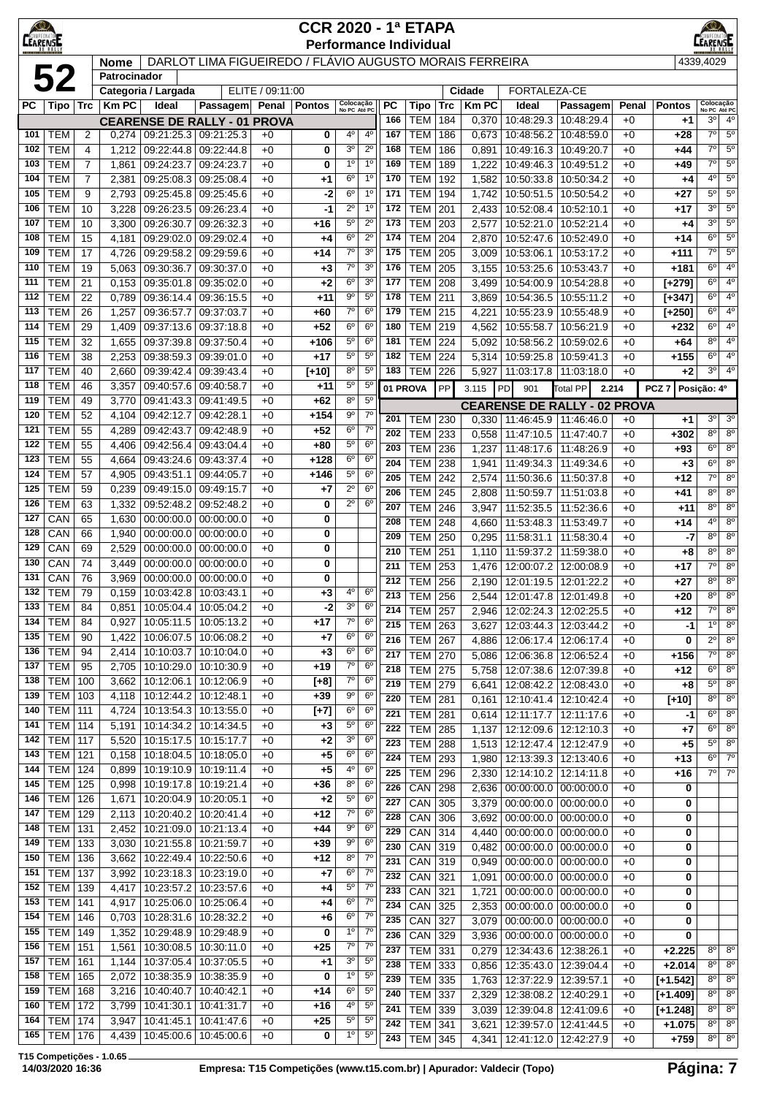| $\bigcirc$<br>CEARENSE |                                  |                |                |                                     |                          |                                                         | <b>CCR 2020 - 1ª ETAPA</b> |                                  |                                  |            | <b>Performance Individual</b>    |            |                       |                                                            |                 |              |                    | $\circ$<br>EARENSE                  |                                  |
|------------------------|----------------------------------|----------------|----------------|-------------------------------------|--------------------------|---------------------------------------------------------|----------------------------|----------------------------------|----------------------------------|------------|----------------------------------|------------|-----------------------|------------------------------------------------------------|-----------------|--------------|--------------------|-------------------------------------|----------------------------------|
|                        |                                  |                | <b>Nome</b>    |                                     |                          | DARLOT LIMA FIGUEIREDO / FLÁVIO AUGUSTO MORAIS FERREIRA |                            |                                  |                                  |            |                                  |            |                       |                                                            |                 |              |                    | 4339,4029                           |                                  |
|                        | 52                               |                | Patrocinador   |                                     |                          |                                                         |                            |                                  |                                  |            |                                  |            |                       |                                                            |                 |              |                    |                                     |                                  |
| РC                     | Tipo   Trc                       |                | <b>KmPC</b>    | Categoria / Largada<br>Ideal        | Passagem                 | ELITE / 09:11:00<br>Penal                               | <b>Pontos</b>              | Colocação<br>No PC Até PC        |                                  | PC         | <b>Tipo</b>                      | <b>Trc</b> | Cidade<br><b>KmPC</b> | FORTALEZA-CE<br>Ideal                                      | Passagem        | Penal        | <b>Pontos</b>      | Colocação<br>No PC Até PC           |                                  |
|                        |                                  |                |                | <b>CEARENSE DE RALLY - 01 PROVA</b> |                          |                                                         |                            |                                  |                                  | 166        | <b>TEM</b>                       | 184        | 0,370                 | 10:48:29.3                                                 | 10:48:29.4      | $+0$         | +1                 | 30                                  | $4^{\circ}$                      |
| 101                    | <b>TEM</b>                       | 2              | 0,274          | 09:21:25.3 09:21:25.3               |                          | $+0$                                                    | 0                          | 4 <sup>0</sup>                   | 4 <sup>0</sup>                   | 167        | <b>TEM</b>                       | 186        | 0,673                 | 10:48:56.2   10:48:59.0                                    |                 | $+0$         | +28                | $7^\circ$                           | $5^{\circ}$                      |
| 102                    | <b>TEM</b>                       | 4              | 1,212          | 09:22:44.8                          | 09:22:44.8               | $+0$                                                    | 0                          | 3 <sup>o</sup>                   | $2^{\circ}$                      | 168        | <b>TEM</b>                       | 186        | 0,891                 | 10:49:16.3   10:49:20.7                                    |                 | $+0$         | +44                | $7^{\circ}$                         | $5^{\rm o}$                      |
| 103                    | <b>TEM</b>                       | $\overline{7}$ | 1,861          | 09:24:23.7                          | 09:24:23.7               | $+0$                                                    | 0                          | 1 <sup>0</sup>                   | 1 <sup>0</sup>                   | 169        | <b>TEM</b>                       | 189        | 1,222                 | 10:49:46.3 10:49:51.2                                      |                 | $+0$         | +49                | $7^{\circ}$                         | $5^{\rm o}$                      |
| 104                    | <b>TEM</b>                       | $\overline{7}$ | 2,381          | 09:25:08.3                          | 09:25:08.4               | $+0$                                                    | +1                         | 6 <sup>o</sup>                   | 1 <sup>0</sup>                   | 170        | <b>TEM</b>                       | 192        | 1,582                 | 10:50:33.8                                                 | 10:50:34.2      | $+0$         | +4                 | 4 <sup>0</sup>                      | $5^{\rm o}$                      |
| 105                    | <b>TEM</b>                       | 9              | 2,793          | 09:25:45.8                          | 09:25:45.6               | $+0$                                                    | $-2$                       | 6 <sup>o</sup>                   | 1 <sup>0</sup>                   | 171        | <b>TEM</b>                       | 194        | 1,742                 | 10:50:51.5 10:50:54.2                                      |                 | $+0$         | $+27$              | $5^{\circ}$                         | 5 <sup>0</sup>                   |
| 106                    | <b>TEM</b>                       | 10             | 3,228          | 09:26:23.5                          | 09:26:23.4               | $+0$                                                    | -1                         | $2^{\circ}$                      | 1 <sup>0</sup>                   | 172        | <b>TEM</b>                       | 201        | 2,433                 | 10:52:08.4   10:52:10.1                                    |                 | $+0$         | +17                | 30                                  | $5^{\circ}$                      |
| 107                    | <b>TEM</b>                       | 10             | 3,300          | 09:26:30.7                          | 09:26:32.3               | $+0$                                                    | +16                        | $5^{\circ}$                      | $2^{\circ}$                      | 173        | <b>TEM</b>                       | 203        | 2,577                 | 10:52:21.0   10:52:21.4                                    |                 | $+0$         | +4                 | 3 <sup>0</sup>                      | $5^{\rm o}$                      |
| 108                    | <b>TEM</b>                       | 15             | 4,181          | 09:29:02.0                          | 09:29:02.4               | $+0$                                                    | +4                         | 6 <sup>o</sup><br>$7^\circ$      | $2^{\circ}$<br>3 <sup>o</sup>    | 174<br>175 | <b>TEM</b>                       | 204        | 2,870                 | 10:52:47.6   10:52:49.0                                    |                 | $+0$         | +14                | 6 <sup>o</sup><br>7 <sup>0</sup>    | $5^{\circ}$<br>$5^{\circ}$       |
| 109<br>110             | <b>TEM</b><br><b>TEM</b>         | 17<br>19       | 4,726<br>5,063 | 09:29:58.2<br>09:30:36.7            | 09:29:59.6<br>09:30:37.0 | $+0$<br>$+0$                                            | +14<br>$+3$                | $7^\circ$                        | 3 <sup>o</sup>                   | 176        | <b>TEM</b><br><b>TEM</b>         | 205<br>205 | 3,009<br>3,155        | 10:53:06.1   10:53:17.2<br>10:53:25.6   10:53:43.7         |                 | $+0$<br>$+0$ | $+111$<br>$+181$   | 6 <sup>o</sup>                      | $4^{\circ}$                      |
| 111                    | <b>TEM</b>                       | 21             | 0,153          | 09:35:01.8                          | 09:35:02.0               | $+0$                                                    | $+2$                       | 6 <sup>o</sup>                   | 3 <sup>o</sup>                   | 177        | <b>TEM</b>                       | 208        | 3,499                 | 10:54:00.9   10:54:28.8                                    |                 | $+0$         | $[t+279]$          | 6 <sup>o</sup>                      | 4 <sup>0</sup>                   |
| 112                    | <b>TEM</b>                       | 22             | 0,789          | 09:36:14.4                          | 09:36:15.5               | $+0$                                                    | $+11$                      | 90                               | $5^{\circ}$                      | 178        | <b>TEM</b>                       | 211        | 3,869                 | 10:54:36.5   10:55:11.2                                    |                 | $+0$         | $[+347]$           | 6 <sup>o</sup>                      | 4 <sup>0</sup>                   |
| 113                    | <b>TEM</b>                       | 26             | 1,257          | 09:36:57.7                          | 09:37:03.7               | $+0$                                                    | +60                        | $7^\circ$                        | 6 <sup>o</sup>                   | 179        | <b>TEM</b>                       | 215        | 4,221                 | 10:55:23.9 10:55:48.9                                      |                 | $+0$         | $[+250]$           | 6 <sup>o</sup>                      | 40                               |
| 114                    | <b>TEM</b>                       | 29             | 1,409          | 09:37:13.6                          | 09:37:18.8               | $+0$                                                    | $+52$                      | $6^{\circ}$                      | 6 <sup>o</sup>                   | 180        | <b>TEM</b>                       | 219        | 4,562                 | 10:55:58.7                                                 | 10:56:21.9      | $+0$         | $+232$             | 6 <sup>o</sup>                      | 4 <sup>0</sup>                   |
| 115                    | <b>TEM</b>                       | 32             | 1,655          | 09:37:39.8                          | 09:37:50.4               | $+0$                                                    | +106                       | $5^{\circ}$                      | $6^{\circ}$                      | 181        | <b>TEM</b>                       | 224        | 5,092                 | 10:58:56.2                                                 | 10:59:02.6      | $+0$         | +64                | 8 <sup>0</sup>                      | $4^{\rm o}$                      |
| 116                    | <b>TEM</b>                       | 38             | 2,253          | 09:38:59.3                          | 09:39:01.0               | $+0$                                                    | $+17$                      | $5^{\circ}$                      | $5^{\circ}$                      | 182        | <b>TEM</b>                       | 224        | 5,314                 | 10:59:25.8   10:59:41.3                                    |                 | $+0$         | $+155$             | $6^{\circ}$                         | $4^{\circ}$                      |
| 117                    | <b>TEM</b>                       | 40             | 2,660          | 09:39:42.4                          | 09:39:43.4               | $+0$                                                    | $[+10]$                    | $8^{\circ}$                      | 5 <sup>0</sup>                   | 183        | <b>TEM</b>                       | 226        | 5,927                 | 11:03:17.8                                                 | 11:03:18.0      | $+0$         | $+2$               | 3 <sup>0</sup>                      | $4^{\circ}$                      |
| 118                    | <b>TEM</b>                       | 46             | 3,357          | 09:40:57.6                          | 09:40:58.7               | $+0$                                                    | $+11$                      | $5^{\circ}$                      | $5^{\circ}$                      |            | 01 PROVA                         | PP         | 3.115                 | 901<br>PD                                                  | <b>Total PP</b> | 2.214        | PCZ <sub>7</sub>   | Posição: 4º                         |                                  |
| 119                    | <b>TEM</b>                       | 49             | 3,770          | 09:41:43.3                          | 09:41:49.5               | $+0$                                                    | $+62$                      | 8 <sup>o</sup>                   | 5 <sup>0</sup>                   |            |                                  |            |                       | <b>CEARENSE DE RALLY - 02 PROVA</b>                        |                 |              |                    |                                     |                                  |
| 120                    | <b>TEM</b>                       | 52             | 4,104          | 09:42:12.7                          | 09:42:28.1               | $+0$                                                    | $+154$                     | $9^{\circ}$                      | $7^{\circ}$<br>$7^{\circ}$       | 201        | <b>TEM</b>                       | 230        | 0,330                 | 11:46:45.9   11:46:46.0                                    |                 | $+0$         | $+1$               | 3 <sup>o</sup>                      | 3 <sup>o</sup>                   |
| 121<br>122             | <b>TEM</b><br><b>TEM</b>         | 55<br>55       | 4,289<br>4,406 | 09:42:43.7<br>09:42:56.4            | 09:42:48.9<br>09:43:04.4 | $+0$<br>$+0$                                            | $+52$<br>+80               | $6^{\circ}$<br>$5^{\circ}$       | 6 <sup>o</sup>                   | 202        | <b>TEM</b>                       | 233        | 0,558                 | 11:47:10.5                                                 | 11:47:40.7      | $+0$         | $+302$             | 80                                  | $8^{\circ}$                      |
| 123                    | <b>TEM</b>                       | 55             | 4,664          | 09:43:24.6                          | 09:43:37.4               | $+0$                                                    | $+128$                     | 6 <sup>o</sup>                   | 6 <sup>o</sup>                   | 203        | <b>TEM</b>                       | 236        | 1,237                 | 11:48:17.6                                                 | 11:48:26.9      | $+0$         | +93                | $6^{\circ}$                         | $8^{\circ}$                      |
| 124                    | <b>TEM</b>                       | 57             | 4,905          | 09:43:51.1                          | 09:44:05.7               | $+0$                                                    | $+146$                     | 5 <sup>o</sup>                   | $6^{\circ}$                      | 204<br>205 | <b>TEM</b>                       | 238        | 1,941                 | 11:49:34.3                                                 | 11:49:34.6      | $+0$         | $+3$               | $\overline{6^{\circ}}$<br>$7^\circ$ | 8 <sup>o</sup><br>8 <sup>o</sup> |
| 125                    | <b>TEM</b>                       | 59             | 0,239          | 09:49:15.0                          | 09:49:15.7               | $+0$                                                    | $+7$                       | $2^{\circ}$                      | 6 <sup>o</sup>                   | 206        | <b>TEM</b><br><b>TEM</b>         | 242<br>245 | 2,574<br>2,808        | 11:50:36.6   11:50:37.8<br>11:50:59.7   11:51:03.8         |                 | $+0$<br>$+0$ | +12<br>+41         | $8^{\circ}$                         | $8^{\circ}$                      |
| 126                    | <b>TEM</b>                       | 63             | 1,332          | 09:52:48.2                          | 09:52:48.2               | $+0$                                                    | 0                          | $2^{\circ}$                      | 6 <sup>o</sup>                   | 207        | <b>TEM</b>                       | 246        | 3,947                 | 11:52:35.5                                                 | 11:52:36.6      | $+0$         | +11                | 8 <sup>0</sup>                      | $8^{\circ}$                      |
| 127                    | CAN                              | 65             | 1,630          | 00:00:00.0                          | 00:00:00.0               | $+0$                                                    | 0                          |                                  |                                  | 208        | <b>TEM</b>                       | 248        | 4,660                 | 11:53:48.3                                                 | 11:53:49.7      | $+0$         | $+14$              | 4°                                  | $8^{\circ}$                      |
| 128                    | CAN                              | 66             | 1,940          | 00:00:00.0                          | 00:00:00.0               | $+0$                                                    | 0                          |                                  |                                  | 209        | <b>TEM</b>                       | 250        | 0,295                 | 11:58:31.1                                                 | 11:58:30.4      | $+0$         | $-7$               | 8 <sup>o</sup>                      | $8^{\circ}$                      |
| 129                    | CAN                              | 69             | 2,529          | 00:00:00.0                          | 00:00:00.0               | $+0$                                                    | 0                          |                                  |                                  | 210        | TEM                              | 251        | 1,110                 | 11:59:37.2                                                 | 11:59:38.0      | $+0$         | $+8$               | 8 <sup>0</sup>                      | $8^{\circ}$                      |
| 130                    | CAN                              | 74             | 3,449          | 00:00:00.0                          | 00:00:00.0               | $+0$                                                    | 0                          |                                  |                                  | 211        | <b>TEM</b>                       | 253        | 1,476                 | 12:00:07.2   12:00:08.9                                    |                 | $+0$         | +17                | $7^{\circ}$                         | $8^{\circ}$                      |
| 131                    | CAN                              | 76             | 3,969          | 00:00:00.0                          | 00:00:00.0               | $+0$                                                    | 0                          |                                  |                                  | 212        | <b>TEM</b>                       | 256        | 2,190                 | 12:01:19.5 12:01:22.2                                      |                 | $+0$         | +27                | 8 <sup>o</sup>                      | 8 <sup>o</sup>                   |
| 132                    | <b>TEM</b>                       | 79             | 0,159          | 10:03:42.8                          | 10:03:43.1               | $+0$                                                    | $+3$                       | 4°                               | $6^{\circ}$                      | 213        | <b>TEM 256</b>                   |            | 2.544                 | 12:01:47.8   12:01:49.8                                    |                 | $+0$         | $+20$              | $8^{\circ}$                         | $\overline{8^{\circ}}$           |
| 133<br>134             | <b>TEM</b>                       | 84             |                | $0.851$   10:05:04.4   10:05:04.2   |                          | +0                                                      | $-2$                       | 3 <sup>0</sup><br>$7^\circ$      | $6^{\circ}$<br>6 <sup>o</sup>    | 214        | <b>TEM 257</b>                   |            | 2,946                 | 12:02:24.3   12:02:25.5                                    |                 | $+0$         | +12                | $7^\circ$                           | $8^{\circ}$                      |
| 135                    | <b>TEM</b><br><b>TEM</b>         | 84<br>90       | 0,927<br>1,422 | 10:05:11.5<br>10:06:07.5            | 10:05:13.2<br>10:06:08.2 | $+0$<br>$+0$                                            | +17<br>+7                  | 6 <sup>o</sup>                   | 6 <sup>o</sup>                   | 215        | <b>TEM 263</b>                   |            | 3,627                 | 12:03:44.3   12:03:44.2                                    |                 | $+0$         | $-1$               | 1 <sup>0</sup>                      | $8^{\circ}$                      |
| 136                    | <b>TEM</b>                       | 94             | 2,414          | 10:10:03.7                          | 10:10:04.0               | $+0$                                                    | $+3$                       | 6 <sup>o</sup>                   | 6 <sup>o</sup>                   | 216        | <b>TEM</b>                       | 267        | 4,886                 | 12:06:17.4   12:06:17.4                                    |                 | $+0$         | 0                  | $2^{\circ}$<br>$7^{\circ}$          | $8^{\circ}$<br>$8^{\circ}$       |
| 137                    | <b>TEM</b>                       | 95             | 2,705          | 10:10:29.0 10:10:30.9               |                          | $+0$                                                    | $+19$                      | $7^\circ$                        | 6 <sup>o</sup>                   | 217<br>218 | <b>TEM</b><br><b>TEM 275</b>     | 270        | 5,086                 | 12:06:36.8   12:06:52.4<br>12:07:38.6   12:07:39.8         |                 | $+0$         | $+156$<br>+12      | $6^{\circ}$                         | $8^{\circ}$                      |
| 138                    | <b>TEM</b>                       | 100            | 3,662          | 10:12:06.1                          | 10:12:06.9               | $+0$                                                    | $[+8]$                     | $7^\circ$                        | 6 <sup>o</sup>                   | 219        | <b>TEM 279</b>                   |            | 5,758<br>6,641        | 12:08:42.2   12:08:43.0                                    |                 | $+0$<br>$+0$ | $+8$               | $5^{\circ}$                         | $8^{\circ}$                      |
| 139                    | <b>TEM 103</b>                   |                | 4,118          | 10:12:44.2                          | 10:12:48.1               | $+0$                                                    | $+39$                      | $9^{\circ}$                      | 6 <sup>o</sup>                   | 220        | <b>TEM</b>                       | 281        | 0,161                 | 12:10:41.4   12:10:42.4                                    |                 | $+0$         | $[+10]$            | $8^{\circ}$                         | $8^{\circ}$                      |
| 140                    | <b>TEM 111</b>                   |                | 4,724          | 10:13:54.3                          | 10:13:55.0               | $+0$                                                    | $[+7]$                     | 6 <sup>o</sup>                   | 6 <sup>o</sup>                   | 221        | <b>TEM</b>                       | 281        | 0,614                 | 12:11:17.7   12:11:17.6                                    |                 | $+0$         | -1                 | $6^{\circ}$                         | $8^{\circ}$                      |
| 141                    | <b>TEM 114</b>                   |                | 5,191          | 10:14:34.2                          | 10:14:34.5               | $+0$                                                    | $+3$                       | $5^{\circ}$                      | 6 <sup>o</sup>                   | 222        | <b>TEM</b>                       | 285        | 1,137                 | 12:12:09.6   12:12:10.3                                    |                 | $+0$         | +7                 | 6 <sup>o</sup>                      | $8^{\circ}$                      |
| 142                    | <b>TEM 117</b>                   |                | 5,520          | 10:15:17.5                          | 10:15:17.7               | $+0$                                                    | $+2$                       | 3 <sup>o</sup>                   | 6 <sup>o</sup>                   | 223        | TEM                              | 288        | 1,513                 | 12:12:47.4   12:12:47.9                                    |                 | $+0$         | $+5$               | $5^{\circ}$                         | $8^{\circ}$                      |
| 143                    | <b>TEM 121</b>                   |                | 0,158          | 10:18:04.5                          | 10:18:05.0               | $+0$                                                    | $+5$                       | 6 <sup>o</sup>                   | 6 <sup>o</sup>                   | 224        | <b>TEM 293</b>                   |            | 1,980                 | 12:13:39.3 12:13:40.6                                      |                 | $+0$         | +13                | $6^{\circ}$                         | $7^\circ$                        |
| 144                    | <b>TEM</b>                       | 124            | 0,899          | 10:19:10.9                          | 10:19:11.4               | $+0$                                                    | $+5$                       | $4^{\circ}$                      | 6 <sup>o</sup>                   | 225        | $TEM$ 296                        |            | 2,330                 | 12:14:10.2   12:14:11.8                                    |                 | $+0$         | +16                | 7°                                  | $7^\circ$                        |
| 145                    | <b>TEM</b>                       | 125            | 0,998          | 10:19:17.8                          | 10:19:21.4               | $+0$                                                    | +36                        | 8 <sup>o</sup><br>5 <sup>o</sup> | 6 <sup>o</sup><br>6 <sup>o</sup> | 226        | CAN                              | 298        | 2,636                 | $00:00:00.0$   $00:00:00.0$                                |                 | $+0$         | 0                  |                                     |                                  |
| 146<br>147             | <b>TEM</b><br><b>TEM 129</b>     | 126            | 1,671          | 10:20:04.9<br>2,113 10:20:40.2      | 10:20:05.1<br>10:20:41.4 | $+0$<br>$+0$                                            | $+2$<br>$+12$              | 7 <sup>o</sup>                   | 6 <sup>o</sup>                   | 227        | CAN                              | 305        | 3,379                 | $00:00:00.0$   $00:00:00.0$                                |                 | $+0$         | 0                  |                                     |                                  |
| 148                    | <b>TEM 131</b>                   |                | 2,452          | 10:21:09.0                          | 10:21:13.4               | $+0$                                                    | $+44$                      | $9^{\circ}$                      | 6 <sup>o</sup>                   | 228        | CAN                              | 306        | 3,692                 | $00:00:00.0$ 00:00:00:00                                   |                 | $+0$         | 0                  |                                     |                                  |
| 149                    | <b>TEM 133</b>                   |                | 3,030          | 10:21:55.8                          | 10:21:59.7               | $+0$                                                    | +39                        | $9^{\circ}$                      | 6 <sup>o</sup>                   | 229        | CAN                              | 314        | 4,440                 | $00:00:00.0$   $00:00:00.0$                                |                 | $+0$         | 0                  |                                     |                                  |
| 150                    | <b>TEM 136</b>                   |                | 3,662          | 10:22:49.4                          | 10:22:50.6               | $+0$                                                    | $+12$                      | $8^{\circ}$                      | 7 <sup>0</sup>                   | 230<br>231 | CAN<br>CAN                       | 319<br>319 | 0,482<br>0,949        | $00:00:00.0$   $00:00:00.0$<br>$00:00:00.0$   $00:00:00.0$ |                 | $+0$<br>$+0$ | 0<br>0             |                                     |                                  |
| 151                    | <b>TEM 137</b>                   |                | 3,992          | 10:23:18.3                          | 10:23:19.0               | $+0$                                                    | $+7$                       | 6 <sup>o</sup>                   | 7 <sup>o</sup>                   | 232        | $CAN$ 321                        |            | 1,091                 | $00:00:00.0$   $00:00:00.0$                                |                 | $+0$         | 0                  |                                     |                                  |
| 152                    | TEM   139                        |                | 4,417          | 10:23:57.2                          | 10:23:57.6               | $+0$                                                    | +4                         | $5^{\circ}$                      | 7 <sup>o</sup>                   | 233        | $CAN$ 321                        |            | 1,721                 | $\vert$ 00:00:00.0 $\vert$ 00:00:00.0                      |                 | $+0$         | 0                  |                                     |                                  |
| 153                    | <b>TEM</b>                       | 141            | 4,917          | 10:25:06.0                          | 10:25:06.4               | $+0$                                                    | +4                         | 6 <sup>o</sup>                   | 7 <sup>o</sup>                   | 234        | CAN 325                          |            | 2,353                 | $00:00:00.0$   $00:00:00.0$                                |                 | $+0$         | 0                  |                                     |                                  |
| 154                    | <b>TEM</b>                       | 146            | 0,703          | 10:28:31.6                          | 10:28:32.2               | $+0$                                                    | +6                         | 6 <sup>o</sup>                   | $7^\circ$                        | 235        | CAN                              | 327        | 3,079                 | $00:00:00.0$ 00:00:00.00                                   |                 | $+0$         | 0                  |                                     |                                  |
| 155                    | <b>TEM</b>                       | 149            | 1,352          | 10:29:48.9                          | 10:29:48.9               | $+0$                                                    | 0                          | 1 <sup>0</sup>                   | 7 <sup>o</sup>                   | 236        | CAN                              | 329        | 3,936                 | $00:00:00.0$   $00:00:00.0$                                |                 | $+0$         | 0                  |                                     |                                  |
| 156                    | <b>TEM 151</b>                   |                | 1,561          | 10:30:08.5                          | 10:30:11.0               | $+0$                                                    | +25                        | 7 <sup>o</sup>                   | 7 <sup>o</sup>                   | 237        | <b>TEM</b>                       | 331        | 0,279                 | 12:34:43.6   12:38:26.1                                    |                 | $+0$         | $+2.225$           | $8^{\circ}$                         | $8^{\circ}$                      |
| 157                    | <b>TEM 161</b>                   |                | 1,144          | 10:37:05.4                          | 10:37:05.5               | $+0$                                                    | +1                         | $3^{\rm o}$                      | $5^{\circ}$                      | 238        | TEM                              | 333        | 0,856                 | 12:35:43.0   12:39:04.4                                    |                 | $+0$         | $+2.014$           | 80                                  | $8^{\circ}$                      |
| 158                    | <b>TEM 165</b>                   |                | 2,072          | 10:38:35.9                          | 10:38:35.9               | $+0$                                                    | 0                          | $1^{\circ}$                      | $5^{\circ}$                      | 239        | <b>TEM</b>                       | 335        | 1,763                 | 12:37:22.9   12:39:57.1                                    |                 | $+0$         | $[-1.542]$         | 80                                  | $8^{\circ}$                      |
| 159<br>160             | <b>TEM 168</b><br><b>TEM 172</b> |                | 3,216<br>3,799 | 10:40:40.7<br>10:41:30.1            | 10:40:42.1<br>10:41:31.7 | $+0$<br>$+0$                                            | $+14$<br>$+16$             | 6 <sup>o</sup><br>$4^{\circ}$    | $5^{\circ}$<br>$5^{\rm o}$       | 240        | <b>TEM</b>                       | 337        | 2,329                 | 12:38:08.2   12:40:29.1                                    |                 | $+0$         | $[+1.409]$         | 80                                  | $8^{\circ}$                      |
| 164                    | <b>TEM   174</b>                 |                | 3,947          | 10:41:45.1                          | 10:41:47.6               | $+0$                                                    | $+25$                      | $5^{\circ}$                      | $5^{\circ}$                      | 241        | TEM                              | 339        | 3,039                 | 12:39:04.8   12:41:09.6                                    |                 | $+0$         | $[+1.248]$         | 8 <sup>o</sup>                      | 8 <sup>o</sup>                   |
| 165                    | <b>TEM 176</b>                   |                | 4,439          | 10:45:00.6                          | 10:45:00.6               | $+0$                                                    | 0                          | $1^{\circ}$                      | $5^{\circ}$                      | 242<br>243 | <b>TEM 341</b><br><b>TEM 345</b> |            | 3,621                 | 12:39:57.0   12:41:44.5                                    |                 | $+0$         | $+1.075$<br>$+759$ | $8^{\circ}$<br>$8^{\rm o}$          | $8^{\circ}$<br>8 <sup>o</sup>    |
|                        |                                  |                |                |                                     |                          |                                                         |                            |                                  |                                  |            |                                  |            | 4,341                 | 12:41:12.0   12:42:27.9                                    |                 | $+0$         |                    |                                     |                                  |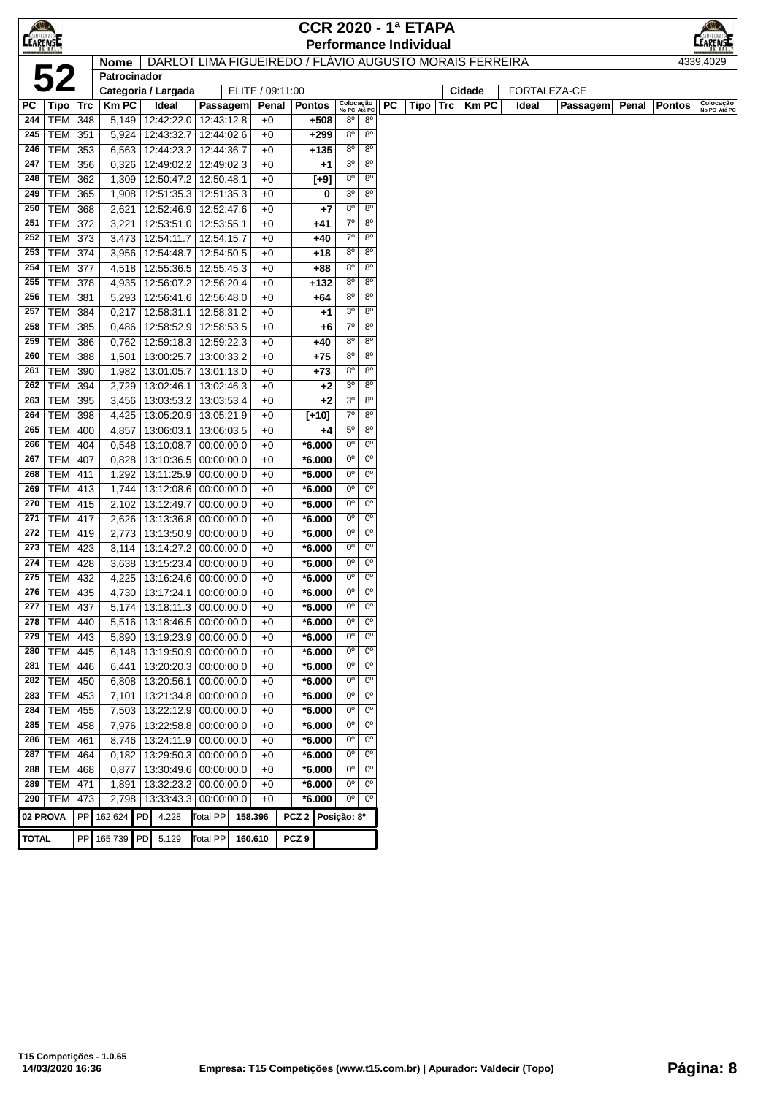|                 |                                  |     |                     |             |                                                    |                                                         |                   |                      |                             |                               |           | <b>CCR 2020 - 1ª ETAPA</b>    |              |       |              |       |               |                           |
|-----------------|----------------------------------|-----|---------------------|-------------|----------------------------------------------------|---------------------------------------------------------|-------------------|----------------------|-----------------------------|-------------------------------|-----------|-------------------------------|--------------|-------|--------------|-------|---------------|---------------------------|
| <b>CEARENSE</b> |                                  |     |                     |             |                                                    |                                                         |                   |                      |                             |                               |           | <b>Performance Individual</b> |              |       |              |       |               | <b>MPEONATOM</b>          |
|                 |                                  |     | <b>Nome</b>         |             |                                                    | DARLOT LIMA FIGUEIREDO / FLÁVIO AUGUSTO MORAIS FERREIRA |                   |                      |                             |                               |           |                               |              |       |              |       |               | 4339,4029                 |
|                 | 52                               |     | Patrocinador        |             |                                                    |                                                         |                   |                      |                             |                               |           |                               |              |       |              |       |               |                           |
|                 |                                  |     | Categoria / Largada |             |                                                    | ELITE / 09:11:00                                        |                   |                      |                             |                               |           |                               | Cidade       |       | FORTALEZA-CE |       |               |                           |
| РC              | $Tipo$ Trc                       |     | KmPC                | Ideal       | Passagem                                           | Penal                                                   |                   | <b>Pontos</b>        | Colocação<br>No PC Até PC   |                               | <b>PC</b> | Tipo $ $ Trc $ $              | <b>Km PC</b> | Ideal | Passagem     | Penal | <b>Pontos</b> | Colocação<br>No PC Até PC |
| 244<br>245      | <b>TEM 348</b><br><b>TEM 351</b> |     | 5,149<br>5,924      |             | 12:42:22.0 12:43:12.8<br>12:43:32.7   12:44:02.6   | $+0$<br>$+0$                                            |                   | +508<br>$+299$       | 80<br>$8^{\circ}$           | $8^{\circ}$<br>$8^{\circ}$    |           |                               |              |       |              |       |               |                           |
| 246             | TEM 353                          |     | 6,563               |             | 12:44:23.2 12:44:36.7                              | $+0$                                                    |                   | $+135$               | $8^{\circ}$                 | $8^{\circ}$                   |           |                               |              |       |              |       |               |                           |
| 247             | TEM 356                          |     | 0,326               |             | 12:49:02.2 12:49:02.3                              | $+0$                                                    |                   | +1                   | 3 <sup>o</sup>              | $8^{\circ}$                   |           |                               |              |       |              |       |               |                           |
| 248             | TEM 362                          |     | 1,309               |             | 12:50:47.2   12:50:48.1                            | $+0$                                                    |                   | $[+9]$               | $8^{\circ}$                 | $8^{\circ}$                   |           |                               |              |       |              |       |               |                           |
| 249             | <b>TEM 365</b>                   |     | 1,908               |             | 12:51:35.3 12:51:35.3                              | $+0$                                                    |                   | 0                    | 3 <sup>o</sup>              | $8^{\circ}$                   |           |                               |              |       |              |       |               |                           |
| 250             | <b>TEM</b>                       | 368 | 2,621               |             | 12:52:46.9   12:52:47.6                            | $+0$                                                    |                   | +7                   | 80                          | $8^{\circ}$                   |           |                               |              |       |              |       |               |                           |
| 251             | <b>TEM</b>                       | 372 | 3,221               |             | 12:53:51.0   12:53:55.1                            | $+0$                                                    |                   | +41                  | $7^\circ$                   | $8^{\circ}$                   |           |                               |              |       |              |       |               |                           |
| 252             | TEM 373                          |     | 3,473               | 12:54:11.7  | 12:54:15.7                                         | $+0$                                                    |                   | +40                  | $7^\circ$                   | 8 <sup>o</sup>                |           |                               |              |       |              |       |               |                           |
| 253             | <b>TEM 374</b>                   |     | 3,956               |             | 12:54:48.7   12:54:50.5                            | $+0$                                                    |                   | $+18$                | $8^{\circ}$                 | $8^{\circ}$                   |           |                               |              |       |              |       |               |                           |
| 254             | <b>TEM 377</b>                   |     | 4,518               |             | 12:55:36.5   12:55:45.3                            | $+0$                                                    |                   | $+88$                | $8^{\circ}$                 | $8^{\circ}$                   |           |                               |              |       |              |       |               |                           |
| 255             | <b>TEM 378</b>                   |     | 4,935               |             | 12:56:07.2 12:56:20.4                              | $+0$                                                    |                   | +132                 | $8^{\circ}$                 | $8^{\circ}$                   |           |                               |              |       |              |       |               |                           |
| 256             | <b>TEM 381</b>                   |     | 5,293               |             | 12:56:41.6   12:56:48.0                            | $+0$                                                    |                   | +64                  | $8^{\circ}$                 | $8^{\circ}$                   |           |                               |              |       |              |       |               |                           |
| 257             | <b>TEM 384</b>                   |     | 0,217               | 12:58:31.1  | 12:58:31.2                                         | $+0$                                                    |                   | +1                   | 3 <sup>o</sup>              | $8^{\circ}$                   |           |                               |              |       |              |       |               |                           |
| 258             | TEM 385                          |     | 0,486               |             | 12:58:52.9 12:58:53.5                              | $+0$                                                    |                   | +6                   | $7^\circ$                   | $8^{\circ}$                   |           |                               |              |       |              |       |               |                           |
| 259             | <b>TEM</b>                       | 386 | 0,762               |             | 12:59:18.3 12:59:22.3                              | $+0$                                                    |                   | $+40$                | $8^{\circ}$                 | $8^{\circ}$                   |           |                               |              |       |              |       |               |                           |
| 260             | <b>TEM</b>                       | 388 | 1,501               |             | 13:00:25.7   13:00:33.2                            | $+0$                                                    |                   | $+75$                | $8^{\circ}$                 | $8^{\circ}$                   |           |                               |              |       |              |       |               |                           |
| 261             | TEM 390                          |     | 1,982               | 13:01:05.7  | 13:01:13.0                                         | $+0$                                                    |                   | $+73$                | 8 <sup>o</sup>              | 8 <sup>o</sup>                |           |                               |              |       |              |       |               |                           |
| 262             | TEM 394                          |     | 2,729               | 13:02:46.1  | 13:02:46.3                                         | $+0$                                                    |                   | +2                   | 3 <sup>o</sup>              | $8^{\circ}$                   |           |                               |              |       |              |       |               |                           |
| 263             | TEM 395                          |     | 3,456               |             | 13:03:53.2 13:03:53.4                              | $+0$                                                    |                   | $+2$                 | 3 <sup>o</sup><br>$7^\circ$ | $8^{\circ}$<br>$8^{\circ}$    |           |                               |              |       |              |       |               |                           |
| 264<br>265      | TEM 398<br><b>TEM 400</b>        |     | 4,425<br>4,857      |             | 13:05:20.9   13:05:21.9<br>13:06:03.1   13:06:03.5 | $+0$<br>$+0$                                            |                   | $[+10]$<br>+4        | $5^{\circ}$                 | $8^{\circ}$                   |           |                               |              |       |              |       |               |                           |
| 266             | <b>TEM 404</b>                   |     | 0,548               | 13:10:08.7  | 00:00:00.0                                         | $+0$                                                    |                   | $*6.000$             | $0^{\circ}$                 | 0 <sup>o</sup>                |           |                               |              |       |              |       |               |                           |
| 267             | <b>TEM 407</b>                   |     | 0,828               |             | 13:10:36.5 00:00:00.0                              | $+0$                                                    |                   | $*6.000$             | 0°                          | $0^{\circ}$                   |           |                               |              |       |              |       |               |                           |
| 268             | <b>TEM 411</b>                   |     | 1,292               |             | 13:11:25.9 00:00:00.0                              | $+0$                                                    |                   | $*6.000$             | 0°                          | $0^{\circ}$                   |           |                               |              |       |              |       |               |                           |
| 269             | <b>TEM 413</b>                   |     | 1,744               |             | 13:12:08.6 00:00:00.0                              | $+0$                                                    |                   | $*6.000$             | $0^{\circ}$                 | $0^{\circ}$                   |           |                               |              |       |              |       |               |                           |
| 270             | $TEM$ 415                        |     | 2,102               |             | 13:12:49.7 00:00:00.0                              | $+0$                                                    |                   | $*6.000$             | $0^{\circ}$                 | $0^{\circ}$                   |           |                               |              |       |              |       |               |                           |
| 271             | <b>TEM 417</b>                   |     | 2,626               |             | 13:13:36.8 00:00:00.0                              | $+0$                                                    |                   | $*6.000$             | $0^{\circ}$                 | $0^{\circ}$                   |           |                               |              |       |              |       |               |                           |
| 272             | <b>TEM 419</b>                   |     | 2,773               |             | 13:13:50.9 00:00:00.0                              | $+0$                                                    |                   | $*6.000$             | 0°                          | $0^{\circ}$                   |           |                               |              |       |              |       |               |                           |
| 273             | <b>TEM 423</b>                   |     | 3,114               |             | 13:14:27.2 00:00:00.0                              | $+0$                                                    |                   | $*6.000$             | 0°                          | $0^{\circ}$                   |           |                               |              |       |              |       |               |                           |
| 274             | $TEM$ 428                        |     | 3,638               |             | 13:15:23.4 00:00:00.0                              | $+0$                                                    |                   | $*6.000$             | $0^{\circ}$                 | $0^{\circ}$                   |           |                               |              |       |              |       |               |                           |
| 275             | <b>TEM 432</b>                   |     | 4,225               |             | 13:16:24.6 00:00:00.0                              | $+0$                                                    |                   | $*6.000$             | 0°                          | $0^{\circ}$                   |           |                               |              |       |              |       |               |                           |
| 276             | TEM 435                          |     | 4,730               |             | 13:17:24.1 00:00:00.0                              | $+0$                                                    |                   | *6.000               | 0°                          | $0^{\circ}$                   |           |                               |              |       |              |       |               |                           |
| 277             | <b>TEM 437</b>                   |     | 5,174               |             | 13:18:11.3 00:00:00.0                              | $+0$                                                    |                   | *6.000               | 0°                          | 0°                            |           |                               |              |       |              |       |               |                           |
| 278             | <b>TEM 440</b>                   |     | 5,516               | 13:18:46.5  | 00:00:00.0                                         | $+0$                                                    |                   | *6.000               | 0°                          | 0 <sup>o</sup>                |           |                               |              |       |              |       |               |                           |
| 279             | $TEM$ 443                        |     | 5,890               |             | 13:19:23.9 00:00:00.0                              | $+0$                                                    |                   | $*6.000$             | 0 <sup>o</sup>              | 0 <sup>o</sup>                |           |                               |              |       |              |       |               |                           |
| 280             | <b>TEM 445</b>                   |     | 6,148               |             | 13:19:50.9 00:00:00.0                              | $+0$                                                    |                   | $*6.000$             | 0 <sup>o</sup><br>0°        | 0 <sup>o</sup><br>$0^{\circ}$ |           |                               |              |       |              |       |               |                           |
| 281<br>282      | TEM   446<br>TEM   450           |     | 6,441               | 13:20:56.1  | 13:20:20.3 00:00:00.0<br> 00:00:00.0               | $+0$<br>$+0$                                            |                   | $*6.000$<br>$*6.000$ | $0^{\circ}$                 | $0^{\circ}$                   |           |                               |              |       |              |       |               |                           |
| 283             | $TEM$ 453                        |     | 6,808<br>7,101      |             | 13:21:34.8 00:00:00.0                              | $+0$                                                    |                   | $*6.000$             | $0^{\circ}$                 | 0 <sup>o</sup>                |           |                               |              |       |              |       |               |                           |
| 284             | <b>TEM 455</b>                   |     | 7,503               |             | 13:22:12.9 00:00:00.0                              | $+0$                                                    |                   | $*6.000$             | $0^{\circ}$                 | 0 <sup>o</sup>                |           |                               |              |       |              |       |               |                           |
| 285             | TEM   458                        |     | 7,976               |             | 13:22:58.8 00:00:00.0                              | $+0$                                                    |                   | *6.000               | $0^{\circ}$                 | 0 <sup>o</sup>                |           |                               |              |       |              |       |               |                           |
| 286             | TEM   461                        |     | 8,746               |             | 13:24:11.9 00:00:00.0                              | $+0$                                                    |                   | $*6.000$             | 0°                          | 0 <sup>o</sup>                |           |                               |              |       |              |       |               |                           |
| 287             | <b>TEM 464</b>                   |     | 0,182               |             | 13:29:50.3 00:00:00.0                              | $+0$                                                    |                   | $*6.000$             | 0°                          | $0^{\circ}$                   |           |                               |              |       |              |       |               |                           |
| 288             | <b>TEM 468</b>                   |     | 0,877               |             | 13:30:49.6 00:00:00.0                              | $+0$                                                    |                   | $*6.000$             | $0^{\circ}$                 | 0 <sup>o</sup>                |           |                               |              |       |              |       |               |                           |
| 289             | TEM   471                        |     | 1,891               |             | 13:32:23.2 00:00:00.0                              | $+0$                                                    |                   | $*6.000$             | $0^{\circ}$                 | 0 <sup>o</sup>                |           |                               |              |       |              |       |               |                           |
| 290             | TEM 473                          |     | 2,798               |             | 13:33:43.3 00:00:00.0                              | $+0$                                                    |                   | $*6.000$             | 0°                          | $0^{\circ}$                   |           |                               |              |       |              |       |               |                           |
|                 | 02 PROVA                         |     | PP 162.624 PD       | 4.228       | Total PP                                           | 158.396                                                 | PCZ 2 Posição: 8º |                      |                             |                               |           |                               |              |       |              |       |               |                           |
|                 |                                  |     |                     |             |                                                    |                                                         |                   |                      |                             |                               |           |                               |              |       |              |       |               |                           |
| <b>TOTAL</b>    |                                  |     | PP 165.739          | PD<br>5.129 | <b>Total PP</b>                                    | 160.610                                                 | PCZ <sub>9</sub>  |                      |                             |                               |           |                               |              |       |              |       |               |                           |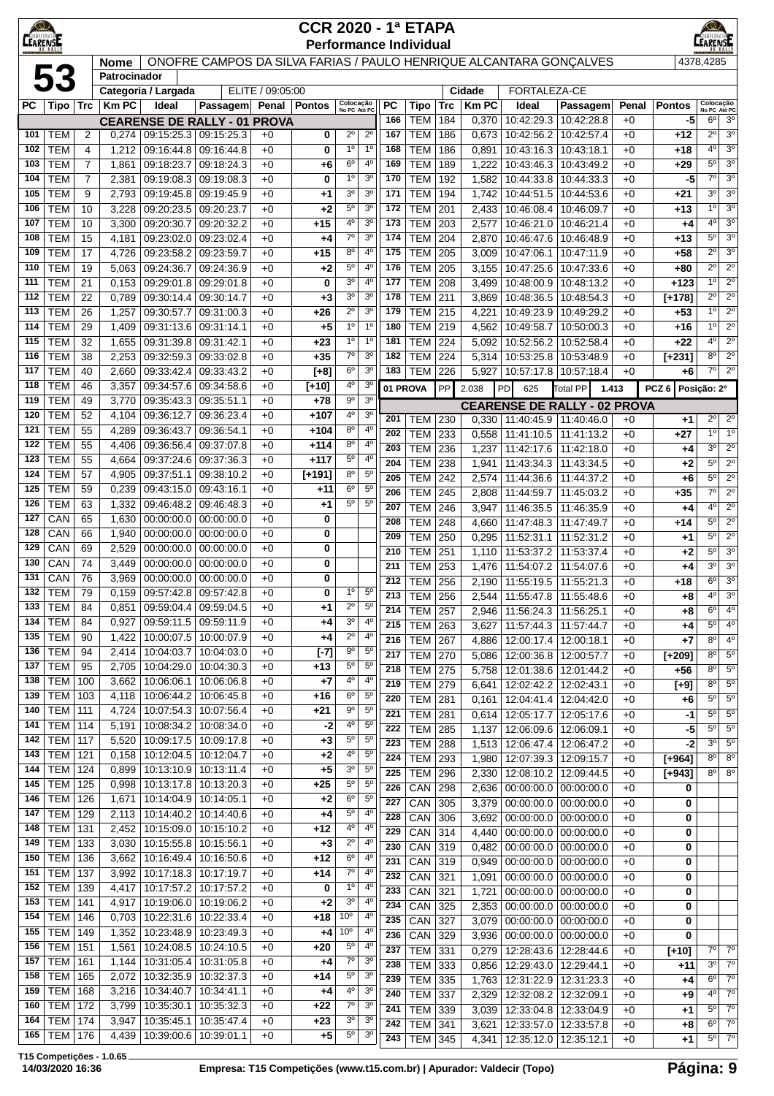| LEARENTE   |                          |                     |                |                          |                                                                    |                  | <b>CCR 2020 - 1ª ETAPA</b><br><b>Performance Individual</b> |                                  |                                  |            |                              |            |                |                                                        |                          |              |                        |                                       | <b>EARENSE</b>                   |
|------------|--------------------------|---------------------|----------------|--------------------------|--------------------------------------------------------------------|------------------|-------------------------------------------------------------|----------------------------------|----------------------------------|------------|------------------------------|------------|----------------|--------------------------------------------------------|--------------------------|--------------|------------------------|---------------------------------------|----------------------------------|
|            |                          |                     | <b>Nome</b>    |                          | ONOFRE CAMPOS DA SILVA FARIAS / PAULO HENRIQUE ALCANTARA GONÇALVES |                  |                                                             |                                  |                                  |            |                              |            |                |                                                        |                          |              |                        | 4378,4285                             |                                  |
|            | 53                       |                     | Patrocinador   | Categoria / Largada      |                                                                    | ELITE / 09:05:00 |                                                             |                                  |                                  |            |                              |            | Cidade         | <b>FORTALEZA-CE</b>                                    |                          |              |                        |                                       |                                  |
| PC         | <b>Tipo</b>              | Trc                 | <b>Km PC</b>   | Ideal                    | Passagem Penal Pontos                                              |                  |                                                             | Colocação<br>No PC Até PC        |                                  | РC         | Tipo                         | Trc        | <b>Km PC</b>   | Ideal                                                  | Passagem                 |              | Penal<br><b>Pontos</b> |                                       | Colocação<br>No PC Até PC        |
|            |                          |                     |                |                          | <b>CEARENSE DE RALLY - 01 PROVA</b>                                |                  |                                                             |                                  |                                  | 166        | <b>TEM</b>                   | 184        | 0,370          | 10:42:29.3                                             | 10:42:28.8               | $+0$         |                        | $6^{\circ}$<br>-5                     | 3 <sup>0</sup>                   |
| 101        | тем                      | $\overline{2}$      | 0,274          |                          | 09:15:25.3 09:15:25.3                                              | $+0$             | 0                                                           | $2^{\circ}$                      | $2^{\circ}$                      | 167        | <b>TEM</b>                   | 186        | 0,673          | 10:42:56.2                                             | 10:42:57.4               | $+0$         | +12                    | $2^{\circ}$                           | 3 <sup>0</sup>                   |
| 102        | <b>TEM</b>               | 4                   | 1,212          | 09:16:44.8               | 09:16:44.8                                                         | $+0$             | 0                                                           | 1 <sup>0</sup>                   | 1 <sup>0</sup>                   | 168        | <b>TEM</b>                   | 186        | 0,891          | 10:43:16.3                                             | 10:43:18.1               | +0           | +18                    | $4^{\circ}$                           | 3 <sup>0</sup>                   |
| 103        | <b>TEM</b>               | 7                   | 1,861          | 09:18:23.7               | 09:18:24.3                                                         | $+0$             | +6                                                          | 6 <sup>o</sup><br>1 <sup>0</sup> | $4^{\circ}$<br>3 <sup>o</sup>    | 169        | <b>TEM</b>                   | 189        | 1,222          | 10:43:46.3                                             | 10:43:49.2               | $+0$         | +29                    | $5^{\circ}$<br>7 <sup>0</sup>         | 3 <sup>o</sup><br>3 <sup>o</sup> |
| 104<br>105 | <b>TEM</b><br><b>TEM</b> | $\overline{7}$<br>9 | 2,381<br>2,793 |                          | 09:19:08.3 09:19:08.3<br>09:19:45.8 09:19:45.9                     | $+0$<br>$+0$     | 0<br>+1                                                     | 3 <sup>o</sup>                   | 3 <sup>o</sup>                   | 170<br>171 | <b>TEM</b><br><b>TEM</b>     | 192<br>194 | 1,582<br>1,742 | 10:44:33.8<br>10:44:51.5                               | 10:44:33.3<br>10:44:53.6 | $+0$<br>$+0$ | $+21$                  | $-5$<br>30                            | 3 <sup>o</sup>                   |
| 106        | <b>TEM</b>               | 10                  | 3,228          | 09:20:23.5               | 09:20:23.7                                                         | $+0$             | +2                                                          | $5^{\circ}$                      | 3 <sup>o</sup>                   | 172        | <b>TEM</b>                   | 201        | 2,433          | 10:46:08.4                                             | 10:46:09.7               | $+0$         | $+13$                  | 1 <sup>0</sup>                        | 3 <sup>0</sup>                   |
| 107        | <b>TEM</b>               | 10                  | 3,300          | 09:20:30.7               | 09:20:32.2                                                         | $+0$             | $+15$                                                       | 4°                               | 3 <sup>o</sup>                   | 173        | <b>TEM</b>                   | 203        | 2,577          | 10:46:21.0                                             | 10:46:21.4               | $+0$         | $+4$                   | 4°                                    | 30                               |
| 108        | <b>TEM</b>               | 15                  | 4,181          | 09:23:02.0               | 09:23:02.4                                                         | $+0$             | +4                                                          | $7^\circ$                        | 3 <sup>o</sup>                   | 174        | <b>TEM</b>                   | 204        | 2,870          | 10:46:47.6                                             | 10:46:48.9               | $+0$         | $+13$                  | $5^{\circ}$                           | 3 <sup>o</sup>                   |
| 109        | <b>TEM</b>               | 17                  | 4,726          | 09:23:58.2               | 09:23:59.7                                                         | $+0$             | $+15$                                                       | $8^{\circ}$                      | $4^{\circ}$                      | 175        | <b>TEM</b>                   | 205        | 3,009          | 10:47:06.1                                             | 10:47:11.9               | $+0$         | $+58$                  | $2^{\circ}$                           | 3 <sup>o</sup>                   |
| 110        | <b>TEM</b>               | 19                  | 5,063          | 09:24:36.7               | 09:24:36.9                                                         | $+0$             | +2                                                          | $5^{\circ}$                      | $4^{\circ}$                      | 176        | <b>TEM</b>                   | 205        | 3,155          | 10:47:25.6                                             | 10:47:33.6               | $+0$         | $+80$                  | $2^{\circ}$                           | $2^{\circ}$                      |
| 111        | <b>TEM</b>               | 21                  | 0,153          | 09:29:01.8               | 09:29:01.8                                                         | $+0$             | 0                                                           | 3 <sup>o</sup><br>3 <sup>o</sup> | $4^{\circ}$                      | 177        | <b>TEM</b>                   | 208        | 3,499          | 10:48:00.9                                             | 10:48:13.2               | $+0$         | +123                   | 1 <sup>0</sup><br>$2^{\circ}$         | $2^{\circ}$<br>$2^{\circ}$       |
| 112<br>113 | <b>TEM</b><br><b>TEM</b> | 22<br>26            | 0,789<br>1,257 |                          | 09:30:14.4 09:30:14.7<br>09:30:57.7 09:31:00.3                     | $+0$<br>$+0$     | $+3$<br>$+26$                                               | $2^{\circ}$                      | 3 <sup>o</sup><br>3 <sup>o</sup> | 178<br>179 | <b>TEM</b><br><b>TEM</b>     | 211<br>215 | 3,869<br>4,221 | 10:48:36.5<br>10:49:23.9                               | 10:48:54.3<br>10:49:29.2 | +0<br>$+0$   | $[+178]$<br>$+53$      | 1 <sup>0</sup>                        | $2^{\circ}$                      |
| 114        | <b>TEM</b>               | 29                  | 1,409          |                          | 09:31:13.6 09:31:14.1                                              | $+0$             | $+5$                                                        | 1 <sup>0</sup>                   | 1 <sup>0</sup>                   | 180        | <b>TEM</b>                   | 219        | 4,562          | 10:49:58.7                                             | 10:50:00.3               | $+0$         | $+16$                  | 1 <sup>0</sup>                        | $2^{\circ}$                      |
| 115        | <b>TEM</b>               | 32                  | 1,655          | 09:31:39.8               | 09:31:42.1                                                         | $+0$             | $+23$                                                       | 1 <sup>0</sup>                   | 1 <sup>0</sup>                   | 181        | <b>TEM</b>                   | 224        | 5,092          | 10:52:56.2                                             | 10:52:58.4               | $+0$         | $+22$                  | 4 <sup>0</sup>                        | $2^{\circ}$                      |
| 116        | <b>TEM</b>               | 38                  | 2,253          | 09:32:59.3               | 09:33:02.8                                                         | $+0$             | $+35$                                                       | $7^\circ$                        | 3 <sup>o</sup>                   | 182        | <b>TEM</b>                   | 224        | 5,314          | 10:53:25.8                                             | 10:53:48.9               | $+0$         | $[+231]$               | $8^{\circ}$                           | $2^{\circ}$                      |
| 117        | <b>TEM</b>               | 40                  | 2,660          | 09:33:42.4               | 09:33:43.2                                                         | $+0$             | $[+8]$                                                      | 6 <sup>o</sup>                   | 3 <sup>o</sup>                   | 183        | <b>TEM</b>                   | 226        | 5,927          | 10:57:17.8                                             | 10:57:18.4               | $+0$         | $+6$                   | 7 <sup>0</sup>                        | $2^{\circ}$                      |
| 118        | TEM                      | 46                  | 3,357          | 09:34:57.6               | 09:34:58.6                                                         | $+0$             | $[+10]$                                                     | $4^{\circ}$                      | 3 <sup>o</sup>                   |            | 01 PROVA                     | PP         | 2.038          | 625<br>PD                                              | Total PP                 | 1.413        | PCZ <sub>6</sub>       | Posição: 2º                           |                                  |
| 119        | <b>TEM</b>               | 49                  | 3,770          | 09:35:43.3               | 09:35:51.1                                                         | $+0$             | $+78$                                                       | $9^{\circ}$                      | 3 <sup>o</sup>                   |            |                              |            |                | <b>CEARENSE DE RALLY - 02 PROVA</b>                    |                          |              |                        |                                       |                                  |
| 120<br>121 | <b>TEM</b><br><b>TEM</b> | 52<br>55            | 4,104<br>4,289 | 09:36:12.7<br>09:36:43.7 | 09:36:23.4<br>09:36:54.1                                           | $+0$<br>$+0$     | +107<br>+104                                                | 4°<br>$8^{\circ}$                | 3 <sup>o</sup><br>$4^{\circ}$    | 201        | <b>TEM</b>                   | 230        |                | 0.330 11:40:45.9 11:40:46.0                            |                          | $+0$         |                        | $2^{\circ}$<br>$+1$                   | $\overline{2^0}$                 |
| 122        | <b>TEM</b>               | 55                  | 4,406          | 09:36:56.4               | 09:37:07.8                                                         | $+0$             | +114                                                        | 8 <sup>o</sup>                   | 4 <sup>0</sup>                   | 202<br>203 | <b>TEM</b><br><b>TEM</b>     | 233        | 0,558          | 11:41:10.5                                             | 11:41:13.2               | $+0$         | $+27$                  | 1 <sup>0</sup><br>3 <sup>0</sup>      | 1 <sup>0</sup><br>$2^{\circ}$    |
| 123        | TEM                      | 55                  | 4,664          |                          | 09:37:24.6 09:37:36.3                                              | $+0$             | $+117$                                                      | $5^{\circ}$                      | $4^{\circ}$                      | 204        | <b>TEM</b>                   | 236<br>238 | 1,237<br>1,941 | 11:42:17.6<br>11:43:34.3                               | 11:42:18.0<br>11:43:34.5 | $+0$<br>$+0$ | $+2$                   | $+4$<br>$5^{\circ}$                   | $2^{\circ}$                      |
| 124        | <b>TEM</b>               | 57                  | 4,905          | 09:37:51.1               | 09:38:10.2                                                         | $+0$             | $[+191]$                                                    | 80                               | $5^{\circ}$                      | 205        | <b>TEM</b>                   | 242        | 2,574          | 11:44:36.6                                             | 11:44:37.2               | $+0$         | $+6$                   | $5^{\circ}$                           | $2^{\circ}$                      |
| 125        | <b>TEM</b>               | 59                  | 0,239          | 09:43:15.0               | 09:43:16.1                                                         | $+0$             | $+11$                                                       | $6^{\circ}$                      | $5^{\circ}$                      | 206        | <b>TEM</b>                   | 245        | 2,808          | 11:44:59.7                                             | 11:45:03.2               | +0           | $+35$                  | $7^{\circ}$                           | $2^{\circ}$                      |
| 126        | <b>TEM</b>               | 63                  | 1,332          | 09:46:48.2               | 09:46:48.3                                                         | $+0$             | +1                                                          | $5^{\circ}$                      | $5^{\circ}$                      | 207        | <b>TEM</b>                   | 246        | 3,947          | 11:46:35.5                                             | 11:46:35.9               | $+0$         | $+4$                   | 4 <sup>0</sup>                        | $2^{\circ}$                      |
| 127        | CAN                      | 65                  | 1,630          | 00:00:00.0               | 00:00:00.0                                                         | $+0$             | 0                                                           |                                  |                                  | 208        | <b>TEM</b>                   | 248        | 4,660          | 11:47:48.3                                             | 11:47:49.7               | $+0$         | $+14$                  | $5^{\circ}$                           | $2^{\circ}$                      |
| 128<br>129 | CAN<br>CAN               | 66<br>69            | 1,940<br>2,529 | 00:00:00.0<br>00:00:00.0 | 00:00:00.0<br>00:00:00.0                                           | $+0$<br>$+0$     | 0<br>0                                                      |                                  |                                  | 209        | <b>TEM</b>                   | 250        | 0,295          | 11:52:31.1                                             | 11:52:31.2               | $+0$         | $+1$                   | $5^{\circ}$                           | $2^{\circ}$                      |
| 130        | CAN                      | 74                  | 3,449          | 00:00:00.0               | 00:00:00.0                                                         | $+0$             | 0                                                           |                                  |                                  | 210        | <b>TEM</b>                   | 251        | 1,110          | 11:53:37.2                                             | 11:53:37.4               | $+0$         | +2                     | $5^{\circ}$                           | 3 <sup>o</sup>                   |
| 131        | CAN                      | 76                  | 3,969          | 00:00:00.0               | 00:00:00.0                                                         | $+0$             | 0                                                           |                                  |                                  | 211<br>212 | <b>TEM</b><br><b>TEM</b>     | 253<br>256 | 1,476<br>2,190 | 11:54:07.2<br>11:55:19.5                               | 11:54:07.6<br>11:55:21.3 | $+0$<br>$+0$ | $+18$                  | 3 <sup>0</sup><br>$+4$<br>$6^{\circ}$ | 3 <sup>o</sup><br>3 <sup>o</sup> |
| 132        | <b>TEM</b>               | 79                  | 0,159          |                          | 09:57:42.8 09:57:42.8                                              | $+0$             | 0                                                           | $1^{\circ}$                      | $5^{\circ}$                      | 213        | <b>TEM</b>                   | 256        |                | 2,544   11:55:47.8   11:55:48.6                        |                          | $+0$         |                        | 4 <sup>0</sup><br>$+8$                | $\overline{3^0}$                 |
| 133        | <b>TEM</b>               | 84                  |                |                          | $0,851$   09:59:04.4   09:59:04.5                                  | +0               | +1                                                          | $2^{\circ}$                      | $5^{\circ}$                      | 214        | <b>TEM 257</b>               |            | 2,946          | 11:56:24.3                                             | 11:56:25.1               | $+0$         | $+8$                   | $6^{\circ}$                           | 4 <sup>0</sup>                   |
| 134        | <b>TEM</b>               | 84                  | 0,927          | 09:59:11.5               | 09:59:11.9                                                         | $+0$             | +4                                                          | $3^{\rm o}$                      | $4^{\circ}$                      | 215        | $TEM$ 263                    |            | 3,627          | 11:57:44.3                                             | 11:57:44.7               | $+0$         |                        | $5^{\circ}$<br>$+4$                   | 4 <sup>0</sup>                   |
| 135        | <b>TEM</b>               | 90                  | 1,422          | 10:00:07.5               | 10:00:07.9                                                         | $+0$             | $+4$                                                        | $2^{\circ}$                      | 4 <sup>0</sup>                   | 216        | <b>TEM 267</b>               |            | 4,886          | 12:00:17.4 12:00:18.1                                  |                          | $+0$         |                        | $8^{\circ}$<br>$+7$                   | 4 <sup>0</sup>                   |
| 136<br>137 | <b>TEM</b><br><b>TEM</b> | 94<br>95            | 2,414<br>2,705 | 10:04:03.7<br>10:04:29.0 | 10:04:03.0<br>10:04:30.3                                           | $+0$<br>$+0$     | $[-7]$<br>+13                                               | 9 <sup>o</sup><br>$5^{\circ}$    | 5 <sup>o</sup><br>$5^{\circ}$    | 217        | <b>TEM 270</b>               |            | 5,086          | 12:00:36.8                                             | 12:00:57.7               | $+0$         | $[+209]$               | $8^{\circ}$                           | $5^{\circ}$                      |
| 138        | <b>TEM</b>               | 100                 | 3,662          | 10:06:06.1               | 10:06:06.8                                                         | $+0$             | +7                                                          | 4°                               | $4^{\circ}$                      | 218<br>219 | <b>TEM 275</b><br><b>TEM</b> | 279        | 5,758          | 12:01:38.6   12:01:44.2                                | 12:02:43.1               | $+0$         | $+56$                  | $8^{\circ}$<br>$8^{\circ}$            | $5^{\circ}$<br>$5^{\circ}$       |
| 139        | <b>TEM</b>               | 103                 | 4,118          | 10:06:44.2               | 10:06:45.8                                                         | $+0$             | +16                                                         | $6^{\circ}$                      | $5^{\rm o}$                      | 220        | TEM                          | 281        | 6,641<br>0,161 | 12:02:42.2<br>12:04:41.4                               | 12:04:42.0               | $+0$<br>$+0$ | $[+9]$                 | $5^{\circ}$<br>$+6$                   | $5^{\circ}$                      |
| 140        | <b>TEM</b>               | 111                 | 4,724          | 10:07:54.3               | 10:07:56.4                                                         | $+0$             | $+21$                                                       | 9 <sup>o</sup>                   | 5 <sup>o</sup>                   | 221        | TEM                          | 281        | 0.614          | 12:05:17.7                                             | 12:05:17.6               | $+0$         |                        | $5^{\circ}$<br>-1                     | $5^{\circ}$                      |
| 141        | <b>TEM</b>               | 114                 | 5,191          | 10:08:34.2               | 10:08:34.0                                                         | $+0$             | $-2$                                                        | 4 <sup>0</sup>                   | $5^{\circ}$                      | 222        | <b>TEM 285</b>               |            | 1,137          | 12:06:09.6                                             | 12:06:09.1               | $+0$         |                        | $5^{\circ}$<br>$-5$                   | 5 <sup>o</sup>                   |
| 142        | TEM                      | 117                 | 5,520          | 10:09:17.5               | 10:09:17.8                                                         | $+0$             | $+3$                                                        | $5^{\circ}$                      | $5^{\circ}$                      | 223        | <b>TEM</b>                   | 288        | 1,513          | 12:06:47.4                                             | 12:06:47.2               | $+0$         |                        | 3 <sup>0</sup><br>$-2$                | 5 <sup>0</sup>                   |
| 143<br>144 | <b>TEM</b><br><b>TEM</b> | 121<br>124          | 0,158<br>0,899 | 10:12:04.5<br>10:13:10.9 | 10:12:04.7<br>10:13:11.4                                           | $+0$<br>$+0$     | $+2$<br>$+5$                                                | $4^{\circ}$<br>$3^{\rm o}$       | $5^{\circ}$<br>$5^{\circ}$       | 224        | <b>TEM</b>                   | 293        | 1,980          | 12:07:39.3                                             | 12:09:15.7               | $+0$         | $[+964]$               | $8^{\circ}$                           | 8 <sup>0</sup>                   |
| 145        | <b>TEM</b>               | 125                 | 0,998          | 10:13:17.8               | 10:13:20.3                                                         | $+0$             | $+25$                                                       | $5^{\circ}$                      | $5^{\circ}$                      | 225        | <b>TEM</b>                   | 296        | 2,330          | 12:08:10.2                                             | 12:09:44.5               | $+0$         | $[+943]$               | $8^{\circ}$                           | $8^{\circ}$                      |
| 146        | <b>TEM</b>               | 126                 | 1,671          | 10:14:04.9               | 10:14:05.1                                                         | $+0$             | $+2$                                                        | $6^{\circ}$                      | $5^{\circ}$                      | 226<br>227 | CAN<br>CAN                   | 298<br>305 | 2,636<br>3,379 | $00:00:00.0$ 00:00:00.0<br>$00:00:00.0$   $00:00:00.0$ |                          | $+0$<br>$+0$ |                        | 0<br>0                                |                                  |
| 147        | <b>TEM</b>               | 129                 | 2,113          | 10:14:40.2               | 10:14:40.6                                                         | $+0$             | +4                                                          | $5^{\circ}$                      | $4^{\circ}$                      | 228        | CAN                          | 306        | 3,692          | $\overline{00}$ :00:00.0                               | 00:00:00.0               | $+0$         |                        | 0                                     |                                  |
| 148        | <b>TEM</b>               | 131                 | 2,452          | 10:15:09.0               | 10:15:10.2                                                         | $+0$             | $+12$                                                       | 4°                               | $4^{\circ}$                      | 229        | CAN                          | 314        | 4,440          | 00:00:00.0                                             | 00:00:00.0               | $+0$         |                        | 0                                     |                                  |
| 149        | <b>TEM</b>               | 133                 | 3,030          | 10:15:55.8               | 10:15:56.1                                                         | $+0$             | $+3$                                                        | $2^{\circ}$                      | 4 <sup>0</sup>                   | 230        | CAN                          | 319        | 0,482          | 00:00:00.0                                             | 00:00:00.0               | $+0$         |                        | 0                                     |                                  |
| 150        | <b>TEM</b>               | 136                 | 3,662          |                          | 10:16:49.4   10:16:50.6                                            | $+0$             | $+12$                                                       | $6^{\circ}$                      | 4 <sup>0</sup>                   | 231        | CAN                          | 319        | 0,949          | $00:00:00.0$   $00:00:00.0$                            |                          | $+0$         |                        | 0                                     |                                  |
| 151<br>152 | <b>TEM</b>               | 137                 | 3,992          |                          | 10:17:18.3 10:17:19.7                                              | $+0$             | $+14$                                                       | $7^\circ$<br>1 <sup>0</sup>      | $4^{\circ}$<br>$4^{\circ}$       | 232        | CAN                          | 321        | 1,091          | 00:00:00.0                                             | 00:00:00.0               | $+0$         |                        | 0                                     |                                  |
| 153        | <b>TEM</b><br><b>TEM</b> | 139<br>141          | 4,417<br>4,917 | 10:17:57.2<br>10:19:06.0 | 10:17:57.2<br>10:19:06.2                                           | $+0$<br>$+0$     | 0<br>$+2$                                                   | 3 <sup>o</sup>                   | 4 <sup>0</sup>                   | 233        | CAN                          | 321        | 1,721          | 00:00:00.0                                             | 00:00:00.0               | $+0$         |                        | 0                                     |                                  |
| 154        | <b>TEM</b>               | 146                 | 0,703          | 10:22:31.6               | 10:22:33.4                                                         | $+0$             | $+18$                                                       | 10 <sup>o</sup>                  | 4 <sup>0</sup>                   | 234<br>235 | CAN<br>CAN 327               | 325        | 2,353<br>3,079 | 00:00:00.0<br>$00:00:00.0$ 00:00:00.0                  | 00:00:00.0               | $+0$<br>$+0$ |                        | 0                                     |                                  |
| 155        | TEM                      | 149                 | 1,352          | 10:23:48.9               | 10:23:49.3                                                         | $+0$             | $+4$                                                        | $10^{\circ}$                     | $4^{\circ}$                      | 236        | CAN 329                      |            | 3,936          | $00:00:00.0$   $00:00:00.0$                            |                          | $+0$         |                        | 0<br>0                                |                                  |
| 156        | <b>TEM</b>               | 151                 | 1,561          | 10:24:08.5               | 10:24:10.5                                                         | $+0$             | $+20$                                                       | $5^{\circ}$                      | $4^{\circ}$                      | 237        | TEM                          | 331        | 0,279          | 12:28:43.6                                             | 12:28:44.6               | $+0$         | $[+10]$                | $7^\circ$                             | $7^\circ$                        |
| 157        | <b>TEM</b>               | 161                 | 1,144          | 10:31:05.4               | 10:31:05.8                                                         | $+0$             | +4                                                          | $7^\circ$                        | 3 <sup>o</sup>                   | 238        | <b>TEM</b>                   | 333        | 0,856          | 12:29:43.0                                             | 12:29:44.1               | $+0$         | +11                    | 30                                    | $7^\circ$                        |
| 158        | <b>TEM</b>               | 165                 | 2,072          | 10:32:35.9               | 10:32:37.3                                                         | $+0$             | $+14$                                                       | $5^{\circ}$                      | 3 <sup>o</sup>                   | 239        | TEM                          | 335        | 1,763          | 12:31:22.9                                             | 12:31:23.3               | $+0$         | $+4$                   | 6 <sup>o</sup>                        | $7^\circ$                        |
| 159        | <b>TEM</b>               | 168                 | 3,216          | 10:34:40.7               | 10:34:41.1                                                         | $+0$             | $+4$                                                        | 4 <sup>o</sup>                   | 3 <sup>0</sup>                   | 240        | <b>TEM 337</b>               |            | 2,329          | 12:32:08.2                                             | 12:32:09.1               | $+0$         |                        | 40<br>+9                              | $7^\circ$                        |
| 160<br>164 | <b>TEM</b><br><b>TEM</b> | 172<br>174          | 3,799<br>3,947 | 10:35:30.1<br>10:35:45.1 | 10:35:32.3<br>10:35:47.4                                           | $+0$<br>$+0$     | $+22$<br>+23                                                | $7^\circ$<br>3 <sup>o</sup>      | 3 <sup>o</sup><br>3 <sup>o</sup> | 241        | $TEM$ 339                    |            | 3,039          | 12:33:04.8                                             | 12:33:04.9               | $+0$         |                        | $5^{\circ}$<br>+1                     | $7^\circ$                        |
| 165        | <b>TEM</b>               | 176                 | 4,439          | 10:39:00.6               | 10:39:01.1                                                         | $+0$             | $+5$                                                        | $5^{\circ}$                      | 3 <sup>o</sup>                   | 242        | <b>TEM</b>                   | 341        | 3,621          | 12:33:57.0                                             | 12:33:57.8               | $+0$         |                        | $6^{\circ}$<br>+8                     | $7^\circ$                        |
|            |                          |                     |                |                          |                                                                    |                  |                                                             |                                  |                                  | 243        | <b>TEM</b>                   | 345        | 4,341          | 12:35:12.0                                             | 12:35:12.1               | $+0$         |                        | $5^{\circ}$<br>$+1$                   | $7^\circ$                        |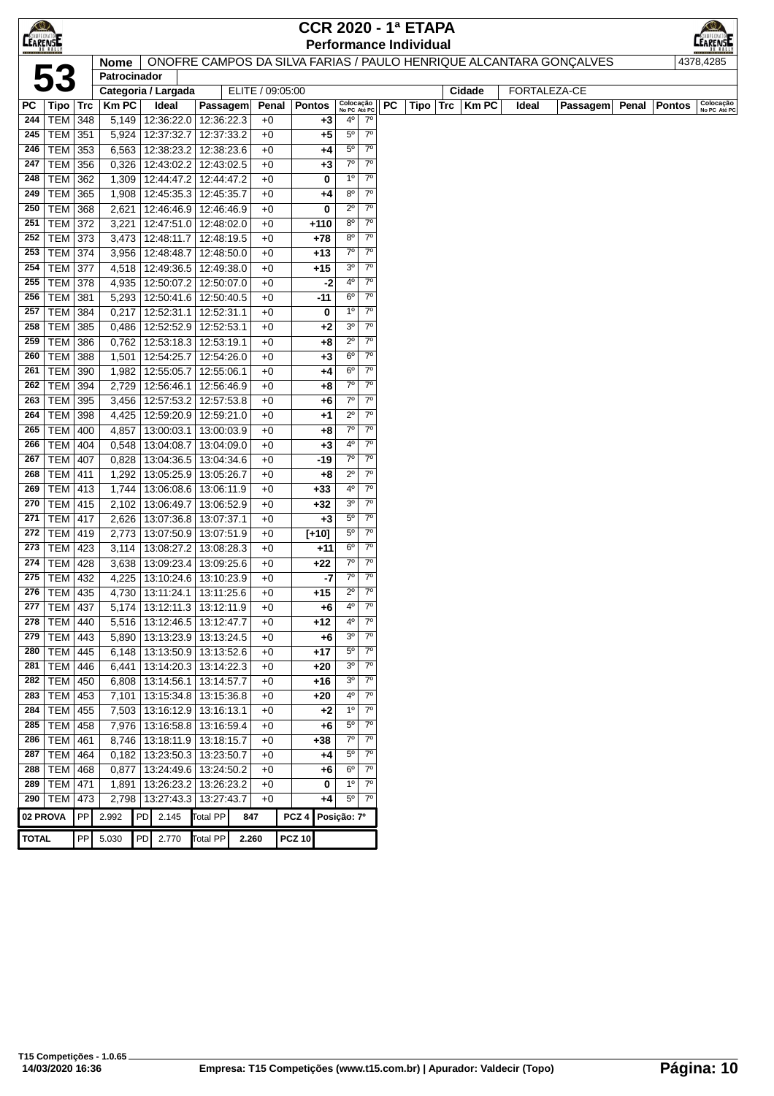| <b>EEARENSE</b> |                             |            |                     |          |                                    |                                   |                  |                  |                 |                               |                            |    | <b>CCR 2020 - 1ª ETAPA</b>    |               |       |                                                                    |       |        |                           |
|-----------------|-----------------------------|------------|---------------------|----------|------------------------------------|-----------------------------------|------------------|------------------|-----------------|-------------------------------|----------------------------|----|-------------------------------|---------------|-------|--------------------------------------------------------------------|-------|--------|---------------------------|
|                 |                             |            |                     |          |                                    |                                   |                  |                  |                 |                               |                            |    | <b>Performance Individual</b> |               |       |                                                                    |       |        | EARENSE                   |
|                 |                             |            | Nome                |          |                                    |                                   |                  |                  |                 |                               |                            |    |                               |               |       | ONOFRE CAMPOS DA SILVA FARIAS / PAULO HENRIQUE ALCANTARA GONÇALVES |       |        | 4378,4285                 |
|                 | 53                          |            | Patrocinador        |          |                                    |                                   |                  |                  |                 |                               |                            |    |                               |               |       |                                                                    |       |        |                           |
|                 |                             |            | Categoria / Largada |          |                                    |                                   | ELITE / 09:05:00 |                  |                 |                               |                            |    |                               | Cidade        |       | <b>FORTALEZA-CE</b>                                                |       |        |                           |
| РC              | Tipo   Trc                  |            | <b>Km PC</b>        |          | Ideal                              | Passagem                          | Penal            |                  | <b>Pontos</b>   | Colocação<br>No PC Até PC     |                            | PC | Tipo                          | $Trc$   Km PC | Ideal | <b>Passagem</b>                                                    | Penal | Pontos | Colocação<br>No PC Até PC |
| 244             | <b>TEM 348</b>              |            |                     |          | 5,149   12:36:22.0                 | 12:36:22.3                        | $+0$             |                  | +3              | $4^{\circ}$                   | $7^\circ$                  |    |                               |               |       |                                                                    |       |        |                           |
| 245             | TEM 351                     |            |                     |          | 5,924 12:37:32.7                   | 12:37:33.2                        | $+0$             |                  | +5              | $5^{\circ}$                   | $7^{\circ}$                |    |                               |               |       |                                                                    |       |        |                           |
| 246             | TEM 353                     |            |                     |          |                                    | 6,563   12:38:23.2   12:38:23.6   | $+0$             |                  | +4              | $5^{\circ}$                   | $7^\circ$                  |    |                               |               |       |                                                                    |       |        |                           |
| 247             | TEM 356                     |            |                     |          |                                    | $0,326$   12:43:02.2   12:43:02.5 | $+0$             |                  | +3              | $7^\circ$                     | $7^\circ$                  |    |                               |               |       |                                                                    |       |        |                           |
| 248             | TEM 362                     |            |                     |          |                                    | 1,309   12:44:47.2   12:44:47.2   | $+0$             |                  | 0               | 1 <sup>0</sup>                | $7^{\circ}$                |    |                               |               |       |                                                                    |       |        |                           |
| 249             | <b>TEM 365</b>              |            |                     |          |                                    | 1,908   12:45:35.3   12:45:35.7   | $+0$             |                  | +4              | $8^{\circ}$                   | $7^{\circ}$                |    |                               |               |       |                                                                    |       |        |                           |
| 250             | TEM 368                     |            | 2,621               |          |                                    | 12:46:46.9 12:46:46.9             | $+0$             |                  | 0               | $2^{\circ}$                   | $7^\circ$                  |    |                               |               |       |                                                                    |       |        |                           |
| 251             | <b>TEM 372</b>              |            | 3,221               |          |                                    | 12:47:51.0 12:48:02.0             | $+0$             |                  | $+110$          | $8^{\circ}$                   | $7^\circ$                  |    |                               |               |       |                                                                    |       |        |                           |
| 252             | TEM   373                   |            |                     |          | 3,473   12:48:11.7                 | 12:48:19.5                        | $+0$             |                  | +78             | $8^{\circ}$                   | $7^{\circ}$                |    |                               |               |       |                                                                    |       |        |                           |
| 253             | <b>TEM 374</b>              |            | 3,956               |          | 12:48:48.7                         | 12:48:50.0                        | $+0$             |                  | $+13$           | $7^\circ$                     | 7 <sup>0</sup>             |    |                               |               |       |                                                                    |       |        |                           |
| 254             | <b>TEM 377</b>              |            |                     |          |                                    | 4,518   12:49:36.5   12:49:38.0   | $+0$             |                  | +15             | 3 <sup>o</sup>                | $7^{\circ}$                |    |                               |               |       |                                                                    |       |        |                           |
| 255             | TEM $378$                   |            |                     |          |                                    | 4,935   12:50:07.2   12:50:07.0   | $+0$             |                  | $-2$            | 4 <sup>0</sup>                | $7^{\circ}$                |    |                               |               |       |                                                                    |       |        |                           |
| 256             | <b>TEM 381</b>              |            |                     |          |                                    | 5,293   12:50:41.6   12:50:40.5   | $+0$             |                  | $-11$           | 6 <sup>o</sup>                | $7^\circ$                  |    |                               |               |       |                                                                    |       |        |                           |
| 257             | TEM                         | 384        |                     |          | $0,217$   12:52:31.1               | 12:52:31.1                        | $+0$             |                  | 0               | 1 <sup>0</sup>                | $7^\circ$                  |    |                               |               |       |                                                                    |       |        |                           |
| 258             | TEM                         | 385        |                     |          | 0,486 12:52:52.9                   | 12:52:53.1                        | $+0$             |                  | $+2$            | 3 <sup>o</sup>                | $7^{\circ}$                |    |                               |               |       |                                                                    |       |        |                           |
| 259             | TEM                         | 386        |                     |          |                                    | 0,762   12:53:18.3   12:53:19.1   | $+0$             |                  | +8              | $2^{\circ}$                   | $7^{\circ}$                |    |                               |               |       |                                                                    |       |        |                           |
| 260             | TEM                         | 388        |                     |          | 1,501 12:54:25.7                   | 12:54:26.0                        | $+0$             |                  | +3              | 6 <sup>o</sup>                | $7^\circ$                  |    |                               |               |       |                                                                    |       |        |                           |
| 261             | TEM   390                   |            |                     |          | 1,982 12:55:05.7                   | 12:55:06.1                        | $+0$             |                  | +4              | $6^{\circ}$                   | $7^\circ$                  |    |                               |               |       |                                                                    |       |        |                           |
| 262             | TEM                         | 394        |                     |          | 2,729 12:56:46.1                   | 12:56:46.9                        | $+0$             |                  | +8              | $7^\circ$                     | $7^\circ$                  |    |                               |               |       |                                                                    |       |        |                           |
| 263             | TEM 395                     |            | 3,456               |          | 12:57:53.2                         | 12:57:53.8                        | $+0$             |                  | +6              | $7^\circ$                     | $7^\circ$                  |    |                               |               |       |                                                                    |       |        |                           |
| 264             | TEM 398                     |            |                     |          |                                    | 4,425   12:59:20.9   12:59:21.0   | $+0$             |                  | +1              | $2^{\circ}$                   | $7^\circ$                  |    |                               |               |       |                                                                    |       |        |                           |
| 265             | <b>TEM 400</b>              |            |                     |          |                                    | 4,857   13:00:03.1   13:00:03.9   | $+0$             |                  | +8              | $7^\circ$                     | $7^\circ$                  |    |                               |               |       |                                                                    |       |        |                           |
| 266             | <b>TEM 404</b>              |            |                     |          | 0,548   13:04:08.7                 | 13:04:09.0                        | $+0$             |                  | $+3$            | $4^{\circ}$                   | $7^\circ$                  |    |                               |               |       |                                                                    |       |        |                           |
| 267             | <b>TEM 407</b>              |            | 0,828               |          | 13:04:36.5                         | 13:04:34.6                        | $+0$             |                  | $-19$           | $7^\circ$                     | $7^{\circ}$                |    |                               |               |       |                                                                    |       |        |                           |
| 268             | <b>TEM 411</b>              |            | 1,292               |          |                                    | 13:05:25.9   13:05:26.7           | $+0$             |                  | +8              | $2^{\circ}$                   | $7^\circ$                  |    |                               |               |       |                                                                    |       |        |                           |
| 269             | $TEM$ 413                   |            |                     |          |                                    | 1,744   13:06:08.6   13:06:11.9   | $+0$             |                  | $+33$           | 4 <sup>0</sup>                | $7^{\circ}$<br>$7^{\circ}$ |    |                               |               |       |                                                                    |       |        |                           |
| 270<br>271      | <b>TEM 415</b>              |            |                     |          | 2,102 13:06:49.7                   | 13:06:52.9                        | $+0$<br>$+0$     |                  | +32             | 3 <sup>o</sup><br>$5^{\circ}$ | $7^{\circ}$                |    |                               |               |       |                                                                    |       |        |                           |
| 272             | <b>TEM 417</b><br>TEM   419 |            | 2,773               |          | 2,626   13:07:36.8  <br>13:07:50.9 | 13:07:37.1<br>13:07:51.9          | $+0$             |                  | $+3$<br>$[+10]$ | $5^{\circ}$                   | $7^{\circ}$                |    |                               |               |       |                                                                    |       |        |                           |
| 273             | TEM 423                     |            | 3,114               |          |                                    | 13:08:27.2   13:08:28.3           | $+0$             |                  | $+11$           | 6 <sup>o</sup>                | $7^{\circ}$                |    |                               |               |       |                                                                    |       |        |                           |
| 274             | <b>TEM 428</b>              |            |                     |          |                                    | 3,638   13:09:23.4   13:09:25.6   | $+0$             |                  | $+22$           | $7^\circ$                     | $7^\circ$                  |    |                               |               |       |                                                                    |       |        |                           |
| 275             | TEM   432                   |            | 4,225               |          | 13:10:24.6                         | 13:10:23.9                        | $+0$             |                  | -7              | $7^\circ$                     | $7^{\circ}$                |    |                               |               |       |                                                                    |       |        |                           |
| 276             | TEM   435                   |            |                     |          | 4,730 13:11:24.1                   | 13:11:25.6                        | $+0$             |                  | $+15$           | $2^{\circ}$                   | $7^{\circ}$                |    |                               |               |       |                                                                    |       |        |                           |
| 277             | <b>TEM 437</b>              |            |                     |          |                                    | 5,174   13:12:11.3   13:12:11.9   | $+0$             |                  | +6              | 4º                            | $7^\circ$                  |    |                               |               |       |                                                                    |       |        |                           |
| 278             | <b>TEM 440</b>              |            |                     |          | 5,516 13:12:46.5                   | 13:12:47.7                        | $+0$             |                  | $+12$           | $4^{\circ}$                   | $7^\circ$                  |    |                               |               |       |                                                                    |       |        |                           |
| 279             | $TEM$ 443                   |            |                     |          |                                    | 5,890   13:13:23.9   13:13:24.5   | $+0$             |                  | +6              | 3 <sup>o</sup>                | $7^\circ$                  |    |                               |               |       |                                                                    |       |        |                           |
| 280             | TEM   445                   |            |                     |          |                                    | 6,148   13:13:50.9   13:13:52.6   | $+0$             |                  | +17             | $5^{\circ}$                   | $7^{\circ}$                |    |                               |               |       |                                                                    |       |        |                           |
| 281             | <b>TEM 446</b>              |            | 6,441               |          |                                    | 13:14:20.3 13:14:22.3             | $+0$             |                  | +20             | 3 <sup>0</sup>                | $7^\circ$                  |    |                               |               |       |                                                                    |       |        |                           |
| 282             | TEM   450                   |            | 6,808               |          | 13:14:56.1                         | 13:14:57.7                        | $+0$             |                  | +16             | 3 <sup>o</sup>                | $7^\circ$                  |    |                               |               |       |                                                                    |       |        |                           |
| 283             | TEM   453                   |            |                     |          |                                    | 7,101   13:15:34.8   13:15:36.8   | $+0$             |                  | $+20$           | $4^{\circ}$                   | $7^\circ$                  |    |                               |               |       |                                                                    |       |        |                           |
| 284             | <b>TEM 455</b>              |            | 7,503               |          | 13:16:12.9                         | 13:16:13.1                        | $+0$             |                  | +2              | 1 <sup>0</sup>                | $7^{\circ}$                |    |                               |               |       |                                                                    |       |        |                           |
| 285             | <b>TEM 458</b>              |            | 7,976               |          | 13:16:58.8                         | 13:16:59.4                        | $+0$             |                  | +6              | $5^{\rm o}$                   | $7^{\circ}$                |    |                               |               |       |                                                                    |       |        |                           |
| 286             | <b>TEM 461</b>              |            | 8,746 13:18:11.9    |          |                                    | 13:18:15.7                        | $+0$             |                  | +38             | $7^\circ$                     | $7^\circ$                  |    |                               |               |       |                                                                    |       |        |                           |
| 287             | $\overline{\text{TEM}}$ 464 |            |                     |          | $0,182$ 13:23:50.3                 | 13:23:50.7                        | $+0$             |                  | +4              | $5^{\circ}$                   | $7^{\circ}$                |    |                               |               |       |                                                                    |       |        |                           |
| 288             | <b>TEM</b>                  | 468        | 0,877               |          | 13:24:49.6                         | 13:24:50.2                        | $+0$             |                  | +6              | 6 <sup>o</sup>                | $7^\circ$                  |    |                               |               |       |                                                                    |       |        |                           |
| 289             | <b>TEM 471</b>              |            | 1,891               |          | 13:26:23.2                         | 13:26:23.2                        | $+0$             |                  | 0               | 1 <sup>0</sup>                | $7^\circ$                  |    |                               |               |       |                                                                    |       |        |                           |
|                 | 290   TEM   473             |            |                     |          |                                    | 2,798   13:27:43.3   13:27:43.7   | $+0$             |                  | +4              | $5^{\circ}$                   | $7^\circ$                  |    |                               |               |       |                                                                    |       |        |                           |
|                 | 02 PROVA                    | PP         | 2.992               | PD 2.145 |                                    | Total PP                          | 847              | PCZ <sub>4</sub> |                 | Posição: 7º                   |                            |    |                               |               |       |                                                                    |       |        |                           |
| <b>TOTAL</b>    |                             | ${\sf PP}$ | 5.030               | PD       | 2.770                              | <b>Total PP</b>                   | 2.260            | <b>PCZ 10</b>    |                 |                               |                            |    |                               |               |       |                                                                    |       |        |                           |
|                 |                             |            |                     |          |                                    |                                   |                  |                  |                 |                               |                            |    |                               |               |       |                                                                    |       |        |                           |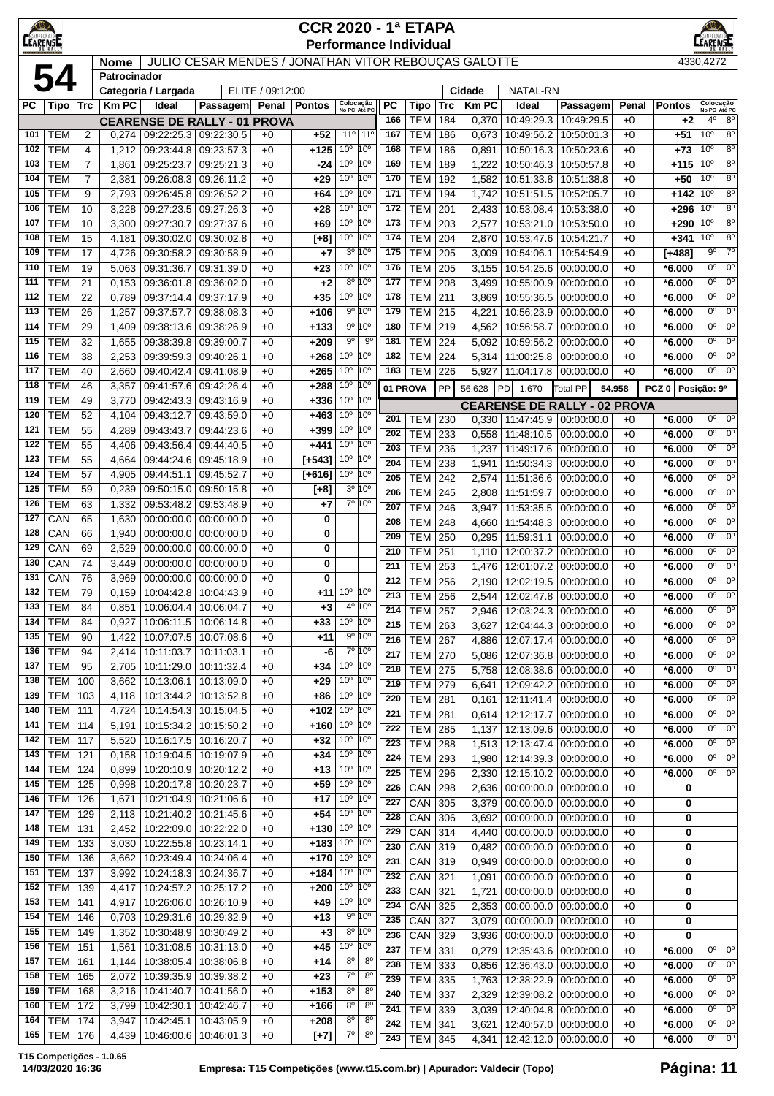| <b>CEARENSE</b> |                          |                 |                             |                          |                                                      |                  | <b>CCR 2020 - 1ª ETAPA</b> |                                                           | <b>Performance Individual</b> |                          |            |                |                                     |                                                |              |                      | $\bigcirc$<br>EARENSE              |                               |
|-----------------|--------------------------|-----------------|-----------------------------|--------------------------|------------------------------------------------------|------------------|----------------------------|-----------------------------------------------------------|-------------------------------|--------------------------|------------|----------------|-------------------------------------|------------------------------------------------|--------------|----------------------|------------------------------------|-------------------------------|
|                 |                          |                 | <b>Nome</b><br>Patrocinador |                          | JULIO CESAR MENDES / JONATHAN VITOR REBOUÇAS GALOTTE |                  |                            |                                                           |                               |                          |            |                |                                     |                                                |              |                      | 4330,4272                          |                               |
|                 | 54                       |                 |                             | Categoria / Largada      |                                                      | ELITE / 09:12:00 |                            |                                                           |                               |                          |            | Cidade         | NATAL-RN                            |                                                |              |                      |                                    |                               |
| PC              | Tipo                     | ∣ Trc           | <b>Km PC</b>                | Ideal                    | Passagem Penal Pontos                                |                  |                            | Colocação<br>No PC Até PC                                 | РC                            | Tipo                     | <b>Trc</b> | <b>KmPC</b>    | Ideal                               | Passagem                                       | Penal        | <b>Pontos</b>        | Colocação<br>No PC Até PC          |                               |
|                 |                          |                 |                             |                          | <b>CEARENSE DE RALLY - 01 PROVA</b>                  |                  |                            |                                                           | 166                           | <b>TEM</b>               | 184        | 0,370          | 10:49:29.3                          | 10:49:29.5                                     | $+0$         | $+2$                 | 4 <sup>0</sup>                     | 8 <sup>0</sup>                |
| 101             | <b>TEM</b>               | $\overline{2}$  | 0,274                       |                          | 09:22:25.3 09:22:30.5                                | $+0$             | $+52$                      | 11°<br>$11^{\circ}$                                       | 167                           | <b>TEM</b>               | 186        | 0,673          | 10:49:56.2                          | 10:50:01.3                                     | $+0$         | $+51$                | 10 <sup>o</sup>                    | 8 <sup>o</sup>                |
| 102             | <b>TEM</b>               | 4               | 1,212                       | 09:23:44.8               | 09:23:57.3                                           | $+0$             | $+125$                     | 10 <sup>o</sup><br>10 <sup>o</sup>                        | 168                           | <b>TEM</b>               | 186        | 0,891          | 10:50:16.3                          | 10:50:23.6                                     | $+0$         | $+73$                | 10 <sup>o</sup>                    | $8^{\circ}$                   |
| 103             | <b>TEM</b>               | 7               | 1,861                       | 09:25:23.7               | 09:25:21.3                                           | $+0$             | $-24$                      | $10^{\circ}$<br>$10^{\circ}$                              | 169                           | <b>TEM</b>               | 189        | 1,222          | 10:50:46.3                          | 10:50:57.8                                     | $+0$         | +115                 | 10 <sup>o</sup>                    | 8 <sup>0</sup>                |
| 104             | <b>TEM</b>               | 7               | 2,381                       | 09:26:08.3               | 09:26:11.2                                           | $+0$             | $+29$                      | $10^{\circ}$<br>10 <sup>o</sup>                           | 170                           | <b>TEM</b>               | 192        | 1,582          | 10:51:33.8                          | 10:51:38.8                                     | $+0$         | $+50$                | 10 <sup>o</sup>                    | 8 <sup>o</sup>                |
| 105             | <b>TEM</b>               | 9               | 2,793                       |                          | 09:26:45.8 09:26:52.2                                | $+0$             | $+64$                      | 10 <sup>°</sup> 10 <sup>°</sup>                           | 171                           | <b>TEM</b>               | 194        | 1,742          |                                     | 10:51:51.5 10:52:05.7                          | $+0$         | +142                 | 10 <sup>o</sup>                    | 8 <sup>o</sup>                |
| 106             | <b>TEM</b>               | 10              | 3,228                       |                          | 09:27:23.5 09:27:26.3                                | $+0$             | +28                        | 10 <sup>o</sup><br>10 <sup>o</sup>                        | 172                           | <b>TEM</b>               | 201        | 2,433          |                                     | 10:53:08.4 10:53:38.0                          | $+0$         | $+296$               | 10 <sup>o</sup>                    | 8 <sup>o</sup>                |
| 107             | <b>TEM</b>               | 10              | 3,300                       |                          | 09:27:30.7 09:27:37.6                                | $+0$             | +69                        | 10 <sup>o</sup><br>10 <sup>o</sup>                        | 173<br>174                    | <b>TEM</b>               | 203        | 2,577          |                                     | 10:53:21.0   10:53:50.0                        | $+0$         | $+290$               | 10 <sup>o</sup><br>10 <sup>o</sup> | $8^{\circ}$<br>8 <sup>o</sup> |
| 108<br>109      | <b>TEM</b><br><b>TEM</b> | 15<br>17        | 4,181<br>4,726              | 09:30:58.2               | 09:30:02.0 09:30:02.8<br>09:30:58.9                  | $+0$<br>$+0$     | $[+8]$<br>+7               | 10 <sup>°</sup> 10 <sup>°</sup><br>3º 10°                 | 175                           | <b>TEM</b><br><b>TEM</b> | 204<br>205 | 2,870<br>3,009 | 10:53:47.6<br>10:54:06.1            | 10:54:21.7<br>10:54:54.9                       | $+0$<br>$+0$ | $+341$<br>$[+488]$   | 90                                 | $7^\circ$                     |
| 110             | <b>TEM</b>               | 19              | 5,063                       | 09:31:36.7               | 09:31:39.0                                           | $+0$             | $+23$                      | 10° 10°                                                   | 176                           | <b>TEM</b>               | 205        | 3,155          | 10:54:25.6                          | 00:00:00.0                                     | $+0$         | $*6.000$             | 0°                                 | $0^{\circ}$                   |
| 111             | <b>TEM</b>               | 21              | 0,153                       | 09:36:01.8               | 09:36:02.0                                           | $+0$             | $+2$                       | 8º 10°                                                    | 177                           | <b>TEM</b>               | 208        | 3,499          | 10:55:00.9                          | 00:00:00.0                                     | $+0$         | *6.000               | 0°                                 | $0^{\circ}$                   |
| 112             | <b>TEM</b>               | 22              | 0,789                       | 09:37:14.4               | 09:37:17.9                                           | $+0$             | $+35$                      | 10 <sup>o</sup> 10 <sup>o</sup>                           | 178                           | <b>TEM</b>               | 211        | 3,869          | 10:55:36.5                          | 00:00:00.0                                     | $+0$         | *6.000               | 0°                                 | $0^{\circ}$                   |
| 113             | <b>TEM</b>               | 26              | 1,257                       | 09:37:57.7               | 09:38:08.3                                           | $+0$             | +106                       | $9^{\circ} 10^{\circ}$                                    | 179                           | <b>TEM</b>               | 215        | 4,221          | 10:56:23.9                          | 00:00:00.0                                     | $+0$         | *6.000               | 0 <sup>o</sup>                     | $0^{\circ}$                   |
| 114             | <b>TEM</b>               | 29              | 1,409                       | 09:38:13.6               | 09:38:26.9                                           | $+0$             | $+133$                     | $9^{\circ} 10^{\circ}$                                    | 180                           | <b>TEM</b>               | 219        | 4,562          | 10:56:58.7                          | 00:00:00.0                                     | $+0$         | *6.000               | 0°                                 | $0^{\circ}$                   |
| 115             | <b>TEM</b>               | $\overline{32}$ | 1,655                       |                          | 09:38:39.8 09:39:00.7                                | $+0$             | $+209$                     | $9^{\circ}$                                               | 90<br>181                     | <b>TEM</b>               | 224        | 5.092          | 10:59:56.2                          | 00:00:00.0                                     | $+0$         | *6.000               | $0^{\circ}$                        | $0^{\circ}$                   |
| 116             | <b>TEM</b>               | 38              | 2,253                       |                          | 09:39:59.3 09:40:26.1                                | $+0$             | $+268$                     | 10 <sup>°</sup> 10 <sup>°</sup>                           | 182                           | <b>TEM</b>               | 224        | 5,314          | 11:00:25.8                          | 00:00:00.0                                     | $+0$         | *6.000               | 0°                                 | $0^{\circ}$                   |
| 117             | <b>TEM</b>               | 40              | 2,660                       | 09:40:42.4               | 09:41:08.9                                           | $+0$             | +265                       | 10 <sup>°</sup> 10 <sup>°</sup>                           | 183                           | <b>TEM</b>               | 226        | 5,927          | 11:04:17.8                          | 00:00:00.0                                     | $+0$         | $*6.000$             | 0 <sup>o</sup>                     | $0^{\circ}$                   |
| 118             | <b>TEM</b>               | 46              | 3,357                       | 09:41:57.6               | 09:42:26.4                                           | $+0$             | $+288$                     | 10 <sup>°</sup> 10 <sup>°</sup>                           |                               | 01 PROVA                 | PP         | 56.628         | PD 1.670                            | Total PP                                       | 54.958       | PCZ 0 Posição: 9º    |                                    |                               |
| 119             | <b>TEM</b>               | 49              | 3,770                       | 09:42:43.3               | 09:43:16.9                                           | $+0$             | $+336$                     | 10 <sup>°</sup> 10 <sup>°</sup>                           |                               |                          |            |                | <b>CEARENSE DE RALLY - 02 PROVA</b> |                                                |              |                      |                                    |                               |
| 120             | <b>TEM</b>               | 52              | 4,104                       | 09:43:12.7               | 09:43:59.0                                           | $+0$             | $+463$                     | 10 <sup>o</sup><br>10 <sup>o</sup>                        | 201                           | <b>TEM 230</b>           |            | 0,330          | $11:47:45.9$ 00:00:00.0             |                                                | $+0$         | $*6.000$             | 0 <sup>o</sup>                     | $0^{\circ}$                   |
| 121             | <b>TEM</b>               | 55              | 4,289                       | 09:43:43.7               | 09:44:23.6                                           | $+0$             | +399                       | 10 <sup>o</sup><br>10 <sup>o</sup>                        | 202                           | <b>TEM</b>               | 233        | 0,558          | 11:48:10.5                          | 00:00:00.0                                     | $+0$         | *6.000               | 0°                                 | $0^{\circ}$                   |
| 122             | <b>TEM</b>               | 55              | 4,406                       | 09:43:56.4               | 09:44:40.5                                           | $+0$             | +441                       | 10 <sup>°</sup> 10 <sup>°</sup>                           | 203                           | <b>TEM</b>               | 236        | 1,237          | 11:49:17.6                          | 00:00:00.0                                     | $+0$         | *6.000               | 0°                                 | $0^{\circ}$                   |
| 123<br>124      | <b>TEM</b><br><b>TEM</b> | 55<br>57        | 4,664                       | 09:44:24.6               | 09:45:18.9                                           | $+0$             | $[+543]$                   | 10 <sup>o</sup><br>10°<br>10 <sup>°</sup> 10 <sup>°</sup> | 204                           | <b>TEM</b>               | 238        | 1,941          | 11:50:34.3                          | 00:00:00.0                                     | $+0$         | $*6.000$             | $0^{\circ}$                        | $\overline{0^{\circ}}$        |
| 125             | <b>TEM</b>               | 59              | 4,905<br>0,239              |                          | 09:44:51.1 09:45:52.7<br>09:50:15.0 09:50:15.8       | $+0$<br>$+0$     | $[+616]$                   | 3º 10°                                                    | 205                           | <b>TEM</b>               | 242        | 2,574          | 11:51:36.6                          | 00:00:00.0                                     | $+0$         | $*6.000$             | $0^{\circ}$                        | 0 <sup>o</sup>                |
| 126             | <b>TEM</b>               | 63              | 1,332                       |                          | 09:53:48.2 09:53:48.9                                | $+0$             | $[+8]$<br>+7               | 7º 10°                                                    | 206                           | <b>TEM</b>               | 245        | 2,808          | 11:51:59.7                          | 00:00:00.0                                     | $+0$         | *6.000               | 0°                                 | $0^{\circ}$                   |
| 127             | CAN                      | 65              | 1,630                       |                          | $00:00:00.0$   $00:00:00.0$                          | $+0$             | 0                          |                                                           | 207                           | <b>TEM</b>               | 246        | 3,947          | 11:53:35.5                          | 00:00:00.0                                     | $+0$         | *6.000               | 0°                                 | $0^{\circ}$                   |
| 128             | CAN                      | 66              | 1,940                       |                          | $00:00:00.0$   $00:00:00.0$                          | $+0$             | 0                          |                                                           | 208                           | <b>TEM</b>               | 248        | 4,660          | 11:54:48.3                          | 00:00:00.0                                     | $+0$         | *6.000               | 0°<br>$0^{\circ}$                  | $0^{\circ}$<br>$0^{\circ}$    |
| 129             | CAN                      | 69              | 2,529                       |                          | $00:00:00.0$   $00:00:00.0$                          | $+0$             | 0                          |                                                           | 209<br>210                    | <b>TEM</b>               | 250        | 0,295          | 11:59:31.1                          | 00:00:00.0                                     | $+0$         | $*6.000$             | 0°                                 | $0^{\circ}$                   |
| 130             | CAN                      | 74              | 3,449                       | 00:00:00.0               | 00:00:00.0                                           | $+0$             | 0                          |                                                           | 211                           | <b>TEM</b><br><b>TEM</b> | 251<br>253 | 1,110<br>1,476 | 12:01:07.2                          | 12:00:37.2 00:00:00.0<br>00:00:00.0            | $+0$<br>$+0$ | *6.000<br>$*6.000$   | 0°                                 | $0^{\circ}$                   |
| 131             | CAN                      | 76              | 3,969                       | 00:00:00.0               | 00:00:00.0                                           | $+0$             | 0                          |                                                           | 212                           | <b>TEM</b>               | 256        | 2,190          | 12:02:19.5                          | 00:00:00.0                                     | $+0$         | *6.000               | $\overline{0^{\circ}}$             | 0 <sup>o</sup>                |
|                 | 132   TEM                | 79              | 0,159                       |                          | 10:04:42.8   10:04:43.9                              | $+0$             |                            | $+11$ 10 <sup>°</sup> 10 <sup>°</sup>                     | 213                           | <b>TEM</b>               | 256        | 2,544          |                                     | 12:02:47.8 00:00:00.0                          | $+0$         | $*6.000$             | $\overline{0^{\circ}}$             | $\overline{0^{\circ}}$        |
|                 | $133$ TEM                | 84              |                             |                          | 0,851 10:06:04.4 10:06:04.7                          | $+0$             | $+3$                       | $4^{\circ}$ 10 $^{\circ}$                                 | 214                           | <b>TEM 257</b>           |            |                | 2,946   12:03:24.3   00:00:00.0     |                                                | $+0$         | $*6.000$             | $0^{\circ}$                        | $0^{\circ}$                   |
| 134             | <b>TEM</b>               | 84              | 0,927                       |                          | 10:06:11.5   10:06:14.8                              | $+0$             | $+33$                      | 10 <sup>°</sup> 10 <sup>°</sup>                           | 215                           | TEM                      | 263        | 3,627          |                                     | 12:04:44.3 00:00:00.0                          | $+0$         | $*6.000$             | 0°                                 | $0^{\circ}$                   |
| 135             | <b>TEM</b>               | 90              | 1,422                       |                          | 10:07:07.5   10:07:08.6                              | $+0$             | +11                        | $9^{\circ}$ 10 $^{\circ}$                                 | 216                           | <b>TEM</b>               | 267        | 4,886          | 12:07:17.4                          | 00:00:00.0                                     | $+0$         | $*6.000$             | 0°                                 | $0^{\circ}$                   |
| 136             | <b>TEM</b>               | 94              | 2,414                       | 10:11:03.7               | 10:11:03.1                                           | +0               | -6                         | 7º 10°                                                    | 217                           | <b>TEM</b>               | 270        | 5,086          | 12:07:36.8                          | 00:00:00.0                                     | $+0$         | $*6.000$             | 0°                                 | $0^{\circ}$                   |
| 137             | <b>TEM</b>               | 95              | 2,705                       | 10:11:29.0               | 10:11:32.4                                           | $+0$             | +34                        | 10 <sup>°</sup> 10 <sup>°</sup>                           | 218                           | <b>TEM 275</b>           |            | 5,758          |                                     | 12:08:38.6 00:00:00.0                          | $+0$         | $*6.000$             | $0^{\circ}$                        | $0^{\circ}$                   |
| 138             | <b>TEM</b>               | 100             | 3,662                       | 10:13:06.1               | 10:13:09.0                                           | $+0$             | $+29$                      | 10 <sup>°</sup> 10 <sup>°</sup>                           | 219                           | <b>TEM 279</b>           |            | 6,641          |                                     | 12:09:42.2 00:00:00.0                          | $+0$         | $*6.000$             | 0°                                 | $0^{\circ}$                   |
| 139<br>140      | TEM                      | 103             | 4,118                       | 10:13:44.2               | 10:13:52.8                                           | $+0$             | +86                        | $10^{\circ}$ $10^{\circ}$<br>$10^{\circ}$ $10^{\circ}$    | 220                           | <b>TEM 281</b>           |            | 0,161          |                                     | 12:11:41.4 00:00:00.0                          | $+0$         | $*6.000$             | 0°                                 | $0^{\circ}$                   |
| 141             | TEM<br><b>TEM</b>        | 111<br>114      | 4,724<br>5,191              | 10:14:54.3<br>10:15:34.2 | 10:15:04.5<br>10:15:50.2                             | +0<br>$+0$       | +102  <br>$+160$           | 10 <sup>°</sup> 10 <sup>°</sup>                           | 221                           | <b>TEM</b>               | 281        | 0,614          | 12:12:17.7                          | 00:00:00.0                                     | $+0$         | $*6.000$             | 0°                                 | $0^{\circ}$                   |
| 142             | TEM                      | 117             | 5,520                       | 10:16:17.5               | 10:16:20.7                                           | +0               | $+32$                      | 10 <sup>°</sup> 10 <sup>°</sup>                           | 222                           | <b>TEM</b>               | 285        | 1,137          | 12:13:09.6                          | 00:00:00.0                                     | $+0$         | $*6.000$             | 0 <sup>o</sup><br>0°               | $0^{\circ}$<br>$0^{\circ}$    |
| 143             | TEM                      | 121             | 0,158                       |                          | 10:19:04.5 10:19:07.9                                | $+0$             | $+34$                      | 10 <sup>°</sup> 10 <sup>°</sup>                           | 223<br>224                    | TEM<br>$TEM$ 293         | 288        | 1,513          |                                     | 12:13:47.4 00:00:00.0                          | $+0$<br>$+0$ | $*6.000$<br>$*6.000$ | 0°                                 | $0^{\circ}$                   |
| 144             | TEM                      | 124             | 0,899                       |                          | 10:20:10.9 10:20:12.2                                | $+0$             | $+13$                      | 10 <sup>°</sup> 10 <sup>°</sup>                           | 225                           | <b>TEM</b>               | 296        | 1,980<br>2,330 |                                     | 12:14:39.3 00:00:00.0<br>12:15:10.2 00:00:00.0 | $+0$         | $*6.000$             | 0°                                 | $0^{\circ}$                   |
| 145             | TEM                      | 125             | 0,998                       |                          | 10:20:17.8   10:20:23.7                              | $+0$             | +59                        | 10 <sup>°</sup> 10 <sup>°</sup>                           | 226                           | CAN                      | 298        | 2,636          | 00:00:00.0                          | 00:00:00.0                                     | $+0$         | 0                    |                                    |                               |
| 146             | <b>TEM</b>               | 126             | 1,671                       | 10:21:04.9               | 10:21:06.6                                           | $+0$             | $+17$                      | 10 <sup>°</sup> 10 <sup>°</sup>                           | 227                           | CAN                      | 305        | 3,379          |                                     | $00:00:00.0$   $00:00:00.0$                    | $+0$         | 0                    |                                    |                               |
| 147             | TEM                      | 129             | 2,113                       | 10:21:40.2               | 10:21:45.6                                           | $+0$             | $+54$                      | 10 <sup>°</sup> 10 <sup>°</sup>                           | 228                           | CAN 306                  |            | 3,692          |                                     | $00:00:00.0$   $00:00:00.0$                    | $+0$         | 0                    |                                    |                               |
| 148             | <b>TEM</b>               | 131             | 2,452                       | 10:22:09.0               | 10:22:22.0                                           | $+0$             | $+130$                     | 10 <sup>o</sup> 10 <sup>o</sup>                           | 229                           | CAN 314                  |            | 4,440          |                                     | $00:00:00.0$   $00:00:00.0$                    | $+0$         | 0                    |                                    |                               |
| 149             | <b>TEM</b>               | 133             | 3,030                       | 10:22:55.8               | 10:23:14.1                                           | +0               | $+183$                     | $10^{\circ}$ $10^{\circ}$                                 | 230                           | CAN                      | 319        | 0,482          |                                     | $00:00:00.0$   $00:00:00.0$                    | $+0$         | 0                    |                                    |                               |
| 150             | <b>TEM</b>               | 136             | 3,662                       | 10:23:49.4               | 10:24:06.4                                           | $+0$             | $+170$                     | 10 <sup>°</sup> 10 <sup>°</sup>                           | 231                           | CAN                      | 319        | 0,949          | 00:00:00.0                          | 00:00:00.0                                     | $+0$         | 0                    |                                    |                               |
| 151             | <b>TEM</b>               | 137             | 3,992                       | 10:24:18.3               | 10:24:36.7                                           | $+0$             | $+184$                     | 10 <sup>°</sup> 10 <sup>°</sup>                           | 232                           | CAN                      | 321        | 1,091          | 00:00:00.0                          | 00:00:00.0                                     | $+0$         | 0                    |                                    |                               |
| 152             | TEM                      | 139             | 4,417                       |                          | 10:24:57.2 10:25:17.2                                | $+0$             | $+200$                     | 10 <sup>o</sup> 10 <sup>o</sup>                           | 233                           | CAN                      | 321        | 1,721          |                                     | $00:00:00.0$   $00:00:00.0$                    | $+0$         | 0                    |                                    |                               |
| 153             | TEM                      | 141             | 4,917                       |                          | 10:26:06.0   10:26:10.9                              | $+0$             | +49                        | $10^{\circ}$ 10 <sup>°</sup>                              | 234                           | CAN                      | 325        | 2,353          |                                     | $00:00:00.0$   $00:00:00.0$                    | $+0$         | 0                    |                                    |                               |
| 154             | TEM                      | 146             | 0,703                       |                          | 10:29:31.6   10:29:32.9                              | $+0$             | $+13$                      | $9^{\circ}$ 10 $^{\circ}$                                 | 235                           | CAN                      | 327        | 3,079          | 00:00:00.0                          | 00:00:00.0                                     | $+0$         | 0                    |                                    |                               |
| 155<br>156      | <b>TEM</b><br>TEM        | 149<br>151      | 1,352<br>1,561              | 10:30:48.9<br>10:31:08.5 | 10:30:49.2<br>10:31:13.0                             | $+0$<br>$+0$     | $+3$<br>$+45$              | 8º 10°<br>10 <sup>o</sup> 10 <sup>o</sup>                 | 236                           | CAN                      | 329        | 3,936          |                                     | $00:00:00.0$ 00:00:00.0                        | $+0$         | 0                    |                                    |                               |
| 157             | <b>TEM</b>               | 161             | 1,144                       | 10:38:05.4               | 10:38:06.8                                           | $+0$             | $+14$                      | $8^{\circ}$                                               | 237<br>$8^{\circ}$            | <b>TEM 331</b>           |            | 0,279          |                                     | 12:35:43.6 00:00:00.0                          | $+0$         | $*6.000$             | 0 <sup>o</sup>                     | 0 <sup>o</sup>                |
| 158             | TEM                      | 165             | 2,072                       | 10:39:35.9               | 10:39:38.2                                           | +0               | $+23$                      | $7^\circ$                                                 | 238<br>$8^{\circ}$            | TEM 333                  |            | 0,856          |                                     | 12:36:43.0 00:00:00.0                          | $+0$         | $*6.000$             | 0°<br>0°                           | $0^{\circ}$<br>$0^{\circ}$    |
| 159             | TEM                      | 168             | 3,216                       | 10:41:40.7               | 10:41:56.0                                           | $+0$             | $+153$                     | $8^{\circ}$                                               | 239<br>$8^{\circ}$<br>240     | TEM<br><b>TEM</b>        | 335<br>337 | 1,763<br>2,329 | 12:39:08.2                          | 12:38:22.9 00:00:00.0<br>00:00:00.0            | $+0$<br>$+0$ | $*6.000$<br>$*6.000$ | 0 <sup>o</sup>                     | $0^{\circ}$                   |
| 160             | TEM                      | 172             | 3,799                       | 10:42:30.1               | 10:42:46.7                                           | $+0$             | $+166$                     | 8 <sup>o</sup>                                            | $8^{\circ}$<br>241            | TEM                      | 339        | 3,039          |                                     | 12:40:04.8 00:00:00.0                          | $+0$         | $*6.000$             | 0°                                 | $0^{\circ}$                   |
| 164             | TEM                      | 174             | 3,947                       | 10:42:45.1               | 10:43:05.9                                           | $+0$             | $+208$                     | $8^{\circ}$                                               | $8^{\circ}$<br>242            | <b>TEM 341</b>           |            | 3,621          |                                     | 12:40:57.0 00:00:00.0                          | $+0$         | $*6.000$             | 0°                                 | $0^{\circ}$                   |
| 165             | <b>TEM 176</b>           |                 | 4,439                       | 10:46:00.6               | 10:46:01.3                                           | +0               | $[+7]$                     | $7^\circ$                                                 | 80<br>243                     | <b>TEM</b>               | 345        | 4,341          |                                     | 12:42:12.0 00:00:00.0                          | $+0$         | $*6.000$             | 0°                                 | $0^{\circ}$                   |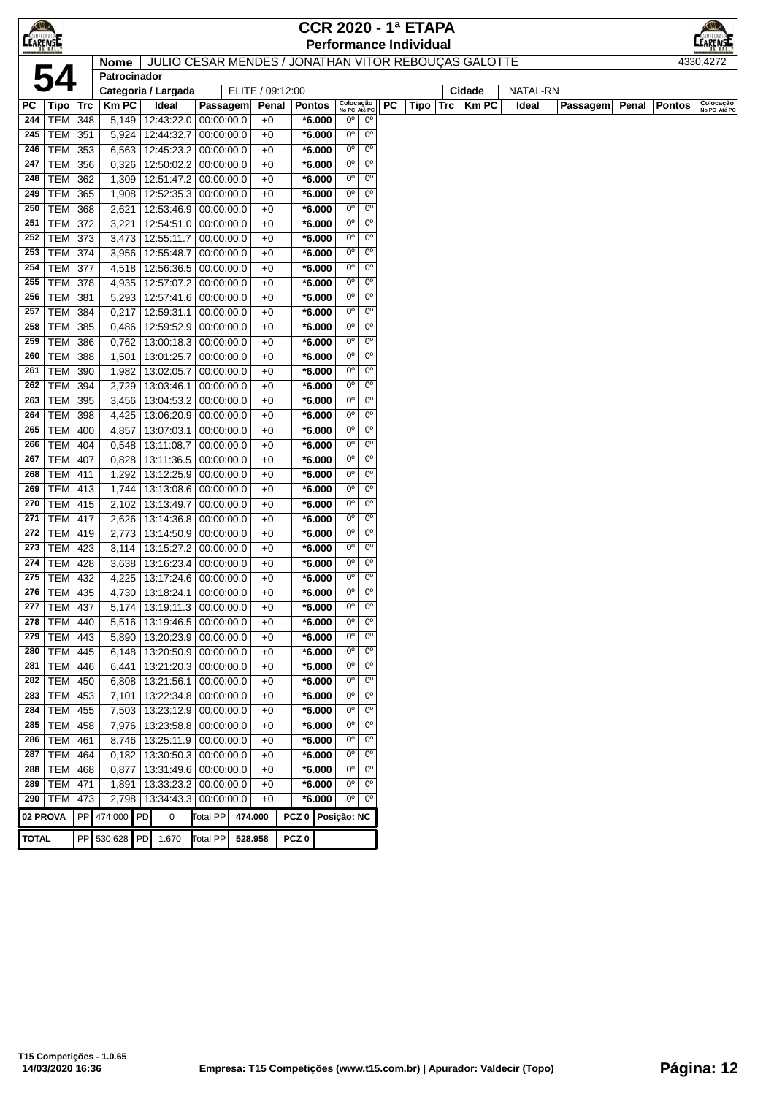|                  |                                  |     |                |                             |                          |                  |                   |                      |                            |                            | <b>CCR 2020 - 1ª ETAPA</b>                           |                  |                 |          |                        | $\bigcirc$                |
|------------------|----------------------------------|-----|----------------|-----------------------------|--------------------------|------------------|-------------------|----------------------|----------------------------|----------------------------|------------------------------------------------------|------------------|-----------------|----------|------------------------|---------------------------|
| <b>CEAREMENT</b> |                                  |     |                |                             |                          |                  |                   |                      |                            |                            | <b>Performance Individual</b>                        |                  |                 |          |                        | <b>EARENSE</b>            |
|                  |                                  |     | <b>Nome</b>    |                             |                          |                  |                   |                      |                            |                            | JULIO CESAR MENDES / JONATHAN VITOR REBOUÇAS GALOTTE |                  |                 |          |                        | 4330,4272                 |
|                  | 54                               |     | Patrocinador   |                             |                          |                  |                   |                      |                            |                            |                                                      |                  |                 |          |                        |                           |
|                  |                                  |     |                | Categoria / Largada         |                          | ELITE / 09:12:00 |                   |                      |                            |                            |                                                      | Cidade           | <b>NATAL-RN</b> |          |                        |                           |
| РC               | $ $ Tipo $ $ Trc                 |     | <b>Km PC</b>   | Ideal                       | Passagem                 | Penal            | <b>Pontos</b>     |                      | Colocação<br>No PC Até PC  |                            | PC<br>Tipo                                           | Trc<br>$ $ Km PC | Ideal           | Passagem | Penal<br><b>Pontos</b> | Colocação<br>No PC Até PC |
| 244              | $TEM$ 348                        |     | 5,149          | 12:43:22.0                  | 00:00:00.0               | $+0$             |                   | $*6.000$             | $0^{\circ}$                | $0^{\circ}$                |                                                      |                  |                 |          |                        |                           |
| 245              | <b>TEM 351</b>                   |     | 5,924          | 12:44:32.7                  | 00:00:00.0               | $+0$             |                   | $*6.000$             | $0^{\circ}$                | 0 <sup>o</sup>             |                                                      |                  |                 |          |                        |                           |
| 246              | TEM 353                          |     | 6,563          | 12:45:23.2                  | 00:00:00.0               | $+0$             |                   | $*6.000$             | $0^{\circ}$                | 0 <sup>o</sup>             |                                                      |                  |                 |          |                        |                           |
| 247              | <b>TEM 356</b>                   |     | 0,326          | 12:50:02.2                  | 00:00:00.0               | $+0$             |                   | $*6.000$             | $0^{\circ}$                | $0^{\circ}$                |                                                      |                  |                 |          |                        |                           |
| 248              | <b>TEM</b>                       | 362 | 1,309          | 12:51:47.2                  | 00:00:00.0               | $+0$             |                   | $*6.000$             | $0^{\circ}$                | $0^{\circ}$                |                                                      |                  |                 |          |                        |                           |
| 249              | <b>TEM</b>                       | 365 | 1,908          | 12:52:35.3                  | 00:00:00.0               | $+0$             |                   | $*6.000$             | $0^{\circ}$                | 0 <sup>o</sup>             |                                                      |                  |                 |          |                        |                           |
| 250              | <b>TEM 368</b>                   |     | 2,621          | 12:53:46.9                  | 00:00:00.0               | $+0$             |                   | $*6.000$             | $0^{\circ}$                | $0^{\circ}$                |                                                      |                  |                 |          |                        |                           |
| 251              | <b>TEM 372</b>                   |     | 3,221          | 12:54:51.0                  | 00:00:00.0               | $+0$             |                   | $*6.000$             | $0^{\circ}$                | $0^{\rm o}$                |                                                      |                  |                 |          |                        |                           |
| 252              | <b>TEM 373</b>                   |     | 3,473          | 12:55:11.7                  | 00:00:00.0               | $+0$             |                   | $*6.000$             | $0^{\circ}$                | $0^{\circ}$                |                                                      |                  |                 |          |                        |                           |
| 253              | <b>TEM 374</b>                   |     | 3,956          | 12:55:48.7                  | 00:00:00.0               | $+0$             |                   | $*6.000$             | $0^{\circ}$                | $0^{\circ}$                |                                                      |                  |                 |          |                        |                           |
| 254              | <b>TEM 377</b>                   |     | 4,518          | 12:56:36.5                  | 00:00:00.0               | $+0$             |                   | $*6.000$             | $0^{\circ}$                | $0^{\circ}$                |                                                      |                  |                 |          |                        |                           |
| 255              | <b>TEM 378</b>                   |     | 4,935          | 12:57:07.2                  | 00:00:00.0               | $+0$             |                   | $*6.000$             | $0^{\circ}$                | $0^{\rm o}$                |                                                      |                  |                 |          |                        |                           |
| 256              | <b>TEM 381</b>                   |     | 5,293          | 12:57:41.6                  | 00:00:00.0               | $+0$             |                   | $*6.000$             | $0^{\circ}$                | $0^{\circ}$                |                                                      |                  |                 |          |                        |                           |
| 257              | TEM                              | 384 | 0,217          | 12:59:31.1                  | 00:00:00.0               | $+0$             |                   | $*6.000$             | $0^{\circ}$                | 0 <sup>o</sup>             |                                                      |                  |                 |          |                        |                           |
| 258              | <b>TEM</b>                       | 385 | 0,486          | 12:59:52.9                  | 00:00:00.0               | $+0$             |                   | $*6.000$             | $0^{\circ}$                | $0^{\rm o}$                |                                                      |                  |                 |          |                        |                           |
| 259              | TEM                              | 386 | 0,762          | 13:00:18.3 00:00:00.0       |                          | $+0$             |                   | $*6.000$             | $0^{\circ}$                | $0^{\circ}$                |                                                      |                  |                 |          |                        |                           |
| 260              | <b>TEM 388</b>                   |     | 1,501          | 13:01:25.7                  | 00:00:00.0               | $+0$             |                   | $*6.000$             | $0^{\circ}$                | $0^{\circ}$                |                                                      |                  |                 |          |                        |                           |
| 261              | <b>TEM 390</b>                   |     | 1,982          | 13:02:05.7                  | 00:00:00.0               | $+0$             |                   | $*6.000$             | $0^{\circ}$                | $0^{\circ}$                |                                                      |                  |                 |          |                        |                           |
| 262              | TEM                              | 394 | 2,729          | 13:03:46.1                  | 00:00:00.0               | $+0$             |                   | $*6.000$             | $0^{\circ}$                | $0^{\circ}$                |                                                      |                  |                 |          |                        |                           |
| 263              | TEM 395                          |     | 3,456          | 13:04:53.2                  | 00:00:00.0               | $+0$             |                   | $*6.000$             | $0^{\circ}$                | 0 <sup>o</sup>             |                                                      |                  |                 |          |                        |                           |
| 264              | <b>TEM 398</b>                   |     | 4,425          | 13:06:20.9                  | 00:00:00.0               | $+0$             |                   | $*6.000$             | $0^{\circ}$<br>$0^{\circ}$ | $0^{\rm o}$<br>$0^{\circ}$ |                                                      |                  |                 |          |                        |                           |
| 265              | <b>TEM 400</b>                   |     | 4,857          | 13:07:03.1                  | 00:00:00.0               | $+0$             |                   | $*6.000$             | $0^{\circ}$                | 0 <sup>o</sup>             |                                                      |                  |                 |          |                        |                           |
| 266              | TEM                              | 404 | 0,548          | 13:11:08.7                  | 00:00:00.0               | $+0$             |                   | $*6.000$             |                            | $0^{\circ}$                |                                                      |                  |                 |          |                        |                           |
| 267              | <b>TEM</b>                       | 407 | 0,828          | 13:11:36.5                  | 00:00:00.0               | $+0$             |                   | $*6.000$             | $0^{\circ}$<br>$0^{\circ}$ | $0^{\circ}$                |                                                      |                  |                 |          |                        |                           |
| 268<br>269       | <b>TEM 411</b><br><b>TEM 413</b> |     | 1,292<br>1,744 | 13:12:25.9                  | 00:00:00.0               | $+0$<br>$+0$     |                   | $*6.000$<br>$*6.000$ | $0^{\circ}$                | $0^{\circ}$                |                                                      |                  |                 |          |                        |                           |
| 270              |                                  |     |                | 13:13:08.6                  | 00:00:00.0               |                  |                   |                      | $0^{\circ}$                | $0^{\circ}$                |                                                      |                  |                 |          |                        |                           |
| 271              | <b>TEM 415</b><br><b>TEM 417</b> |     | 2,102<br>2,626 | 13:13:49.7<br>13:14:36.8    | 00:00:00.0<br>00:00:00.0 | $+0$<br>$+0$     |                   | $*6.000$<br>$*6.000$ | $0^{\circ}$                | $0^{\circ}$                |                                                      |                  |                 |          |                        |                           |
| 272              | <b>TEM 419</b>                   |     | 2,773          | 13:14:50.9                  | 00:00:00.0               | $+0$             |                   | $*6.000$             | $0^{\circ}$                | $0^{\circ}$                |                                                      |                  |                 |          |                        |                           |
| 273              | <b>TEM 423</b>                   |     | 3,114          | 13:15:27.2                  | 00:00:00.0               | $+0$             |                   | $*6.000$             | 0 <sup>o</sup>             | 0 <sup>o</sup>             |                                                      |                  |                 |          |                        |                           |
| 274              | $TEM$ 428                        |     | 3,638          | 13:16:23.4                  | 00:00:00.0               | $+0$             |                   | $*6.000$             | $0^{\circ}$                | $0^{\circ}$                |                                                      |                  |                 |          |                        |                           |
| 275              | TEM                              | 432 | 4,225          | 13:17:24.6                  | 00:00:00.0               | $+0$             |                   | $*6.000$             | 0°                         | $0^{\circ}$                |                                                      |                  |                 |          |                        |                           |
| 276              | TEM 435                          |     | 4,730          | 13:18:24.1                  | 00:00:00.0               | $+0$             |                   | $*6.000$             | $0^{\circ}$                | $0^{\circ}$                |                                                      |                  |                 |          |                        |                           |
|                  | 277 TEM 437                      |     |                | 5,174 13:19:11.3 00:00:00.0 |                          | $+0$             |                   | $*6.000$             | 0 <sub>0</sub>             | 0 <sup>o</sup>             |                                                      |                  |                 |          |                        |                           |
| 278              | $\overline{\text{TEM}}$ 440      |     | 5,516          | 13:19:46.5                  | 00:00:00.0               | $+0$             |                   | $*6.000$             | 0 <sup>o</sup>             | 0 <sup>o</sup>             |                                                      |                  |                 |          |                        |                           |
| 279              | <b>TEM 443</b>                   |     | 5,890          | 13:20:23.9                  | 00:00:00.0               | $+0$             |                   | $*6.000$             | $0^{\circ}$                | $0^{\circ}$                |                                                      |                  |                 |          |                        |                           |
| 280              | <b>TEM 445</b>                   |     | 6,148          | 13:20:50.9                  | 00:00:00.0               | $+0$             |                   | $*6.000$             | $0^{\circ}$                | $0^{\circ}$                |                                                      |                  |                 |          |                        |                           |
| 281              | <b>TEM 446</b>                   |     | 6,441          | 13:21:20.3                  | 00:00:00.0               | $+0$             |                   | $*6.000$             | $00$                       | $0^{\rm o}$                |                                                      |                  |                 |          |                        |                           |
| 282              | $TEM$ 450                        |     | 6,808          | 13:21:56.1                  | 00:00:00.0               | $+0$             |                   | $*6.000$             | $0o$                       | 0 <sup>o</sup>             |                                                      |                  |                 |          |                        |                           |
| 283              | <b>TEM 453</b>                   |     | 7,101          | 13:22:34.8                  | 00:00:00.0               | $+0$             |                   | $*6.000$             | $0^{\circ}$                | $0^{\rm o}$                |                                                      |                  |                 |          |                        |                           |
| 284              | <b>TEM</b>                       | 455 | 7,503          | 13:23:12.9                  | 00:00:00.0               | $+0$             |                   | $*6.000$             | 0°                         | $0^{\circ}$                |                                                      |                  |                 |          |                        |                           |
| 285              | <b>TEM</b>                       | 458 | 7,976          | 13:23:58.8                  | 00:00:00.0               | $+0$             |                   | $*6.000$             | $0^{\circ}$                | 0 <sup>o</sup>             |                                                      |                  |                 |          |                        |                           |
| 286              | TEM                              | 461 | 8,746          | 13:25:11.9                  | 00:00:00.0               | $+0$             |                   | $*6.000$             | $0^{\circ}$                | 0 <sup>o</sup>             |                                                      |                  |                 |          |                        |                           |
| 287              | <b>TEM 464</b>                   |     | 0,182          | 13:30:50.3 00:00:00.0       |                          | $+0$             |                   | $*6.000$             | $0^{\rm o}$                | 0 <sup>o</sup>             |                                                      |                  |                 |          |                        |                           |
| 288              | <b>TEM 468</b>                   |     | 0,877          | 13:31:49.6                  | 00:00:00.0               | $+0$             |                   | $*6.000$             | $0^{\circ}$                | $0^{\circ}$                |                                                      |                  |                 |          |                        |                           |
| 289              | <b>TEM 471</b>                   |     | 1,891          | 13:33:23.2                  | 00:00:00.0               | $+0$             |                   | $*6.000$             | $0^{\circ}$                | $0^{\circ}$                |                                                      |                  |                 |          |                        |                           |
| 290              | <b>TEM</b>                       | 473 | 2,798          | 13:34:43.3                  | 00:00:00.0               | $+0$             |                   | $*6.000$             | 0 <sup>o</sup>             | 0 <sup>o</sup>             |                                                      |                  |                 |          |                        |                           |
| 02 PROVA         |                                  |     | PP 474.000 PD  | 0                           | Total PP                 | 474.000          | PCZ 0 Posição: NC |                      |                            |                            |                                                      |                  |                 |          |                        |                           |
|                  |                                  |     |                |                             |                          |                  |                   |                      |                            |                            |                                                      |                  |                 |          |                        |                           |
| <b>TOTAL</b>     |                                  |     | PP 530.628 PD  | 1.670                       | Total PP                 | 528.958          | PCZ <sub>0</sub>  |                      |                            |                            |                                                      |                  |                 |          |                        |                           |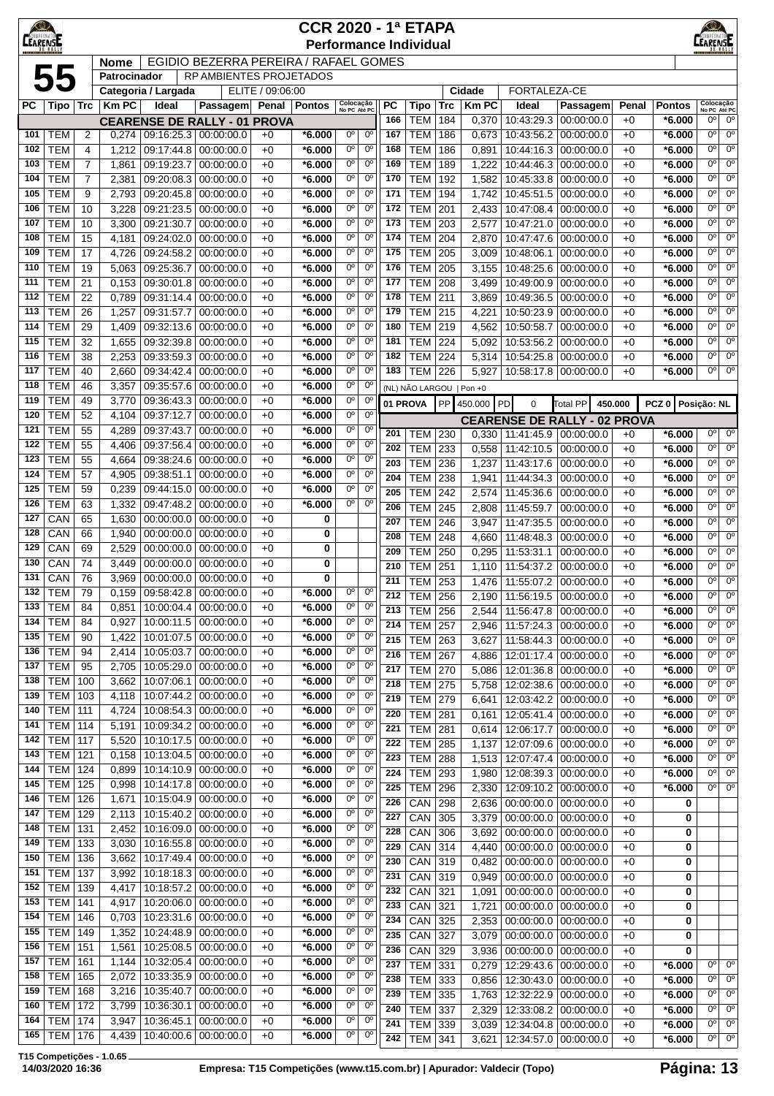| $\bigotimes$<br>AMPEONA<br><b>LEARENSE</b> |                          |            |                |                                                            |                                           |                       | <b>CCR 2020 - 1ª ETAPA</b><br><b>Performance Individual</b> |                            |                            |            |                                |            |                |                                                                    |                                     |               |                           | EARENSE                     |                            |
|--------------------------------------------|--------------------------|------------|----------------|------------------------------------------------------------|-------------------------------------------|-----------------------|-------------------------------------------------------------|----------------------------|----------------------------|------------|--------------------------------|------------|----------------|--------------------------------------------------------------------|-------------------------------------|---------------|---------------------------|-----------------------------|----------------------------|
|                                            |                          |            | <b>Nome</b>    |                                                            | EGIDIO BEZERRA PEREIRA / RAFAEL GOMES     |                       |                                                             |                            |                            |            |                                |            |                |                                                                    |                                     |               |                           |                             |                            |
|                                            | 55                       |            | Patrocinador   |                                                            | <b>RP AMBIENTES PROJETADOS</b>            |                       |                                                             |                            |                            |            |                                |            |                |                                                                    |                                     |               |                           |                             |                            |
| PC                                         |                          |            | <b>Km PC</b>   | Categoria / Largada                                        |                                           | ELITE / 09:06:00      | <b>Pontos</b>                                               | Colocação                  |                            | РC         |                                |            | Cidade<br>KmPC | FORTALEZA-CE                                                       |                                     |               |                           | Colocação                   |                            |
|                                            | Tipo   Trc               |            |                | Ideal                                                      | Passagem<br><b>CEARENSE DE RALLY - 01</b> | Penal<br><b>PROVA</b> |                                                             | No PC Até PC               |                            | 166        | Tipo<br><b>TEM</b>             | Trc<br>184 | 0,370          | Ideal<br>10:43:29.3                                                | Passagem<br>00:00:00.0              | Penal<br>$+0$ | <b>Pontos</b><br>$*6.000$ | No PC Até PC<br>$0^{\circ}$ | $0^{\circ}$                |
| 101                                        | <b>TEM</b>               | 2          | 0,274          | 09:16:25.3 00:00:00.0                                      |                                           | $+0$                  | $*6.000$                                                    | 0°                         | $0^{\circ}$                | 167        | TEM                            | 186        | 0,673          | 10:43:56.2                                                         | 00:00:00.0                          | $+0$          | $*6.000$                  | $0^{\circ}$                 | $0^{\circ}$                |
| 102                                        | <b>TEM</b>               | 4          | 1,212          | 09:17:44.8                                                 | 00:00:00.0                                | $+0$                  | *6.000                                                      | 0°                         | $0^{\circ}$                | 168        | <b>TEM</b>                     | 186        | 0,891          | 10:44:16.3                                                         | 00:00:00.0                          | $+0$          | $*6.000$                  | $0^{\circ}$                 | $0^{\circ}$                |
| 103                                        | <b>TEM</b>               | 7          | 1,861          | 09:19:23.7                                                 | 00:00:00.0                                | $+0$                  | *6.000                                                      | $0^{\circ}$                | $0^{\circ}$                | 169        | <b>TEM</b>                     | 189        | 1,222          | 10:44:46.3                                                         | 00:00:00.0                          | $+0$          | $*6.000$                  | $0^{\circ}$                 | $0^{\circ}$                |
| 104                                        | <b>TEM</b>               | 7          | 2,381          | 09:20:08.3                                                 | 00:00:00.0                                | $+0$                  | *6.000                                                      | $0^{\circ}$                | $0^{\circ}$                | 170        | <b>TEM</b>                     | 192        | 1,582          | 10:45:33.8                                                         | 00:00:00.0                          | $+0$          | $*6.000$                  | $0^{\rm o}$                 | $0^{\circ}$                |
| 105                                        | <b>TEM</b>               | 9          | 2,793          | 09:20:45.8                                                 | 00:00:00.0                                | $+0$                  | *6.000                                                      | $0^{\circ}$                | $0^{\circ}$                | 171        | <b>TEM</b>                     | 194        | 1,742          | 10:45:51.5                                                         | 00:00:00.0                          | $+0$          | $*6.000$                  | $0^{\circ}$                 | $0^{\circ}$                |
| 106                                        | <b>TEM</b>               | 10         | 3,228          | 09:21:23.5                                                 | 00:00:00.0                                | $+0$                  | *6.000                                                      | $0^{\circ}$<br>0°          | $0^{\circ}$<br>$0^{\circ}$ | 172<br>173 | <b>TEM</b>                     | 201        | 2,433          | 10:47:08.4                                                         | 00:00:00.0                          | $+0$          | $*6.000$                  | $0^{\circ}$<br>$0^{\circ}$  | $0^{\circ}$<br>$0^{\circ}$ |
| 107<br>108                                 | <b>TEM</b><br><b>TEM</b> | 10<br>15   | 3,300<br>4,181 | 09:21:30.7<br>09:24:02.0                                   | 00:00:00.0<br>00:00:00.0                  | $+0$<br>$+0$          | *6.000<br>$*6.000$                                          | $0^{\circ}$                | 0°                         | 174        | <b>TEM</b><br><b>TEM</b>       | 203<br>204 | 2,577<br>2,870 | 10:47:21.0<br>10:47:47.6                                           | 00:00:00.0<br>00:00:00.0            | $+0$<br>$+0$  | $*6.000$<br>$*6.000$      | $0^{\circ}$                 | $0^{\circ}$                |
| 109                                        | <b>TEM</b>               | 17         | 4,726          | 09:24:58.2                                                 | 00:00:00.0                                | $+0$                  | $*6.000$                                                    | $0^{\circ}$                | $0^{\circ}$                | 175        | <b>TEM</b>                     | 205        | 3,009          | 10:48:06.1                                                         | 00:00:00.0                          | $+0$          | $*6.000$                  | $0^{\circ}$                 | $0^{\circ}$                |
| 110                                        | <b>TEM</b>               | 19         | 5,063          | 09:25:36.7                                                 | 00:00:00.0                                | $+0$                  | $*6.000$                                                    | $0^{\circ}$                | $0^{\circ}$                | 176        | <b>TEM</b>                     | 205        | 3,155          | 10:48:25.6                                                         | 00:00:00.0                          | $+0$          | $*6.000$                  | $0^{\circ}$                 | $0^{\circ}$                |
| 111                                        | <b>TEM</b>               | 21         | 0,153          | 09:30:01.8                                                 | 00:00:00.0                                | $+0$                  | *6.000                                                      | 0°                         | $0^{\circ}$                | 177        | <b>TEM</b>                     | 208        | 3,499          | 10:49:00.9                                                         | 00:00:00.0                          | $+0$          | $*6.000$                  | $0^{\circ}$                 | $0^{\circ}$                |
| 112                                        | <b>TEM</b>               | 22         | 0,789          | 09:31:14.4                                                 | 00:00:00.0                                | $+0$                  | *6.000                                                      | $0^{\circ}$                | $0^{\circ}$                | 178        | <b>TEM</b>                     | 211        | 3.869          | 10:49:36.5                                                         | 00:00:00.0                          | $+0$          | $*6.000$                  | $0^{\circ}$                 | $0^{\circ}$                |
| 113                                        | <b>TEM</b>               | 26         | 1,257          | 09:31:57.7                                                 | 00:00:00.0                                | $+0$                  | *6.000                                                      | $0^{\circ}$                | $0^{\circ}$                | 179        | <b>TEM</b>                     | 215        | 4,221          | 10:50:23.9                                                         | 00:00:00.0                          | $+0$          | $*6.000$                  | $0^{\circ}$                 | $0^{\circ}$                |
| 114                                        | <b>TEM</b>               | 29         | 1,409          | 09:32:13.6                                                 | 00:00:00.0                                | $+0$                  | *6.000                                                      | $0^{\circ}$                | $0^{\circ}$                | 180        | <b>TEM</b>                     | 219        | 4,562          | 10:50:58.7                                                         | 00:00:00.0                          | $+0$          | $*6.000$                  | $0^{\circ}$                 | $0^{\circ}$                |
| 115<br>116                                 | <b>TEM</b><br><b>TEM</b> | 32<br>38   | 1,655<br>2,253 | 09:32:39.8<br>09:33:59.3                                   | 00:00:00.0<br>00:00:00.0                  | $+0$<br>$+0$          | *6.000<br>*6.000                                            | $0^{\circ}$<br>0°          | $0^{\circ}$<br>0°          | 181<br>182 | <b>TEM</b><br>TEM              | 224<br>224 | 5,092<br>5,314 | 10:53:56.2<br>10:54:25.8                                           | 00:00:00.0<br>00:00:00.0            | $+0$<br>$+0$  | $*6.000$<br>$*6.000$      | $0^{\circ}$<br>0°           | $0^{\circ}$<br>$0^{\circ}$ |
| 117                                        | <b>TEM</b>               | 40         | 2,660          | 09:34:42.4                                                 | 00:00:00.0                                | $+0$                  | $*6.000$                                                    | $0^{\circ}$                | 0°                         | 183        | TEM                            | 226        | 5,927          | 10:58:17.8                                                         | 00:00:00.0                          | $+0$          | $*6.000$                  | $0^{\circ}$                 | 0 <sup>o</sup>             |
| 118                                        | <b>TEM</b>               | 46         | 3,357          | 09:35:57.6                                                 | 00:00:00.0                                | $+0$                  | $*6.000$                                                    | $0^{\circ}$                | $0^{\circ}$                |            | (NL) NÃO LARGOU   Pon +0       |            |                |                                                                    |                                     |               |                           |                             |                            |
| 119                                        | <b>TEM</b>               | 49         | 3,770          | 09:36:43.3                                                 | 00:00:00.0                                | $+0$                  | *6.000                                                      | $0^{\circ}$                | $0^{\circ}$                |            | 01 PROVA                       | <b>PP</b>  | 450.000        | PD<br>0                                                            | Total PP                            | 450,000       | PCZ 0 Posicão: NL         |                             |                            |
| 120                                        | <b>TEM</b>               | 52         | 4,104          | 09:37:12.7                                                 | 00:00:00.0                                | $+0$                  | *6.000                                                      | 0°                         | 0°                         |            |                                |            |                |                                                                    | <b>CEARENSE DE RALLY - 02 PROVA</b> |               |                           |                             |                            |
| 121                                        | <b>TEM</b>               | 55         | 4,289          | 09:37:43.7                                                 | 00:00:00.0                                | $+0$                  | *6.000                                                      | $0^{\circ}$                | $0^{\circ}$                | 201        | <b>TEM</b>                     | 230        | 0,330          | 11:41:45.9                                                         | 00:00:00.0                          | $+0$          | $*6.000$                  | $0^{\circ}$                 | $0^{\circ}$                |
| 122                                        | <b>TEM</b>               | 55         | 4,406          | 09:37:56.4                                                 | 00:00:00.0                                | $+0$                  | $*6.000$                                                    | 0°                         | $0^{\circ}$                | 202        | <b>TEM</b>                     | 233        | 0,558          | 11:42:10.5                                                         | 00:00:00.0                          | $+0$          | $*6.000$                  | $0^{\circ}$                 | $0^{\circ}$                |
| 123                                        | <b>TEM</b>               | 55         | 4,664          | 09:38:24.6                                                 | 00:00:00.0                                | $+0$                  | *6.000                                                      | $0^{\circ}$<br>$0^{\circ}$ | $0^{\circ}$                | 203        | <b>TEM</b>                     | 236        | 1,237          | 11:43:17.6                                                         | 00:00:00.0                          | $+0$          | $*6.000$                  | 0 <sup>o</sup>              | $0^{\circ}$                |
| 124<br>125                                 | <b>TEM</b><br><b>TEM</b> | 57<br>59   | 4,905<br>0,239 | 09:38:51.1<br>09:44:15.0                                   | 00:00:00.0<br>00:00:00.0                  | $+0$<br>$+0$          | *6.000<br>$*6.000$                                          | 0°                         | $0^{\circ}$<br>0°          | 204        | <b>TEM</b>                     | 238        | 1,941          | 11:44:34.3                                                         | 00:00:00.0                          | $+0$          | $*6.000$                  | $0^{\circ}$                 | $0^{\circ}$                |
| 126                                        | <b>TEM</b>               | 63         | 1,332          | 09:47:48.2                                                 | 00:00:00.0                                | $+0$                  | $*6.000$                                                    | $0^{\circ}$                | $0^{\circ}$                | 205        | <b>TEM</b>                     | 242        | 2,574          | 11:45:36.6                                                         | 00:00:00.0                          | $+0$          | $*6.000$                  | $0^{\circ}$<br>$0^{\circ}$  | $0^{\circ}$<br>$0^{\circ}$ |
| 127                                        | CAN                      | 65         | 1,630          | 00:00:00.0                                                 | 00:00:00.0                                | $+0$                  | 0                                                           |                            |                            | 206<br>207 | <b>TEM</b><br><b>TEM</b>       | 245<br>246 | 2,808<br>3,947 | 11:45:59.7<br>11:47:35.5                                           | 00:00:00.0<br>00:00:00.0            | $+0$<br>$+0$  | $*6.000$<br>$*6.000$      | 0 <sup>o</sup>              | 0 <sup>o</sup>             |
| 128                                        | CAN                      | 66         | 1,940          | 00:00:00.0                                                 | 00:00:00.0                                | $+0$                  | 0                                                           |                            |                            | 208        | <b>TEM</b>                     | 248        | 4,660          | 11:48:48.3                                                         | 00:00:00.0                          | $+0$          | $*6.000$                  | $0^{\circ}$                 | $0^{\circ}$                |
| 129                                        | CAN                      | 69         | 2,529          | 00:00:00.0                                                 | 00:00:00.0                                | $+0$                  | 0                                                           |                            |                            | 209        | <b>TEM</b>                     | 250        | 0,295          | 11:53:31.1                                                         | 00:00:00.0                          | $+0$          | $*6.000$                  | $0^{\circ}$                 | $0^{\circ}$                |
| 130                                        | CAN                      | 74         | 3,449          | 00:00:00.0                                                 | 00:00:00.0                                | $+0$                  | 0                                                           |                            |                            | 210        | <b>TEM</b>                     | 251        | 1,110          | 11:54:37.2                                                         | 00:00:00.0                          | $+0$          | $*6.000$                  | $0^{\circ}$                 | $0^{\circ}$                |
| 131                                        | CAN                      | 76         | 3,969          | 00:00:00.0                                                 | 00:00:00.0                                | $+0$                  | 0                                                           | $0^{\circ}$                |                            | 211        | <b>TEM</b>                     | 253        |                | 1,476 11:55:07.2                                                   | 00:00:00.0                          | $+0$          | $*6.000$                  | $0^{\circ}$                 | 0 <sup>o</sup>             |
| 132<br>133                                 | <b>TEM</b><br>TEM        | 79<br>84   | 0,851          | $0.159$   09:58:42.8   00:00:00.0<br>10:00:04.4 00:00:00.0 |                                           | $+0$<br>$+0$          | $*6.000$<br>$*6.000$                                        | 0°                         | $0^{\circ}$<br>$0^{\circ}$ |            | $212$ TEM                      | 256        |                |                                                                    | 2,190 11:56:19.5 00:00:00.0         | $+0$          | $*6.000$                  | 0 <sup>o</sup>              | $\overline{0^{\circ}}$     |
| 134                                        | <b>TEM</b>               | 84         | 0,927          | 10:00:11.5                                                 | 00:00:00.0                                | $+0$                  | *6.000                                                      | 0°                         | $0^{\circ}$                | 213<br>214 | <b>TEM   256</b><br><b>TEM</b> | 257        | 2,544          | 11:56:47.8   00:00:00.0                                            |                                     | $+0$          | $*6.000$<br>$*6.000$      | 0°<br>0°                    | $0^{\circ}$<br>$0^{\circ}$ |
| 135                                        | <b>TEM</b>               | 90         | 1,422          | 10:01:07.5                                                 | 00:00:00.0                                | $+0$                  | $*6.000$                                                    | 0°                         | $0^{\circ}$                | 215        | <b>TEM</b>                     | 263        | 2,946<br>3,627 | 11:57:24.3<br>11:58:44.3                                           | 00:00:00.0<br>00:00:00.0            | $+0$<br>$+0$  | $*6.000$                  | $0^{\circ}$                 | $0^{\circ}$                |
| 136                                        | <b>TEM</b>               | 94         | 2,414          | 10:05:03.7                                                 | 00:00:00.0                                | $+0$                  | *6.000                                                      | $0^{\rm o}$                | $0^{\rm o}$                | 216        | <b>TEM</b>                     | 267        | 4,886          | 12:01:17.4                                                         | 00:00:00.0                          | $+0$          | $*6.000$                  | 0 <sup>o</sup>              | 0 <sup>o</sup>             |
| 137                                        | <b>TEM</b>               | 95         | 2,705          | 10:05:29.0 00:00:00.0                                      |                                           | $+0$                  | $*6.000$                                                    | 0 <sup>o</sup>             | 0 <sup>o</sup>             | 217        | <b>TEM 270</b>                 |            | 5,086          | 12:01:36.8 00:00:00.0                                              |                                     | $+0$          | $*6.000$                  | $0^{\circ}$                 | $0^{\circ}$                |
| 138                                        | <b>TEM</b>               | 100        | 3,662          | 10:07:06.1                                                 | 00:00:00.0                                | $+0$                  | *6.000                                                      | 0°                         | $0^{\circ}$                | 218        | <b>TEM 275</b>                 |            |                | 5,758   12:02:38.6   00:00:00.0                                    |                                     | $+0$          | $*6.000$                  | $0^{\circ}$                 | $0^{\circ}$                |
| 139                                        | <b>TEM</b>               | 103        | 4,118          | 10:07:44.2                                                 | 00:00:00.0                                | $+0$                  | *6.000                                                      | 0°                         | 0°                         | 219        | <b>TEM</b>                     | 279        | 6,641          | 12:03:42.2                                                         | 00:00:00.0                          | $+0$          | $*6.000$                  | $0^{\circ}$                 | $0^{\circ}$                |
| 140<br>141                                 | <b>TEM</b><br><b>TEM</b> | 111<br>114 | 4,724<br>5,191 | 10:08:54.3<br>10:09:34.2 00:00:00.0                        | 00:00:00.0                                | $+0$<br>$+0$          | *6.000<br>$*6.000$                                          | 0°<br>0 <sup>o</sup>       | $0^{\circ}$<br>$0^{\circ}$ | 220        | <b>TEM</b>                     | 281        | 0,161          | 12:05:41.4                                                         | 00:00:00.0                          | $+0$          | $*6.000$                  | $0^{\circ}$                 | $0^{\circ}$                |
| 142                                        | <b>TEM</b>               | 117        | 5,520          | 10:10:17.5 00:00:00.0                                      |                                           | $+0$                  | $*6.000$                                                    | 0°                         | $0^{\circ}$                | 221<br>222 | TEM                            | 281        | 0,614          | 12:06:17.7<br>12:07:09.6 00:00:00.0                                | 00:00:00.0                          | $+0$          | $*6.000$                  | $0^{\circ}$<br>$0^{\circ}$  | $0^{\circ}$<br>$0^{\circ}$ |
| 143                                        | TEM                      | 121        | 0,158          | 10:13:04.5 00:00:00.0                                      |                                           | $+0$                  | $*6.000$                                                    | 0°                         | $0^{\circ}$                | 223        | TEM<br><b>TEM</b>              | 285<br>288 | 1,137          | 1,513   12:07:47.4                                                 | 00:00:00.0                          | $+0$<br>$+0$  | $*6.000$<br>$*6.000$      | $0^{\circ}$                 | $0^{\circ}$                |
| 144                                        | TEM                      | 124        | 0,899          |                                                            | 10:14:10.9 00:00:00.0                     | $+0$                  | $*6.000$                                                    | 0°                         | $0^{\circ}$                | 224        | <b>TEM</b>                     | 293        | 1,980          | 12:08:39.3                                                         | 00:00:00.0                          | $+0$          | $*6.000$                  | $0^{\circ}$                 | 0 <sup>o</sup>             |
| 145                                        | <b>TEM</b>               | 125        | 0,998          | 10:14:17.8                                                 | 00:00:00.0                                | $+0$                  | *6.000                                                      | $0^{\rm o}$                | $0^{\circ}$                | 225        | <b>TEM</b>                     | 296        | 2,330          | 12:09:10.2 00:00:00.0                                              |                                     | $+0$          | $*6.000$                  | $0o$ 0 <sup>o</sup>         |                            |
| 146                                        | <b>TEM</b>               | 126        | 1,671          | 10:15:04.9                                                 | 00:00:00.0                                | $+0$                  | $*6.000$                                                    | 0 <sup>o</sup>             | $0^{\circ}$                | 226        | CAN                            | 298        | 2,636          | $00:00:00.0$   $00:00:00.0$                                        |                                     | $+0$          | 0                         |                             |                            |
| 147                                        | TEM                      | 129        | 2,113          | 10:15:40.2                                                 | 00:00:00.0                                | $+0$                  | $*6.000$                                                    | 0 <sup>o</sup>             | $0^{\circ}$                | 227        | CAN                            | 305        |                | $3,379$   00:00:00.0   00:00:00.0                                  |                                     | $+0$          | 0                         |                             |                            |
| 148<br>149                                 | <b>TEM</b><br><b>TEM</b> | 131<br>133 | 2,452<br>3,030 | 10:16:09.0 00:00:00.0<br>10:16:55.8                        | 00:00:00.0                                | $+0$<br>$+0$          | *6.000<br>*6.000                                            | 0°<br>0 <sup>o</sup>       | 0°<br>$0^{\circ}$          | 228        | CAN                            | 306        |                | $3,692$ 00:00:00.0                                                 | 00:00:00.0                          | $+0$          | 0                         |                             |                            |
| 150                                        | <b>TEM</b>               | 136        | 3,662          |                                                            | 10:17:49.4 00:00:00.0                     | $+0$                  | $*6.000$                                                    | 0 <sup>o</sup>             | $0^{\circ}$                | 229        | CAN                            | 314        |                | 4,440 00:00:00.0                                                   | 00:00:00.0                          | $+0$          | 0                         |                             |                            |
| 151                                        | TEM                      | 137        | 3,992          | 10:18:18.3 00:00:00.0                                      |                                           | $+0$                  | $*6.000$                                                    | 0 <sup>o</sup>             | $0^{\circ}$                | 230<br>231 | CAN<br>CAN                     | 319<br>319 |                | 0,482   00:00:00.0   00:00:00.0<br>0,949   00:00:00.0   00:00:00.0 |                                     | $+0$<br>$+0$  | 0<br>0                    |                             |                            |
| 152                                        | TEM                      | 139        |                | 4,417   10:18:57.2   00:00:00.0                            |                                           | $+0$                  | *6.000                                                      | 0°                         | $0^{\circ}$                | 232        | CAN                            | 321        |                | $1,091$ 00:00:00.0                                                 | 00:00:00.0                          | $+0$          | 0                         |                             |                            |
| 153                                        | TEM                      | 141        | 4,917          | 10:20:06.0 00:00:00.0                                      |                                           | $+0$                  | $*6.000$                                                    | 0°                         | $0^{\circ}$                | 233        | CAN                            | 321        | 1,721          | 00:00:00.0                                                         | 00:00:00.0                          | $+0$          | 0                         |                             |                            |
| 154                                        | TEM                      | 146        | 0,703          | 10:23:31.6                                                 | 00:00:00.0                                | $+0$                  | *6.000                                                      | $0^{\circ}$                | $0^{\circ}$                | 234        | CAN                            | 325        | 2,353          | 00:00:00.0                                                         | 00:00:00.0                          | $+0$          | 0                         |                             |                            |
| 155                                        | TEM                      | 149        | 1,352          | 10:24:48.9                                                 | 00:00:00.0                                | $+0$                  | $*6.000$                                                    | 0 <sup>o</sup>             | 0 <sup>o</sup>             | 235        | CAN                            | 327        | 3,079          | $00:00:00.0$   $00:00:00.0$                                        |                                     | $+0$          | 0                         |                             |                            |
| 156                                        | TEM                      | 151        | 1,561          | 10:25:08.5                                                 | 00:00:00.0                                | $+0$                  | *6.000                                                      | $0^{\circ}$<br>0°          | $0^{\circ}$<br>$0^{\circ}$ | 236        | CAN                            | 329        | 3,936          | 00:00:00.0                                                         | 00:00:00.0                          | $+0$          | 0                         |                             |                            |
| 157<br>158                                 | <b>TEM</b><br><b>TEM</b> | 161<br>165 | 1,144<br>2,072 | 10:32:05.4<br>10:33:35.9                                   | 00:00:00.0<br>00:00:00.0                  | $+0$<br>$+0$          | *6.000<br>*6.000                                            | 0°                         | $0^{\circ}$                | 237        | <b>TEM</b>                     | 331        |                | $0,279$   12:29:43.6   00:00:00.0                                  |                                     | $+0$          | $*6.000$                  | $0^{\circ}$                 | $0^{\circ}$                |
| 159                                        | <b>TEM</b>               | 168        | 3,216          | 10:35:40.7                                                 | 00:00:00.0                                | $+0$                  | *6.000                                                      | 0 <sup>o</sup>             | $0^{\rm o}$                | 238<br>239 | TEM<br><b>TEM</b>              | 333<br>335 | 0,856<br>1,763 | 12:30:43.0<br>12:32:22.9 00:00:00.0                                | 00:00:00.0                          | $+0$<br>$+0$  | $*6.000$<br>$*6.000$      | $0^{\circ}$<br>$0^{\circ}$  | $0^{\circ}$<br>$0^{\circ}$ |
| 160                                        | TEM                      | 172        | 3,799          | 10:36:30.1                                                 | 00:00:00.0                                | $+0$                  | $*6.000$                                                    | 0 <sup>o</sup>             | $0^{\circ}$                | 240        | <b>TEM</b>                     | 337        | 2,329          | 12:33:08.2                                                         | 00:00:00.0                          | $+0$          | $*6.000$                  | $0^{\circ}$                 | 0 <sup>o</sup>             |
| 164                                        | <b>TEM 174</b>           |            | 3,947          | 10:36:45.1                                                 | 00:00:00.0                                | $+0$                  | $*6.000$                                                    | 0°                         | 0°                         | 241        | <b>TEM</b>                     | 339        | 3,039          | 12:34:04.8 00:00:00.0                                              |                                     | $+0$          | $*6.000$                  |                             | $0^\circ$ 0°               |
| 165                                        | TEM                      | 176        | 4,439          | 10:40:00.6                                                 | 00:00:00.0                                | $+0$                  | $*6.000$                                                    | 0°                         | 0°                         | 242        | TEM                            | 341        | 3,621          | 12:34:57.0 00:00:00.0                                              |                                     | $+0$          | $*6.000$                  | $00$ 0 <sup>o</sup>         |                            |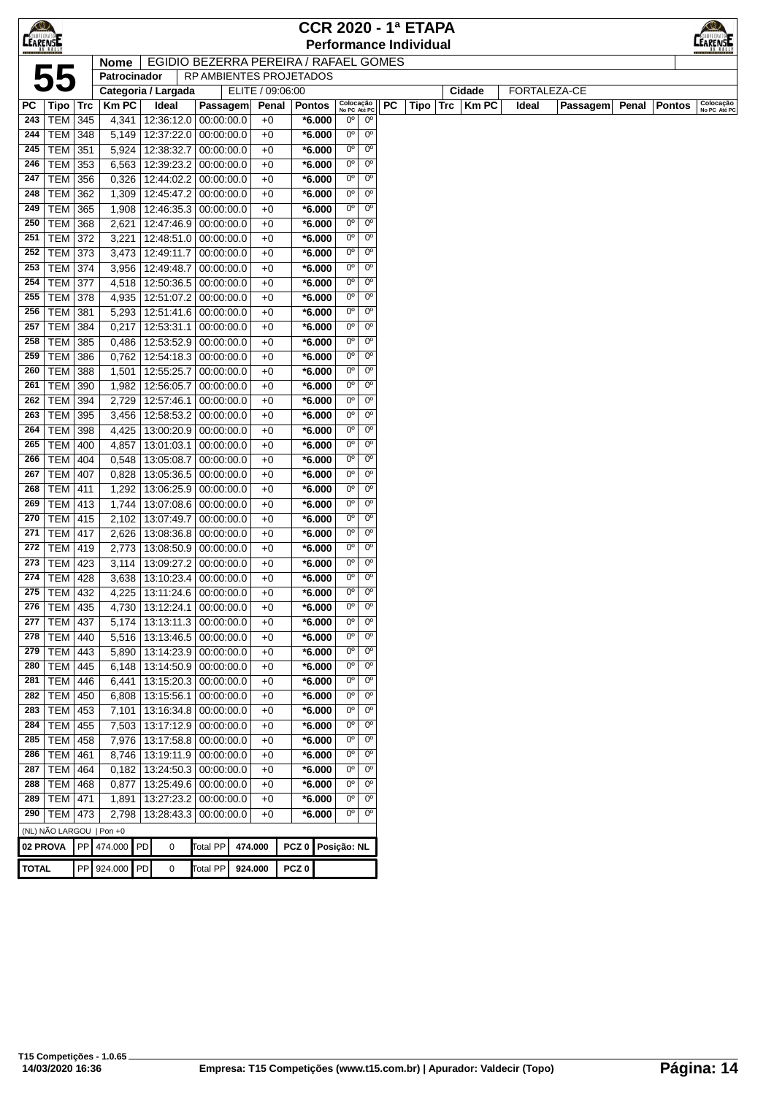| $\bigcirc$<br><b>CEARENSE</b> |                              |      |                |    |                                                |                          |                  |              |                  |                      |                            |                               |    | <b>CCR 2020 - 1ª ETAPA</b><br><b>Performance Individual</b> |     |        |              |       |                     |       |               | <b>EARENSE</b>            |
|-------------------------------|------------------------------|------|----------------|----|------------------------------------------------|--------------------------|------------------|--------------|------------------|----------------------|----------------------------|-------------------------------|----|-------------------------------------------------------------|-----|--------|--------------|-------|---------------------|-------|---------------|---------------------------|
|                               |                              |      | <b>Nome</b>    |    | EGIDIO BEZERRA PEREIRA / RAFAEL GOMES          |                          |                  |              |                  |                      |                            |                               |    |                                                             |     |        |              |       |                     |       |               |                           |
|                               | 55                           |      | Patrocinador   |    |                                                | RP AMBIENTES PROJETADOS  |                  |              |                  |                      |                            |                               |    |                                                             |     |        |              |       |                     |       |               |                           |
|                               |                              |      |                |    | Categoria / Largada                            |                          | ELITE / 09:06:00 |              |                  |                      |                            |                               |    |                                                             |     | Cidade |              |       | <b>FORTALEZA-CE</b> |       |               |                           |
| PC                            | Tipo                         | ∣Trc | <b>Km PC</b>   |    | Ideal                                          | Passagem                 |                  | Penal        | <b>Pontos</b>    |                      | Colocação<br>No PC Até PC  |                               | РC | Tipo                                                        | Trc |        | <b>Km PC</b> | Ideal | <b>Passagem</b>     | Penal | <b>Pontos</b> | Colocacão<br>No PC Até PC |
| 243                           | TEM                          | 345  | 4,341          |    | 12:36:12.0 00:00:00.0                          |                          |                  | $+0$         |                  | $*6.000$             | $0^{\circ}$                | 0°                            |    |                                                             |     |        |              |       |                     |       |               |                           |
| 244                           | <b>TEM 348</b>               |      | 5,149          |    | 12:37:22.0   00:00:00.0                        |                          |                  | $+0$         |                  | $*6.000$             | $0^{\circ}$                | $0^{\circ}$                   |    |                                                             |     |        |              |       |                     |       |               |                           |
| 245                           | <b>TEM 351</b>               |      | 5,924          |    | 12:38:32.7                                     | 00:00:00.0               |                  | $+0$         |                  | $*6.000$             | $0^{\circ}$                | $0^{\circ}$                   |    |                                                             |     |        |              |       |                     |       |               |                           |
| 246                           | <b>TEM</b>                   | 353  | 6,563          |    | 12:39:23.2                                     | 00:00:00.0               |                  | $+0$         |                  | $*6.000$             | $0^{\circ}$                | $0^{\circ}$                   |    |                                                             |     |        |              |       |                     |       |               |                           |
| 247                           | <b>TEM</b>                   | 356  | 0,326          |    | 12:44:02.2                                     | 00:00:00.0               |                  | $+0$         |                  | $*6.000$             | $0^{\circ}$                | $0^{\circ}$                   |    |                                                             |     |        |              |       |                     |       |               |                           |
| 248                           | <b>TEM 362</b>               |      | 1,309          |    | 12:45:47.2 00:00:00.0                          |                          |                  | $+0$         |                  | $*6.000$             | $0^{\circ}$                | $0^{\circ}$                   |    |                                                             |     |        |              |       |                     |       |               |                           |
| 249                           | TEM 365                      |      | 1,908          |    | 12:46:35.3 00:00:00.0                          |                          |                  | $+0$         |                  | $*6.000$             | $0^{\circ}$                | $0^{\circ}$                   |    |                                                             |     |        |              |       |                     |       |               |                           |
| 250                           | <b>TEM 368</b>               |      | 2,621          |    | 12:47:46.9 00:00:00.0                          |                          |                  | $+0$         |                  | $*6.000$             | $0^{\circ}$                | $0^{\circ}$                   |    |                                                             |     |        |              |       |                     |       |               |                           |
| 251                           | <b>TEM 372</b>               |      | 3,221          |    | 12:48:51.0 00:00:00.0                          |                          |                  | $+0$         |                  | $*6.000$             | $0^{\circ}$                | $0^{\circ}$                   |    |                                                             |     |        |              |       |                     |       |               |                           |
| 252                           | TEM 373                      |      | 3,473          |    | 12:49:11.7                                     | 00:00:00.0               |                  | $+0$         |                  | $*6.000$             | $0^{\circ}$                | $0^{\circ}$                   |    |                                                             |     |        |              |       |                     |       |               |                           |
| 253                           | <b>TEM 374</b>               |      | 3,956          |    | 12:49:48.7                                     | 00:00:00.0               |                  | $+0$         |                  | $*6.000$             | $0^{\circ}$                | 0 <sup>o</sup>                |    |                                                             |     |        |              |       |                     |       |               |                           |
| 254                           | <b>TEM 377</b>               |      | 4,518          |    | 12:50:36.5                                     | 00:00:00.0               |                  | $+0$         |                  | $*6.000$             | $0^{\circ}$                | $0^{\circ}$                   |    |                                                             |     |        |              |       |                     |       |               |                           |
| 255                           | <b>TEM</b>                   | 378  | 4,935          |    | 12:51:07.2                                     | 00:00:00.0               |                  | $+0$         |                  | $*6.000$             | $0^{\circ}$                | $0^{\circ}$                   |    |                                                             |     |        |              |       |                     |       |               |                           |
| 256                           | <b>TEM</b>                   | 381  | 5,293          |    | 12:51:41.6 00:00:00.0                          |                          |                  | $+0$         |                  | $*6.000$             | $0^{\circ}$                | $0^{\circ}$                   |    |                                                             |     |        |              |       |                     |       |               |                           |
| 257                           | <b>TEM 384</b>               |      | 0,217          |    | 12:53:31.1                                     | 00:00:00.0               |                  | $+0$         |                  | $*6.000$             | $0^{\circ}$                | $0^{\circ}$                   |    |                                                             |     |        |              |       |                     |       |               |                           |
| 258                           | <b>TEM 385</b>               |      | 0,486          |    | 12:53:52.9 00:00:00.0                          |                          |                  | $+0$         |                  | $*6.000$             | $0^{\circ}$                | $0^{\circ}$                   |    |                                                             |     |        |              |       |                     |       |               |                           |
| 259                           | <b>TEM 386</b>               |      | 0,762          |    | 12:54:18.3 00:00:00.0                          |                          |                  | $+0$         |                  | $*6.000$             | $0^{\circ}$                | $0^{\circ}$                   |    |                                                             |     |        |              |       |                     |       |               |                           |
| 260                           | <b>TEM</b>                   | 388  | 1,501          |    | 12:55:25.7                                     | 00:00:00.0               |                  | $+0$         |                  | $*6.000$             | $0^{\circ}$                | $0^{\circ}$                   |    |                                                             |     |        |              |       |                     |       |               |                           |
| 261                           | TEM                          | 390  | 1,982          |    | 12:56:05.7                                     | 00:00:00.0               |                  | $+0$         |                  | $*6.000$             | $0^{\circ}$                | $0^{\circ}$                   |    |                                                             |     |        |              |       |                     |       |               |                           |
| 262                           | <b>TEM 394</b>               |      | 2,729          |    | 12:57:46.1                                     | 00:00:00.0               |                  | $+0$         |                  | $*6.000$             | $0^{\circ}$                | 0 <sup>o</sup>                |    |                                                             |     |        |              |       |                     |       |               |                           |
| 263                           | TEM 395                      |      | 3,456          |    | 12:58:53.2                                     | 00:00:00.0               |                  | $+0$         |                  | $*6.000$             | $0^{\circ}$                | $0^{\circ}$                   |    |                                                             |     |        |              |       |                     |       |               |                           |
| 264                           | <b>TEM</b>                   | 398  | 4,425          |    | 13:00:20.9                                     | 00:00:00.0               |                  | $+0$         |                  | $*6.000$             | 0°                         | $0^{\circ}$                   |    |                                                             |     |        |              |       |                     |       |               |                           |
| 265                           | TEM                          | 400  | 4,857          |    | 13:01:03.1                                     | 00:00:00.0               |                  | $+0$         |                  | $*6.000$             | $0^{\circ}$                | $0^{\circ}$                   |    |                                                             |     |        |              |       |                     |       |               |                           |
| 266                           | <b>TEM 404</b>               |      | 0,548          |    | 13:05:08.7                                     | 00:00:00.0               |                  | $+0$         |                  | $*6.000$             | $0^{\circ}$                | $0^{\circ}$                   |    |                                                             |     |        |              |       |                     |       |               |                           |
| 267                           | <b>TEM 407</b>               |      | 0,828          |    | 13:05:36.5                                     | 00:00:00.0               |                  | $+0$         |                  | $*6.000$             | $0^{\circ}$                | $0^{\circ}$                   |    |                                                             |     |        |              |       |                     |       |               |                           |
| 268                           | TEM   411                    |      | 1,292          |    | 13:06:25.9 00:00:00.0                          |                          |                  | $+0$         |                  | $*6.000$             | $0^{\circ}$                | $0^{\rm o}$                   |    |                                                             |     |        |              |       |                     |       |               |                           |
| 269                           | TEM 413                      |      | 1,744          |    | 13:07:08.6                                     | 00:00:00.0               |                  | $+0$         |                  | $*6.000$             | $0^{\circ}$                | $0^{\circ}$                   |    |                                                             |     |        |              |       |                     |       |               |                           |
| 270                           | $TEM$ 415                    |      | 2,102          |    | 13:07:49.7                                     | 00:00:00.0               |                  | $+0$         |                  | $*6.000$             | $0^{\circ}$                | $0^{\circ}$                   |    |                                                             |     |        |              |       |                     |       |               |                           |
| 271                           | <b>TEM   417</b>             |      | 2,626          |    | 13:08:36.8                                     | 00:00:00.0               |                  | $+0$         |                  | $*6.000$             | $0^{\circ}$                | 0 <sup>o</sup>                |    |                                                             |     |        |              |       |                     |       |               |                           |
| 272                           | TEM 419                      |      | 2,773          |    | 13:08:50.9 00:00:00.0                          |                          |                  | $+0$         |                  | $*6.000$             | $0^{\circ}$                | $0^{\circ}$                   |    |                                                             |     |        |              |       |                     |       |               |                           |
| 273                           | <b>TEM</b>                   | 423  | 3,114          |    | 13:09:27.2                                     | 00:00:00.0               |                  | $+0$         |                  | $*6.000$             | 0°                         | $0^{\circ}$                   |    |                                                             |     |        |              |       |                     |       |               |                           |
| 274                           | <b>TEM</b>                   | 428  | 3,638          |    | 13:10:23.4 00:00:00.0                          |                          |                  | $+0$         |                  | $*6.000$             | 0°                         | $0^{\circ}$                   |    |                                                             |     |        |              |       |                     |       |               |                           |
|                               | 275   TEM   432              |      | 4,225          |    | 13:11:24.6 00:00:00.0                          |                          |                  | $+0$         |                  | $*6.000$             | $0^{\circ}$                | $0^{\circ}$                   |    |                                                             |     |        |              |       |                     |       |               |                           |
| 276                           | TEM 435                      |      | 4,730          |    | 13:12:24.1                                     | 00:00:00.0               |                  | $+0$         |                  | $*6.000$             | $0^{\circ}$                | 0 <sup>o</sup>                |    |                                                             |     |        |              |       |                     |       |               |                           |
| 277                           | <b>TEM 437</b>               |      | 5,174          |    | 13:13:11.3                                     | 00:00:00.0               |                  | $+0$         |                  | $*6.000$             | $0^{\circ}$                | $0^{\circ}$                   |    |                                                             |     |        |              |       |                     |       |               |                           |
| 278                           | TEM 440                      |      | 5,516          |    | 13:13:46.5                                     | 00:00:00.0               |                  | $+0$         |                  | $*6.000$             | $0^{\circ}$                | $0^{\circ}$                   |    |                                                             |     |        |              |       |                     |       |               |                           |
| 279                           | $TEM$ 443                    |      | 5,890          |    | 13:14:23.9 00:00:00.0                          |                          |                  | $+0$         |                  | $*6.000$             | $0^{\circ}$                | $0^{\circ}$                   |    |                                                             |     |        |              |       |                     |       |               |                           |
| 280                           | <b>TEM 445</b>               |      | 6,148          |    | 13:14:50.9                                     | 00:00:00.0               |                  | $+0$         |                  | $*6.000$             | $0^{\circ}$<br>$0^{\circ}$ | 0 <sup>o</sup><br>$0^{\circ}$ |    |                                                             |     |        |              |       |                     |       |               |                           |
| 281<br>282                    | <b>TEM 446</b><br><b>TEM</b> | 450  | 6,441          |    | 13:15:20.3<br>13:15:56.1                       | 00:00:00.0<br>00:00:00.0 |                  | $+0$<br>$+0$ |                  | $*6.000$<br>$*6.000$ | 0°                         | $0^{\circ}$                   |    |                                                             |     |        |              |       |                     |       |               |                           |
| 283                           | <b>TEM</b>                   | 453  | 6,808          |    |                                                |                          |                  | $+0$         |                  |                      | $0^{\circ}$                | $0^{\circ}$                   |    |                                                             |     |        |              |       |                     |       |               |                           |
| 284                           | <b>TEM</b>                   | 455  | 7,101<br>7,503 |    | 13:16:34.8 00:00:00.0                          |                          |                  | $+0$         |                  | $*6.000$<br>$*6.000$ | $0^{\circ}$                | $0^{\circ}$                   |    |                                                             |     |        |              |       |                     |       |               |                           |
| 285                           |                              |      |                |    | 13:17:12.9 00:00:00.0<br>13:17:58.8 00:00:00.0 |                          |                  |              |                  |                      | $0^{\circ}$                | $0^{\circ}$                   |    |                                                             |     |        |              |       |                     |       |               |                           |
| 286                           | <b>TEM 458</b><br>TEM 461    |      | 7,976<br>8,746 |    | 13:19:11.9 00:00:00.0                          |                          |                  | $+0$<br>$+0$ |                  | $*6.000$<br>$*6.000$ | $0^{\circ}$                | $0^{\circ}$                   |    |                                                             |     |        |              |       |                     |       |               |                           |
| 287                           | <b>TEM 464</b>               |      | 0,182          |    | 13:24:50.3                                     | 00:00:00.0               |                  | $+0$         |                  | $*6.000$             | $0^{\circ}$                | $0^{\circ}$                   |    |                                                             |     |        |              |       |                     |       |               |                           |
| 288                           | <b>TEM 468</b>               |      | 0,877          |    | 13:25:49.6                                     | 00:00:00.0               |                  | $+0$         |                  | $*6.000$             | $0^{\circ}$                | 0 <sup>o</sup>                |    |                                                             |     |        |              |       |                     |       |               |                           |
| 289                           | <b>TEM 471</b>               |      | 1,891          |    | 13:27:23.2                                     | 00:00:00.0               |                  | $+0$         |                  | $*6.000$             | $0^{\circ}$                | $0^{\circ}$                   |    |                                                             |     |        |              |       |                     |       |               |                           |
| 290                           | TEM 473                      |      | 2,798          |    | 13:28:43.3 00:00:00.0                          |                          |                  | $+0$         |                  | $*6.000$             | $0^{\circ}$                | $0^{\circ}$                   |    |                                                             |     |        |              |       |                     |       |               |                           |
|                               | (NL) NÃO LARGOU   Pon +0     |      |                |    |                                                |                          |                  |              |                  |                      |                            |                               |    |                                                             |     |        |              |       |                     |       |               |                           |
| 02 PROVA                      |                              |      | PP 474.000     | PD | $\pmb{0}$                                      | <b>Total PP</b>          | 474.000          |              | PCZ <sub>0</sub> |                      | Posição: NL                |                               |    |                                                             |     |        |              |       |                     |       |               |                           |
|                               |                              |      |                |    |                                                |                          |                  |              |                  |                      |                            |                               |    |                                                             |     |        |              |       |                     |       |               |                           |
| <b>TOTAL</b>                  |                              |      | PP 924.000 PD  |    | 0                                              | <b>Total PP</b>          | 924.000          |              | PCZ <sub>0</sub> |                      |                            |                               |    |                                                             |     |        |              |       |                     |       |               |                           |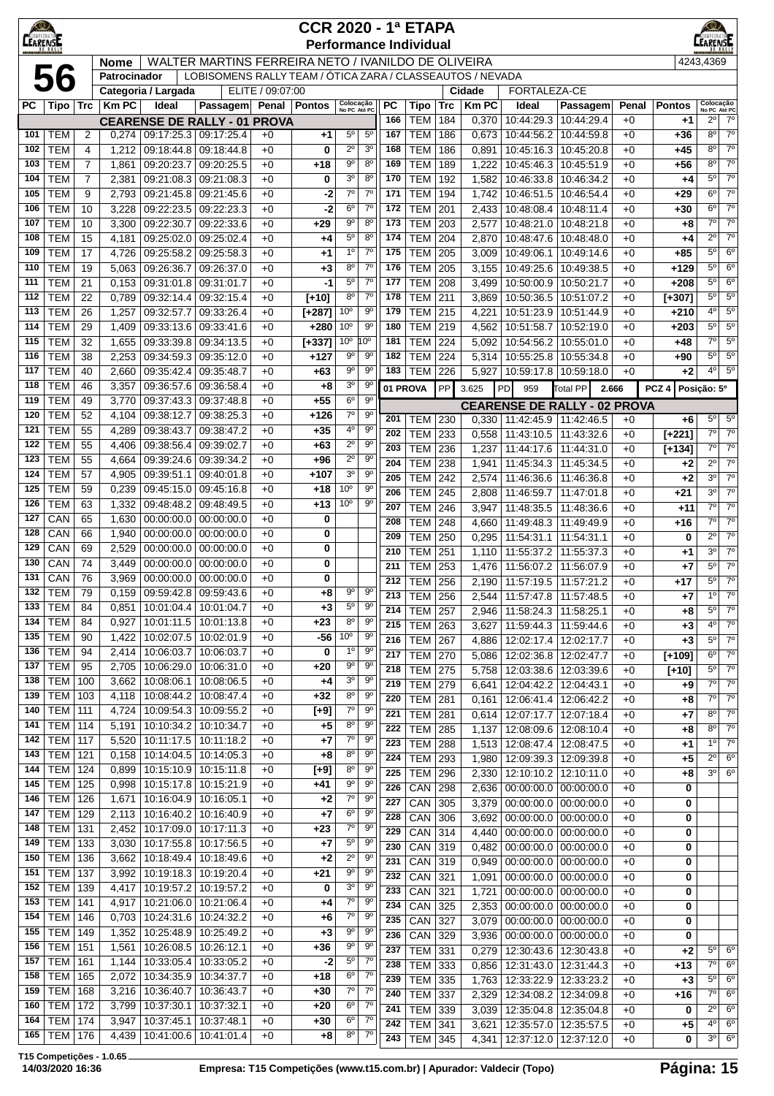| $\bigotimes$<br><b>LEARENSE</b> |                                    |                |                |                                 |                                                           |                  | <b>CCR 2020 - 1ª ETAPA</b> |                                    |                          |                         | <b>Performance Individual</b> |            |                        |                                     |                                                            |              |                  | LEARENSE                      |                                     |
|---------------------------------|------------------------------------|----------------|----------------|---------------------------------|-----------------------------------------------------------|------------------|----------------------------|------------------------------------|--------------------------|-------------------------|-------------------------------|------------|------------------------|-------------------------------------|------------------------------------------------------------|--------------|------------------|-------------------------------|-------------------------------------|
|                                 |                                    |                | <b>Nome</b>    |                                 | WALTER MARTINS FERREIRA NETO / IVANILDO DE OLIVEIRA       |                  |                            |                                    |                          |                         |                               |            |                        |                                     |                                                            |              |                  | 4243,4369                     |                                     |
|                                 | 56                                 |                | Patrocinador   |                                 | LOBISOMENS RALLY TEAM / ÓTICA ZARA / CLASSEAUTOS / NEVADA |                  |                            |                                    |                          |                         |                               |            |                        |                                     |                                                            |              |                  |                               |                                     |
| PC                              | ∣ Tipo ∣ Trc                       |                | <b>Km PC</b>   | Categoria / Largada<br>Ideal    | Passagem Penal                                            | ELITE / 09:07:00 | Pontos                     | Colocação<br>No PC Até PC          |                          | РC                      | Tipo                          | <b>Trc</b> | Cidade<br><b>Km PC</b> | FORTALEZA-CE<br>Ideal               | Passagem                                                   | Penal        | <b>Pontos</b>    | Colocação<br>No PC Até PC     |                                     |
|                                 |                                    |                |                |                                 | <b>CEARENSE DE RALLY - 01 PROVA</b>                       |                  |                            |                                    |                          | 166                     | <b>TEM</b>                    | 184        | 0,370                  | 10:44:29.3                          | 10:44:29.4                                                 | $+0$         | $+1$             | $2^{\circ}$                   | $7^\circ$                           |
| 101                             | <b>TEM</b>                         | 2              | 0,274          |                                 | 09:17:25.3 09:17:25.4                                     | $+0$             | +1                         | $5^{\circ}$                        | $5^{\circ}$              | 167                     | <b>TEM</b>                    | 186        | 0,673                  | 10:44:56.2                          | 10:44:59.8                                                 | $+0$         | +36              | $8^{\circ}$                   | $7^\circ$                           |
| 102                             | <b>TEM</b>                         | 4              | 1,212          | 09:18:44.8                      | 09:18:44.8                                                | $+0$             | 0                          | $2^{\circ}$                        | 3 <sup>o</sup>           | 168                     | <b>TEM</b>                    | 186        | 0,891                  | 10:45:16.3                          | 10:45:20.8                                                 | $+0$         | $+45$            | $8^{\circ}$                   | $7^\circ$                           |
| 103                             | <b>TEM</b>                         | 7              | 1,861          | 09:20:23.7                      | 09:20:25.5                                                | $+0$             | +18                        | $9^{\circ}$                        | $8^{\circ}$              | 169                     | <b>TEM</b>                    | 189        | 1,222                  | 10:45:46.3                          | 10:45:51.9                                                 | $+0$         | +56              | $8^{\circ}$                   | $7^\circ$                           |
| 104                             | <b>TEM</b>                         | $\overline{7}$ | 2,381          | 09:21:08.3                      | 09:21:08.3                                                | $+0$             | 0                          | 3 <sup>0</sup>                     | $8^{\circ}$              | 170                     | <b>TEM</b>                    | 192        | 1,582                  | 10:46:33.8                          | 10:46:34.2                                                 | $+0$         | $+4$             | $5^\circ$                     | $7^{\circ}$                         |
| 105<br>106                      | <b>TEM</b><br><b>TEM</b>           | 9<br>10        | 2,793<br>3,228 | 09:21:45.8                      | 09:21:45.6<br>09:22:23.5 09:22:23.3                       | $+0$<br>$+0$     | -2<br>-2                   | 7 <sup>0</sup><br>6 <sup>o</sup>   | $7^\circ$<br>$7^{\circ}$ | 171<br>172              | <b>TEM</b><br><b>TEM</b>      | 194<br>201 | 1,742<br>2,433         | 10:46:51.5<br>10:48:08.4            | 10:46:54.4<br>10:48:11.4                                   | $+0$<br>$+0$ | $+29$<br>$+30$   | $6^{\circ}$<br>$6^{\circ}$    | 7 <sup>0</sup><br>$7^\circ$         |
| 107                             | <b>TEM</b>                         | 10             | 3,300          | 09:22:30.7                      | 09:22:33.6                                                | $+0$             | $+29$                      | $9^{\circ}$                        | $8^{\circ}$              | 173                     | <b>TEM</b>                    | 203        | 2,577                  | 10:48:21.0                          | 10:48:21.8                                                 | $+0$         | $+8$             | $7^\circ$                     | $7^{\circ}$                         |
| 108                             | <b>TEM</b>                         | 15             | 4,181          | 09:25:02.0                      | 09:25:02.4                                                | $+0$             | +4                         | $5^{\rm o}$                        | 8 <sup>o</sup>           | 174                     | <b>TEM</b>                    | 204        | 2,870                  | 10:48:47.6                          | 10:48:48.0                                                 | $+0$         | +4               | $2^{\circ}$                   | $7^\circ$                           |
| 109                             | <b>TEM</b>                         | 17             | 4,726          | 09:25:58.2                      | 09:25:58.3                                                | $+0$             | +1                         | $1^{\circ}$                        | $7^\circ$                | 175                     | <b>TEM</b>                    | 205        | 3,009                  | 10:49:06.1                          | 10:49:14.6                                                 | $+0$         | $+85$            | $5^{\circ}$                   | 6 <sup>o</sup>                      |
| 110                             | <b>TEM</b>                         | 19             | 5,063          | 09:26:36.7                      | 09:26:37.0                                                | $+0$             | +3                         | $8^{\circ}$                        | $7^{\circ}$              | 176                     | <b>TEM</b>                    | 205        | 3,155                  | 10:49:25.6                          | 10:49:38.5                                                 | $+0$         | $+129$           | $5^{\circ}$                   | 6 <sup>o</sup>                      |
| 111                             | <b>TEM</b>                         | 21             | 0,153          | 09:31:01.8                      | 09:31:01.7                                                | $+0$             | -1                         | $5^{\rm o}$                        | $7^{\circ}$              | 177                     | <b>TEM</b>                    | 208        | 3,499                  | 10:50:00.9                          | 10:50:21.7                                                 | $+0$         | $+208$           | $5^{\circ}$                   | $6^{\circ}$                         |
| 112                             | <b>TEM</b>                         | 22             | 0,789          | 09:32:14.4                      | 09:32:15.4                                                | $+0$             | $[+10]$                    | $8^{\circ}$                        | $7^{\circ}$              | 178                     | <b>TEM</b>                    | 211        | 3,869                  | 10:50:36.5                          | 10:51:07.2                                                 | $+0$         | $[+307]$         | $5^{\circ}$                   | $5^{\circ}$                         |
| 113<br>114                      | <b>TEM</b><br><b>TEM</b>           | 26<br>29       | 1,257          | 09:32:57.7                      | 09:33:26.4                                                | $+0$<br>$+0$     | $[+287]$<br>$+280$         | 10 <sup>o</sup><br>10 <sup>o</sup> | 90<br>90                 | 179<br>180              | <b>TEM</b><br><b>TEM</b>      | 215<br>219 | 4,221                  | 10:51:23.9<br>10:51:58.7            | 10:51:44.9<br>10:52:19.0                                   | $+0$<br>$+0$ | $+210$<br>$+203$ | $4^{\circ}$<br>$5^\circ$      | $5^{\circ}$<br>$5^{\circ}$          |
| 115                             | <b>TEM</b>                         | 32             | 1,409<br>1,655 | 09:33:13.6<br>09:33:39.8        | 09:33:41.6<br>09:34:13.5                                  | $+0$             | $[+337]$                   | 10 <sup>o</sup>                    | $10^{\circ}$             | 181                     | <b>TEM</b>                    | 224        | 4,562<br>5,092         | 10:54:56.2                          | 10:55:01.0                                                 | $+0$         | $+48$            | $7^{\circ}$                   | $5^{\circ}$                         |
| 116                             | <b>TEM</b>                         | 38             | 2,253          |                                 | 09:34:59.3 09:35:12.0                                     | $+0$             | $+127$                     | $9^{\circ}$                        | 90                       | 182                     | <b>TEM</b>                    | 224        | 5,314                  | 10:55:25.8                          | 10:55:34.8                                                 | $+0$         | +90              | $5^{\circ}$                   | $5^{\circ}$                         |
| 117                             | <b>TEM</b>                         | 40             | 2,660          | 09:35:42.4                      | 09:35:48.7                                                | $+0$             | +63                        | $9^{\circ}$                        | 9 <sup>o</sup>           | 183                     | <b>TEM</b>                    | 226        | 5,927                  | 10:59:17.8                          | 10:59:18.0                                                 | $+0$         | +2               | $4^{\circ}$                   | $5^{\circ}$                         |
| 118                             | <b>TEM</b>                         | 46             | 3,357          | 09:36:57.6                      | 09:36:58.4                                                | $+0$             | +8                         | 3 <sup>o</sup>                     | $9^{\circ}$              |                         | 01 PROVA                      | PP         | 3.625                  | PD<br>959                           | Total PP                                                   | 2.666        | PCZ <sub>4</sub> | Posição: 5º                   |                                     |
| 119                             | <b>TEM</b>                         | 49             | 3,770          | 09:37:43.3                      | 09:37:48.8                                                | $+0$             | $+55$                      | 6 <sup>o</sup>                     | $9^{\circ}$              |                         |                               |            |                        | <b>CEARENSE DE RALLY - 02 PROVA</b> |                                                            |              |                  |                               |                                     |
| 120                             | <b>TEM</b>                         | 52             | 4,104          | 09:38:12.7                      | 09:38:25.3                                                | $+0$             | $+126$                     | $7^{\circ}$                        | 90                       | 201                     | <b>TEM</b>                    | 230        | 0,330                  | 11:42:45.9                          | 11:42:46.5                                                 | $+0$         | +6               | $5^\circ$                     | $5^\circ$                           |
| 121<br>122                      | <b>TEM</b><br><b>TEM</b>           | 55             | 4,289          | 09:38:43.7                      | 09:38:47.2                                                | $+0$             | $+35$                      | $4^{\circ}$<br>$2^{\circ}$         | 90<br>9 <sup>o</sup>     | 202                     | <b>TEM</b>                    | 233        | 0,558                  | 11:43:10.5                          | 11:43:32.6                                                 | $+0$         | $[+221]$         | $7^\circ$                     | 7 <sup>o</sup>                      |
| 123                             | <b>TEM</b>                         | 55<br>55       | 4,406<br>4,664 | 09:38:56.4<br>09:39:24.6        | 09:39:02.7<br>09:39:34.2                                  | $+0$<br>$+0$     | +63<br>+96                 | $2^{\circ}$                        | $9^{\circ}$              | 203                     | <b>TEM</b>                    | 236        | 1,237                  | 11:44:17.6                          | 11:44:31.0                                                 | $+0$         | $[+134]$         | $7^\circ$                     | $7^\circ$                           |
| 124                             | <b>TEM</b>                         | 57             | 4,905          | 09:39:51.1                      | 09:40:01.8                                                | $+0$             | $+107$                     | 3 <sup>o</sup>                     | $9^{\circ}$              | 204<br>205              | <b>TEM</b><br><b>TEM</b>      | 238<br>242 | 1,941<br>2,574         | 11:45:34.3<br>11:46:36.6            | 11:45:34.5<br>11:46:36.8                                   | $+0$<br>$+0$ | +2<br>$+2$       | $2^{\circ}$<br>3 <sup>o</sup> | $\overline{7^{\circ}}$<br>$7^\circ$ |
| 125                             | <b>TEM</b>                         | 59             | 0,239          |                                 | 09:45:15.0 09:45:16.8                                     | $+0$             | +18                        | 10 <sup>o</sup>                    | $9^{\circ}$              | 206                     | <b>TEM</b>                    | 245        | 2,808                  | 11:46:59.7                          | 11:47:01.8                                                 | $+0$         | +21              | 3 <sup>0</sup>                | $7^\circ$                           |
| 126                             | <b>TEM</b>                         | 63             | 1,332          | 09:48:48.2                      | 09:48:49.5                                                | $+0$             | +13                        | 10 <sup>o</sup>                    | 90                       | 207                     | <b>TEM</b>                    | 246        | 3,947                  | 11:48:35.5                          | 11:48:36.6                                                 | $+0$         | +11              | $7^\circ$                     | $7^\circ$                           |
| 127                             | CAN                                | 65             | 1,630          | 00:00:00.0                      | 00:00:00.0                                                | $+0$             | 0                          |                                    |                          | 208                     | <b>TEM</b>                    | 248        | 4,660                  | 11:49:48.3                          | 11:49:49.9                                                 | $+0$         | +16              | $7^\circ$                     | $7^\circ$                           |
| 128                             | CAN                                | 66             | 1,940          | 00:00:00.0                      | 00:00:00.0                                                | $+0$             | 0                          |                                    |                          | 209                     | <b>TEM</b>                    | 250        | 0,295                  | 11:54:31.1                          | 11:54:31.1                                                 | $+0$         | 0                | $2^{\circ}$                   | $7^\circ$                           |
| 129<br>130                      | CAN<br>CAN                         | 69<br>74       | 2,529          | 00:00:00.0<br>00:00:00.0        | 00:00:00.0                                                | $+0$<br>$+0$     | 0                          |                                    |                          | 210                     | <b>TEM</b>                    | 251        | 1,110                  | 11:55:37.2                          | 11:55:37.3                                                 | $+0$         | +1               | 3 <sup>0</sup>                | $7^\circ$                           |
| 131                             | CAN                                | 76             | 3,449<br>3,969 | 00:00:00.0                      | 00:00:00.0<br>00:00:00.0                                  | $+0$             | 0<br>0                     |                                    |                          | 211                     | <b>TEM</b>                    | 253        | 1,476                  | 11:56:07.2                          | 11:56:07.9                                                 | $+0$         | $+7$             | $5^{\circ}$                   | $7^\circ$                           |
| 132                             | <b>TEM</b>                         | 79             |                | $0,159$ 09:59:42.8 09:59:43.6   |                                                           | $+0$             | +8                         | 9°                                 | $9^{\circ}$              | 212<br>$\overline{213}$ | <b>TEM</b><br><b>TEM</b> 256  | 256        | 2,190                  | 2,544 11:57:47.8 11:57:48.5         | 11:57:19.5   11:57:21.2                                    | $+0$<br>$+0$ | $+17$<br>$+7$    | $5^{\circ}$                   | $7^\circ$<br>$10$ $70$              |
| 133                             | <b>TEM</b>                         | 84             | 0,851          |                                 | 10:01:04.4   10:01:04.7                                   | $+0$             | $+3$                       | $5^{\circ}$                        | 9 <sup>o</sup>           | 214                     | <b>TEM   257</b>              |            | 2,946                  | 11:58:24.3                          | 11:58:25.1                                                 | $+0$         | +8               | $5^{\circ}$                   | $7^\circ$                           |
| 134                             | <b>TEM</b>                         | 84             | 0,927          |                                 | 10:01:11.5   10:01:13.8                                   | $+0$             | $+23$                      | $8^{\circ}$                        | 90                       | 215                     | <b>TEM 263</b>                |            | 3,627                  | 11:59:44.3                          | 11:59:44.6                                                 | $+0$         | $+3$             | $4^{\circ}$                   | $7^\circ$                           |
| 135                             | <b>TEM</b>                         | 90             | 1,422          |                                 | 10:02:07.5   10:02:01.9                                   | $+0$             | -56                        | 10 <sup>o</sup>                    | 90                       | 216                     | TEM                           | 267        | 4,886                  | 12:02:17.4                          | 12:02:17.7                                                 | $+0$         | +3               | $5^{\circ}$                   | $7^\circ$                           |
| 136                             | <b>TEM</b>                         | 94             | 2,414          |                                 | 10:06:03.7 10:06:03.7                                     | $+0$             | 0                          | 1 <sup>0</sup>                     | 90                       | 217                     | <b>TEM 270</b>                |            | 5,086                  | 12:02:36.8                          | 12:02:47.7                                                 | $+0$         | $[+109]$         | $6^{\circ}$                   | $7^\circ$                           |
| 137<br>138                      | <b>TEM</b><br>TEM                  | 95<br>100      | 2,705<br>3,662 | 10:08:06.1                      | 10:06:29.0   10:06:31.0<br>10:08:06.5                     | $+0$<br>$+0$     | $+20$<br>$+4$              | $9^{\circ}$<br>3 <sup>o</sup>      | 90<br>90                 | 218                     | <b>TEM 275</b>                |            | 5,758                  | 12:03:38.6                          | 12:03:39.6                                                 | $+0$         | $[+10]$          | $5^{\circ}$                   | $7^\circ$                           |
| 139                             | TEM                                | 103            | 4,118          |                                 | 10:08:44.2 10:08:47.4                                     | $+0$             | $+32$                      | $8^{\circ}$                        | 90                       | 219                     | <b>TEM 279</b>                |            | 6,641                  |                                     | 12:04:42.2   12:04:43.1                                    | $+0$         | +9               | $7^\circ$<br>$7^\circ$        | $7^\circ$<br>$7^\circ$              |
| 140                             | <b>TEM 111</b>                     |                | 4,724          |                                 | 10:09:54.3   10:09:55.2                                   | $+0$             | $[+9]$                     | 7 <sup>o</sup>                     | 90                       | 220<br>221              | <b>TEM 281</b><br><b>TEM</b>  | 281        | 0,161<br>0,614         | 12:07:17.7                          | 12:06:41.4   12:06:42.2<br>12:07:18.4                      | $+0$<br>$+0$ | +8<br>$+7$       | $8^{\circ}$                   | $7^\circ$                           |
| 141                             | <b>TEM 114</b>                     |                | 5,191          | 10:10:34.2                      | 10:10:34.7                                                | $+0$             | +5                         | $8^{\circ}$                        | 90                       | 222                     | <b>TEM</b>                    | 285        | 1,137                  | 12:08:09.6                          | 12:08:10.4                                                 | $+0$         | $+8$             | $8^{\circ}$                   | $7^{\circ}$                         |
| 142                             | <b>TEM   117</b>                   |                | 5,520          | 10:11:17.5                      | 10:11:18.2                                                | $+0$             | $+7$                       | $7^\circ$                          | $9^\circ$                | 223                     | <b>TEM</b>                    | 288        | 1,513                  | 12:08:47.4                          | 12:08:47.5                                                 | $+0$         | +1               | $1^{\circ}$                   | $7^\circ$                           |
| 143                             | <b>TEM 121</b>                     |                | 0,158          |                                 | 10:14:04.5   10:14:05.3                                   | $+0$             | $+8$                       | $8^{\circ}$                        | 90                       | 224                     | <b>TEM</b>                    | 293        | 1,980                  | 12:09:39.3                          | 12:09:39.8                                                 | $+0$         | $+5$             | $2^{\circ}$                   | $6^{\circ}$                         |
| 144                             | <b>TEM 124</b>                     |                | 0,899          |                                 | 10:15:10.9 10:15:11.8                                     | $+0$             | $[+9]$                     | $8^{\circ}$                        | 90                       | 225                     | <b>TEM</b>                    | 296        | 2,330                  | 12:10:10.2                          | 12:10:11.0                                                 | $+0$         | +8               | $3^{\circ}$                   | $6^{\circ}$                         |
| 145<br>146                      | <b>TEM 125</b><br><b>TEM 126</b>   |                | 0,998<br>1,671 |                                 | 10:15:17.8 10:15:21.9<br>10:16:04.9 10:16:05.1            | $+0$<br>$+0$     | +41<br>$+2$                | $9^{\circ}$<br>$7^\circ$           | 90<br>90                 | 226                     | CAN                           | 298        | 2,636                  |                                     | $00:00:00.0$   $00:00:00.0$                                | $+0$         | 0                |                               |                                     |
| 147                             | <b>TEM 129</b>                     |                | 2,113          |                                 | 10:16:40.2 10:16:40.9                                     | $+0$             | $+7$                       | $6^{\rm o}$                        | $9^{\circ}$              | 227<br>228              | CAN<br>CAN                    | 305<br>306 | 3,379<br>3,692         |                                     | $00:00:00.0$   $00:00:00.0$<br>$00:00:00.0$   $00:00:00.0$ | $+0$<br>$+0$ | 0<br>0           |                               |                                     |
| 148                             | <b>TEM 131</b>                     |                | 2,452          |                                 | 10:17:09.0   10:17:11.3                                   | $+0$             | $+23$                      | $7^\circ$                          | 90                       | 229                     | CAN                           | 314        | 4,440                  |                                     | $00:00:00.0$   $00:00:00.0$                                | $+0$         | 0                |                               |                                     |
| 149                             | <b>TEM 133</b>                     |                | 3,030          |                                 | 10:17:55.8   10:17:56.5                                   | $+0$             | +7                         | $5^{\circ}$                        | 90                       | 230                     | CAN                           | 319        | 0,482                  |                                     | $00:00:00.0$   $00:00:00.0$                                | $+0$         | 0                |                               |                                     |
| 150                             | <b>TEM 136</b>                     |                | 3,662          |                                 | 10:18:49.4   10:18:49.6                                   | $+0$             | +2                         | $2^{\circ}$                        | 9 <sup>o</sup>           | 231                     | CAN                           | 319        | 0,949                  | 00:00:00.0                          | 00:00:00.0                                                 | $+0$         | 0                |                               |                                     |
| 151                             | <b>TEM   137</b>                   |                | 3,992          |                                 | 10:19:18.3 10:19:20.4                                     | $+0$             | $+21$                      | 9 <sup>o</sup>                     | 90                       | 232                     | CAN                           | 321        | 1,091                  |                                     | $00:00:00.0$   $00:00:00.0$                                | $+0$         | 0                |                               |                                     |
| 152                             | <b>TEM 139</b>                     |                | 4,417          |                                 | 10:19:57.2 10:19:57.2                                     | $+0$             | 0                          | 3 <sup>o</sup><br>$7^\circ$        | 90                       | 233                     | CAN                           | 321        | 1,721                  |                                     | $00:00:00.0$   $00:00:00.0$                                | $+0$         | 0                |                               |                                     |
| 153<br>154                      | <b>TEM 141</b><br>$TEM$ 146        |                | 0,703          | 4,917   10:21:06.0   10:21:06.4 | 10:24:31.6   10:24:32.2                                   | $+0$<br>$+0$     | +4<br>+6                   | $7^\circ$                          | 90<br>90                 | 234                     | CAN                           | 325        | 2,353                  |                                     | $00:00:00.0$   $00:00:00.0$                                | $+0$         | 0                |                               |                                     |
| 155                             | <b>TEM 149</b>                     |                | 1,352          | 10:25:48.9                      | 10:25:49.2                                                | $+0$             | $+3$                       | $9^{\circ}$                        | 90                       | 235<br>236              | CAN                           | 327        | 3,079                  | 00:00:00.0                          | 00:00:00.0                                                 | $+0$         | 0                |                               |                                     |
| 156                             | <b>TEM 151</b>                     |                | 1,561          |                                 | 10:26:08.5   10:26:12.1                                   | $+0$             | $+36$                      | $9^{\rm o}$                        | $9^{\circ}$              | 237                     | CAN<br><b>TEM 331</b>         | 329        | 3,936<br>0,279         |                                     | $00:00:00.0$   $00:00:00.0$<br>12:30:43.6   12:30:43.8     | $+0$<br>$+0$ | 0<br>$+2$        | $5^{\circ}$                   | $6^{\circ}$                         |
| 157                             | <b>TEM 161</b>                     |                | 1,144          |                                 | 10:33:05.4   10:33:05.2                                   | $+0$             | $-2$                       | $5^{\circ}$                        | $7^\circ$                | 238                     | TEM 333                       |            | 0,856                  |                                     | 12:31:43.0   12:31:44.3                                    | $+0$         | +13              | $7^\circ$                     | $6^{\circ}$                         |
| 158                             | <b>TEM 165</b>                     |                | 2,072          | 10:34:35.9                      | 10:34:37.7                                                | $+0$             | +18                        | $6^{\circ}$                        | $7^\circ$                | 239                     | <b>TEM</b>                    | 335        | 1,763                  | 12:33:22.9                          | 12:33:23.2                                                 | $+0$         | $+3$             | $5^{\circ}$                   | $6^{\circ}$                         |
| 159                             | TEM                                | 168            | 3,216          | 10:36:40.7                      | 10:36:43.7                                                | $+0$             | +30                        | $7^\circ$                          | $7^\circ$                | 240                     | <b>TEM</b>                    | 337        | 2,329                  | 12:34:08.2                          | 12:34:09.8                                                 | $+0$         | $+16$            | $7^\circ$                     | $6^{\circ}$                         |
| 160                             | <b>TEM   172</b>                   |                | 3,799          | 10:37:30.1                      | 10:37:32.1                                                | $+0$             | $+20$                      | 6 <sup>o</sup>                     | $\overline{7^{\circ}}$   | 241                     | <b>TEM</b> 339                |            | 3,039                  | 12:35:04.8                          | 12:35:04.8                                                 | $+0$         | 0                | $2^{\circ}$                   | $6^{\circ}$                         |
| 164<br>165                      | <b>TEM   174</b><br><b>TEM 176</b> |                | 3,947<br>4,439 | 10:37:45.1                      | 10:37:48.1<br>10:41:00.6 10:41:01.4                       | $+0$<br>$+0$     | $+30$<br>$+8$              | $6^{\circ}$<br>$8^{\circ}$         | $7^\circ$<br>$7^\circ$   | 242                     | <b>TEM 341</b>                |            | 3,621                  |                                     | 12:35:57.0   12:35:57.5                                    | $+0$         | $+5$             | $4^{\circ}$                   | $6^{\circ}$                         |
|                                 |                                    |                |                |                                 |                                                           |                  |                            |                                    |                          | 243                     | <b>TEM 345</b>                |            | 4,341                  |                                     | 12:37:12.0   12:37:12.0                                    | $+0$         | 0                | $3^{\circ}$                   | 6 <sup>o</sup>                      |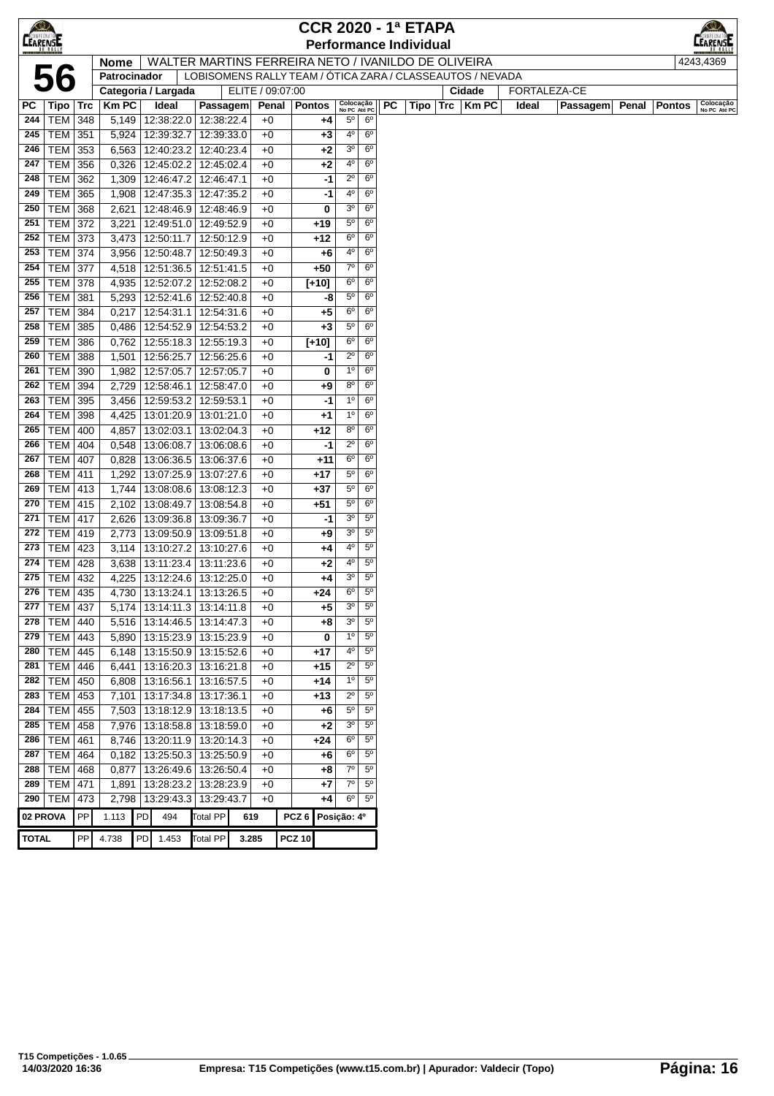| $\bigotimes$    |                  |            |                |           |                                 |                          |                                                           |                  |               |                           |                               |    | <b>CCR 2020 - 1ª ETAPA</b>    |                      |       |              |       |               |                           |
|-----------------|------------------|------------|----------------|-----------|---------------------------------|--------------------------|-----------------------------------------------------------|------------------|---------------|---------------------------|-------------------------------|----|-------------------------------|----------------------|-------|--------------|-------|---------------|---------------------------|
| <b>CEARENSE</b> |                  |            |                |           |                                 |                          |                                                           |                  |               |                           |                               |    | <b>Performance Individual</b> |                      |       |              |       |               | ARENSI                    |
|                 |                  |            | <b>Nome</b>    |           |                                 |                          | WALTER MARTINS FERREIRA NETO / IVANILDO DE OLIVEIRA       |                  |               |                           |                               |    |                               |                      |       |              |       |               | 4243,4369                 |
|                 | 56               |            | Patrocinador   |           |                                 |                          | LOBISOMENS RALLY TEAM / ÓTICA ZARA / CLASSEAUTOS / NEVADA |                  |               |                           |                               |    |                               |                      |       |              |       |               |                           |
|                 |                  |            |                |           | Categoria / Largada             |                          | ELITE / 09:07:00                                          |                  |               |                           |                               |    |                               | Cidade               |       | FORTALEZA-CE |       |               |                           |
| РC              | Tipo   Trc       |            | <b>KmPC</b>    |           | Ideal                           | Passagem                 | Penal                                                     |                  | Pontos        | Colocação<br>No PC Até PC |                               | PC |                               | $Tipo$ $Trc$ $Km$ PC | Ideal | Passagem     | Penal | <b>Pontos</b> | Colocação<br>No PC Até PC |
| 244             | <b>TEM 348</b>   |            | 5,149          |           | 12:38:22.0                      | 12:38:22.4               | +0                                                        |                  | +4            | 5°                        | $6^{\circ}$                   |    |                               |                      |       |              |       |               |                           |
| 245             | TEM   351        |            | 5,924          |           | 12:39:32.7                      | 12:39:33.0               | $+0$                                                      |                  | $+3$          | 4°                        | $6^{\circ}$                   |    |                               |                      |       |              |       |               |                           |
| 246             | TEM              | 353        | 6,563          |           | 12:40:23.2                      | 12:40:23.4               | $+0$                                                      |                  | $+2$          | $3^{\rm o}$               | 6 <sup>o</sup>                |    |                               |                      |       |              |       |               |                           |
| 247             | <b>TEM</b>       | 356        | 0,326          |           | 12:45:02.2                      | 12:45:02.4               | $+0$                                                      |                  | $+2$          | 4º                        | $6^{\circ}$                   |    |                               |                      |       |              |       |               |                           |
| 248             | <b>TEM 362</b>   |            | 1,309          |           | 12:46:47.2                      | 12:46:47.1               | $+0$                                                      |                  | -1            | $2^{\circ}$               | 6 <sup>o</sup>                |    |                               |                      |       |              |       |               |                           |
| 249             | <b>TEM 365</b>   |            | 1,908          |           | 12:47:35.3                      | 12:47:35.2               | $+0$                                                      |                  | -1            | 40                        | 6 <sup>o</sup>                |    |                               |                      |       |              |       |               |                           |
| 250             | TEM              | 368        | 2,621          |           | 12:48:46.9                      | 12:48:46.9               | $+0$                                                      |                  | 0             | 3 <sup>o</sup>            | 6 <sup>o</sup>                |    |                               |                      |       |              |       |               |                           |
| 251             | TEM              | 372        | 3,221          |           | 12:49:51.0                      | 12:49:52.9               | $+0$                                                      |                  | $+19$         | $5^{\circ}$               | $6^{\circ}$                   |    |                               |                      |       |              |       |               |                           |
| 252             | <b>TEM</b>       | 373        | 3,473          |           | 12:50:11.7                      | 12:50:12.9               | $+0$                                                      |                  | $+12$         | $6^{\circ}$               | $6^{\circ}$                   |    |                               |                      |       |              |       |               |                           |
| 253             | TEM              | 374        | 3,956          |           | 12:50:48.7                      | 12:50:49.3               | +0                                                        |                  | $+6$          | 40                        | $6^{\circ}$                   |    |                               |                      |       |              |       |               |                           |
| 254             | TEM              | 377        | 4,518          |           | 12:51:36.5                      | 12:51:41.5               | $+0$                                                      |                  | $+50$         | $7^\circ$                 | 6 <sup>o</sup>                |    |                               |                      |       |              |       |               |                           |
| 255             | <b>TEM 378</b>   |            | 4,935          |           | 12:52:07.2                      | 12:52:08.2               | $+0$                                                      |                  | $[+10]$       | $6^{\circ}$               | $6^{\circ}$                   |    |                               |                      |       |              |       |               |                           |
| 256             | TEM              | 381        | 5,293          |           | 12:52:41.6                      | 12:52:40.8               | $+0$                                                      |                  | -8            | 5°                        | $6^{\circ}$                   |    |                               |                      |       |              |       |               |                           |
| 257             | TEM              | 384        | 0,217          |           | 12:54:31.1                      | 12:54:31.6               | $+0$                                                      |                  | $+5$          | $6^{\circ}$               | 6 <sup>o</sup>                |    |                               |                      |       |              |       |               |                           |
| 258             | TEM              | 385        | 0,486          |           | 12:54:52.9                      | 12:54:53.2               | $+0$                                                      |                  | $+3$          | $5^{\circ}$               | 6 <sup>o</sup>                |    |                               |                      |       |              |       |               |                           |
| 259             | <b>TEM</b>       | 386        | 0,762          |           | 12:55:18.3                      | 12:55:19.3               | $+0$                                                      |                  | $[+10]$       | $6^{\circ}$               | 6 <sup>o</sup>                |    |                               |                      |       |              |       |               |                           |
| 260             | <b>TEM</b>       | 388        | 1,501          |           | 12:56:25.7                      | 12:56:25.6               | $+0$                                                      |                  | -1            | $2^{\circ}$               | $6^{\circ}$                   |    |                               |                      |       |              |       |               |                           |
| 261             | <b>TEM</b>       | 390        | 1,982          |           | 12:57:05.7                      | 12:57:05.7               | $+0$                                                      |                  | 0             | $1^{\circ}$               | $6^{\circ}$                   |    |                               |                      |       |              |       |               |                           |
| 262             | <b>TEM</b>       | 394        | 2,729          |           | 12:58:46.1                      | 12:58:47.0               | +0                                                        |                  | $+9$          | 80                        | $6^{\circ}$                   |    |                               |                      |       |              |       |               |                           |
| 263             | TEM              | 395        | 3,456          |           | 12:59:53.2                      | 12:59:53.1               | $+0$                                                      |                  | -1            | $1^{\circ}$               | 6 <sup>o</sup>                |    |                               |                      |       |              |       |               |                           |
| 264             | <b>TEM</b>       | 398        | 4,425          |           | 13:01:20.9                      | 13:01:21.0               | $+0$                                                      |                  | $+1$          | $1^{\circ}$               | $6^{\circ}$                   |    |                               |                      |       |              |       |               |                           |
| 265             | <b>TEM 400</b>   |            | 4,857          |           | 13:02:03.1                      | 13:02:04.3               | $+0$                                                      |                  | $+12$         | 80                        | $6^{\circ}$                   |    |                               |                      |       |              |       |               |                           |
| 266             | <b>TEM 404</b>   |            | 0,548          |           | 13:06:08.7                      | 13:06:08.6               | $+0$                                                      |                  | -1            | $2^{\circ}$               | 6 <sup>o</sup>                |    |                               |                      |       |              |       |               |                           |
| 267             | <b>TEM 407</b>   |            | 0,828          |           | 13:06:36.5                      | 13:06:37.6               | $+0$                                                      |                  | $+11$         | 6°                        | 6 <sup>o</sup>                |    |                               |                      |       |              |       |               |                           |
| 268             | TEM   411        |            | 1,292          |           | 13:07:25.9                      | 13:07:27.6               | $+0$                                                      |                  | $+17$         | $5^{\circ}$               | 6 <sup>o</sup>                |    |                               |                      |       |              |       |               |                           |
| 269             | <b>TEM 413</b>   |            | 1,744          |           | 13:08:08.6                      | 13:08:12.3               | $+0$                                                      |                  | $+37$         | $5^{\circ}$               | $6^{\circ}$                   |    |                               |                      |       |              |       |               |                           |
| 270             | <b>TEM 415</b>   |            | 2,102          |           | 13:08:49.7                      | 13:08:54.8               | $+0$                                                      |                  | $+51$         | $5^{\circ}$               | $6^{\circ}$                   |    |                               |                      |       |              |       |               |                           |
| 271             | <b>TEM</b>       | 417        | 2,626          |           | 13:09:36.8                      | 13:09:36.7               | +0                                                        |                  | -1            | 3 <sup>o</sup>            | $5^{\circ}$                   |    |                               |                      |       |              |       |               |                           |
| 272             | TEM              | 419        | 2,773          |           | 13:09:50.9                      | 13:09:51.8               | $+0$                                                      |                  | $+9$          | 3 <sup>o</sup>            | $5^{\circ}$                   |    |                               |                      |       |              |       |               |                           |
| 273             | TEM   423        |            | 3,114          |           | 13:10:27.2                      | 13:10:27.6               | $+0$                                                      |                  | +4            | 40                        | $5^{\circ}$                   |    |                               |                      |       |              |       |               |                           |
| 274             | TEM              | 428        | 3,638          |           | 13:11:23.4                      | 13:11:23.6               | $+0$                                                      |                  | $+2$          | 4º                        | $5^{\circ}$                   |    |                               |                      |       |              |       |               |                           |
| 275             | TEM   432        |            | 4,225          |           | 13:12:24.6                      | 13:12:25.0               | $+0$                                                      |                  | +4            | 30                        | $5^{\circ}$                   |    |                               |                      |       |              |       |               |                           |
| 276             | TEM   435        |            | 4,730          |           | 13:13:24.1                      | 13:13:26.5               | $+0$                                                      |                  | $+24$         | $6^{\circ}$               | $5^{\circ}$                   |    |                               |                      |       |              |       |               |                           |
|                 | 277   TEM   437  |            |                |           | 5,174   13:14:11.3   13:14:11.8 |                          | +0                                                        |                  | $+5$          | 3 <sup>o</sup>            | 5 <sup>o</sup><br>$5^{\circ}$ |    |                               |                      |       |              |       |               |                           |
| 278             | TEM 440          |            |                |           | 5,516   13:14:46.5              | 13:14:47.3               | $+0$                                                      |                  | $+8$          | 3 <sup>o</sup>            | $5^{\circ}$                   |    |                               |                      |       |              |       |               |                           |
| 279             | TEM              | 443        | 5,890          |           | 13:15:23.9 13:15:23.9           |                          | $+0$                                                      |                  | 0             | $1^{\circ}$               |                               |    |                               |                      |       |              |       |               |                           |
| 280             | TEM              | 445        | 6,148          |           | 13:15:50.9 13:15:52.6           |                          | +0                                                        |                  | $+17$         | 4º<br>$2^{\circ}$         | $5^{\circ}$<br>$5^{\circ}$    |    |                               |                      |       |              |       |               |                           |
| 281             | TEM              | 446        | 6,441          |           | 13:16:20.3                      | 13:16:21.8               | $+0$                                                      |                  | +15           | $1^{\circ}$               | $5^{\circ}$                   |    |                               |                      |       |              |       |               |                           |
| 282             | TEM              | 450        | 6,808          |           | 13:16:56.1                      | 13:16:57.5               | $+0$                                                      |                  | +14           | $2^{\circ}$               | $5^{\circ}$                   |    |                               |                      |       |              |       |               |                           |
| 283             | $TEM$ 453        |            |                |           | 7,101   13:17:34.8   13:17:36.1 |                          | $+0$                                                      |                  | $+13$         | $5^{\circ}$               | $5^{\circ}$                   |    |                               |                      |       |              |       |               |                           |
| 284<br>285      | <b>TEM 455</b>   |            | 7,503          |           | 13:18:12.9                      | 13:18:13.5               | $+0$                                                      |                  | $+6$          |                           | $5^{\circ}$                   |    |                               |                      |       |              |       |               |                           |
| 286             | $TEM$ 458<br>TEM |            | 7,976          |           | 13:18:58.8<br>13:20:11.9        | 13:18:59.0<br>13:20:14.3 | $+0$                                                      |                  | $+2$          | 3 <sup>o</sup><br>6°      | $5^{\circ}$                   |    |                               |                      |       |              |       |               |                           |
| 287             | <b>TEM</b>       | 461<br>464 | 8,746<br>0,182 |           | 13:25:50.3                      | 13:25:50.9               | $+0$<br>$+0$                                              |                  | $+24$<br>$+6$ | $6^{\rm o}$               | $5^{\circ}$                   |    |                               |                      |       |              |       |               |                           |
| 288             | <b>TEM</b>       | 468        | 0,877          |           | 13:26:49.6                      | 13:26:50.4               | $+0$                                                      |                  | +8            | $7^\circ$                 | $5^{\circ}$                   |    |                               |                      |       |              |       |               |                           |
| 289             | TEM              | 471        | 1,891          |           | 13:28:23.2                      | 13:28:23.9               | +0                                                        |                  | +7            | $7^\circ$                 | $5^{\circ}$                   |    |                               |                      |       |              |       |               |                           |
| 290             | <b>TEM 473</b>   |            | 2,798          |           | 13:29:43.3                      | 13:29:43.7               | $+0$                                                      |                  | +4            | $6^{\circ}$               | $5^{\circ}$                   |    |                               |                      |       |              |       |               |                           |
|                 |                  |            |                |           |                                 |                          |                                                           |                  |               |                           |                               |    |                               |                      |       |              |       |               |                           |
| 02 PROVA        |                  | PP         | 1.113          | PD        | 494                             | Total PP                 | 619                                                       | PCZ <sub>6</sub> |               | Posição: 4º               |                               |    |                               |                      |       |              |       |               |                           |
| <b>TOTAL</b>    |                  | PP         | 4.738          | <b>PD</b> | 1.453                           | <b>Total PP</b>          | 3.285                                                     | <b>PCZ 10</b>    |               |                           |                               |    |                               |                      |       |              |       |               |                           |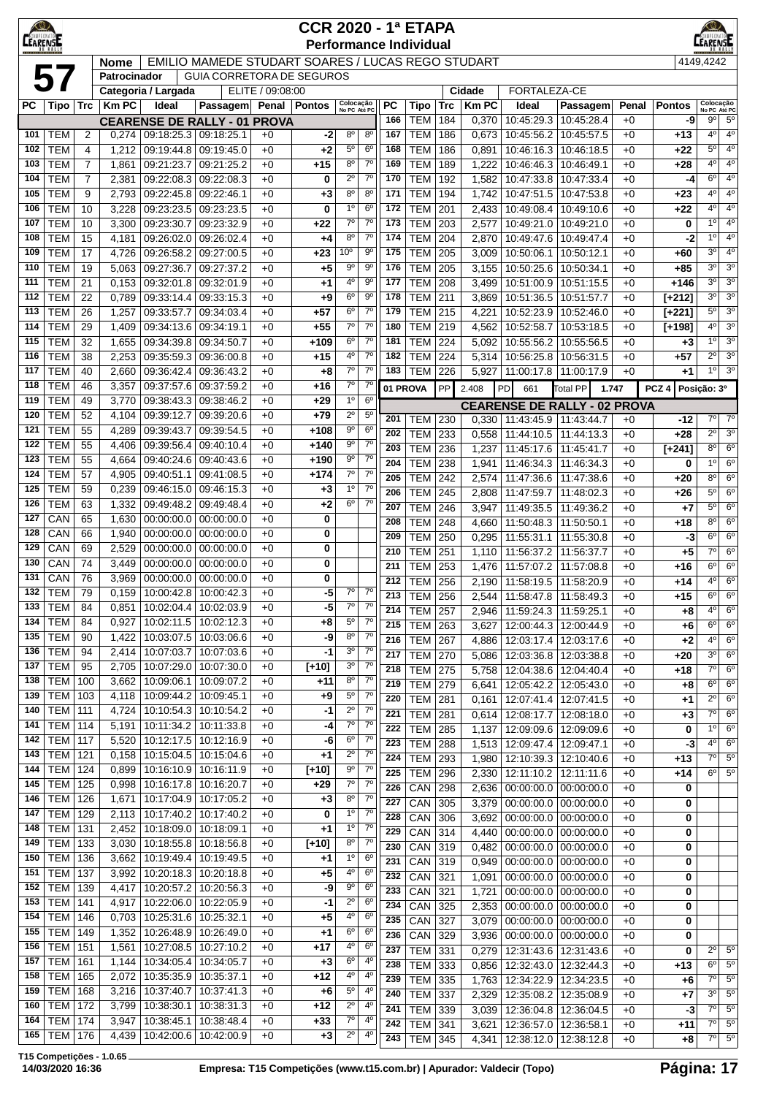| CO<br><b>LEARENSE</b> |                          |                |                |                          |                                                   |                  | <b>CCR 2020 - 1ª ETAPA</b> |                                                                |                    |                               |                   |                      |                                                  |                                                        |               |                        | <b>EARENSE</b>                           |                               |
|-----------------------|--------------------------|----------------|----------------|--------------------------|---------------------------------------------------|------------------|----------------------------|----------------------------------------------------------------|--------------------|-------------------------------|-------------------|----------------------|--------------------------------------------------|--------------------------------------------------------|---------------|------------------------|------------------------------------------|-------------------------------|
|                       |                          |                | <b>Nome</b>    |                          | EMILIO MAMEDE STUDART SOARES / LUCAS REGO STUDART |                  |                            |                                                                |                    | <b>Performance Individual</b> |                   |                      |                                                  |                                                        |               |                        | 4149,4242                                |                               |
|                       | 57                       |                | Patrocinador   |                          | <b>GUIA CORRETORA DE SEGUROS</b>                  |                  |                            |                                                                |                    |                               |                   |                      |                                                  |                                                        |               |                        |                                          |                               |
|                       |                          |                |                | Categoria / Largada      |                                                   | ELITE / 09:08:00 |                            |                                                                |                    |                               |                   | Cidade               | FORTALEZA-CE                                     |                                                        |               |                        |                                          |                               |
| PC                    | $ {\sf Tipo} $ Trc       |                | <b>Km PC</b>   | Ideal                    | Passagem<br><b>CEARENSE DE RALLY - 01 PROVA</b>   |                  | Penal   Pontos             | Colocação<br>No PC Até PC                                      | PC<br>166          | Tipo<br><b>TEM</b>            | <b>Trc</b><br>184 | <b>KmPC</b><br>0,370 | Ideal                                            | Passagem<br>10:45:29.3   10:45:28.4                    | Penal<br>$+0$ | <b>Pontos</b><br>-9    | Colocação<br>No PC Até PC<br>$9^{\circ}$ | $5^{\circ}$                   |
| 101                   | <b>TEM</b>               | 2              | 0,274          | 09:18:25.3 09:18:25.1    |                                                   | $+0$             | -2                         | $8^{\circ}$<br>$8^{\circ}$                                     | 167                | <b>TEM</b>                    | 186               | 0,673                | 10:45:56.2                                       | 10:45:57.5                                             | $+0$          | +13                    | $4^{\circ}$                              | $4^{\circ}$                   |
| 102                   | <b>TEM</b>               | 4              | 1,212          | 09:19:44.8               | 09:19:45.0                                        | $+0$             | $+2$                       | 6 <sup>o</sup><br>$5^{\circ}$                                  | 168                | <b>TEM</b>                    | 186               | 0,891                | 10:46:16.3                                       | 10:46:18.5                                             | $+0$          | +22                    | $5^{\circ}$                              | $4^{\circ}$                   |
| 103                   | <b>TEM</b>               | $\overline{7}$ | 1,861          | 09:21:23.7               | 09:21:25.2                                        | $+0$             | $+15$                      | $7^\circ$<br>$8^{\circ}$                                       | 169                | <b>TEM</b>                    | 189               | 1,222                | 10:46:46.3                                       | 10:46:49.1                                             | $+0$          | $+28$                  | $4^{\circ}$                              | $4^{\circ}$                   |
| 104                   | <b>TEM</b>               | $\overline{7}$ | 2,381          | 09:22:08.3               | 09:22:08.3                                        | $+0$             | 0                          | $2^{\circ}$<br>$7^\circ$                                       | 170                | <b>TEM</b>                    | 192               | 1,582                |                                                  | 10:47:33.8 10:47:33.4                                  | $+0$          | -4                     | $6^{\circ}$<br>4 <sup>o</sup>            | $4^{\circ}$<br>$4^{\circ}$    |
| 105<br>106            | <b>TEM</b><br><b>TEM</b> | 9<br>10        | 2,793<br>3,228 | 09:22:45.8<br>09:23:23.5 | 09:22:46.1<br>09:23:23.5                          | $+0$<br>$+0$     | $+3$<br>0                  | 80<br>$8^{\circ}$<br>1 <sup>0</sup><br>6 <sup>o</sup>          | 171<br>172         | <b>TEM</b><br><b>TEM</b>      | 194<br>201        | 1,742<br>2,433       | 10:47:51.5<br>10:49:08.4                         | 10:47:53.8<br>10:49:10.6                               | $+0$<br>$+0$  | $+23$<br>$+22$         | $4^{\circ}$                              | $4^{\circ}$                   |
| 107                   | <b>TEM</b>               | 10             | 3,300          | 09:23:30.7               | 09:23:32.9                                        | $+0$             | $+22$                      | $7^\circ$<br>$7^\circ$                                         | 173                | TEM                           | 203               | 2,577                | 10:49:21.0                                       | 10:49:21.0                                             | $+0$          | 0                      | $1^{\circ}$                              | $4^{\circ}$                   |
| 108                   | <b>TEM</b>               | 15             | 4,181          | 09:26:02.0               | 09:26:02.4                                        | $+0$             | $+4$                       | $7^\circ$<br>$8^{\circ}$                                       | 174                | <b>TEM</b>                    | 204               | 2,870                | 10:49:47.6                                       | 10:49:47.4                                             | $+0$          | -2                     | $1^{\circ}$                              | $4^{\circ}$                   |
| 109                   | <b>TEM</b>               | 17             | 4,726          | 09:26:58.2               | 09:27:00.5                                        | $+0$             | $+23$                      | 10 <sup>o</sup><br>$9^{\circ}$                                 | 175                | <b>TEM</b>                    | 205               | 3,009                |                                                  | 10:50:06.1   10:50:12.1                                | $+0$          | +60                    | $3^{\circ}$                              | $4^{\circ}$                   |
| 110<br>111            | <b>TEM</b><br><b>TEM</b> | 19             | 5,063          | 09:27:36.7               | 09:27:37.2<br>09:32:01.9                          | $+0$             | $+5$                       | $9^{\circ}$<br>$9^{\circ}$<br>$9^{\circ}$<br>4°                | 176<br>177         | <b>TEM</b><br><b>TEM</b>      | 205<br>208        | 3,155                | 10:50:25.6                                       | 10:50:34.1                                             | $+0$          | +85                    | $3^{\circ}$<br>3 <sup>o</sup>            | $3^{\circ}$<br>$3^{\circ}$    |
| 112                   | <b>TEM</b>               | 21<br>22       | 0,153<br>0,789 | 09:32:01.8<br>09:33:14.4 | 09:33:15.3                                        | $+0$<br>$+0$     | $+1$<br>$+9$               | $9^{\circ}$<br>$6^{\circ}$                                     | 178                | $\overline{\text{TEM}}$       | 211               | 3,499<br>3,869       | 10:51:00.9                                       | 10:51:15.5<br>10:51:36.5   10:51:57.7                  | $+0$<br>$+0$  | $+146$<br>$[+212]$     | 3 <sup>0</sup>                           | 3 <sup>0</sup>                |
| 113                   | <b>TEM</b>               | 26             | 1,257          | 09:33:57.7               | 09:34:03.4                                        | $+0$             | $+57$                      | $7^\circ$<br>$6^{\circ}$                                       | 179                | <b>TEM</b>                    | 215               | 4,221                |                                                  | 10:52:23.9 10:52:46.0                                  | $+0$          | $[+221]$               | $5^{\circ}$                              | 3 <sup>o</sup>                |
| 114                   | <b>TEM</b>               | 29             | 1,409          | 09:34:13.6               | 09:34:19.1                                        | $+0$             | $+55$                      | $7^\circ$<br>$7^\circ$                                         | 180                | <b>TEM</b>                    | 219               | 4,562                |                                                  | 10:52:58.7   10:53:18.5                                | $+0$          | $[+198]$               | $4^{\circ}$                              | $3^{\circ}$                   |
| 115                   | <b>TEM</b>               | 32             | 1,655          | 09:34:39.8               | 09:34:50.7                                        | $+0$             | +109                       | $7^\circ$<br>$6^{\circ}$                                       | 181                | <b>TEM</b>                    | 224               | 5,092                | 10:55:56.2                                       | 10:55:56.5                                             | $+0$          | +3                     | 10                                       | $3^{\circ}$                   |
| 116<br>117            | <b>TEM</b><br><b>TEM</b> | 38             | 2,253          | 09:35:59.3               | 09:36:00.8<br>09:36:43.2                          | $+0$             | $+15$                      | $7^\circ$<br>4°<br>$7^\circ$<br>$7^\circ$                      | 182<br>183         | TEM                           | 224               | 5,314                | 10:56:25.8                                       | 10:56:31.5                                             | $+0$          | $+57$                  | $2^{\circ}$<br>10                        | $3^{\circ}$<br>3 <sup>0</sup> |
| 118                   | <b>TEM</b>               | 40<br>46       | 2,660<br>3,357 | 09:36:42.4<br>09:37:57.6 | 09:37:59.2                                        | $+0$<br>$+0$     | $+8$<br>$+16$              | $7^\circ$<br>$7^\circ$                                         |                    | <b>TEM</b>                    | 226<br>PP         | 5,927                | 11:00:17.8   11:00:17.9                          |                                                        | $+0$          | +1<br>PCZ <sub>4</sub> |                                          |                               |
| 119                   | <b>TEM</b>               | 49             | 3,770          | 09:38:43.3               | 09:38:46.2                                        | $+0$             | +29                        | $1^{\circ}$<br>6 <sup>o</sup>                                  |                    | 01 PROVA                      |                   | 2.408                | PD<br>661<br><b>CEARENSE DE RALLY - 02 PROVA</b> | <b>Total PP</b>                                        | 1.747         |                        | Posição: 3º                              |                               |
| 120                   | <b>TEM</b>               | 52             | 4,104          | 09:39:12.7               | 09:39:20.6                                        | $+0$             | $+79$                      | $2^{\circ}$<br>$5^{\circ}$                                     | 201                | TEM                           | 230               | 0,330                | 11:43:45.9                                       | 11:43:44.7                                             | $+0$          | -12                    | $7^\circ$                                | $7^\circ$                     |
| 121                   | <b>TEM</b>               | 55             | 4,289          | 09:39:43.7               | 09:39:54.5                                        | $+0$             | +108                       | $9^{\circ}$<br>6 <sup>o</sup>                                  | 202                | <b>TEM</b>                    | 233               | 0,558                | 11:44:10.5                                       | 11:44:13.3                                             | $+0$          | $+28$                  | $\overline{2^{\circ}}$                   | $3^{\circ}$                   |
| 122<br>123            | <b>TEM</b><br><b>TEM</b> | 55<br>55       | 4,406<br>4,664 | 09:39:56.4<br>09:40:24.6 | 09:40:10.4<br>09:40:43.6                          | $+0$<br>$+0$     | $+140$<br>$+190$           | $7^\circ$<br>$9^{\circ}$<br>$9^{\circ}$<br>$7^\circ$           | 203                | <b>TEM</b>                    | 236               | 1,237                | 11:45:17.6                                       | 11:45:41.7                                             | $+0$          | $[+241]$               | $8^{\circ}$                              | $6^{\circ}$                   |
| 124                   | <b>TEM</b>               | 57             | 4,905          | 09:40:51.1               | 09:41:08.5                                        | $+0$             | +174                       | $7^\circ$<br>$7^\circ$                                         | 204<br>205         | <b>TEM</b>                    | 238               | 1,941                | 11:46:34.3                                       | 11:46:34.3                                             | $+0$          | 0                      | $1^{\circ}$<br>$8^{\circ}$               | $6^{\circ}$<br>$6^{\circ}$    |
| 125                   | <b>TEM</b>               | 59             | 0,239          | 09:46:15.0               | 09:46:15.3                                        | $+0$             | $+3$                       | $7^\circ$<br>$1^{\circ}$                                       | 206                | <b>TEM</b><br><b>TEM</b>      | 242<br>245        | 2,574<br>2,808       | 11:47:36.6<br>11:47:59.7                         | 11:47:38.6<br>11:48:02.3                               | $+0$<br>$+0$  | +20<br>+26             | $5^{\circ}$                              | $6^{\circ}$                   |
| 126                   | <b>TEM</b>               | 63             | 1,332          | 09:49:48.2               | 09:49:48.4                                        | $+0$             | $+2$                       | $7^\circ$<br>$6^{\circ}$                                       | 207                | <b>TEM</b>                    | 246               | 3,947                | 11:49:35.5                                       | 11:49:36.2                                             | $+0$          | +7                     | $5^{\circ}$                              | $6^{\circ}$                   |
| 127                   | CAN                      | 65             | 1,630          | 00:00:00.0               | 00:00:00.0                                        | $+0$             | 0                          |                                                                | 208                | <b>TEM</b>                    | 248               | 4,660                | 11:50:48.3                                       | 11:50:50.1                                             | $+0$          | +18                    | $8^{\circ}$                              | $6^{\circ}$                   |
| 128<br>129            | CAN<br>CAN               | 66<br>69       | 1,940<br>2,529 | 00:00:00.0<br>00:00:00.0 | 00:00:00.0<br>00:00:00.0                          | $+0$<br>$+0$     | 0                          |                                                                | 209                | <b>TEM</b>                    | 250               | 0,295                | 11:55:31.1                                       | 11:55:30.8                                             | $+0$          | -3                     | $6^{\circ}$                              | $6^{\circ}$                   |
| 130                   | CAN                      | 74             | 3,449          | 00:00:00.0               | 00:00:00.0                                        | $+0$             | 0<br>0                     |                                                                | 210                | <b>TEM</b>                    | 251               | 1,110                | 11:56:37.2                                       | 11:56:37.7                                             | $+0$          | +5                     | 7° <br>$6^{\circ}$                       | $6^{\circ}$<br>$6^{\circ}$    |
| 131                   | CAN                      | 76             | 3,969          | 00:00:00.0               | 00:00:00.0                                        | $+0$             | 0                          |                                                                | 211<br>212         | <b>TEM</b><br><b>TEM</b>      | 253<br>256        | 1,476<br>2,190       | 11:57:07.2<br>11:58:19.5                         | 11:57:08.8<br>11:58:20.9                               | $+0$<br>$+0$  | $+16$<br>+14           | $4^{\circ}$                              | $6^{\circ}$                   |
| 132                   | <b>TEM</b>               | 79             | 0,159          | 10:00:42.8               | 10:00:42.3                                        | $+0$             | -5                         | $7^\circ$                                                      | $7^\circ$<br>213   | TEM                           | 256               |                      | 2,544 11:58:47.8 11:58:49.3                      |                                                        | $+0$          | $+15$                  | $6^{\circ}$                              | $6^{\circ}$                   |
| 133                   | TEM                      | 84             | 0,851          |                          | 10:02:04.4   10:02:03.9                           | $+0$             | -5                         | 70<br>$7^\circ$                                                | 214                | TEM   257                     |                   | 2,946                |                                                  | 11:59:24.3   11:59:25.1                                | $+0$          | +8                     | $4^{\circ}$                              | $6^{\circ}$                   |
| 134<br>135            | <b>TEM</b><br><b>TEM</b> | 84             | 0,927<br>1,422 | 10:02:11.5<br>10:03:07.5 | 10:02:12.3<br>10:03:06.6                          | $+0$             | +8                         | 7 <sup>0</sup><br>$5^{\rm o}$<br>7 <sup>o</sup><br>$8^{\circ}$ | 215                | <b>TEM 263</b>                |                   | 3,627                |                                                  | 12:00:44.3   12:00:44.9                                | $+0$          | +6                     | $6^{\circ}$                              | $6^{\circ}$                   |
| 136                   | <b>TEM</b>               | 90<br>94       | 2,414          | 10:07:03.7               | 10:07:03.6                                        | $+0$<br>$+0$     | -9<br>-1                   | $7^\circ$<br>3 <sup>o</sup>                                    | 216<br>217         | <b>TEM 267</b>                |                   | 4,886                |                                                  | 12:03:17.4   12:03:17.6                                | $+0$          | +2                     | 4 <sup>0</sup><br>$3^{\circ}$            | $6^{\circ}$<br>$6^{\circ}$    |
| 137                   | <b>TEM</b>               | 95             | 2,705          | 10:07:29.0               | 10:07:30.0                                        | $+0$             | $[+10]$                    | 3 <sup>o</sup><br>$7^\circ$                                    | 218                | <b>TEM 270</b><br>$TEM$ 275   |                   | 5,086<br>5,758       |                                                  | 12:03:36.8   12:03:38.8<br>12:04:38.6   12:04:40.4     | $+0$<br>$+0$  | $+20$<br>+18           | 7°                                       | $6^{\circ}$                   |
| 138                   | <b>TEM</b>               | 100            | 3,662          | 10:09:06.1               | 10:09:07.2                                        | $+0$             | +11                        | $7^\circ$<br>$8^{\circ}$                                       | 219                | <b>TEM</b> 279                |                   | 6,641                |                                                  | 12:05:42.2 12:05:43.0                                  | $+0$          | $+8$                   | $6^{\circ}$                              | $6^{\circ}$                   |
| 139                   | <b>TEM</b>               | 103            | 4,118          | 10:09:44.2               | 10:09:45.1                                        | $+0$             | $+9$                       | $7^\circ$<br>$5^{\circ}$                                       | 220                | <b>TEM</b>                    | 281               | 0,161                |                                                  | 12:07:41.4   12:07:41.5                                | $+0$          | $+1$                   | $2^{\circ}$                              | $6^{\circ}$                   |
| 140<br>141            | <b>TEM</b><br><b>TEM</b> | 111<br>114     | 4,724<br>5,191 | 10:10:54.3<br>10:11:34.2 | 10:10:54.2<br>10:11:33.8                          | $+0$<br>$+0$     | -1<br>-4                   | $2^{\circ}$<br>$7^\circ$<br>$7^\circ$<br>$7^\circ$             | 221                | <b>TEM</b>                    | 281               | 0,614                | 12:08:17.7                                       | 12:08:18.0                                             | $+0$          | $+3$                   | $7^{\circ}$                              | $6^{\circ}$                   |
| 142                   | TEM                      | 117            | 5,520          | 10:12:17.5               | 10:12:16.9                                        | $+0$             | -6                         | $7^\circ$<br>$6^{\circ}$                                       | 222                | <b>TEM</b>                    | 285               | 1,137                |                                                  | 12:09:09.6   12:09:09.6                                | $+0$          | 0                      | 1 <sup>0</sup><br>$4^{\circ}$            | $6^{\circ}$<br>$6^{\circ}$    |
| 143                   | <b>TEM</b>               | 121            | 0,158          | 10:15:04.5               | 10:15:04.6                                        | $+0$             | $+1$                       | $7^\circ$<br>$2^{\circ}$                                       | 223<br>224         | <b>TEM</b><br><b>TEM</b>      | 288<br>293        | 1,513<br>1,980       | 12:09:47.4                                       | 12:09:47.1<br>12:10:39.3   12:10:40.6                  | $+0$<br>$+0$  | -3<br>+13              | $7^\circ$                                | $5^{\circ}$                   |
| 144                   | TEM                      | 124            | 0,899          | 10:16:10.9               | 10:16:11.9                                        | $+0$             | $[+10]$                    | 7 <sup>0</sup><br>$9^{\circ}$                                  | 225                | <b>TEM</b>                    | 296               | 2,330                |                                                  | 12:11:10.2   12:11:11.6                                | $+0$          | $+14$                  | $6^{\circ}$                              | $5^{\circ}$                   |
| 145                   | <b>TEM</b>               | 125            | 0,998          | 10:16:17.8               | 10:16:20.7                                        | $+0$             | $+29$                      | $7^\circ$<br>$7^\circ$                                         | 226                | CAN                           | 298               | 2,636                |                                                  | $00:00:00.0$   $00:00:00.0$                            | $+0$          | 0                      |                                          |                               |
| 146<br>147            | <b>TEM</b><br><b>TEM</b> | 126<br>129     | 1,671<br>2,113 | 10:17:04.9<br>10:17:40.2 | 10:17:05.2<br>10:17:40.2                          | $+0$<br>$+0$     | $+3$<br>0                  | 80<br>$7^{\circ}$<br>$7^\circ$<br>$1^{\circ}$                  | 227                | CAN                           | 305               | 3,379                | 00:00:00.0 00:00:00.0                            |                                                        | $+0$          | 0                      |                                          |                               |
| 148                   | <b>TEM</b>               | 131            | 2,452          | 10:18:09.0               | 10:18:09.1                                        | $+0$             | $+1$                       | 7 <sup>o</sup><br>$1^{\circ}$                                  | 228<br>229         | CAN<br>CAN                    | 306               | 3,692                |                                                  | $00:00:00.0$   00:00:00.0                              | $+0$          | 0                      |                                          |                               |
| 149                   | <b>TEM</b>               | 133            | 3,030          | 10:18:55.8               | 10:18:56.8                                        | $+0$             | $[+10]$                    | 8 <sup>o</sup><br>7 <sup>0</sup>                               | 230                | CAN                           | 314<br>319        | 4,440<br>0,482       |                                                  | $00:00:00.0$ 00:00:00.0<br>$00:00:00.0$   $00:00:00.0$ | $+0$<br>$+0$  | 0<br>0                 |                                          |                               |
| 150                   | TEM                      | 136            | 3,662          | 10:19:49.4               | 10:19:49.5                                        | $+0$             | $+1$                       | $1^{\circ}$<br>6 <sup>o</sup>                                  | 231                | CAN                           | 319               |                      | 0,949   00:00:00.0   00:00:00.0                  |                                                        | $+0$          | 0                      |                                          |                               |
| 151                   | TEM                      | 137            | 3,992          | 10:20:18.3               | 10:20:18.8                                        | $+0$             | +5                         | 4°<br>6 <sup>o</sup>                                           | 232                | CAN                           | 321               | 1,091                |                                                  | $00:00:00.0$   $00:00:00.0$                            | $+0$          | 0                      |                                          |                               |
| 152<br>153            | <b>TEM</b><br><b>TEM</b> | 139            | 4,417          | 10:20:57.2               | 10:20:56.3                                        | $+0$             | -9                         | $9^{\circ}$<br>6 <sup>o</sup><br>$6^{\circ}$<br>$2^{\circ}$    | 233                | CAN                           | 321               | 1,721                |                                                  | $00:00:00.0$   $00:00:00.0$                            | $+0$          | 0                      |                                          |                               |
| 154                   | <b>TEM</b>               | 141<br>146     | 4,917<br>0,703 | 10:22:06.0<br>10:25:31.6 | 10:22:05.9<br>10:25:32.1                          | $+0$<br>$+0$     | $-1$<br>+5                 | 4°<br>6 <sup>o</sup>                                           | 234                | CAN 325                       |                   |                      | 2,353   00:00:00.0   00:00:00.0                  |                                                        | $+0$          | 0                      |                                          |                               |
| 155                   | <b>TEM</b>               | 149            | 1,352          | 10:26:48.9               | 10:26:49.0                                        | $+0$             | $+1$                       | 6 <sup>o</sup><br>$6^{\circ}$                                  | 235<br>236         | CAN<br>CAN                    | 327<br>329        | 3,079<br>3,936       |                                                  | $00:00:00.0$ 00:00:00.0<br>$00:00:00.0$ 00:00:00.0     | $+0$<br>$+0$  | 0<br>0                 |                                          |                               |
| 156                   | <b>TEM</b>               | 151            | 1,561          | 10:27:08.5               | 10:27:10.2                                        | $+0$             | +17                        | 4°<br>6 <sup>o</sup>                                           | 237                | <b>TEM</b>                    | 331               | 0,279                |                                                  | 12:31:43.6   12:31:43.6                                | $+0$          | 0                      | $2^{\circ}$                              | $5^{\circ}$                   |
| 157                   | <b>TEM</b>               | 161            | 1,144          | 10:34:05.4               | 10:34:05.7                                        | $+0$             | $+3$                       | 4 <sup>0</sup><br>6 <sup>o</sup>                               | 238                | <b>TEM</b>                    | 333               | 0,856                | 12:32:43.0                                       | 12:32:44.3                                             | $+0$          | $+13$                  | $6^{\circ}$                              | $5^{\circ}$                   |
| 158<br>159            | <b>TEM</b><br><b>TEM</b> | 165<br>168     | 2,072<br>3,216 | 10:35:35.9<br>10:37:40.7 | 10:35:37.1<br>10:37:41.3                          | $+0$             | $+12$<br>$+6$              | 4 <sup>0</sup><br>$4^{\circ}$<br>$5^{\circ}$<br>$4^{\circ}$    | 239                | TEM                           | 335               | 1,763                |                                                  | 12:34:22.9 12:34:23.5                                  | $+0$          | +6                     | $7^{\circ}$                              | $5^{\circ}$                   |
| 160                   | <b>TEM 172</b>           |                | 3,799          | 10:38:30.1               | 10:38:31.3                                        | $+0$<br>$+0$     | $+12$                      | $2^{\circ}$<br>$4^{\circ}$                                     | 240<br>241         | <b>TEM</b>                    | 337               | 2,329                |                                                  | 12:35:08.2   12:35:08.9                                | $+0$          | +7                     | $3^{\circ}$<br>$7^{\circ}$               | $5^{\circ}$<br>$5^\circ$      |
| 164                   | TEM                      | 174            | 3,947          | 10:38:45.1               | 10:38:48.4                                        | $+0$             | $+33$                      | $7^\circ$<br>$4^{\circ}$                                       | 242                | <b>TEM</b><br>TEM 341         | 339               | 3,039<br>3,621       |                                                  | 12:36:04.8   12:36:04.5<br>12:36:57.0   12:36:58.1     | $+0$<br>$+0$  | -3<br>+11              | $7^\circ$                                | $5^{\circ}$                   |
| 165                   | <b>TEM</b>               | 176            | 4,439          | 10:42:00.6               | 10:42:00.9                                        | $+0$             | $+3$                       | $2^{\circ}$                                                    | $4^{\circ}$<br>243 | <b>TEM 345</b>                |                   | 4,341                |                                                  | 12:38:12.0   12:38:12.8                                | $+0$          | +8                     |                                          | $7°$ 5°                       |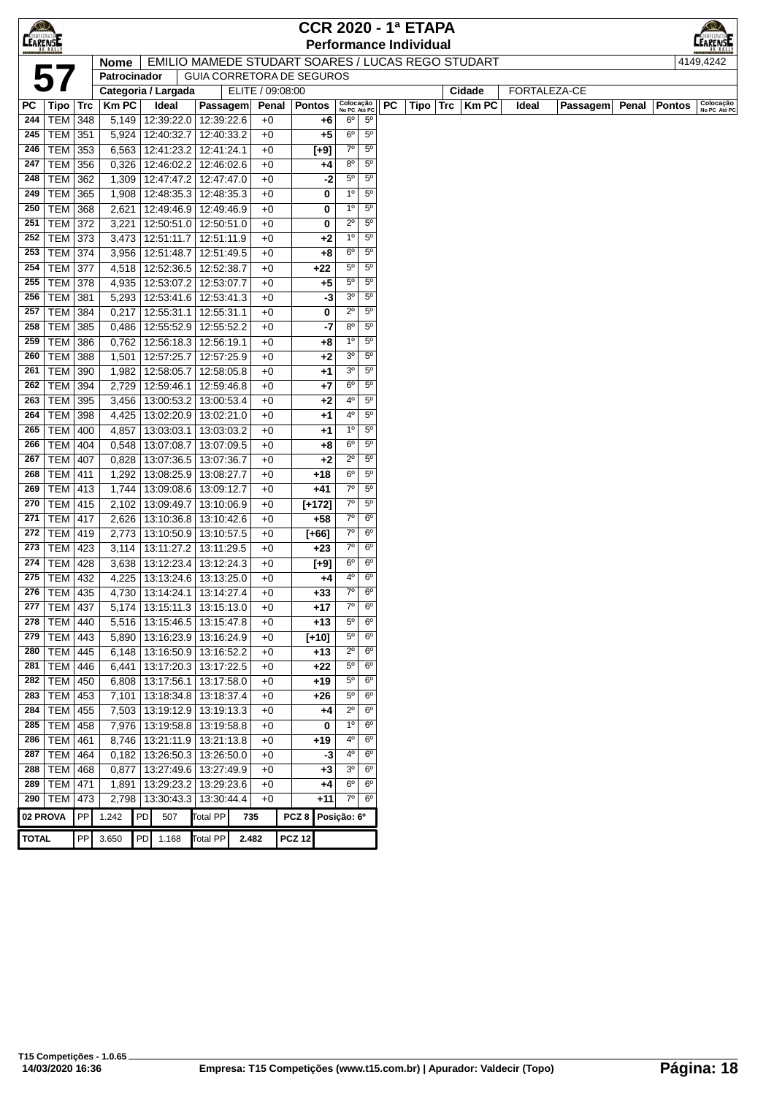| $\bigotimes$    |                             |     |                |    |                                          |                          |                                                          |                  | <b>CCR 2020 - 1ª ETAPA</b> |                           |                                  |    |                               |                    |       |              |       |               |                           |
|-----------------|-----------------------------|-----|----------------|----|------------------------------------------|--------------------------|----------------------------------------------------------|------------------|----------------------------|---------------------------|----------------------------------|----|-------------------------------|--------------------|-------|--------------|-------|---------------|---------------------------|
| <b>CEARENSE</b> |                             |     |                |    |                                          |                          |                                                          |                  |                            |                           |                                  |    | <b>Performance Individual</b> |                    |       |              |       |               | :AREN5I                   |
|                 |                             |     | <b>Nome</b>    |    |                                          |                          | <b>EMILIO MAMEDE STUDART SOARES / LUCAS REGO STUDART</b> |                  |                            |                           |                                  |    |                               |                    |       |              |       |               | 4149,4242                 |
|                 | 5                           |     | Patrocinador   |    |                                          |                          | GUIA CORRETORA DE SEGUROS                                |                  |                            |                           |                                  |    |                               |                    |       |              |       |               |                           |
|                 |                             |     |                |    | Categoria / Largada                      |                          | ELITE / 09:08:00                                         |                  |                            |                           |                                  |    |                               | Cidade             |       | FORTALEZA-CE |       |               |                           |
| PC              | <b>Tipo</b>                 | Trc | <b>KmPC</b>    |    | Ideal                                    | Passagem                 | Penal                                                    |                  | <b>Pontos</b>              | Colocação<br>No PC Até PC |                                  | РC |                               | Tipo   Trc   Km PC | Ideal | Passagem     | Penal | <b>Pontos</b> | Colocação<br>No PC Até PC |
| 244             | <b>TEM</b>                  | 348 | 5,149          |    | 12:39:22.0                               | 12:39:22.6               | $+0$                                                     |                  | +6                         | 6°                        | $5^{\circ}$                      |    |                               |                    |       |              |       |               |                           |
| 245             | TEM                         | 351 |                |    | 5,924 12:40:32.7                         | 12:40:33.2               | $+0$                                                     |                  | $+5$                       | 6 <sup>o</sup>            | $5^{\circ}$<br>$5^{\circ}$       |    |                               |                    |       |              |       |               |                           |
| 246<br>247      | TEM 353<br>$TEM$ 356        |     |                |    | 6,563 12:41:23.2<br>$0,326$   12:46:02.2 | 12:41:24.1               | $+0$<br>$+0$                                             |                  | $[+9]$                     | $7^\circ$<br>80           | $5^{\circ}$                      |    |                               |                    |       |              |       |               |                           |
| 248             | <b>TEM 362</b>              |     |                |    | 1,309   12:47:47.2   12:47:47.0          | 12:46:02.6               | $+0$                                                     |                  | +4<br>-2                   | $5^{\circ}$               | $5^{\circ}$                      |    |                               |                    |       |              |       |               |                           |
| 249             | <b>TEM 365</b>              |     |                |    | 1,908   12:48:35.3   12:48:35.3          |                          | $+0$                                                     |                  | 0                          | $1^{\circ}$               | $5^{\circ}$                      |    |                               |                    |       |              |       |               |                           |
| 250             | <b>TEM 368</b>              |     | 2,621          |    | 12:49:46.9 12:49:46.9                    |                          | $+0$                                                     |                  | 0                          | $1^{\circ}$               | $5^{\circ}$                      |    |                               |                    |       |              |       |               |                           |
| 251             | TEM 372                     |     | 3,221          |    | 12:50:51.0                               | 12:50:51.0               | $+0$                                                     |                  | 0                          | $2^{\circ}$               | $5^{\circ}$                      |    |                               |                    |       |              |       |               |                           |
| 252             | <b>TEM 373</b>              |     | 3,473          |    | 12:51:11.7                               | 12:51:11.9               | $+0$                                                     |                  | $+2$                       | $1^{\circ}$               | $5^{\circ}$                      |    |                               |                    |       |              |       |               |                           |
| 253             | TEM                         | 374 | 3,956          |    | 12:51:48.7                               | 12:51:49.5               | $+0$                                                     |                  | $+8$                       | $6^{\circ}$               | $5^{\circ}$                      |    |                               |                    |       |              |       |               |                           |
| 254             | TEM                         | 377 | 4,518          |    | 12:52:36.5                               | 12:52:38.7               | $+0$                                                     |                  | $+22$                      | $5^{\circ}$               | $5^{\circ}$                      |    |                               |                    |       |              |       |               |                           |
| 255             | <b>TEM 378</b>              |     | 4,935          |    | 12:53:07.2                               | 12:53:07.7               | $+0$                                                     |                  | $+5$                       | $5^{\circ}$               | $5^{\circ}$                      |    |                               |                    |       |              |       |               |                           |
| 256             | TEM 381                     |     |                |    | 5,293   12:53:41.6   12:53:41.3          |                          | $+0$                                                     |                  | -3                         | 3 <sup>o</sup>            | $5^{\circ}$                      |    |                               |                    |       |              |       |               |                           |
| 257             | <b>TEM 384</b>              |     |                |    | $0,217$   12:55:31.1                     | 12:55:31.1               | $+0$                                                     |                  | 0                          | $2^{\circ}$               | $5^{\circ}$                      |    |                               |                    |       |              |       |               |                           |
| 258             | <b>TEM</b>                  | 385 |                |    | 0,486   12:55:52.9                       | 12:55:52.2               | $+0$                                                     |                  | -7                         | 80                        | $5^{\circ}$                      |    |                               |                    |       |              |       |               |                           |
| 259             | TEM                         | 386 |                |    | $0,762$   12:56:18.3                     | 12:56:19.1               | $+0$                                                     |                  | $+8$                       | $1^{\circ}$               | $5^{\circ}$                      |    |                               |                    |       |              |       |               |                           |
| 260             | TEM   388                   |     | 1,501          |    | 12:57:25.7                               | 12:57:25.9               | $+0$                                                     |                  | $+2$                       | 3 <sup>o</sup>            | $5^{\circ}$                      |    |                               |                    |       |              |       |               |                           |
| 261             | <b>TEM 390</b>              |     |                |    | 1,982   12:58:05.7                       | 12:58:05.8               | $+0$                                                     |                  | $+1$                       | 3 <sup>o</sup>            | $5^{\circ}$                      |    |                               |                    |       |              |       |               |                           |
| 262             | <b>TEM</b>                  | 394 | 2,729          |    | 12:59:46.1                               | 12:59:46.8               | $+0$                                                     |                  | $+7$                       | 6°                        | $5^{\circ}$                      |    |                               |                    |       |              |       |               |                           |
| 263             | TEM                         | 395 | 3,456          |    | 13:00:53.2                               | 13:00:53.4               | $+0$                                                     |                  | $+2$                       | 4º                        | $5^{\circ}$                      |    |                               |                    |       |              |       |               |                           |
| 264             | <b>TEM 398</b>              |     | 4,425          |    | 13:02:20.9                               | 13:02:21.0               | $+0$                                                     |                  | +1                         | 4º                        | $5^{\circ}$                      |    |                               |                    |       |              |       |               |                           |
| 265             | <b>TEM 400</b>              |     | 4,857          |    | 13:03:03.1                               | 13:03:03.2               | $+0$                                                     |                  | $+1$                       | $1^{\circ}$               | $5^{\circ}$                      |    |                               |                    |       |              |       |               |                           |
| 266             | <b>TEM 404</b>              |     |                |    | 0,548 13:07:08.7                         | 13:07:09.5               | $+0$                                                     |                  | $+8$                       | $6^{\circ}$               | $5^{\circ}$                      |    |                               |                    |       |              |       |               |                           |
| 267             | <b>TEM 407</b>              |     | 0,828          |    | 13:07:36.5                               | 13:07:36.7               | $+0$                                                     |                  | $+2$                       | $2^{\circ}$               | $5^{\circ}$                      |    |                               |                    |       |              |       |               |                           |
| 268             | <b>TEM 411</b>              |     | 1,292          |    | 13:08:25.9                               | 13:08:27.7               | $+0$                                                     |                  | $+18$                      | $6^{\circ}$<br>$7^\circ$  | $5^{\circ}$<br>$5^{\circ}$       |    |                               |                    |       |              |       |               |                           |
| 269<br>270      | <b>TEM 413</b>              |     | 1,744          |    | 13:09:08.6                               | 13:09:12.7<br>13:10:06.9 | $+0$<br>$+0$                                             |                  | +41                        | $7^\circ$                 | $5^{\circ}$                      |    |                               |                    |       |              |       |               |                           |
| 271             | TEM   415<br>TEM            | 417 | 2,102<br>2,626 |    | 13:09:49.7<br>13:10:36.8                 | 13:10:42.6               | $+0$                                                     |                  | $[+172]$<br>$+58$          | $7^\circ$                 | $6^{\circ}$                      |    |                               |                    |       |              |       |               |                           |
| 272             | TEM                         | 419 | 2,773          |    | 13:10:50.9                               | 13:10:57.5               | $+0$                                                     |                  | $[+66]$                    | 70                        | 6 <sup>o</sup>                   |    |                               |                    |       |              |       |               |                           |
| 273             | $TEM$ 423                   |     | 3,114          |    | 13:11:27.2                               | 13:11:29.5               | $+0$                                                     |                  | $+23$                      | $7^\circ$                 | 6 <sup>o</sup>                   |    |                               |                    |       |              |       |               |                           |
| 274             | TEM $\sqrt{428}$            |     | 3,638          |    | 13:12:23.4                               | 13:12:24.3               | $+0$                                                     |                  | [+9]                       | $6^{\circ}$               | 6 <sup>o</sup>                   |    |                               |                    |       |              |       |               |                           |
| 275             | <b>TEM 432</b>              |     |                |    | 4,225   13:13:24.6   13:13:25.0          |                          | $+0$                                                     |                  | $+4$                       | 40                        | 6 <sup>o</sup>                   |    |                               |                    |       |              |       |               |                           |
| 276             | TEM   435                   |     |                |    | 4,730 13:14:24.1                         | 13:14:27.4               | $+0$                                                     |                  | $+33$                      | 7°                        | $6^{\circ}$                      |    |                               |                    |       |              |       |               |                           |
|                 | 277   TEM   437             |     |                |    | 5,174   13:15:11.3   13:15:13.0          |                          | $+0$                                                     |                  | +17                        | $7^\circ$                 | $6^{\circ}$                      |    |                               |                    |       |              |       |               |                           |
| 278             | TEM 440                     |     |                |    | 5,516 13:15:46.5                         | 13:15:47.8               | $+0$                                                     |                  | $+13$                      | $5^{\circ}$               | 6 <sup>o</sup>                   |    |                               |                    |       |              |       |               |                           |
| 279             | <b>TEM 443</b>              |     |                |    | 5,890   13:16:23.9                       | 13:16:24.9               | $+0$                                                     |                  | $[+10]$                    | $5^{\circ}$               | $6^{\circ}$                      |    |                               |                    |       |              |       |               |                           |
| 280             | <b>TEM</b>                  | 445 |                |    | 6,148   13:16:50.9   13:16:52.2          |                          | $+0$                                                     |                  | +13                        | $2^{\circ}$               | $6^{\circ}$                      |    |                               |                    |       |              |       |               |                           |
| 281             | TEM                         | 446 |                |    | 6,441   13:17:20.3   13:17:22.5          |                          | $+0$                                                     |                  | +22                        | $5^{\circ}$               | $6^{\circ}$                      |    |                               |                    |       |              |       |               |                           |
| 282             | <b>TEM</b>                  | 450 |                |    | 6,808 13:17:56.1                         | 13:17:58.0               | $+0$                                                     |                  | $+19$                      | $5^{\circ}$               | 6 <sup>o</sup>                   |    |                               |                    |       |              |       |               |                           |
| 283             | TEM   453                   |     |                |    | 7,101   13:18:34.8   13:18:37.4          |                          | $+0$                                                     |                  | +26                        | $5^{\circ}$               | 6 <sup>o</sup>                   |    |                               |                    |       |              |       |               |                           |
| 284             | TEM 455                     |     |                |    | 7,503   13:19:12.9   13:19:13.3          |                          | $+0$                                                     |                  | +4                         | $2^{\circ}$               | $6^{\circ}$                      |    |                               |                    |       |              |       |               |                           |
| 285             | <b>TEM 458</b>              |     |                |    | 7,976   13:19:58.8   13:19:58.8          |                          | $+0$                                                     |                  | 0                          | $1^{\circ}$               | $6^{\circ}$                      |    |                               |                    |       |              |       |               |                           |
| 286             | <b>TEM 461</b>              |     |                |    | 8,746 13:21:11.9                         | 13:21:13.8               | $+0$                                                     |                  | $+19$                      | 40<br>4°                  | 6 <sup>o</sup><br>6 <sup>o</sup> |    |                               |                    |       |              |       |               |                           |
| 287<br>288      | <b>TEM 464</b><br>$TEM$ 468 |     | 0,877          |    | $0,182$   13:26:50.3  <br>13:27:49.6     | 13:26:50.0<br>13:27:49.9 | $+0$<br>$+0$                                             |                  | -3<br>$+3$                 | 3 <sup>o</sup>            | $6^{\circ}$                      |    |                               |                    |       |              |       |               |                           |
| 289             | <b>TEM</b>                  | 471 | 1,891          |    | 13:29:23.2                               | 13:29:23.6               | $+0$                                                     |                  | +4                         | 6°                        | $6^{\circ}$                      |    |                               |                    |       |              |       |               |                           |
| 290             | <b>TEM</b>                  | 473 | 2,798          |    | 13:30:43.3                               | 13:30:44.4               | $+0$                                                     |                  | $+11$                      | $7^\circ$                 | $6^{\circ}$                      |    |                               |                    |       |              |       |               |                           |
| 02 PROVA        |                             | PP  | 1.242          | PD | 507                                      | <b>Total PP</b>          | 735                                                      | PCZ <sub>8</sub> |                            | Posição: 6º               |                                  |    |                               |                    |       |              |       |               |                           |
|                 |                             |     |                |    |                                          |                          |                                                          |                  |                            |                           |                                  |    |                               |                    |       |              |       |               |                           |
| <b>TOTAL</b>    |                             | PP  | 3.650          |    | PD 1.168                                 | <b>Total PP</b>          | 2.482                                                    | <b>PCZ 12</b>    |                            |                           |                                  |    |                               |                    |       |              |       |               |                           |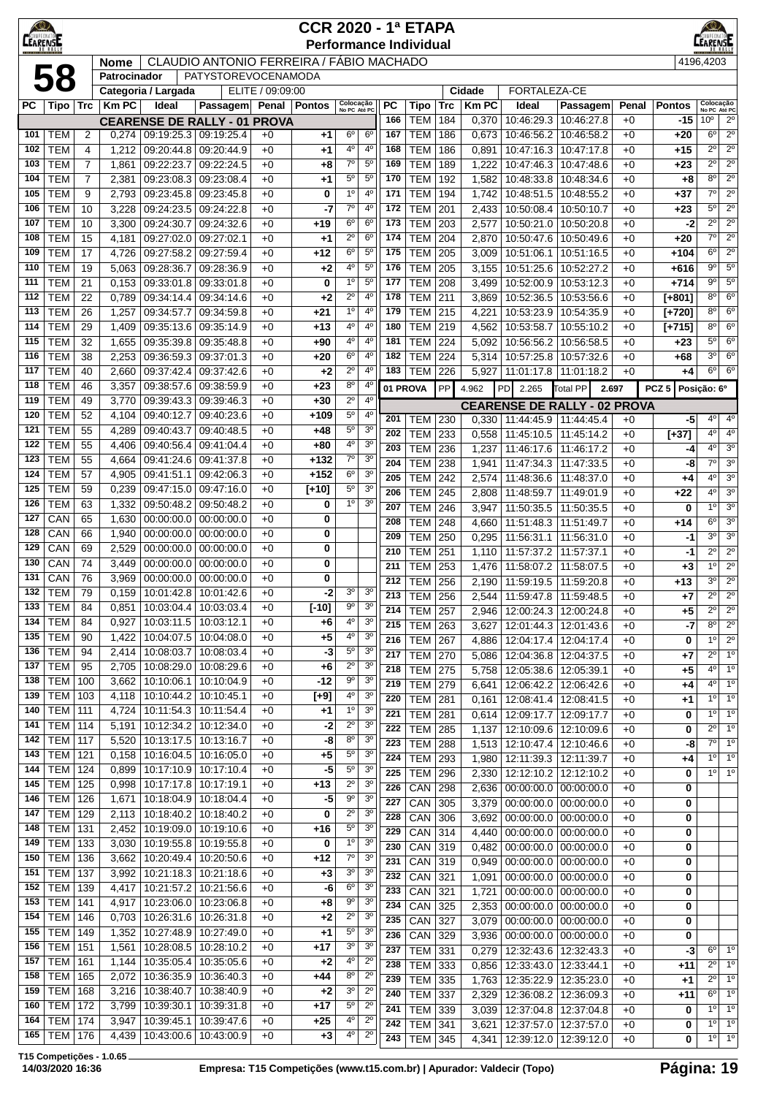| <b>CEARENSE</b> |                                  |                     |                |                          |                                                  |                  | <b>CCR 2020 - 1ª ETAPA</b><br><b>Performance Individual</b> |                               |                                  |            |                              |                  |                |                                                           |                                       |              |                  | <b>EARENSE</b>                |                                  |
|-----------------|----------------------------------|---------------------|----------------|--------------------------|--------------------------------------------------|------------------|-------------------------------------------------------------|-------------------------------|----------------------------------|------------|------------------------------|------------------|----------------|-----------------------------------------------------------|---------------------------------------|--------------|------------------|-------------------------------|----------------------------------|
|                 |                                  |                     | <b>Nome</b>    |                          | <b>CLAUDIO ANTONIO FERREIRA / FÁBIO MACHADO</b>  |                  |                                                             |                               |                                  |            |                              |                  |                |                                                           |                                       |              |                  | 4196,4203                     |                                  |
|                 | 58                               |                     | Patrocinador   | Categoria / Largada      | PATYSTOREVOCENAMODA                              | ELITE / 09:09:00 |                                                             |                               |                                  |            |                              |                  | Cidade         | FORTALEZA-CE                                              |                                       |              |                  |                               |                                  |
| <b>PC</b>       | Tipo   Trc                       |                     | <b>Km PC</b>   | Ideal                    | Passagem Penal                                   |                  | <b>Pontos</b>                                               | Colocação<br>No PC Até PC     |                                  | <b>PC</b>  | Tipo                         | <b>Trc</b>       | <b>Km PC</b>   | Ideal                                                     | Passagem                              | Penal        | <b>Pontos</b>    | Colocação<br>No PC Até PC     |                                  |
|                 |                                  |                     |                |                          | <b>CEARENSE DE RALLY - 01</b>                    | <b>PROVA</b>     |                                                             |                               |                                  | 166        | <b>TEM</b>                   | 184              | 0,370          | 10:46:29.3                                                | 10:46:27.8                            | $+0$         | -15              | 10 <sup>o</sup>               | $2^{\circ}$                      |
| 101             | TEM                              | 2                   | 0,274          |                          | 09:19:25.3 09:19:25.4                            | $+0$             | +1                                                          | $6^{\circ}$                   | 6 <sup>o</sup>                   | 167        | <b>TEM</b>                   | 186              | 0,673          | 10:46:56.2                                                | 10:46:58.2                            | $+0$         | +20              | $6^{\circ}$                   | $2^{\circ}$                      |
| 102<br>103      | <b>TEM</b><br><b>TEM</b>         | 4<br>$\overline{7}$ | 1,212<br>1,861 | 09:20:44.8<br>09:22:23.7 | 09:20:44.9<br>09:22:24.5                         | $+0$<br>$+0$     | +1<br>$+8$                                                  | 4º<br>$7^{\circ}$             | $4^{\circ}$<br>5 <sup>0</sup>    | 168<br>169 | <b>TEM</b><br><b>TEM</b>     | 186<br>189       | 0,891<br>1,222 | 10:47:16.3<br>10:47:46.3                                  | 10:47:17.8<br>10:47:48.6              | $+0$<br>$+0$ | +15<br>$+23$     | $2^{\circ}$<br>$2^{\circ}$    | $2^{\circ}$<br>$2^{\circ}$       |
| 104             | <b>TEM</b>                       | $\overline{7}$      | 2,381          | 09:23:08.3               | 09:23:08.4                                       | $+0$             | $+1$                                                        | $5^{\circ}$                   | $5^{\circ}$                      | 170        | <b>TEM</b>                   | 192              | 1,582          |                                                           | 10:48:33.8 10:48:34.6                 | $+0$         | $+8$             | 8 <sup>o</sup>                | $2^{\circ}$                      |
| 105             | <b>TEM</b>                       | 9                   | 2,793          | 09:23:45.8               | 09:23:45.8                                       | $+0$             | 0                                                           | $1^{\circ}$                   | 4 <sup>0</sup>                   | 171        | <b>TEM</b>                   | 194              | 1,742          | 10:48:51.5                                                | 10:48:55.2                            | $+0$         | $+37$            | $7^\circ$                     | $2^{\circ}$                      |
| 106             | <b>TEM</b>                       | 10                  | 3,228          | 09:24:23.5               | 09:24:22.8                                       | $+0$             | -7                                                          | 70                            | 4 <sup>0</sup>                   | 172        | <b>TEM</b>                   | 201              | 2,433          | 10:50:08.4                                                | 10:50:10.7                            | $+0$         | $+23$            | $5^{\circ}$                   | $2^{\circ}$                      |
| 107             | <b>TEM</b>                       | 10                  | 3,300          | 09:24:30.7               | 09:24:32.6                                       | $+0$             | $+19$                                                       | $6^{\circ}$                   | 6 <sup>o</sup>                   | 173        | <b>TEM</b>                   | 203              | 2,577          | 10:50:21.0                                                | 10:50:20.8                            | $+0$         | $-2$             | $2^{\circ}$                   | $2^{\circ}$                      |
| 108             | <b>TEM</b>                       | 15                  | 4,181          | 09:27:02.0               | 09:27:02.1                                       | $+0$             | $+1$                                                        | $2^{\circ}$                   | 6 <sup>o</sup>                   | 174        | <b>TEM</b>                   | 204              | 2,870          | 10:50:47.6                                                | 10:50:49.6                            | $+0$         | $+20$            | $7^{\circ}$                   | 2 <sup>0</sup>                   |
| 109<br>110      | <b>TEM</b><br><b>TEM</b>         | 17<br>19            | 4,726<br>5,063 | 09:27:58.2<br>09:28:36.7 | 09:27:59.4<br>09:28:36.9                         | $+0$<br>$+0$     | $+12$<br>$+2$                                               | $6^{\circ}$<br>4°             | 5 <sup>o</sup><br>$5^{\circ}$    | 175<br>176 | <b>TEM</b><br><b>TEM</b>     | 205<br>205       | 3,009<br>3,155 | 10:51:06.1<br>10:51:25.6                                  | 10:51:16.5<br>10:52:27.2              | $+0$<br>$+0$ | +104<br>+616     | $6^{\circ}$<br>$9^{\circ}$    | $2^{\circ}$<br>$5^{\circ}$       |
| 111             | <b>TEM</b>                       | 21                  | 0,153          | 09:33:01.8               | 09:33:01.8                                       | $+0$             | 0                                                           | 1 <sup>0</sup>                | $5^{\circ}$                      | 177        | <b>TEM</b>                   | 208              | 3,499          | 10:52:00.9                                                | 10:53:12.3                            | $+0$         | +714             | $9^{\circ}$                   | $5^{\circ}$                      |
| 112             | <b>TEM</b>                       | 22                  | 0,789          | 09:34:14.4               | 09:34:14.6                                       | $+0$             | $+2$                                                        | $2^{\circ}$                   | 4 <sup>0</sup>                   | 178        | <b>TEM</b>                   | 211              | 3,869          | 10:52:36.5                                                | 10:53:56.6                            | $+0$         | $[+801]$         | $8^{\circ}$                   | 6 <sup>o</sup>                   |
| 113             | <b>TEM</b>                       | 26                  | 1,257          | 09:34:57.7               | 09:34:59.8                                       | $+0$             | $+21$                                                       | 1 <sup>0</sup>                | 4 <sup>0</sup>                   | 179        | <b>TEM</b>                   | 215              | 4,221          | 10:53:23.9                                                | 10:54:35.9                            | $+0$         | $[+720]$         | 8 <sup>o</sup>                | 6 <sup>o</sup>                   |
| 114             | <b>TEM</b>                       | 29                  | 1,409          | 09:35:13.6               | 09:35:14.9                                       | $+0$             | $+13$                                                       | 4°                            | $4^{\circ}$                      | 180        | <b>TEM</b>                   | 219              | 4,562          | 10:53:58.7                                                | 10:55:10.2                            | $+0$         | $[+715]$         | $8^{\circ}$                   | 6 <sup>o</sup>                   |
| 115             | <b>TEM</b>                       | 32                  | 1,655          | 09:35:39.8               | 09:35:48.8                                       | $+0$             | $+90$                                                       | 4°                            | $4^{\circ}$                      | 181        | <b>TEM</b>                   | 224              | 5,092          | 10:56:56.2                                                | 10:56:58.5                            | $+0$         | +23              | $5^{\circ}$                   | 6 <sup>o</sup>                   |
| 116<br>117      | <b>TEM</b><br><b>TEM</b>         | 38<br>40            | 2,253<br>2,660 | 09:36:59.3<br>09:37:42.4 | 09:37:01.3<br>09:37:42.6                         | $+0$<br>$+0$     | $+20$<br>$+2$                                               | $6^{\circ}$<br>$2^{\circ}$    | $4^{\circ}$<br>4 <sup>0</sup>    | 182<br>183 | <b>TEM</b><br><b>TEM</b>     | 224<br>226       | 5,314<br>5,927 | 10:57:25.8<br>11:01:17.8                                  | 10:57:32.6<br>11:01:18.2              | $+0$<br>$+0$ | $+68$<br>+4      | 3 <sup>o</sup><br>$6^{\circ}$ | 6 <sup>o</sup><br>6 <sup>o</sup> |
| 118             | <b>TEM</b>                       | 46                  | 3,357          | 09:38:57.6               | 09:38:59.9                                       | $+0$             | $+23$                                                       | $8^{\circ}$                   | $4^{\circ}$                      | 01 PROVA   |                              | PP               |                |                                                           |                                       | 2.697        | PCZ <sub>5</sub> |                               |                                  |
| 119             | <b>TEM</b>                       | 49                  | 3,770          | 09:39:43.3               | 09:39:46.3                                       | $+0$             | $+30$                                                       | $2^{\circ}$                   | $4^{\circ}$                      |            |                              |                  | 4.962          | <b>PD</b><br>2.265<br><b>CEARENSE DE RALLY - 02 PROVA</b> | Total PP                              |              |                  | Posição: 6º                   |                                  |
| 120             | <b>TEM</b>                       | 52                  | 4,104          | 09:40:12.7               | 09:40:23.6                                       | $+0$             | +109                                                        | $5^{\circ}$                   | $4^{\circ}$                      | 201        | <b>TEM</b>                   | 230              | 0,330          | 11:44:45.9   11:44:45.4                                   |                                       | $+0$         | -5               | $4^{\circ}$                   | $4^\circ$                        |
| 121             | <b>TEM</b>                       | 55                  | 4,289          | 09:40:43.7               | 09:40:48.5                                       | $+0$             | $+48$                                                       | $5^{\circ}$                   | 3 <sup>o</sup>                   | 202        | <b>TEM</b>                   | 233              | 0,558          | 11:45:10.5                                                | 11:45:14.2                            | $+0$         | $[+37]$          | $4^{\circ}$                   | $4^{\circ}$                      |
| 122             | <b>TEM</b>                       | 55                  | 4,406          | 09:40:56.4               | 09:41:04.4                                       | $+0$             | +80                                                         | 4 <sup>o</sup>                | 3 <sup>o</sup>                   | 203        | <b>TEM</b>                   | 236              | 1,237          | 11:46:17.6                                                | 11:46:17.2                            | $+0$         | -4               | $4^{\circ}$                   | 3 <sup>o</sup>                   |
| 123<br>124      | <b>TEM</b><br><b>TEM</b>         | 55<br>57            | 4,664          | 09:41:24.6               | 09:41:37.8                                       | $+0$             | $+132$<br>$+152$                                            | $7^\circ$<br>$6^{\circ}$      | 3 <sup>0</sup><br>3 <sup>o</sup> | 204        | <b>TEM</b>                   | 238              | 1,941          | 11:47:34.3                                                | 11:47:33.5                            | $+0$         | -8               | 7°                            | 3 <sup>o</sup>                   |
| 125             | <b>TEM</b>                       | 59                  | 4,905<br>0,239 | 09:41:51.1<br>09:47:15.0 | 09:42:06.3<br>09:47:16.0                         | $+0$<br>$+0$     | $[t+10]$                                                    | $5^{\circ}$                   | 3 <sup>o</sup>                   | 205        | <b>TEM</b>                   | 242              | 2,574          | 11:48:36.6                                                | 11:48:37.0                            | $+0$         | +4               | $4^{\circ}$                   | 3 <sup>o</sup>                   |
| 126             | <b>TEM</b>                       | 63                  | 1,332          | 09:50:48.2               | 09:50:48.2                                       | $+0$             | 0                                                           | $1^{\circ}$                   | 3 <sup>o</sup>                   | 206<br>207 | <b>TEM</b><br><b>TEM</b>     | 245<br>246       | 2,808          | 11:48:59.7                                                | 11:49:01.9                            | $+0$         | +22<br>0         | $4^{\circ}$<br>$1^{\circ}$    | 3 <sup>o</sup><br>3 <sup>o</sup> |
| 127             | CAN                              | 65                  | 1,630          | 00:00:00.0               | 00:00:00.0                                       | $+0$             | 0                                                           |                               |                                  | 208        | <b>TEM</b>                   | $\overline{248}$ | 3,947<br>4,660 | 11:50:35.5<br>11:51:48.3                                  | 11:50:35.5<br>11:51:49.7              | $+0$<br>$+0$ | $+14$            | $6^{\circ}$                   | 3 <sup>o</sup>                   |
| 128             | CAN                              | 66                  | 1,940          | 00:00:00.0               | 00:00:00.0                                       | $+0$             | 0                                                           |                               |                                  | 209        | <b>TEM</b>                   | 250              | 0,295          | 11:56:31.1   11:56:31.0                                   |                                       | $+0$         | -1               | $3^{\circ}$                   | 3 <sup>0</sup>                   |
| 129             | CAN                              | 69                  | 2,529          | 00:00:00.0               | 00:00:00.0                                       | $+0$             | 0                                                           |                               |                                  | 210        | <b>TEM</b>                   | 251              | 1,110          | 11:57:37.2                                                | 11:57:37.1                            | $+0$         | -1               | $2^{\circ}$                   | $2^{\circ}$                      |
| 130             | CAN                              | 74                  | 3,449          | 00:00:00.0               | 00:00:00.0                                       | $+0$             | 0                                                           |                               |                                  | 211        | <b>TEM</b>                   | 253              | 1,476          | 11:58:07.2                                                | 11:58:07.5                            | $+0$         | +3               | $1^{\circ}$                   | $\overline{2^0}$                 |
| 131             | CAN                              | 76                  | 3,969          | 00:00:00.0               | 00:00:00.0                                       | $+0$             | 0                                                           |                               |                                  | 212        | <b>TEM</b>                   | 256              | 2,190          | 11:59:19.5 11:59:20.8                                     |                                       | $+0$         | $+13$            | 3 <sup>o</sup>                | $\overline{2^0}$                 |
| 132<br>133      | <b>TEM</b><br>TEM                | 79<br>84            | 0,159<br>0,851 | 10:03:04.4   10:03:03.4  | 10:01:42.8   10:01:42.6                          | $+0$<br>$+0$     | -2<br>$[-10]$                                               | 30<br>90                      | 3 <sup>o</sup><br>3 <sup>o</sup> | 213        | <b>TEM</b>                   | 256              | 2,544          | 11:59:47.8 11:59:48.5                                     |                                       | $+0$         | $+7$             | $\overline{2^{\circ}}$        | $\overline{2^0}$                 |
| 134             | TEM                              | 84                  | 0,927          | 10:03:11.5               | 10:03:12.1                                       | $+0$             | +6                                                          | $4^{\rm o}$                   | 3 <sup>0</sup>                   | 214<br>215 | <b>TEM</b>                   | 257              | 2.946          |                                                           | 12:00:24.3   12:00:24.8               | $+0$         | +5               | $2^{\circ}$<br>$8^{\circ}$    | $2^{\circ}$<br>$2^{\circ}$       |
| 135             | TEM                              | 90                  | 1,422          | 10:04:07.5               | 10:04:08.0                                       | $+0$             | $+5$                                                        | $4^{\rm o}$                   | 3 <sup>o</sup>                   | 216        | <b>TEM</b><br><b>TEM 267</b> | 263              | 3,627<br>4,886 | 12:04:17.4   12:04:17.4                                   | 12:01:44.3   12:01:43.6               | $+0$<br>$+0$ | -7<br>0          | $1^{\circ}$                   | $2^{\circ}$                      |
| 136             | TEM                              | 94                  | 2,414          |                          | 10:08:03.7 10:08:03.4                            | $+0$             | -3                                                          | $5^{\circ}$                   | 3 <sup>o</sup>                   | 217        | <b>TEM 270</b>               |                  | 5,086          | 12:04:36.8   12:04:37.5                                   |                                       | $+0$         | $+7$             | $2^{\circ}$                   | 1 <sup>o</sup>                   |
| 137             | <b>TEM</b>                       | 95                  | 2,705          |                          | 10:08:29.0   10:08:29.6                          | $+0$             | $+6$                                                        | $2^{\circ}$                   | 3 <sup>o</sup>                   | 218        | <b>TEM</b>                   | 275              | 5,758          | 12:05:38.6   12:05:39.1                                   |                                       | $+0$         | $+5$             | $4^{\circ}$                   | 1 <sup>0</sup>                   |
| 138             | <b>TEM</b>                       | 100                 | 3,662          | 10:10:06.1               | 10:10:04.9                                       | $+0$             | -12                                                         | 90                            | 3 <sup>o</sup>                   | 219        | <b>TEM</b>                   | 279              | 6,641          | 12:06:42.2 12:06:42.6                                     |                                       | $+0$         | +4               | $4^{\circ}$                   | $1^{\circ}$                      |
| 139             | <b>TEM</b>                       | 103                 | 4,118          | 10:10:44.2               | 10:10:45.1                                       | $+0$             | $[+9]$                                                      | $4^{\rm o}$                   | 3 <sup>o</sup>                   | 220        | <b>TEM</b>                   | 281              | 0,161          | 12:08:41.4   12:08:41.5                                   |                                       | $+0$         | $+1$             | $1^{\circ}$                   | 1 <sup>0</sup>                   |
| 140<br>141      | <b>TEM 111</b><br><b>TEM 114</b> |                     | 4,724          | 10:11:54.3               | 10:11:54.4                                       | $+0$<br>$+0$     | $+1$                                                        | $1^{\circ}$<br>$2^{\circ}$    | 3 <sup>0</sup><br>3 <sup>o</sup> | 221        | <b>TEM</b>                   | 281              | 0,614          | 12:09:17.7                                                | 12:09:17.7                            | $+0$         | 0                | $1^{\circ}$                   | 1 <sup>o</sup>                   |
| 142             | <b>TEM 117</b>                   |                     | 5,191<br>5,520 | 10:13:17.5 10:13:16.7    | 10:12:34.2 10:12:34.0                            | $+0$             | -2<br>-8                                                    | $8^{\circ}$                   | 3 <sup>o</sup>                   | 222        | <b>TEM</b>                   | 285              | 1,137          | 12:10:09.6                                                | 12:10:09.6                            | $+0$         | 0                | $2^{\circ}$<br>$7^{\circ}$    | 1 <sup>0</sup><br>1 <sup>0</sup> |
| 143             | $TEM$ 121                        |                     | 0,158          | 10:16:04.5               | 10:16:05.0                                       | $+0$             | $+5$                                                        | $5^{\circ}$                   | 3 <sup>o</sup>                   | 223<br>224 | <b>TEM</b><br><b>TEM</b>     | 288<br>293       | 1,513<br>1,980 | 12:10:47.4   12:10:46.6<br>12:11:39.3   12:11:39.7        |                                       | $+0$<br>$+0$ | -8<br>+4         | $1^{\circ}$                   | $1^{\circ}$                      |
| 144             | $TEM$ 124                        |                     | 0,899          |                          | 10:17:10.9 10:17:10.4                            | $+0$             | -5                                                          | $5^{\rm o}$                   | 3 <sup>o</sup>                   | 225        | <b>TEM</b>                   | 296              | 2,330          |                                                           | 12:12:10.2   12:12:10.2               | $+0$         | 0                |                               | $10$ $10$                        |
| 145             | <b>TEM 125</b>                   |                     | 0,998          | 10:17:17.8 10:17:19.1    |                                                  | $+0$             | $+13$                                                       | $2^{\circ}$                   | 3 <sup>o</sup>                   | 226        | CAN                          | 298              | 2,636          | $00:00:00.0$   $00:00:00.0$                               |                                       | $+0$         | 0                |                               |                                  |
| 146             | <b>TEM</b>                       | 126                 | 1,671          |                          | 10:18:04.9 10:18:04.4                            | $+0$             | -5                                                          | $9^{\circ}$                   | 3 <sup>o</sup>                   | 227        | CAN                          | 305              | 3,379          | $00:00:00.0$   $00:00:00.0$                               |                                       | $+0$         | 0                |                               |                                  |
| 147             | <b>TEM</b>                       | 129                 | 2,113          |                          | 10:18:40.2 10:18:40.2                            | $+0$             | 0                                                           | $2^{\circ}$                   | 3 <sup>o</sup>                   | 228        | CAN                          | 306              | 3,692          | $00:00:00.0$   $00:00:00.0$                               |                                       | $+0$         | 0                |                               |                                  |
| 148<br>149      | <b>TEM 131</b><br><b>TEM 133</b> |                     | 2,452<br>3,030 |                          | 10:19:09.0   10:19:10.6<br>10:19:55.8 10:19:55.8 | $+0$<br>$+0$     | $+16$<br>0                                                  | $5^{\rm o}$<br>1 <sup>0</sup> | 3 <sup>o</sup><br>3 <sup>o</sup> | 229        | CAN                          | 314              | 4,440          | 00:00:00.0                                                | 00:00:00.0                            | $+0$         | 0                |                               |                                  |
| 150             | <b>TEM 136</b>                   |                     | 3,662          |                          | 10:20:49.4 10:20:50.6                            | $+0$             | $+12$                                                       | $7^\circ$                     | 3 <sup>o</sup>                   | 230        | CAN                          | 319              | 0,482          | 00:00:00.0                                                | 00:00:00.0                            | $+0$         | 0                |                               |                                  |
| 151             | <b>TEM 137</b>                   |                     | 3,992          | 10:21:18.3 10:21:18.6    |                                                  | $+0$             | $+3$                                                        | 3 <sup>o</sup>                | 3 <sup>o</sup>                   | 231<br>232 | CAN<br>CAN                   | 319<br>321       | 0,949          | 00:00:00.0<br>00:00:00.0                                  | 00:00:00.0<br> 00:00:00.0             | $+0$         | 0<br>0           |                               |                                  |
| 152             | TEM   139                        |                     | 4,417          |                          | 10:21:57.2   10:21:56.6                          | $+0$             | -6                                                          | $6^{\circ}$                   | 3 <sup>o</sup>                   | 233        | CAN                          | 321              | 1,091<br>1,721 | 00:00:00.0                                                | 00:00:00.0                            | $+0$<br>$+0$ | 0                |                               |                                  |
| 153             | <b>TEM 141</b>                   |                     | 4,917          | 10:23:06.0               | 10:23:06.8                                       | $+0$             | $+8$                                                        | $9^{\circ}$                   | 3 <sup>o</sup>                   | 234        | CAN                          | 325              | 2,353          | $00:00:00.0$ 00:00:00.0                                   |                                       | $+0$         | 0                |                               |                                  |
| 154             | <b>TEM 146</b>                   |                     | 0,703          |                          | 10:26:31.6   10:26:31.8                          | $+0$             | $+2$                                                        | $2^{\circ}$                   | 3 <sup>o</sup>                   | 235        | CAN                          | 327              | 3,079          | $00:00:00.0$   $00:00:00.0$                               |                                       | $+0$         | 0                |                               |                                  |
| 155             | <b>TEM</b>                       | 149                 | 1,352          |                          | 10:27:48.9   10:27:49.0                          | $+0$             | $+1$                                                        | $5^{\circ}$                   | 3 <sup>o</sup>                   | 236        | CAN                          | 329              | 3,936          | $00:00:00.0$   $00:00:00.0$                               |                                       | $+0$         | 0                |                               |                                  |
| 156             | TEM                              | 151                 | 1,561          |                          | 10:28:08.5   10:28:10.2                          | $+0$             | $+17$                                                       | 3 <sup>o</sup>                | 3 <sup>o</sup>                   | 237        | <b>TEM</b>                   | 331              | 0,279          | 12:32:43.6   12:32:43.3                                   |                                       | $+0$         | -3               | $6^{\circ}$                   | 1 <sup>o</sup>                   |
| 157<br>158      | <b>TEM</b><br><b>TEM 165</b>     | 161                 | 1,144<br>2,072 | 10:35:05.4               | 10:35:05.6<br>10:36:35.9 10:36:40.3              | $+0$<br>$+0$     | $+2$<br>$+44$                                               | 40<br>$8^{\rm o}$             | $2^{\circ}$<br>$2^{\circ}$       | 238        | <b>TEM</b>                   | 333              | 0,856          | 12:33:43.0   12:33:44.1                                   |                                       | $+0$         | +11              | $2^{\circ}$                   | 1 <sup>0</sup>                   |
| 159             | <b>TEM</b>                       | 168                 | 3,216          |                          | 10:38:40.7   10:38:40.9                          | $+0$             | $+2$                                                        | $3^{\rm o}$                   | $2^{\circ}$                      | 239        | <b>TEM</b>                   | 335              | 1,763          |                                                           | 12:35:22.9   12:35:23.0               | $+0$         | $+1$             | $2^{\circ}$                   | 1 <sup>0</sup><br>1 <sup>0</sup> |
| 160             | <b>TEM 172</b>                   |                     | 3,799          |                          | 10:39:30.1   10:39:31.8                          | $+0$             | $+17$                                                       | $5^{\circ}$                   | $2^{\circ}$                      | 240<br>241 | <b>TEM</b><br><b>TEM</b>     | 337<br>339       | 2,329<br>3,039 | 12:36:08.2                                                | 12:36:09.3<br>12:37:04.8   12:37:04.8 | $+0$<br>$+0$ | +11<br>0         | $6^{\circ}$<br>$1^{\circ}$    | $1^{\circ}$                      |
| 164             | <b>TEM 174</b>                   |                     | 3,947          | 10:39:45.1               | 10:39:47.6                                       | $+0$             | $+25$                                                       | 4º                            | $2^{\circ}$                      | 242        | <b>TEM</b>                   | 341              | 3,621          |                                                           | 12:37:57.0   12:37:57.0               | $+0$         | 0                |                               | $10$ $10$                        |
| 165             | <b>TEM 176</b>                   |                     | 4,439          | 10:43:00.6               | 10:43:00.9                                       | $+0$             | $+3$                                                        | $4^{\circ}$                   | $2^{\circ}$                      | 243        | <b>TEM 345</b>               |                  | 4,341          | 12:39:12.0   12:39:12.0                                   |                                       | $+0$         | 0                | $1^\circ$                     | 1 <sup>0</sup>                   |

 $\mathbf{r}$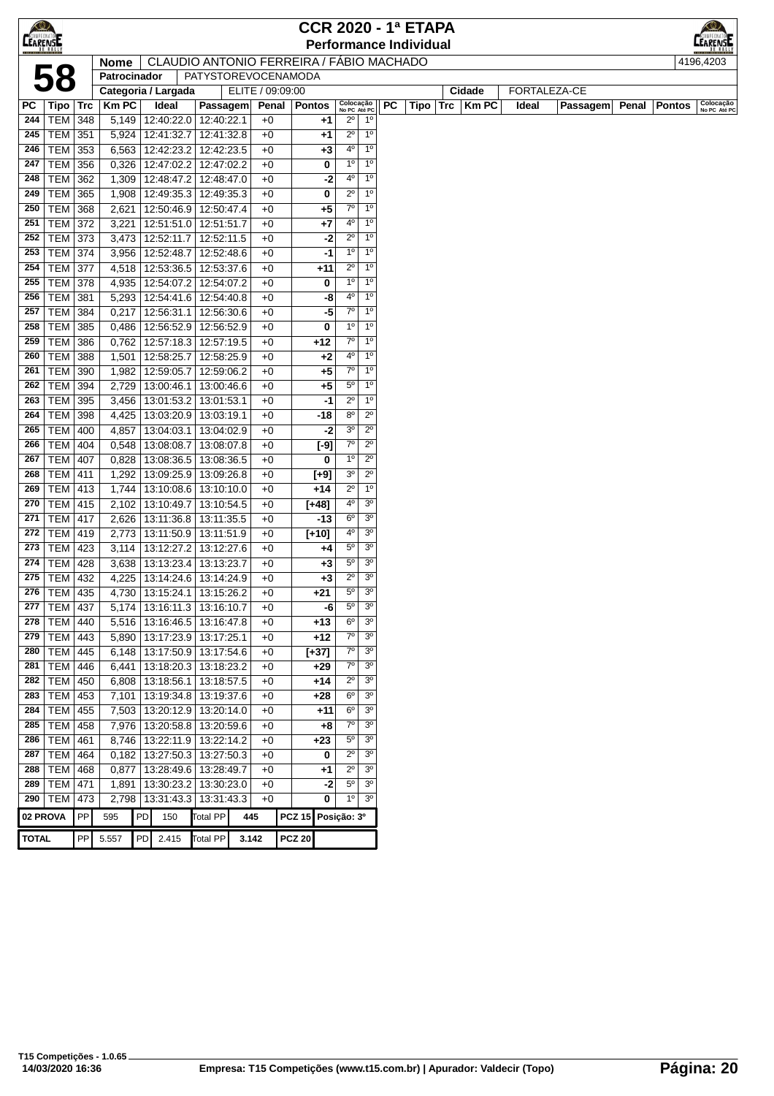| LEARENSE     |                 |     |              |    |                                          |                 |                     |       |                    |        |                           |                |    | <b>CCR 2020 - 1ª ETAPA</b>    |                  |       |              |       |               |                           |
|--------------|-----------------|-----|--------------|----|------------------------------------------|-----------------|---------------------|-------|--------------------|--------|---------------------------|----------------|----|-------------------------------|------------------|-------|--------------|-------|---------------|---------------------------|
|              |                 |     |              |    |                                          |                 |                     |       |                    |        |                           |                |    | <b>Performance Individual</b> |                  |       |              |       |               | LEARENS                   |
|              |                 |     | <b>Nome</b>  |    | CLAUDIO ANTONIO FERREIRA / FÁBIO MACHADO |                 |                     |       |                    |        |                           |                |    |                               |                  |       |              |       |               | 4196,4203                 |
|              | 58              |     | Patrocinador |    |                                          |                 | PATYSTOREVOCENAMODA |       |                    |        |                           |                |    |                               |                  |       |              |       |               |                           |
|              |                 |     |              |    | Categoria / Largada                      |                 | ELITE / 09:09:00    |       |                    |        |                           |                |    |                               | Cidade           |       | FORTALEZA-CE |       |               |                           |
| PC           | Tipo   Trc      |     | <b>KmPC</b>  |    | Ideal                                    | Passagem        |                     | Penal | <b>Pontos</b>      |        | Colocação<br>No PC Até PO |                | PC |                               | Tipo Trc   Km PC | Ideal | Passagem     | Penal | <b>Pontos</b> | Colocação<br>No PC Até PC |
| 244          | <b>TEM 348</b>  |     |              |    | 5,149   12:40:22.0   12:40:22.1          |                 | $+0$                |       |                    | $+1$   | $2^{\circ}$               | $1^{\circ}$    |    |                               |                  |       |              |       |               |                           |
| 245          | $TEM$ 351       |     |              |    | 5,924 12:41:32.7                         | 12:41:32.8      | $+0$                |       |                    | $+1$   | $2^{\circ}$               | 1 <sup>0</sup> |    |                               |                  |       |              |       |               |                           |
| 246          | TEM             | 353 | 6,563        |    | 12:42:23.2                               | 12:42:23.5      | $+0$                |       |                    | $+3$   | $4^{\circ}$               | 1 <sup>0</sup> |    |                               |                  |       |              |       |               |                           |
| 247          | TEM             | 356 | 0,326        |    | 12:47:02.2                               | 12:47:02.2      | $+0$                |       |                    | 0      | 1 <sup>0</sup>            | 1 <sup>0</sup> |    |                               |                  |       |              |       |               |                           |
| 248          | TEM 362         |     |              |    | 1,309   12:48:47.2                       | 12:48:47.0      | $+0$                |       |                    | -2     | 4°                        | $1^{\circ}$    |    |                               |                  |       |              |       |               |                           |
| 249          | TEM             | 365 | 1,908        |    | 12:49:35.3                               | 12:49:35.3      | $+0$                |       |                    | 0      | $2^{\circ}$               | 1 <sup>0</sup> |    |                               |                  |       |              |       |               |                           |
| 250          | <b>TEM 368</b>  |     | 2,621        |    | 12:50:46.9                               | 12:50:47.4      | $+0$                |       |                    | $+5$   | $7^{\circ}$               | 1 <sup>0</sup> |    |                               |                  |       |              |       |               |                           |
| 251          | <b>TEM 372</b>  |     | 3,221        |    | 12:51:51.0                               | 12:51:51.7      | $+0$                |       |                    | $+7$   | 4°                        | 1 <sup>0</sup> |    |                               |                  |       |              |       |               |                           |
| 252          | TEM 373         |     |              |    | 3,473   12:52:11.7                       | 12:52:11.5      | $+0$                |       |                    | -2     | $2^{\circ}$               | 1 <sup>0</sup> |    |                               |                  |       |              |       |               |                           |
| 253          | <b>TEM 374</b>  |     | 3,956        |    | 12:52:48.7                               | 12:52:48.6      | $+0$                |       |                    | -1     | $1^{\circ}$               | 1 <sup>0</sup> |    |                               |                  |       |              |       |               |                           |
| 254          | <b>TEM</b>      | 377 | 4,518        |    | 12:53:36.5                               | 12:53:37.6      | $+0$                |       |                    | +11    | $2^{\circ}$               | $1^{\circ}$    |    |                               |                  |       |              |       |               |                           |
| 255          | <b>TEM</b>      | 378 | 4,935        |    | 12:54:07.2                               | 12:54:07.2      | $+0$                |       |                    | 0      | $1^{\circ}$               | 1 <sup>0</sup> |    |                               |                  |       |              |       |               |                           |
| 256          | TEM 381         |     |              |    | $5,293$   12:54:41.6                     | 12:54:40.8      | $+0$                |       |                    | -8     | 4 <sup>0</sup>            | 1 <sup>0</sup> |    |                               |                  |       |              |       |               |                           |
| 257          | <b>TEM 384</b>  |     |              |    | $0,217$   12:56:31.1                     | 12:56:30.6      | $+0$                |       |                    | -5     | $7^\circ$                 | 1 <sup>0</sup> |    |                               |                  |       |              |       |               |                           |
| 258          | <b>TEM 385</b>  |     | 0,486        |    | 12:56:52.9                               | 12:56:52.9      | $+0$                |       |                    | 0      | $1^{\circ}$               | 1 <sup>0</sup> |    |                               |                  |       |              |       |               |                           |
| 259          | <b>TEM 386</b>  |     |              |    | $0,762$   12:57:18.3                     | 12:57:19.5      | $+0$                |       |                    | +12    | $7^\circ$                 | 1 <sup>0</sup> |    |                               |                  |       |              |       |               |                           |
| 260          | <b>TEM 388</b>  |     | 1,501        |    | 12:58:25.7                               | 12:58:25.9      | $+0$                |       |                    | $+2$   | 4°                        | 1 <sup>0</sup> |    |                               |                  |       |              |       |               |                           |
| 261          | TEM   390       |     | 1,982        |    | 12:59:05.7                               | 12:59:06.2      | $+0$                |       |                    | $+5$   | $7^\circ$                 | 1 <sup>0</sup> |    |                               |                  |       |              |       |               |                           |
| 262          | <b>TEM 394</b>  |     | 2,729        |    | 13:00:46.1                               | 13:00:46.6      | $+0$                |       |                    | $+5$   | 5°                        | $1^{\circ}$    |    |                               |                  |       |              |       |               |                           |
| 263          | TEM             | 395 | 3,456        |    | 13:01:53.2                               | 13:01:53.1      | $+0$                |       |                    | -1     | $2^{\circ}$               | $1^{\circ}$    |    |                               |                  |       |              |       |               |                           |
| 264          | <b>TEM</b>      | 398 | 4,425        |    | 13:03:20.9                               | 13:03:19.1      | $+0$                |       |                    | -18    | 80                        | $2^{\circ}$    |    |                               |                  |       |              |       |               |                           |
| 265          | <b>TEM 400</b>  |     | 4,857        |    | 13:04:03.1                               | 13:04:02.9      | $+0$                |       |                    | -2     | 3 <sup>o</sup>            | $2^{\circ}$    |    |                               |                  |       |              |       |               |                           |
| 266          | <b>TEM 404</b>  |     | 0,548        |    | 13:08:08.7                               | 13:08:07.8      | $+0$                |       |                    | $[-9]$ | $7^\circ$                 | $2^{\circ}$    |    |                               |                  |       |              |       |               |                           |
| 267          | <b>TEM 407</b>  |     | 0,828        |    | 13:08:36.5                               | 13:08:36.5      | $+0$                |       |                    | 0      | $1^{\circ}$               | $2^{\circ}$    |    |                               |                  |       |              |       |               |                           |
| 268          | <b>TEM 411</b>  |     | 1,292        |    | 13:09:25.9                               | 13:09:26.8      | $+0$                |       |                    | $[+9]$ | 3 <sup>o</sup>            | $2^{\circ}$    |    |                               |                  |       |              |       |               |                           |
| 269          | $TEM$ 413       |     | 1,744        |    | 13:10:08.6                               | 13:10:10.0      | $+0$                |       |                    | $+14$  | $2^{\circ}$               | 1 <sup>0</sup> |    |                               |                  |       |              |       |               |                           |
| 270          | TEM   415       |     | 2,102        |    | 13:10:49.7                               | 13:10:54.5      | $+0$                |       | $[+48]$            |        | 4°                        | 3 <sup>o</sup> |    |                               |                  |       |              |       |               |                           |
| 271          | <b>TEM 417</b>  |     | 2,626        |    | 13:11:36.8                               | 13:11:35.5      | $+0$                |       |                    | -13    | $6^{\circ}$               | 3 <sup>o</sup> |    |                               |                  |       |              |       |               |                           |
| 272          | TEM             | 419 | 2,773        |    | 13:11:50.9                               | 13:11:51.9      | $+0$                |       | $[+10]$            |        | 4º                        | 3 <sup>o</sup> |    |                               |                  |       |              |       |               |                           |
| 273          | <b>TEM</b>      | 423 | 3,114        |    | 13:12:27.2                               | 13:12:27.6      | $+0$                |       |                    | +4     | $5^{\circ}$               | 3 <sup>0</sup> |    |                               |                  |       |              |       |               |                           |
| 274          | TEM             | 428 | 3,638        |    | 13:13:23.4                               | 13:13:23.7      | $+0$                |       |                    | $+3$   | $5^{\circ}$               | 3 <sup>o</sup> |    |                               |                  |       |              |       |               |                           |
| 275          | <b>TEM 432</b>  |     | 4,225        |    | 13:14:24.6                               | 13:14:24.9      | $+0$                |       |                    | $+3$   | $2^{\circ}$               | 3 <sup>o</sup> |    |                               |                  |       |              |       |               |                           |
| 276          | <b>TEM 435</b>  |     |              |    | 4,730   13:15:24.1                       | 13:15:26.2      | $+0$                |       |                    | $+21$  | 5°                        | 3 <sup>o</sup> |    |                               |                  |       |              |       |               |                           |
|              | 277   TEM   437 |     |              |    | $5,174$   13:16:11.3   13:16:10.7        |                 | $+0$                |       |                    | -6     | $5^{\circ}$               | 3 <sup>o</sup> |    |                               |                  |       |              |       |               |                           |
| 278          | <b>TEM 440</b>  |     |              |    | 5,516 13:16:46.5                         | 13:16:47.8      | $+0$                |       |                    | $+13$  | $6^{\circ}$               | 3 <sup>o</sup> |    |                               |                  |       |              |       |               |                           |
| 279          | TEM   443       |     |              |    | 5,890   13:17:23.9   13:17:25.1          |                 | $+0$                |       |                    | +12    | $7^\circ$                 | 3 <sup>o</sup> |    |                               |                  |       |              |       |               |                           |
| 280          | TEM   445       |     |              |    | 6,148   13:17:50.9   13:17:54.6          |                 | $+0$                |       | $[+37]$            |        | $7^\circ$                 | 3 <sup>o</sup> |    |                               |                  |       |              |       |               |                           |
| 281          | TEM 446         |     |              |    | 6,441   13:18:20.3   13:18:23.2          |                 | $+0$                |       |                    | +29    | $7^\circ$                 | 3 <sup>o</sup> |    |                               |                  |       |              |       |               |                           |
| 282          | <b>TEM</b>      | 450 |              |    | 6,808 13:18:56.1                         | 13:18:57.5      | $+0$                |       |                    | +14    | $2^{\circ}$               | 3 <sup>o</sup> |    |                               |                  |       |              |       |               |                           |
| 283          | TEM 453         |     |              |    | 7,101   13:19:34.8   13:19:37.6          |                 | $+0$                |       |                    | +28    | $6^{\circ}$               | 3 <sup>0</sup> |    |                               |                  |       |              |       |               |                           |
| 284          | <b>TEM 455</b>  |     |              |    | 7,503   13:20:12.9   13:20:14.0          |                 | $+0$                |       |                    | +11    | $6^{\circ}$               | 3 <sup>o</sup> |    |                               |                  |       |              |       |               |                           |
| 285          | TEM 458         |     |              |    | 7,976   13:20:58.8   13:20:59.6          |                 | $+0$                |       |                    | $+8$   | 70                        | 3 <sup>o</sup> |    |                               |                  |       |              |       |               |                           |
| 286          | TEM 461         |     |              |    | 8,746   13:22:11.9   13:22:14.2          |                 | $+0$                |       |                    | $+23$  | 5°                        | 3 <sup>o</sup> |    |                               |                  |       |              |       |               |                           |
| 287          | <b>TEM 464</b>  |     |              |    | $0,182$   13:27:50.3   13:27:50.3        |                 | $+0$                |       |                    | 0      | $2^{\circ}$               | 3 <sup>o</sup> |    |                               |                  |       |              |       |               |                           |
| 288          | TEM 468         |     |              |    | $0,877$   13:28:49.6                     | 13:28:49.7      | $+0$                |       |                    | $+1$   | $2^{\circ}$               | 3 <sup>o</sup> |    |                               |                  |       |              |       |               |                           |
| 289          | TEM   471       |     |              |    | 1,891   13:30:23.2   13:30:23.0          |                 | $+0$                |       |                    | -2     | $5^{\circ}$               | 3 <sup>o</sup> |    |                               |                  |       |              |       |               |                           |
| 290          | <b>TEM</b>      | 473 |              |    | 2,798   13:31:43.3                       | 13:31:43.3      | $+0$                |       |                    | 0      | $1^{\circ}$               | 3 <sup>o</sup> |    |                               |                  |       |              |       |               |                           |
| 02 PROVA     |                 | PP  | 595          | PD | 150                                      | <b>Total PP</b> | 445                 |       | PCZ 15 Posição: 3º |        |                           |                |    |                               |                  |       |              |       |               |                           |
|              |                 |     |              |    |                                          |                 |                     |       |                    |        |                           |                |    |                               |                  |       |              |       |               |                           |
| <b>TOTAL</b> |                 | PP  | 5.557        |    | PD 2.415                                 | Total PP        | 3.142               |       | <b>PCZ 20</b>      |        |                           |                |    |                               |                  |       |              |       |               |                           |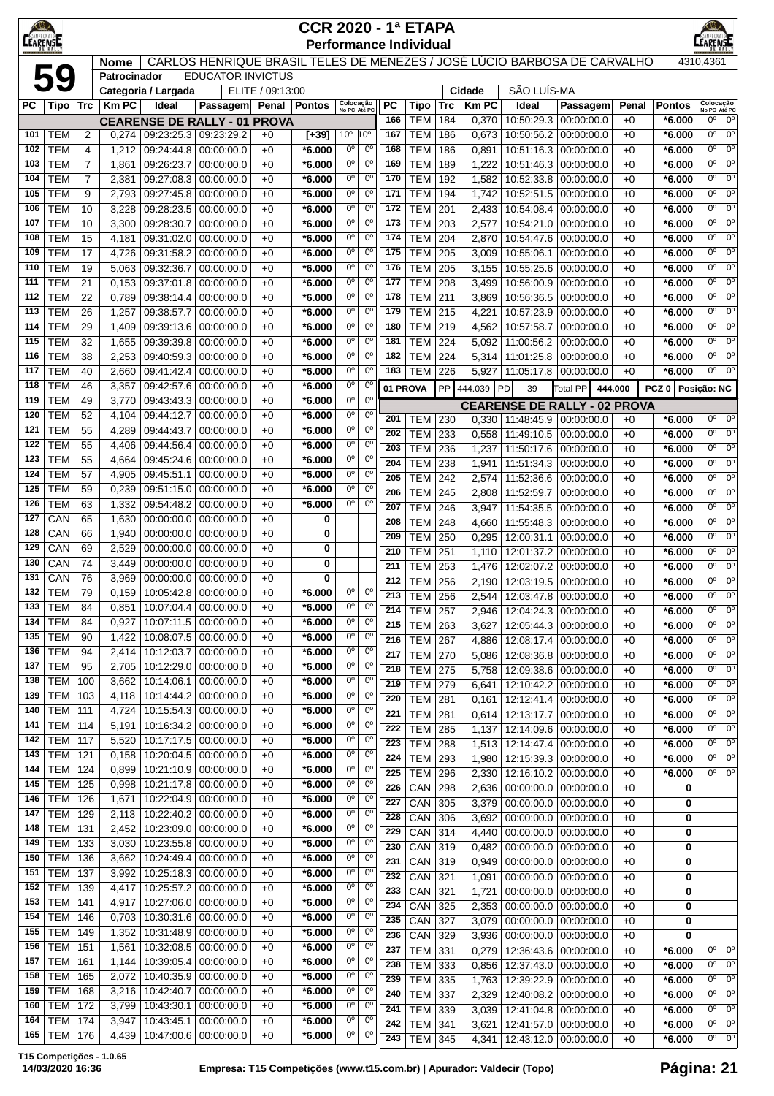| $\bigcirc$<br><b>CEARENSE</b> |                              |                     |                |                          |                                     |                  | <b>CCR 2020 - 1ª ETAPA</b> | <b>Performance Individual</b>                            |            |                          |            |                |                          |                                                                          |              |                      | <b>IRENSE</b>              |                               |
|-------------------------------|------------------------------|---------------------|----------------|--------------------------|-------------------------------------|------------------|----------------------------|----------------------------------------------------------|------------|--------------------------|------------|----------------|--------------------------|--------------------------------------------------------------------------|--------------|----------------------|----------------------------|-------------------------------|
|                               |                              |                     | <b>Nome</b>    |                          |                                     |                  |                            |                                                          |            |                          |            |                |                          | CARLOS HENRIQUE BRASIL TELES DE MENEZES / JOSÉ LÚCIO BARBOSA DE CARVALHO |              |                      | 4310,4361                  |                               |
|                               | 59                           |                     | Patrocinador   |                          | <b>EDUCATOR INVICTUS</b>            |                  |                            |                                                          |            |                          |            |                |                          |                                                                          |              |                      |                            |                               |
|                               |                              |                     |                | Categoria / Largada      |                                     | ELITE / 09:13:00 |                            |                                                          |            |                          |            | Cidade         | SÃO LUÍS-MA              |                                                                          |              |                      |                            |                               |
| РC                            | Tipo   Trc                   |                     | <b>KmPC</b>    | Ideal                    | <b>Passagem</b>                     | Penal   Pontos   |                            | Colocação<br>No PC Até PC                                | <b>PC</b>  | Tipo                     | <b>Trc</b> | <b>KmPC</b>    | Ideal                    | Passagem                                                                 | Penal        | <b>Pontos</b>        | Colocação<br>No PC Até PC  |                               |
|                               |                              |                     |                |                          | <b>CEARENSE DE RALLY - 01 PROVA</b> |                  |                            |                                                          | 166        | <b>TEM</b>               | 184        | 0,370          | 10:50:29.3               | 00:00:00.0                                                               | $+0$         | $*6.000$             | 0°                         | $0^{\circ}$                   |
| 101                           | <b>TEM</b>                   | 2                   | 0,274          | 09:23:25.3 09:23:29.2    |                                     | $+0$             | $[+39]$                    | 10 <sup>o</sup><br>$10^{\circ}$                          | 167        | <b>TEM</b>               | 186        | 0,673          | 10:50:56.2               | 00:00:00.0                                                               | $+0$         | $*6.000$             | $0^{\circ}$                | $0^{\circ}$                   |
| 102                           | <b>TEM</b>                   | 4                   | 1,212          | 09:24:44.8               | 00:00:00.0                          | $+0$             | *6.000                     | $0^{\circ}$<br>$0^{\circ}$                               | 168        | <b>TEM</b>               | 186        | 0,891          | 10:51:16.3               | 00:00:00.0                                                               | $+0$         | $*6.000$             | $0^{\circ}$                | $0^{\circ}$                   |
| 103                           | <b>TEM</b>                   | $\overline{7}$      | 1,861          | 09:26:23.7               | 00:00:00.0                          | $+0$             | *6.000                     | $0^{\circ}$<br>$0^{\circ}$<br>$0^{\circ}$<br>$0^{\circ}$ | 169<br>170 | TEM                      | 189        | 1,222          | 10:51:46.3               | 00:00:00.0                                                               | $+0$         | $*6.000$             | $0^{\circ}$<br>$0^{\circ}$ | $0^{\circ}$<br>$0^{\circ}$    |
| 104<br>105                    | <b>TEM</b><br><b>TEM</b>     | $\overline{7}$<br>9 | 2,381<br>2,793 | 09:27:08.3<br>09:27:45.8 | 00:00:00.0<br>00:00:00.0            | $+0$<br>$+0$     | $*6.000$<br>$*6.000$       | $0^{\circ}$<br>$0^{\circ}$                               | 171        | <b>TEM</b><br><b>TEM</b> | 192<br>194 | 1,582<br>1,742 | 10:52:33.8<br>10:52:51.5 | 00:00:00.0<br>00:00:00.0                                                 | $+0$<br>$+0$ | $*6.000$<br>$*6.000$ | $0^{\circ}$                | $0^{\circ}$                   |
| 106                           | <b>TEM</b>                   | 10                  | 3,228          | 09:28:23.5               | 00:00:00.0                          | $+0$             | $*6.000$                   | 0°<br>$0^{\circ}$                                        | 172        | <b>TEM</b>               | 201        | 2,433          | 10:54:08.4               | 00:00:00.0                                                               | $+0$         | *6.000               | $0^{\circ}$                | $0^{\circ}$                   |
| 107                           | <b>TEM</b>                   | 10                  | 3,300          | 09:28:30.7               | 00:00:00.0                          | $+0$             | $*6.000$                   | 0°<br>$0^{\circ}$                                        | 173        | <b>TEM</b>               | 203        | 2,577          | 10:54:21.0               | 00:00:00.0                                                               | $+0$         | *6.000               | $0^{\circ}$                | $0^{\circ}$                   |
| 108                           | <b>TEM</b>                   | 15                  | 4,181          | 09:31:02.0               | 00:00:00.0                          | $+0$             | *6.000                     | $0^{\circ}$<br>$0^{\circ}$                               | 174        | <b>TEM</b>               | 204        | 2,870          | 10:54:47.6               | 00:00:00.0                                                               | $+0$         | $*6.000$             | $0^{\circ}$                | $0^{\circ}$                   |
| 109                           | <b>TEM</b>                   | 17                  | 4,726          | 09:31:58.2               | 00:00:00.0                          | $+0$             | *6.000                     | 0°<br>$0^{\circ}$                                        | 175        | TEM                      | 205        | 3,009          | 10:55:06.1               | 00:00:00.0                                                               | $+0$         | $*6.000$             | $0^{\circ}$                | $0^{\circ}$                   |
| 110                           | <b>TEM</b>                   | 19                  | 5,063          | 09:32:36.7               | 00:00:00.0                          | $+0$             | $*6.000$                   | 0°<br>$0^{\circ}$                                        | 176        | TEM                      | 205        | 3,155          | 10:55:25.6               | 00:00:00.0                                                               | $+0$         | *6.000               | $0^{\circ}$                | $0^{\circ}$                   |
| 111                           | <b>TEM</b>                   | 21                  | 0,153          | 09:37:01.8               | 00:00:00.0                          | $+0$             | $*6.000$                   | 0°<br>$0^{\circ}$                                        | 177        | TEM                      | 208        | 3,499          | 10:56:00.9               | 00:00:00.0                                                               | $+0$         | $*6.000$             | 0°                         | $0^{\circ}$                   |
| 112                           | <b>TEM</b>                   | 22                  | 0,789          | 09:38:14.4               | 00:00:00.0                          | $+0$             | $*6.000$                   | $0^{\circ}$<br>$0^{\circ}$                               | 178        | <b>TEM</b>               | 211        | 3,869          | 10:56:36.5               | 00:00:00.0                                                               | $+0$         | $*6.000$             | 0 <sup>o</sup>             | $0^{\circ}$                   |
| 113                           | <b>TEM</b>                   | 26                  | 1,257          | 09:38:57.7               | 00:00:00.0                          | $+0$             | *6.000                     | $0^{\circ}$<br>$0^{\circ}$                               | 179        | <b>TEM</b>               | 215        | 4,221          | 10:57:23.9               | 00:00:00.0                                                               | $+0$         | $*6.000$             | $0^{\circ}$                | $0^{\circ}$                   |
| 114                           | <b>TEM</b>                   | 29                  | 1,409          | 09:39:13.6               | 00:00:00.0                          | $+0$             | *6.000                     | 0°<br>$0^{\circ}$                                        | 180        | TEM                      | 219        | 4,562          | 10:57:58.7               | 00:00:00.0                                                               | $+0$         | $*6.000$             | $0^{\circ}$                | $0^{\circ}$                   |
| 115                           | <b>TEM</b><br><b>TEM</b>     | 32                  | 1,655          | 09:39:39.8               | 00:00:00.0                          | $+0$             | *6.000                     | 0°<br>$0^{\circ}$<br>0°<br>$0^{\circ}$                   | 181<br>182 | <b>TEM</b>               | 224<br>224 | 5,092          | 11:00:56.2<br>11:01:25.8 | 00:00:00.0                                                               | $+0$         | *6.000               | $0^{\circ}$<br>$0^{\circ}$ | $0^{\circ}$<br>$0^{\circ}$    |
| 116<br>117                    | <b>TEM</b>                   | 38<br>40            | 2,253<br>2,660 | 09:40:59.3<br>09:41:42.4 | 00:00:00.0<br>00:00:00.0            | +0<br>+0         | *6.000<br>*6.000           | $0^{\circ}$<br>$0^{\circ}$                               | 183        | TEM<br><b>TEM</b>        | 226        | 5,314<br>5,927 | 11:05:17.8               | 00:00:00.0<br> 00:00:00.0                                                | $+0$<br>$+0$ | *6.000<br>$*6.000$   | 0 <sup>o</sup>             | $0^{\circ}$                   |
| 118                           | <b>TEM</b>                   | 46                  | 3,357          | 09:42:57.6               | 00:00:00.0                          | +0               | *6.000                     | $0^{\circ}$<br>$0^{\circ}$                               |            | 01 PROVA                 |            |                | PD                       |                                                                          |              | PCZ 0   Posicão: NC  |                            |                               |
| 119                           | <b>TEM</b>                   | 49                  | 3,770          | 09:43:43.3               | 00:00:00.0                          | $+0$             | *6.000                     | 0°<br>$0^{\circ}$                                        |            |                          |            | PP 444.039     | 39                       | Total PP                                                                 | 444.000      |                      |                            |                               |
| 120                           | <b>TEM</b>                   | 52                  | 4,104          | 09:44:12.7               | 00:00:00.0                          | $+0$             | *6.000                     | 0°<br>$0^{\circ}$                                        | 201        | TEM                      | 230        |                | $0,330$   11:48:45.9     | <b>CEARENSE DE RALLY - 02 PROVA</b><br>00:00:00.0                        | $+0$         | $*6.000$             | 0 <sup>o</sup>             | $0^{\circ}$                   |
| 121                           | <b>TEM</b>                   | 55                  | 4,289          | 09:44:43.7               | 00:00:00.0                          | $+0$             | $*6.000$                   | $0^{\circ}$<br>$0^{\circ}$                               | 202        | <b>TEM</b>               | 233        | 0,558          | 11:49:10.5               | 00:00:00.0                                                               | $+0$         | *6.000               | 0 <sup>o</sup>             | $0^{\circ}$                   |
| 122                           | <b>TEM</b>                   | 55                  | 4,406          | 09:44:56.4               | 00:00:00.0                          | $+0$             | *6.000                     | $0^{\circ}$<br>$0^{\circ}$                               | 203        | <b>TEM</b>               | 236        | 1,237          | 11:50:17.6               | 00:00:00.0                                                               | $+0$         | $*6.000$             | $0^{\circ}$                | $0^{\circ}$                   |
| 123                           | <b>TEM</b>                   | 55                  | 4,664          | 09:45:24.6               | 00:00:00.0                          | $+0$             | *6.000                     | 0°<br>$0^{\circ}$                                        | 204        | <b>TEM</b>               | 238        | 1,941          | 11:51:34.3               | 00:00:00.0                                                               | $+0$         | $*6.000$             | $0^{\circ}$                | $0^{\circ}$                   |
| 124                           | <b>TEM</b>                   | 57                  | 4,905          | 09:45:51.1               | 00:00:00.0                          | $+0$             | *6.000                     | $0^{\circ}$<br>0°                                        | 205        | <b>TEM</b>               | 242        | 2,574          | 11:52:36.6               | 00:00:00.0                                                               | $+0$         | *6.000               | $0^{\circ}$                | 0 <sup>o</sup>                |
| 125                           | <b>TEM</b>                   | 59                  | 0,239          | 09:51:15.0               | 00:00:00.0                          | +0               | $*6.000$                   | 0°<br>$0^{\circ}$                                        | 206        | TEM                      | 245        | 2,808          | 11:52:59.7               | 00:00:00.0                                                               | $+0$         | $*6.000$             | $0^{\circ}$                | $0^{\circ}$                   |
| 126                           | <b>TEM</b>                   | 63                  | 1,332          | 09:54:48.2               | 00:00:00.0                          | $+0$             | *6.000                     | 0°<br>$0^{\circ}$                                        | 207        | TEM                      | 246        | 3,947          | 11:54:35.5               | 00:00:00.0                                                               | $+0$         | $*6.000$             | $0^{\circ}$                | $0^{\circ}$                   |
| 127<br>128                    | CAN<br>CAN                   | 65<br>66            | 1,630          | 00:00:00.0<br>00:00:00.0 | 00:00:00.0                          | $+0$<br>$+0$     | 0                          |                                                          | 208        | <b>TEM</b>               | 248        | 4,660          | 11:55:48.3               | 00:00:00.0                                                               | $+0$         | $*6.000$             | 0 <sup>o</sup>             | $0^{\circ}$                   |
| 129                           | CAN                          | 69                  | 1,940<br>2,529 | 00:00:00.0               | 00:00:00.0<br>00:00:00.0            | $+0$             | 0<br>0                     |                                                          | 209        | <b>TEM</b>               | 250        | 0,295          | 12:00:31.1               | 00:00:00.0                                                               | $+0$         | *6.000               | 0 <sup>o</sup>             | $0^{\circ}$                   |
| 130                           | CAN                          | 74                  | 3,449          | 00:00:00.0               | 00:00:00.0                          | $+0$             | 0                          |                                                          | 210        | <b>TEM</b>               | 251        | 1,110          | 12:01:37.2               | 00:00:00.0                                                               | $+0$         | *6.000               | $0^{\circ}$                | $0^{\circ}$                   |
| 131                           | CAN                          | 76                  | 3,969          | 00:00:00.0               | 00:00:00.0                          | $+0$             | 0                          |                                                          | 211<br>212 | <b>TEM</b><br><b>TEM</b> | 253<br>256 | 1,476<br>2.190 | 12:02:07.2<br>12:03:19.5 | 00:00:00.0                                                               | $+0$<br>$+0$ | *6.000               | $0^{\circ}$<br>$0^{\circ}$ | $0^{\circ}$<br>0 <sup>o</sup> |
| 132                           | <b>TEM</b>                   | 79                  | 0,159          | 10:05:42.8               | 00:00:00.0                          | $+0$             | *6.000                     | 0°<br>$0^{\circ}$                                        | 213        | TEM                      | 256        | 2.544          |                          | 00:00:00.0<br>12:03:47.8 00:00:00.0                                      | $+0$         | *6.000<br>$*6.000$   | 0°                         | $0^{\circ}$                   |
| 133                           | TEM                          | 84                  | 0,851          | 10:07:04.4   00:00:00.0  |                                     | $+0$             | *6.000                     | 0°<br>0°                                                 | 214        | <b>TEM 257</b>           |            | 2,946          |                          | 12:04:24.3 00:00:00.0                                                    | $+0$         | $*6.000$             | $0^{\circ}$                | $0^{\circ}$                   |
| 134                           | <b>TEM</b>                   | 84                  | 0,927          | 10:07:11.5               | 00:00:00.0                          | +0               | *6.000                     | 0 <sup>o</sup><br>0 <sup>o</sup>                         | 215        | $TEM$ 263                |            | 3,627          | 12:05:44.3               | 00:00:00.0                                                               | $+0$         | $*6.000$             | 0 <sup>o</sup>             | $0^{\circ}$                   |
| 135                           | <b>TEM</b>                   | 90                  | 1,422          | 10:08:07.5               | 00:00:00.0                          | +0               | $*6.000$                   | 0 <sup>o</sup><br>$0^{\circ}$                            | 216        | <b>TEM 267</b>           |            | 4,886          | 12:08:17.4               | 00:00:00.0                                                               | $+0$         | $*6.000$             | $0^{\circ}$                | $0^{\circ}$                   |
| 136                           | TEM                          | 94                  | 2,414          | 10:12:03.7               | 00:00:00.0                          | $+0$             | $*6.000$                   | 0 <sup>o</sup><br>0 <sup>o</sup>                         | 217        | <b>TEM</b> 270           |            | 5,086          | 12:08:36.8               | 00:00:00.0                                                               | $+0$         | $*6.000$             | 0 <sup>o</sup>             | $0^{\circ}$                   |
| 137                           | TEM                          | 95                  | 2,705          | 10:12:29.0 00:00:00.0    |                                     | $+0$             | *6.000                     | 0°<br>$0^{\circ}$                                        | 218        | $TEM$ 275                |            | 5,758          |                          | 12:09:38.6 00:00:00.0                                                    | $+0$         | $*6.000$             | 0 <sup>o</sup>             | $0^{\circ}$                   |
| 138                           | <b>TEM</b>                   | 100                 | 3,662          | 10:14:06.1               | 00:00:00.0                          | $+0$             | *6.000                     | 0°<br>$0^{\circ}$                                        | 219        | $TEM$ 279                |            | 6,641          | 12:10:42.2               | 00:00:00.0                                                               | $+0$         | $*6.000$             | $0^{\circ}$                | $0^{\circ}$                   |
| 139<br>140                    | <b>TEM</b><br><b>TEM</b> 111 | 103                 | 4,118          | 10:14:44.2<br>10:15:54.3 | 00:00:00.0<br>00:00:00.0            | $+0$             | *6.000<br>$*6.000$         | $0^{\rm o}$<br>$0^{\circ}$<br>$0^{\circ}$<br>$0^{\circ}$ | 220        | <b>TEM 281</b>           |            | 0,161          |                          | 12:12:41.4 00:00:00.0                                                    | $+0$         | $*6.000$             | $0^{\circ}$                | $0^{\circ}$                   |
| 141                           | <b>TEM</b>                   | 114                 | 4,724<br>5,191 | 10:16:34.2               | 00:00:00.0                          | $+0$<br>$+0$     | *6.000                     | $0^{\rm o}$<br>$0^{\circ}$                               | 221        | <b>TEM 281</b>           |            | 0,614          |                          | 12:13:17.7 00:00:00.0                                                    | $+0$         | $*6.000$             | 0 <sup>0</sup>             | $0^{\circ}$                   |
| 142                           | <b>TEM</b>                   | 117                 | 5,520          | 10:17:17.5               | 00:00:00.0                          | $+0$             | *6.000                     | $0^{\circ}$<br>$0^{\circ}$                               | 222        | <b>TEM 285</b>           |            | 1,137          |                          | 12:14:09.6 00:00:00.0                                                    | $+0$         | $*6.000$             | $0^{\circ}$                | $0^{\circ}$                   |
| 143                           | <b>TEM</b>                   | 121                 | 0,158          | 10:20:04.5               | 00:00:00.0                          | +0               | *6.000                     | $0^{\circ}$<br>$0^{\circ}$                               | 223<br>224 | <b>TEM</b><br>$TEM$ 293  | 288        | 1,513<br>1,980 |                          | 12:14:47.4 00:00:00.0<br>12:15:39.3 00:00:00.0                           | $+0$<br>$+0$ | $*6.000$<br>$*6.000$ | $0^{\circ}$<br>$0^{\circ}$ | $0^{\circ}$<br>$0^{\circ}$    |
| 144                           | $TEM$ 124                    |                     | 0,899          | 10:21:10.9               | 00:00:00.0                          | +0               | $*6.000$                   | 0 <sup>o</sup><br>0 <sup>o</sup>                         | 225        | TEM                      | 296        | 2,330          | 12:16:10.2               | 00:00:00.0                                                               | $+0$         | $*6.000$             | 0 <sup>0</sup>             | $0^{\circ}$                   |
| 145                           | <b>TEM</b>                   | 125                 | 0,998          | 10:21:17.8 00:00:00.0    |                                     | $+0$             | $*6.000$                   | 0 <sup>o</sup><br>0 <sup>o</sup>                         | 226        | CAN                      | 298        | 2,636          | 00:00:00.0               | 00:00:00.0                                                               | $+0$         | 0                    |                            |                               |
| 146                           | <b>TEM</b>                   | 126                 | 1,671          | 10:22:04.9 00:00:00.0    |                                     | $+0$             | *6.000                     | 0°<br>$0^{\circ}$                                        | 227        | CAN                      | 305        | 3,379          |                          | $00:00:00.0$   $00:00:00.0$                                              | $+0$         | 0                    |                            |                               |
| 147                           | TEM                          | 129                 | 2,113          | 10:22:40.2               | 00:00:00.0                          | $+0$             | *6.000                     | 0°<br>$0^{\circ}$                                        | 228        | CAN                      | 306        | 3,692          | 00:00:00.0               | 00:00:00.0                                                               | $+0$         | 0                    |                            |                               |
| 148                           | <b>TEM 131</b>               |                     | 2,452          | 10:23:09.0               | 00:00:00.0                          | $+0$             | *6.000                     | $0^{\circ}$<br>$0^{\circ}$                               | 229        | CAN                      | 314        | 4,440          | 00:00:00.0               | 00:00:00.0                                                               | $+0$         | 0                    |                            |                               |
| 149                           | <b>TEM</b>                   | 133                 | 3,030          | 10:23:55.8               | 00:00:00.0                          | $+0$             | $*6.000$                   | $0^{\circ}$<br>$0^{\circ}$                               | 230        | CAN                      | 319        | 0,482          |                          | $00:00:00.0$   $00:00:00.0$                                              | $+0$         | 0                    |                            |                               |
| 150                           | <b>TEM</b>                   | 136                 | 3,662          | 10:24:49.4               | 00:00:00.0                          | $+0$             | *6.000                     | $0^{\circ}$<br>$0^{\circ}$                               | 231        | CAN                      | 319        | 0,949          |                          | $00:00:00.0$   $00:00:00.0$                                              | $+0$         | 0                    |                            |                               |
| 151                           | <b>TEM</b>                   | 137                 | 3,992          | 10:25:18.3               | 00:00:00.0                          | $+0$             | $*6.000$                   | 0°<br>$0^{\circ}$<br>0 <sup>o</sup><br>$0^{\circ}$       | 232        | CAN                      | 321        | 1,091          |                          | $00:00:00.0$   $00:00:00.0$                                              | $+0$         | 0                    |                            |                               |
| 152<br>153                    | <b>TEM</b><br><b>TEM</b>     | 139<br>141          | 4,417<br>4,917 | 10:25:57.2<br>10:27:06.0 | 00:00:00.0<br>00:00:00.0            | +0<br>+0         | *6.000<br>*6.000           | 0 <sup>o</sup><br>$0^{\circ}$                            | 233        | CAN                      | 321        | 1,721          | 00:00:00.0               | 00:00:00.0                                                               | $+0$         | 0                    |                            |                               |
| 154                           | <b>TEM</b>                   | 146                 | 0,703          | 10:30:31.6               | 00:00:00.0                          | +0               | $*6.000$                   | 0 <sup>o</sup><br>0 <sup>o</sup>                         | 234        | CAN                      | 325        | 2,353          | 00:00:00.0               | 00:00:00.0                                                               | $+0$         | 0                    |                            |                               |
| 155                           | <b>TEM</b>                   | 149                 | 1,352          | 10:31:48.9               | 00:00:00.0                          | $+0$             | *6.000                     | 0°<br>$0^{\circ}$                                        | 235<br>236 | CAN                      | 327        | 3,079          | 00:00:00.0               | 00:00:00.0                                                               | $+0$         | 0<br>0               |                            |                               |
| 156                           | TEM                          | 151                 | 1,561          | 10:32:08.5               | 00:00:00.0                          | $+0$             | *6.000                     | 0°<br>$0^{\circ}$                                        | 237        | CAN<br><b>TEM</b>        | 329<br>331 | 3,936          | 12:36:43.6               | $00:00:00.0$   $00:00:00.0$<br>00:00:00.0                                | $+0$<br>$+0$ | $*6.000$             | 0 <sup>o</sup>             | $0^{\circ}$                   |
| 157                           | <b>TEM</b>                   | 161                 | 1,144          | 10:39:05.4               | 00:00:00.0                          | $+0$             | *6.000                     | $0^{\rm o}$<br>$0^{\circ}$                               | 238        | $TEM$ 333                |            | 0,279<br>0,856 | 12:37:43.0               | 00:00:00.0                                                               | $+0$         | *6.000               | $0^{\circ}$                | $0^{\circ}$                   |
| 158                           | TEM                          | 165                 | 2,072          | 10:40:35.9               | 00:00:00.0                          | $+0$             | $*6.000$                   | 0 <sup>o</sup><br>$0^{\circ}$                            | 239        | <b>TEM 335</b>           |            | 1,763          |                          | 12:39:22.9 00:00:00.0                                                    | $+0$         | $*6.000$             | $0^{\circ}$                | $0^{\circ}$                   |
| 159                           | <b>TEM</b>                   | 168                 | 3,216          | 10:42:40.7               | 00:00:00.0                          | $+0$             | $*6.000$                   | 0 <sup>o</sup><br>$0^{\circ}$                            | 240        | <b>TEM 337</b>           |            | 2,329          |                          | 12:40:08.2 00:00:00.0                                                    | $+0$         | $*6.000$             | $0^{\circ}$                | $0^{\circ}$                   |
| 160                           | <b>TEM</b>                   | 172                 | 3,799          | 10:43:30.1               | 00:00:00.0                          | +0               | *6.000                     | 0°<br>$0^{\circ}$                                        | 241        | <b>TEM 339</b>           |            | 3,039          |                          | 12:41:04.8 00:00:00.0                                                    | $+0$         | $*6.000$             | 0 <sup>o</sup>             | $0^{\circ}$                   |
| 164                           | TEM                          | 174                 | 3,947          | 10:43:45.1               | 00:00:00.0                          | +0               | *6.000                     | $0^{\circ}$<br>$0^{\circ}$                               | 242        | TEM 341                  |            | 3,621          |                          | 12:41:57.0 00:00:00.0                                                    | $+0$         | $*6.000$             | $0^{\circ}$                | $0^{\circ}$                   |
| 165                           | $TEM$ 176                    |                     | 4,439          | 10:47:00.6               | 00:00:00.0                          | +0               | $*6.000$                   | $0^{\rm o}$<br>0 <sup>o</sup>                            | 243        | <b>TEM 345</b>           |            | 4,341          |                          | 12:43:12.0 00:00:00.0                                                    | $+0$         | $*6.000$             | 0 <sup>o</sup>             | 0 <sub>o</sub>                |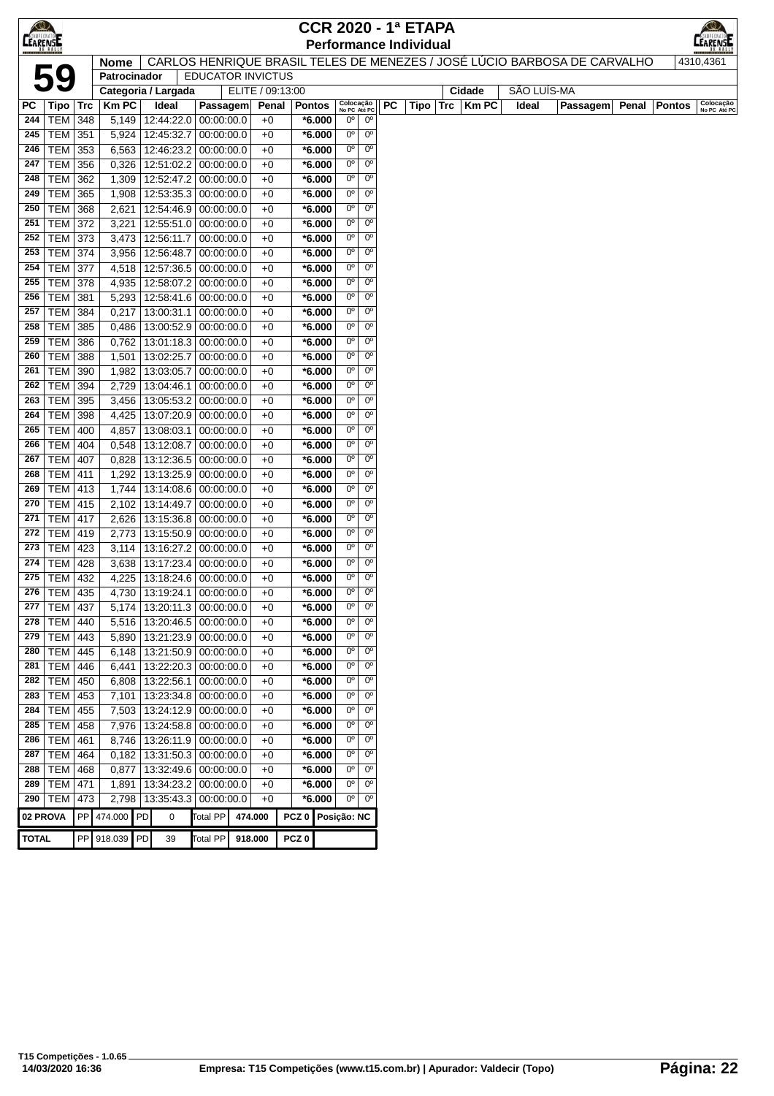| $\bigcirc$      |                          |            |                     |                          |                                      |                          |                  |                      |                               |                               |    | <b>CCR 2020 - 1ª ETAPA</b>    |     |        |             |                                                                          |       |               |                           |
|-----------------|--------------------------|------------|---------------------|--------------------------|--------------------------------------|--------------------------|------------------|----------------------|-------------------------------|-------------------------------|----|-------------------------------|-----|--------|-------------|--------------------------------------------------------------------------|-------|---------------|---------------------------|
| <b>CEARENSE</b> |                          |            |                     |                          |                                      |                          |                  |                      |                               |                               |    | <b>Performance Individual</b> |     |        |             |                                                                          |       |               | EARENSE                   |
|                 |                          |            | <b>Nome</b>         |                          |                                      |                          |                  |                      |                               |                               |    |                               |     |        |             | CARLOS HENRIQUE BRASIL TELES DE MENEZES / JOSÉ LÚCIO BARBOSA DE CARVALHO |       |               | 4310,4361                 |
|                 | 59                       |            | Patrocinador        |                          |                                      | <b>EDUCATOR INVICTUS</b> |                  |                      |                               |                               |    |                               |     |        |             |                                                                          |       |               |                           |
|                 |                          |            | Categoria / Largada |                          |                                      | ELITE / 09:13:00         |                  |                      |                               |                               |    |                               |     | Cidade | SÃO LUÍS-MA |                                                                          |       |               |                           |
| PC              | Tipo                     | Trc        | <b>KmPC</b>         | Ideal                    | Passagem                             | Penal                    |                  | <b>Pontos</b>        | Colocação<br>No PC Até PC     |                               | PC | Tipo                          | Trc | KmPC   | Ideal       | Passagem                                                                 | Penal | <b>Pontos</b> | Colocação<br>No PC Até PC |
| 244             | <b>TEM</b>               | 348        | 5,149               | 12:44:22.0               | 00:00:00.0                           | $+0$                     |                  | *6.000               | $0^{\circ}$<br>0 <sup>o</sup> | $0^{\circ}$                   |    |                               |     |        |             |                                                                          |       |               |                           |
| 245             | <b>TEM</b>               | 351        | 5,924               | 12:45:32.7               | 00:00:00.0                           | $+0$                     |                  | *6.000               | $0^{\circ}$                   | $0^{\circ}$                   |    |                               |     |        |             |                                                                          |       |               |                           |
| 246<br>247      | TEM<br>TEM               | 353<br>356 | 6,563<br>0,326      | 12:51:02.2               | 12:46:23.2 00:00:00.0<br> 00:00:00.0 | $+0$<br>$+0$             |                  | $*6.000$<br>$*6.000$ | 0°                            | $0^{\circ}$<br>$0^{\circ}$    |    |                               |     |        |             |                                                                          |       |               |                           |
| 248             | <b>TEM</b>               | 362        | 1,309               | 12:52:47.2               | 00:00:00.0                           | $+0$                     |                  | *6.000               | 0°                            | $0^{\circ}$                   |    |                               |     |        |             |                                                                          |       |               |                           |
| 249             | TEM                      | 365        | 1,908               | 12:53:35.3               | 00:00:00.0                           | $+0$                     |                  | $*6.000$             | $0^{\circ}$                   | 0 <sup>o</sup>                |    |                               |     |        |             |                                                                          |       |               |                           |
| 250             | <b>TEM</b>               | 368        | 2,621               | 12:54:46.9               | 00:00:00.0                           | $+0$                     |                  | $*6.000$             | 0°                            | 0 <sup>o</sup>                |    |                               |     |        |             |                                                                          |       |               |                           |
| 251             | <b>TEM</b>               | 372        | 3,221               | 12:55:51.0               | 00:00:00.0                           | $+0$                     |                  | $*6.000$             | 0°                            | $0^{\circ}$                   |    |                               |     |        |             |                                                                          |       |               |                           |
| 252             | <b>TEM</b>               | 373        | 3,473               | 12:56:11.7               | 00:00:00.0                           | $+0$                     |                  | $*6.000$             | 0°                            | $0^{\circ}$                   |    |                               |     |        |             |                                                                          |       |               |                           |
| 253             | TEM                      | 374        | 3,956               | 12:56:48.7               | 00:00:00.0                           | $+0$                     |                  | $*6.000$             | 0°                            | $0^{\circ}$                   |    |                               |     |        |             |                                                                          |       |               |                           |
| 254             | TEM                      | 377        | 4,518               | 12:57:36.5               | 00:00:00.0                           | $+0$                     |                  | $*6.000$             | $0^{\circ}$                   | $0^{\circ}$                   |    |                               |     |        |             |                                                                          |       |               |                           |
| 255             | TEM                      | 378        | 4,935               | 12:58:07.2               | 00:00:00.0                           | $+0$                     |                  | $*6.000$             | 0°                            | $0^{\circ}$                   |    |                               |     |        |             |                                                                          |       |               |                           |
| 256             | <b>TEM</b>               | 381        | 5,293               | 12:58:41.6               | 00:00:00.0                           | $+0$                     |                  | $*6.000$             | 0°                            | $0^{\circ}$                   |    |                               |     |        |             |                                                                          |       |               |                           |
| 257             | <b>TEM</b>               | 384        | 0,217               | 13:00:31.1               | 00:00:00.0                           | $+0$                     |                  | *6.000               | 0°                            | $0^{\circ}$                   |    |                               |     |        |             |                                                                          |       |               |                           |
| 258             | <b>TEM</b>               | 385        | 0,486               | 13:00:52.9               | 00:00:00.0                           | $+0$                     |                  | $*6.000$             | $0^{\circ}$                   | $0^{\circ}$                   |    |                               |     |        |             |                                                                          |       |               |                           |
| 259             | TEM                      | 386        | 0,762               | 13:01:18.3               | 00:00:00.0                           | $+0$                     |                  | $*6.000$             | $0^{\circ}$                   | $0^{\circ}$                   |    |                               |     |        |             |                                                                          |       |               |                           |
| 260             | <b>TEM</b>               | 388        | 1,501               | 13:02:25.7               | 00:00:00.0                           | $+0$                     |                  | *6.000               | $0^{\circ}$                   | $0^{\circ}$                   |    |                               |     |        |             |                                                                          |       |               |                           |
| 261             | <b>TEM</b>               | 390        | 1,982               | 13:03:05.7               | 00:00:00.0                           | $+0$                     |                  | *6.000               | 0°                            | $0^{\circ}$                   |    |                               |     |        |             |                                                                          |       |               |                           |
| 262             | <b>TEM</b>               | 394        | 2,729               | 13:04:46.1               | 00:00:00.0                           | $+0$                     |                  | *6.000               | $0^{\circ}$                   | $0^{\circ}$                   |    |                               |     |        |             |                                                                          |       |               |                           |
| 263             | TEM                      | 395        | 3,456               | 13:05:53.2               | 00:00:00.0                           | $+0$                     |                  | $*6.000$             | $0^{\circ}$                   | 0 <sup>o</sup>                |    |                               |     |        |             |                                                                          |       |               |                           |
| 264             | <b>TEM</b>               | 398        | 4,425               |                          | 13:07:20.9 00:00:00.0                | $+0$                     |                  | $*6.000$             | 0°                            | $0^{\circ}$                   |    |                               |     |        |             |                                                                          |       |               |                           |
| 265             | <b>TEM</b>               | 400        | 4,857               | 13:08:03.1               | 00:00:00.0                           | $+0$                     |                  | $*6.000$             | 0°                            | $0^{\circ}$                   |    |                               |     |        |             |                                                                          |       |               |                           |
| 266             | <b>TEM</b>               | 404        | 0,548               | 13:12:08.7               | 00:00:00.0                           | $+0$                     |                  | $*6.000$             | 0°                            | $0^{\circ}$                   |    |                               |     |        |             |                                                                          |       |               |                           |
| 267             | <b>TEM</b>               | 407        | 0,828               | 13:12:36.5               | 00:00:00.0                           | $+0$                     |                  | $*6.000$             | $0^{\circ}$                   | 0 <sup>o</sup>                |    |                               |     |        |             |                                                                          |       |               |                           |
| 268             | TEM                      | 411        | 1,292               | 13:13:25.9               | 00:00:00.0                           | $+0$                     |                  | $*6.000$             | $0^{\circ}$                   | 0 <sup>o</sup>                |    |                               |     |        |             |                                                                          |       |               |                           |
| 269             | TEM                      | 413        | 1,744               |                          | 13:14:08.6 00:00:00.0                | $+0$                     |                  | $*6.000$             | 0°                            | $0^{\circ}$                   |    |                               |     |        |             |                                                                          |       |               |                           |
| 270             | <b>TEM</b>               | 415        | 2,102               | 13:14:49.7               | 00:00:00.0                           | $+0$                     |                  | $*6.000$             | 0°                            | $0^{\circ}$                   |    |                               |     |        |             |                                                                          |       |               |                           |
| 271             | <b>TEM</b>               | 417        | 2,626               | 13:15:36.8               | 00:00:00.0                           | $+0$                     |                  | *6.000               | 0°                            | $0^{\circ}$                   |    |                               |     |        |             |                                                                          |       |               |                           |
| 272             | <b>TEM</b>               | 419        | 2,773               |                          | 13:15:50.9 00:00:00.0                | $+0$                     |                  | $*6.000$             | $0^{\circ}$                   | 0 <sup>o</sup>                |    |                               |     |        |             |                                                                          |       |               |                           |
| 273             | TEM                      | 423        | 3,114               |                          | 13:16:27.2 00:00:00.0                | $+0$                     |                  | *6.000               | 0°                            | $0^{\circ}$                   |    |                               |     |        |             |                                                                          |       |               |                           |
| 274             | <b>TEM</b>               | 428        | 3,638               | 13:17:23.4               | 00:00:00.0                           | $+0$                     |                  | $*6.000$             | 0°                            | $0^{\circ}$                   |    |                               |     |        |             |                                                                          |       |               |                           |
| 275             | TEM                      | 432        | 4,225               | 13:18:24.6               | 00:00:00.0                           | $+0$                     |                  | $*6.000$             | 0°                            | $0^{\circ}$                   |    |                               |     |        |             |                                                                          |       |               |                           |
| 276             | TEM                      | 435        | 4,730               | 13:19:24.1               | 00:00:00.0                           | $+0$                     |                  | $*6.000$             | 0°                            | $0^{\circ}$                   |    |                               |     |        |             |                                                                          |       |               |                           |
| 277             | TEM   437                |            | 5,174               | 13:20:11.3               | 00:00:00.0                           | $+0$                     |                  | *6.000               | 0°                            | 0 <sup>o</sup>                |    |                               |     |        |             |                                                                          |       |               |                           |
| 278             | TEM                      | 440        | 5,516               | 13:20:46.5               | 00:00:00.0                           | $+0$                     |                  | *6.000               | 0°                            | 0 <sup>o</sup>                |    |                               |     |        |             |                                                                          |       |               |                           |
| 279             | <b>TEM</b>               | 443        | 5,890               | 13:21:23.9               | 00:00:00.0                           | $+0$                     |                  | $*6.000$             | 0°                            | $0^{\circ}$                   |    |                               |     |        |             |                                                                          |       |               |                           |
| 280             | <b>TEM</b>               | 445        | 6,148               |                          | 13:21:50.9 00:00:00.0                | $+0$                     |                  | *6.000               | 0°                            | $0^{\circ}$                   |    |                               |     |        |             |                                                                          |       |               |                           |
| 281             | <b>TEM</b>               | 446        | 6,441               |                          | 13:22:20.3 00:00:00.0                | $+0$                     |                  | $*6.000$             | $0^{\circ}$                   | 0 <sup>o</sup>                |    |                               |     |        |             |                                                                          |       |               |                           |
| 282             | <b>TEM</b>               | 450        | 6,808               | 13:22:56.1               | 00:00:00.0                           | $+0$                     |                  | $*6.000$             | 0°                            | $0^{\circ}$                   |    |                               |     |        |             |                                                                          |       |               |                           |
| 283             | TEM                      | 453        | 7,101               |                          | 13:23:34.8 00:00:00.0                | $+0$                     |                  | $*6.000$             | 0°                            | $0^{\circ}$                   |    |                               |     |        |             |                                                                          |       |               |                           |
| 284             | <b>TEM</b>               | 455        | 7,503               | 13:24:12.9               | 00:00:00.0                           | $+0$                     |                  | $*6.000$             | 0°                            | $0^{\circ}$                   |    |                               |     |        |             |                                                                          |       |               |                           |
| 285             | <b>TEM</b>               | 458        | 7,976               | 13:24:58.8               | 00:00:00.0<br>00:00:00.0             | $+0$                     |                  | $*6.000$             | 0°<br>$0^{\circ}$             | $0^{\circ}$<br>0 <sup>o</sup> |    |                               |     |        |             |                                                                          |       |               |                           |
| 286<br>287      | <b>TEM</b>               | 461        | 8,746               | 13:26:11.9               |                                      | $+0$                     |                  | $*6.000$             | 0°                            | $0^{\circ}$                   |    |                               |     |        |             |                                                                          |       |               |                           |
| 288             | <b>TEM</b><br><b>TEM</b> | 464<br>468 | 0,182<br>0,877      | 13:31:50.3<br>13:32:49.6 | 00:00:00.0<br>00:00:00.0             | $+0$<br>$+0$             |                  | $*6.000$<br>$*6.000$ | 0°                            | $0^{\circ}$                   |    |                               |     |        |             |                                                                          |       |               |                           |
| 289             | <b>TEM</b>               | 471        | 1,891               | 13:34:23.2               | 00:00:00.0                           | $+0$                     |                  | *6.000               | 0°                            | 0 <sup>o</sup>                |    |                               |     |        |             |                                                                          |       |               |                           |
| 290             | <b>TEM</b>               | 473        | 2,798               |                          | 13:35:43.3 00:00:00.0                | $+0$                     |                  | $*6.000$             | $0^{\circ}$                   | $0^{\circ}$                   |    |                               |     |        |             |                                                                          |       |               |                           |
|                 |                          |            |                     |                          |                                      |                          |                  |                      |                               |                               |    |                               |     |        |             |                                                                          |       |               |                           |
| 02 PROVA        |                          |            | PP 474.000 PD       | 0                        | Total PP                             | 474.000                  |                  | PCZ 0 Posição: NC    |                               |                               |    |                               |     |        |             |                                                                          |       |               |                           |
| <b>TOTAL</b>    |                          |            | PP 918.039 PD       | 39                       | <b>Total PP</b>                      | 918.000                  | PCZ <sub>0</sub> |                      |                               |                               |    |                               |     |        |             |                                                                          |       |               |                           |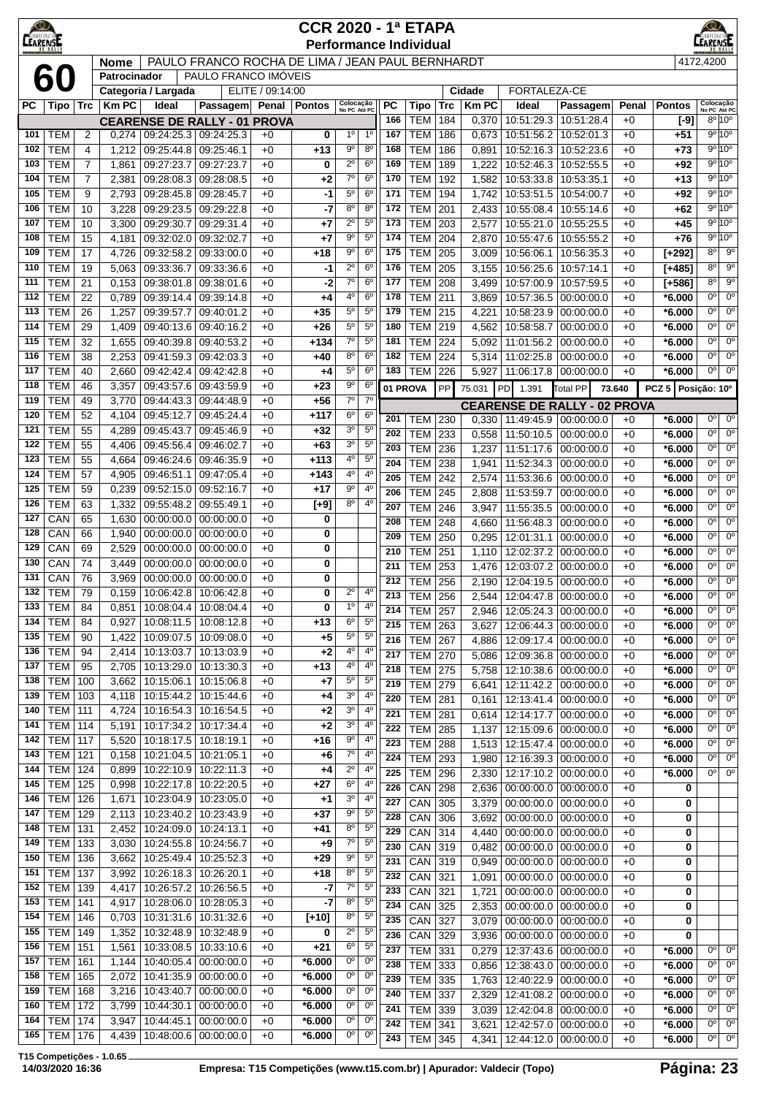| $\bigotimes$<br><b>CEARENSE</b> |                          |                                  |                |                                       |                                                  |                  | <b>CCR 2020 - 1ª ETAPA</b><br><b>Performance Individual</b> |                            |                                  |                  |                              |                  |                |                                                        |                          |              |                      | LEARENSE                      |                            |
|---------------------------------|--------------------------|----------------------------------|----------------|---------------------------------------|--------------------------------------------------|------------------|-------------------------------------------------------------|----------------------------|----------------------------------|------------------|------------------------------|------------------|----------------|--------------------------------------------------------|--------------------------|--------------|----------------------|-------------------------------|----------------------------|
|                                 |                          |                                  | <b>Nome</b>    |                                       | PAULO FRANCO ROCHA DE LIMA / JEAN PAUL BERNHARDT |                  |                                                             |                            |                                  |                  |                              |                  |                |                                                        |                          |              |                      | 4172,4200                     |                            |
|                                 | 60                       |                                  | Patrocinador   | Categoria / Largada                   | PAULO FRANCO IMÓVEIS                             | ELITE / 09:14:00 |                                                             |                            |                                  |                  |                              |                  | Cidade         | FORTALEZA-CE                                           |                          |              |                      |                               |                            |
| РC                              | Tipo   Trc               |                                  | <b>KmPC</b>    | Ideal                                 | Passagem                                         | Penal            | <b>Pontos</b>                                               | Colocação<br>No PC Até PC  |                                  | <b>PC</b>        | <b>Tipo</b>                  | <b>Trc</b>       | <b>KmPC</b>    | Ideal                                                  | Passagem                 | Penal        | <b>Pontos</b>        | Colocação<br>No PC Até PC     |                            |
|                                 |                          |                                  |                |                                       | <b>CEARENSE DE RALLY - 01 PROVA</b>              |                  |                                                             |                            |                                  | 166              | <b>TEM</b>                   | 184              | 0,370          | 10:51:29.3                                             | 10:51:28.4               | $+0$         | $[-9]$               |                               | $8^{\circ} 10^{\circ}$     |
| 101                             | <b>TEM</b>               | 2                                | 0,274          | 09:24:25.3                            | 09:24:25.3                                       | $+0$             | 0                                                           | $1^{\circ}$                | $1^{\circ}$                      | 167              | <b>TEM</b>                   | 186              | 0,673          | 10:51:56.2                                             | 10:52:01.3               | $+0$         | +51                  |                               | 9°10°                      |
| 102<br>103                      | <b>TEM</b><br><b>TEM</b> | $\overline{4}$                   | 1,212          | 09:25:44.8<br>$\overline{09:}27:23.7$ | 09:25:46.1<br>09:27:23.7                         | $+0$             | $+13$                                                       | $9^{\circ}$<br>$2^{\circ}$ | $8^{\circ}$<br>$6^{\circ}$       | 168<br>169       | <b>TEM</b><br><b>TEM</b>     | 186<br>189       | 0,891          | 10:52:16.3<br>10:52:46.3                               | 10:52:23.6<br>10:52:55.5 | $+0$         | $+73$                |                               | 9°10°<br>9°10°             |
| 104                             | <b>TEM</b>               | $\overline{7}$<br>$\overline{7}$ | 1,861<br>2,381 | 09:28:08.3                            | 09:28:08.5                                       | $+0$<br>$+0$     | 0<br>+2                                                     | $7^\circ$                  | $6^{\circ}$                      | 170              | <b>TEM</b>                   | 192              | 1,222<br>1,582 | 10:53:33.8                                             | 10:53:35.1               | $+0$<br>$+0$ | +92<br>+13           |                               | 9°10°                      |
| 105                             | <b>TEM</b>               | 9                                | 2,793          | 09:28:45.8                            | 09:28:45.7                                       | $+0$             | -1                                                          | $5^{\circ}$                | $6^{\circ}$                      | 171              | <b>TEM</b>                   | 194              | 1,742          | 10:53:51.5                                             | 10:54:00.7               | $+0$         | +92                  |                               | 9°10°                      |
| 106                             | <b>TEM</b>               | 10                               | 3,228          | 09:29:23.5                            | 09:29:22.8                                       | $+0$             | $-7$                                                        | $8^{\circ}$                | $8^{\circ}$                      | 172              | <b>TEM</b>                   | 201              | 2,433          | 10:55:08.4                                             | 10:55:14.6               | $+0$         | +62                  |                               | 9°10°                      |
| 107                             | <b>TEM</b>               | 10                               | 3,300          | 09:29:30.7                            | 09:29:31.4                                       | $+0$             | +7                                                          | $2^{\circ}$                | $5^{\circ}$                      | 173              | <b>TEM</b>                   | 203              | 2,577          | 10:55:21.0                                             | 10:55:25.5               | $+0$         | $+45$                |                               | 9º 10º                     |
| 108                             | <b>TEM</b>               | 15                               | 4,181          | 09:32:02.0                            | 09:32:02.7                                       | $+0$             | $+7$                                                        | $9^{\circ}$                | $5^{\circ}$                      | 174              | <b>TEM</b>                   | 204              | 2,870          | 10:55:47.6                                             | 10:55:55.2               | $+0$         | $+76$                |                               | 9°10°                      |
| 109                             | <b>TEM</b>               | 17                               | 4,726          | 09:32:58.2                            | 09:33:00.0                                       | $+0$             | $+18$                                                       | $9^{\circ}$<br>$2^{\circ}$ | $6^{\circ}$                      | 175              | <b>TEM</b>                   | 205              | 3,009          | 10:56:06.1                                             | 10:56:35.3               | $+0$         | $[+292]$             | 8 <sup>o</sup><br>$8^{\circ}$ | $9^{\circ}$<br>$9^{\rm o}$ |
| 110<br>111                      | <b>TEM</b><br><b>TEM</b> | 19<br>21                         | 5,063<br>0,153 | 09:33:36.7<br>09:38:01.8              | 09:33:36.6<br>09:38:01.6                         | $+0$<br>$+0$     | -1<br>$-2$                                                  | $7^{\circ}$                | $6^{\circ}$<br>6 <sup>o</sup>    | 176<br>177       | <b>TEM</b><br><b>TEM</b>     | 205<br>208       | 3,155<br>3,499 | 10:56:25.6<br>10:57:00.9                               | 10:57:14.1<br>10:57:59.5 | $+0$<br>$+0$ | $[+485]$<br>$[+586]$ | 8 <sup>0</sup>                | $9^{\circ}$                |
| 112                             | <b>TEM</b>               | 22                               | 0,789          | 09:39:14.4                            | 09:39:14.8                                       | $+0$             | +4                                                          | $4^{\circ}$                | $6^{\circ}$                      | 178              | <b>TEM</b>                   | 211              | 3,869          | 10:57:36.5                                             | 00:00:00.0               | $+0$         | $*6.000$             | $0^{\circ}$                   | $0^{\circ}$                |
| 113                             | <b>TEM</b>               | 26                               | 1,257          | 09:39:57.7                            | 09:40:01.2                                       | $+0$             | $+35$                                                       | $5^{\circ}$                | 5 <sup>o</sup>                   | 179              | <b>TEM</b>                   | 215              | 4,221          | 10:58:23.9                                             | 00:00:00.0               | $+0$         | *6.000               | 0 <sup>o</sup>                | $0^{\circ}$                |
| 114                             | <b>TEM</b>               | 29                               | 1,409          | 09:40:13.6                            | 09:40:16.2                                       | $+0$             | $+26$                                                       | $5^{\rm o}$                | $5^{\circ}$                      | 180              | <b>TEM</b>                   | 219              | 4,562          | 10:58:58.7                                             | 00:00:00.0               | $+0$         | *6.000               | 0°                            | $0^{\circ}$                |
| 115                             | <b>TEM</b>               | 32                               | 1,655          | 09:40:39.8                            | 09:40:53.2                                       | $+0$             | $+134$                                                      | $7^\circ$                  | $5^{\circ}$                      | 181              | <b>TEM</b>                   | 224              | 5,092          | 11:01:56.2                                             | 00:00:00.0               | $+0$         | *6.000               | $0^{\circ}$                   | $0^{\circ}$                |
| 116                             | <b>TEM</b>               | 38                               | 2,253          | 09:41:59.3                            | 09:42:03.3                                       | $+0$             | $+40$                                                       | $8^{\circ}$                | $6^{\circ}$                      | 182              | <b>TEM</b>                   | 224              | 5,314          | 11:02:25.8                                             | 00:00:00.0               | $+0$         | *6.000               | $0^{\circ}$                   | $0^{\circ}$                |
| 117<br>118                      | <b>TEM</b>               | 40                               | 2,660          | 09:42:42.4                            | 09:42:42.8                                       | $+0$             | +4                                                          | $5^{\circ}$<br>$9^{\circ}$ | 6 <sup>o</sup><br>6 <sup>o</sup> | 183              | <b>TEM</b>                   | 226              | 5,927          | 11:06:17.8                                             | 00:00:00.0               | $+0$         | *6.000               | 0 <sup>o</sup>                | $0^{\circ}$                |
| 119                             | <b>TEM</b><br><b>TEM</b> | 46<br>49                         | 3,357<br>3,770 | 09:43:57.6<br>09:44:43.3              | 09:43:59.9<br>09:44:48.9                         | $+0$<br>$+0$     | $+23$<br>$+56$                                              | $7^\circ$                  | $7^\circ$                        |                  | 01 PROVA                     | PP               | 75.031         | PD<br>1.391                                            | Total PP                 | 73.640       | PCZ 5 Posicão: 10°   |                               |                            |
| 120                             | <b>TEM</b>               | 52                               | 4,104          | 09:45:12.7                            | 09:45:24.4                                       | $+0$             | $+117$                                                      | 6 <sup>o</sup>             | 6 <sup>o</sup>                   | 201              |                              | 230              |                | <b>CEARENSE DE RALLY - 02 PROVA</b>                    |                          |              |                      | $0^{\circ}$                   | $0^{\circ}$                |
| 121                             | <b>TEM</b>               | 55                               | 4,289          | 09:45:43.7                            | 09:45:46.9                                       | $+0$             | +32                                                         | 3 <sup>o</sup>             | $5^{\circ}$                      | 202              | TEM<br><b>TEM</b>            | 233              | 0,330<br>0,558 | 11:49:45.9 00:00:00.0<br>11:50:10.5                    | 00:00:00.0               | $+0$<br>$+0$ | $*6.000$<br>*6.000   | $0^{\circ}$                   | $0^{\circ}$                |
| 122                             | <b>TEM</b>               | 55                               | 4,406          | 09:45:56.4                            | 09:46:02.7                                       | $+0$             | +63                                                         | 3 <sup>0</sup>             | 5 <sup>0</sup>                   | 203              | <b>TEM</b>                   | 236              | 1,237          | 11:51:17.6                                             | 00:00:00.0               | $+0$         | $*6.000$             | 0°                            | $0^{\circ}$                |
| 123                             | <b>TEM</b>               | 55                               | 4,664          | 09:46:24.6                            | 09:46:35.9                                       | $+0$             | $+113$                                                      | $4^{\circ}$                | $5^{\circ}$                      | 204              | <b>TEM</b>                   | 238              | 1,941          | 11:52:34.3                                             | 00:00:00.0               | $+0$         | $*6.000$             | 0°                            | $0^{\circ}$                |
| 124                             | <b>TEM</b>               | 57                               | 4,905          | 09:46:51.1                            | 09:47:05.4                                       | $+0$             | $+143$                                                      | $4^{\rm o}$                | 4 <sup>0</sup>                   | 205              | <b>TEM</b>                   | 242              | 2,574          | 11:53:36.6                                             | 00:00:00.0               | $+0$         | $*6.000$             | $0^{\circ}$                   | 0 <sup>o</sup>             |
| 125                             | <b>TEM</b>               | 59                               | 0,239          | 09:52:15.0                            | 09:52:16.7                                       | $+0$             | $+17$                                                       | $9^{\circ}$                | 4 <sup>0</sup>                   | 206              | <b>TEM</b>                   | 245              | 2,808          | 11:53:59.7                                             | 00:00:00.0               | $+0$         | *6.000               | $0^{\circ}$                   | $0^{\circ}$                |
| 126                             | <b>TEM</b>               | 63                               | 1,332          | 09:55:48.2                            | 09:55:49.1                                       | $+0$             | $[+9]$                                                      | $8^{\circ}$                | 4 <sup>0</sup>                   | 207              | <b>TEM</b>                   | 246              | 3,947          | 11:55:35.5                                             | 00:00:00.0               | $+0$         | *6.000               | 0°                            | $0^{\circ}$                |
| 127<br>128                      | CAN<br>CAN               | 65<br>66                         | 1,630<br>1,940 | 00:00:00.0<br>00:00:00.0              | 00:00:00.0<br>00:00:00.0                         | $+0$<br>$+0$     | 0<br>0                                                      |                            |                                  | 208              | <b>TEM</b>                   | 248              | 4,660          | 11:56:48.3                                             | 00:00:00.0               | $+0$         | *6.000               | $\overline{0^{\circ}}$        | $0^{\circ}$                |
| 129                             | CAN                      | 69                               | 2,529          | 00:00:00.0                            | 00:00:00.0                                       | $+0$             | 0                                                           |                            |                                  | 209              | <b>TEM</b>                   | $\overline{250}$ | 0,295          | 12:01:31.1                                             | 0.00:00:00               | $+0$         | *6.000               | 0 <sup>o</sup>                | $0^{\circ}$                |
| 130                             | CAN                      | 74                               | 3,449          | 00:00:00.0                            | 00:00:00.0                                       | $+0$             | 0                                                           |                            |                                  | 210<br>211       | <b>TEM</b><br><b>TEM</b>     | 251<br>253       | 1,110<br>1,476 | 12:02:37.2<br>12:03:07.2                               | 00:00:00.0<br>00:00:00.0 | $+0$<br>$+0$ | $*6.000$<br>*6.000   | $0^{\circ}$<br>0°             | $0^{\circ}$<br>$0^{\circ}$ |
| 131                             | CAN                      | 76                               | 3,969          | 00:00:00.0                            | 00:00:00.0                                       | $+0$             | 0                                                           |                            |                                  | 212              | <b>TEM</b>                   | 256              | 2,190          | 12:04:19.5 00:00:00.0                                  |                          | $+0$         | $*6.000$             | 0 <sup>o</sup>                | $0^{\circ}$                |
| 132                             | <b>TEM</b>               | 79                               | 0,159          | 10:06:42.8 10:06:42.8                 |                                                  | $+0$             | 0                                                           | $2^{\circ}$                | $4^{\circ}$                      | $\overline{213}$ | <b>TEM</b> 256               |                  |                | 2,544 12:04:47.8 00:00:00.0                            |                          | $+0$         | $*6.000$             | $\overline{0^{\circ}}$        | $\overline{0^{\circ}}$     |
| 133                             | <b>TEM</b>               | 84                               | 0,851          |                                       | 10:08:04.4 10:08:04.4                            | +0               | 0                                                           | $1^{\circ}$                | $4^{\circ}$                      | 214              | <b>TEM 257</b>               |                  | 2,946          | 12:05:24.3 00:00:00.0                                  |                          | $+0$         | $*6.000$             | 0°                            | $0^{\circ}$                |
| 134                             | <b>TEM</b>               | 84                               | 0,927          | 10:08:11.5                            | 10:08:12.8                                       | $+0$             | $+13$                                                       | 6 <sup>o</sup>             | $5^{\circ}$                      | 215              | <b>TEM</b>                   | 263              | 3,627          |                                                        | 12:06:44.3   00:00:00.0  | $+0$         | $*6.000$             | 0°                            | $0^{\circ}$                |
| 135                             | <b>TEM</b>               | 90                               | 1,422          | 10:09:07.5   10:09:08.0               |                                                  | $+0$             | $+5$                                                        | $5^{\circ}$                | $5^{\circ}$                      | 216              | <b>TEM</b>                   | 267              | 4,886          |                                                        | 12:09:17.4   00:00:00.0  | $+0$         | $*6.000$             | 0°                            | $0^{\circ}$                |
| 136<br>137                      | <b>TEM</b><br><b>TEM</b> | 94<br>95                         | 2,414<br>2,705 | 10:13:03.7<br>10:13:29.0              | 10:13:03.9<br>10:13:30.3                         | $+0$<br>$+0$     | +2<br>$+13$                                                 | $4^{\circ}$<br>$4^{\circ}$ | $4^{\circ}$<br>4 <sup>0</sup>    | 217              | <b>TEM</b>                   | 270              | 5,086          | 12:09:36.8 00:00:00.0                                  |                          | $+0$         | $*6.000$             | 0°                            | $0^{\circ}$                |
| 138                             | <b>TEM</b>               | 100                              | 3,662          | 10:15:06.1                            | 10:15:06.8                                       | $+0$             | $+7$                                                        | $5^{\circ}$                | $5^{\circ}$                      | 218<br>219       | <b>TEM</b>                   | 275              | 5,758          | 12:10:38.6 00:00:00.0                                  |                          | $+0$         | $*6.000$<br>$*6.000$ | 0 <sup>o</sup><br>$0^{\circ}$ | $0^{\circ}$<br>$0^{\circ}$ |
| 139                             | <b>TEM</b>               | 103                              | 4,118          | 10:15:44.2                            | 10:15:44.6                                       | $+0$             | $+4$                                                        | 3 <sup>o</sup>             | $4^{\circ}$                      | 220              | <b>TEM 279</b><br><b>TEM</b> | 281              | 6,641<br>0,161 | 12:11:42.2 00:00:00.0<br>12:13:41.4 00:00:00.0         |                          | $+0$<br>$+0$ | $*6.000$             | 0°                            | $0^{\circ}$                |
| 140                             | <b>TEM</b>               | 111                              | 4,724          | 10:16:54.3                            | 10:16:54.5                                       | $+0$             | +2                                                          | 3 <sup>o</sup>             | $4^{\circ}$                      | 221              | <b>TEM</b>                   | 281              | 0,614          | 12:14:17.7 00:00:00.0                                  |                          | $+0$         | $*6.000$             | 0°                            | $0^{\circ}$                |
| 141                             | <b>TEM</b>               | 114                              | 5,191          | 10:17:34.2                            | 10:17:34.4                                       | $+0$             | +2                                                          | 3 <sup>o</sup>             | 4 <sup>0</sup>                   | 222              | <b>TEM</b>                   | 285              | 1,137          | 12:15:09.6 00:00:00.0                                  |                          | $+0$         | $*6.000$             | $0^{\circ}$                   | $0^{\circ}$                |
| 142                             | <b>TEM</b>               | 117                              | 5,520          | 10:18:17.5                            | 10:18:19.1                                       | $+0$             | $+16$                                                       | $9^{\rm o}$                | 4 <sup>0</sup>                   | 223              | <b>TEM</b>                   | 288              | 1,513          | 12:15:47.4 00:00:00.0                                  |                          | $+0$         | $*6.000$             | 0°                            | $0^{\circ}$                |
| 143                             | <b>TEM</b>               | 121                              | 0,158          | 10:21:04.5                            | 10:21:05.1                                       | $+0$             | +6                                                          | 7 <sup>o</sup>             | 4 <sup>0</sup>                   | 224              | <b>TEM</b>                   | 293              | 1,980          | 12:16:39.3 00:00:00.0                                  |                          | $+0$         | $*6.000$             | 0°                            | $0^{\circ}$                |
| 144<br>145                      | <b>TEM</b><br><b>TEM</b> | 124<br>125                       | 0,899<br>0,998 | 10:22:17.8                            | 10:22:10.9 10:22:11.3<br>10:22:20.5              | $+0$<br>$+0$     | +4<br>+27                                                   | $2^{\circ}$<br>$6^{\circ}$ | $4^{\circ}$<br>$4^{\circ}$       | 225              | <b>TEM</b>                   | 296              | 2,330          |                                                        | 12:17:10.2 00:00:00.0    | $+0$         | $*6.000$             | $0^{\circ}$                   | $0^{\circ}$                |
| 146                             | <b>TEM</b>               | 126                              | 1,671          | 10:23:04.9                            | 10:23:05.0                                       | $+0$             | $+1$                                                        | 3 <sup>o</sup>             | 4 <sup>0</sup>                   | 226              | CAN                          | 298              | 2,636          | $00:00:00.0$   $00:00:00.0$                            |                          | $+0$         | 0                    |                               |                            |
| 147                             | <b>TEM</b>               | 129                              | 2,113          | 10:23:40.2                            | 10:23:43.9                                       | $+0$             | $+37$                                                       | $9^{\circ}$                | $5^{\circ}$                      | 227<br>228       | CAN<br>CAN                   | 305<br>306       | 3,379<br>3,692 | $00:00:00.0$ 00:00:00.0<br>$00:00:00.0$   $00:00:00.0$ |                          | $+0$<br>$+0$ | 0<br>0               |                               |                            |
| 148                             | TEM                      | 131                              | 2,452          | 10:24:09.0                            | 10:24:13.1                                       | $+0$             | +41                                                         | $8^{\circ}$                | $5^{\circ}$                      | 229              | CAN                          | 314              | 4,440          | $00:00:00.0$   $00:00:00.0$                            |                          | $+0$         | 0                    |                               |                            |
| 149                             | <b>TEM</b>               | 133                              | 3,030          | 10:24:55.8                            | 10:24:56.7                                       | $+0$             | $+9$                                                        | $7^\circ$                  | $5^{\circ}$                      | 230              | CAN                          | 319              | 0,482          | $00:00:00.0$   $00:00:00.0$                            |                          | $+0$         | 0                    |                               |                            |
| 150                             | <b>TEM</b>               | 136                              | 3,662          | 10:25:49.4                            | 10:25:52.3                                       | $+0$             | $+29$                                                       | $9^{\circ}$                | 5 <sup>0</sup>                   | 231              | CAN                          | 319              | 0,949          | $00:00:00.0$   $00:00:00.0$                            |                          | $+0$         | 0                    |                               |                            |
| 151                             | <b>TEM</b>               | 137                              | 3,992          | 10:26:18.3                            | 10:26:20.1                                       | $+0$             | $+18$                                                       | $8^{\circ}$                | $5^{\circ}$                      | 232              | CAN                          | 321              | 1,091          | $00:00:00.0$ 00:00:00.0                                |                          | $+0$         | 0                    |                               |                            |
| 152                             | <b>TEM</b>               | 139                              | 4,417          | 10:26:57.2                            | 10:26:56.5                                       | $+0$             | $-7$                                                        | $7^\circ$                  | $5^{\circ}$                      | 233              | CAN                          | 321              | 1,721          | $00:00:00.0$   $00:00:00.0$                            |                          | $+0$         | 0                    |                               |                            |
| 153<br>154                      | <b>TEM</b><br><b>TEM</b> | 141<br>146                       | 4,917          | 10:31:31.6                            | 10:28:06.0   10:28:05.3<br>10:31:32.6            | $+0$             | -7                                                          | $8^{\circ}$<br>$8^{\circ}$ | $5^{\circ}$<br>5 <sup>0</sup>    | 234              | CAN                          | 325              | 2,353          | $00:00:00.0$   $00:00:00.0$                            |                          | $+0$         | 0                    |                               |                            |
| 155                             | <b>TEM</b>               | 149                              | 0,703<br>1,352 | 10:32:48.9                            | 10:32:48.9                                       | $+0$<br>$+0$     | $[+10]$<br>0                                                | $2^{\circ}$                | $5^{\circ}$                      | 235              | CAN                          | 327              | 3,079          | $00:00:00.0$   $00:00:00.0$                            |                          | $+0$         | 0                    |                               |                            |
| 156                             | <b>TEM</b>               | 151                              | 1,561          | 10:33:08.5                            | 10:33:10.6                                       | $+0$             | $+21$                                                       | 6 <sup>o</sup>             | $5^{\circ}$                      | 236<br>237       | CAN                          | 329<br>331       | 3,936          | $00:00:00.0$   $00:00:00.0$                            |                          | $+0$         | 0                    | $0^{\circ}$                   | $0^{\circ}$                |
| 157                             | <b>TEM</b>               | 161                              | 1,144          | 10:40:05.4                            | 00:00:00.0                                       | $+0$             | $*6.000$                                                    | 0°                         | $0^{\circ}$                      | 238              | <b>TEM</b><br>TEM 333        |                  | 0,279<br>0,856 | 12:37:43.6 00:00:00.0<br>12:38:43.0 00:00:00.0         |                          | $+0$<br>$+0$ | $*6.000$<br>$*6.000$ | 0 <sup>o</sup>                | $0^{\circ}$                |
| 158                             | <b>TEM</b>               | 165                              | 2,072          | 10:41:35.9                            | 00:00:00.0                                       | $+0$             | $*6.000$                                                    | $0^{\circ}$                | $0^{\rm o}$                      | 239              | <b>TEM</b>                   | 335              | 1,763          | 12:40:22.9 00:00:00.0                                  |                          | $+0$         | $*6.000$             | 0°                            | $0^{\circ}$                |
| 159                             | <b>TEM</b>               | 168                              | 3,216          | 10:43:40.7                            | 00:00:00.0                                       | $+0$             | $*6.000$                                                    | $0^{\circ}$                | $0^{\circ}$                      | 240              | <b>TEM</b>                   | 337              | 2,329          | 12:41:08.2                                             | 00:00:00.0               | $+0$         | $*6.000$             | 0°                            | $0^{\circ}$                |
| 160                             | <b>TEM</b>               | 172                              | 3,799          | 10:44:30.1                            | 00:00:00.0                                       | $+0$             | $*6.000$                                                    | $0^{\circ}$                | $0^{\circ}$                      | 241              | <b>TEM</b>                   | 339              | 3,039          | 12:42:04.8 00:00:00.0                                  |                          | $+0$         | $*6.000$             | 0 <sup>o</sup>                | $0^{\circ}$                |
| 164                             | <b>TEM</b>               | 174                              | 3,947          | 10:44:45.1                            | 00:00:00.0                                       | $+0$             | $*6.000$                                                    | $0^{\circ}$                | $0^{\circ}$                      | 242              | <b>TEM 341</b>               |                  | 3,621          | 12:42:57.0 00:00:00.0                                  |                          | $+0$         | $*6.000$             | 0°                            | $0^{\circ}$                |
| 165                             | TEM                      | 176                              | 4,439          | 10:48:00.6                            | 00:00:00.0                                       | $+0$             | $*6.000$                                                    | $0^{\circ}$                | $0^{\circ}$                      | 243              | <b>TEM</b>                   | 345              | 4,341          | 12:44:12.0 00:00:00.0                                  |                          | $+0$         | $*6.000$             | 0°                            | $0^{\circ}$                |